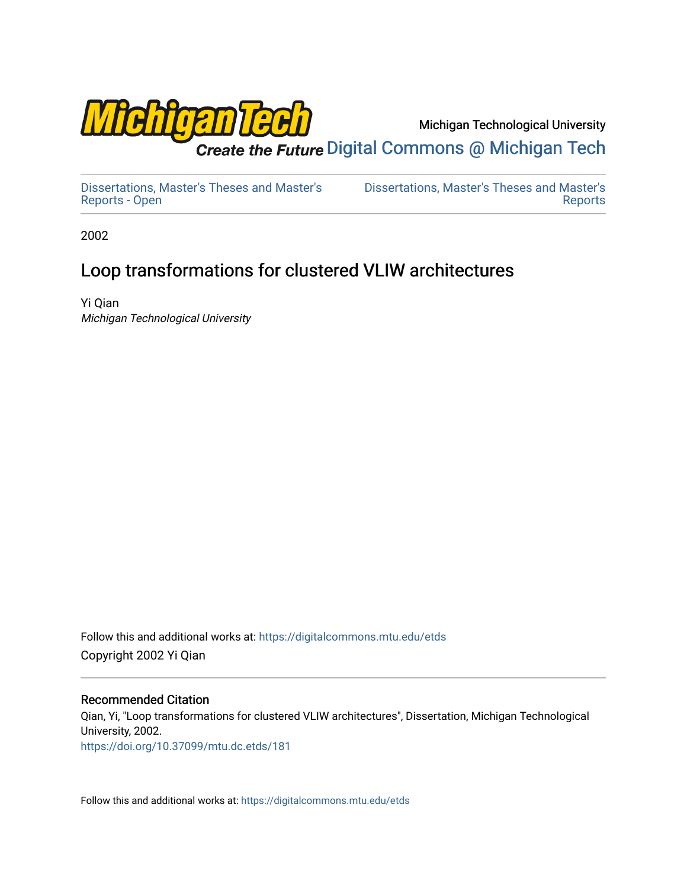

Michigan Technological University

Create the Future Digital Commons @ Michigan Tech

[Dissertations, Master's Theses and Master's](https://digitalcommons.mtu.edu/etds) [Reports - Open](https://digitalcommons.mtu.edu/etds)

[Dissertations, Master's Theses and Master's](https://digitalcommons.mtu.edu/etd)  [Reports](https://digitalcommons.mtu.edu/etd) 

2002

## Loop transformations for clustered VLIW architectures

Yi Qian Michigan Technological University

Follow this and additional works at: [https://digitalcommons.mtu.edu/etds](https://digitalcommons.mtu.edu/etds?utm_source=digitalcommons.mtu.edu%2Fetds%2F181&utm_medium=PDF&utm_campaign=PDFCoverPages)  Copyright 2002 Yi Qian

#### Recommended Citation

Qian, Yi, "Loop transformations for clustered VLIW architectures", Dissertation, Michigan Technological University, 2002. <https://doi.org/10.37099/mtu.dc.etds/181>

Follow this and additional works at: [https://digitalcommons.mtu.edu/etds](https://digitalcommons.mtu.edu/etds?utm_source=digitalcommons.mtu.edu%2Fetds%2F181&utm_medium=PDF&utm_campaign=PDFCoverPages)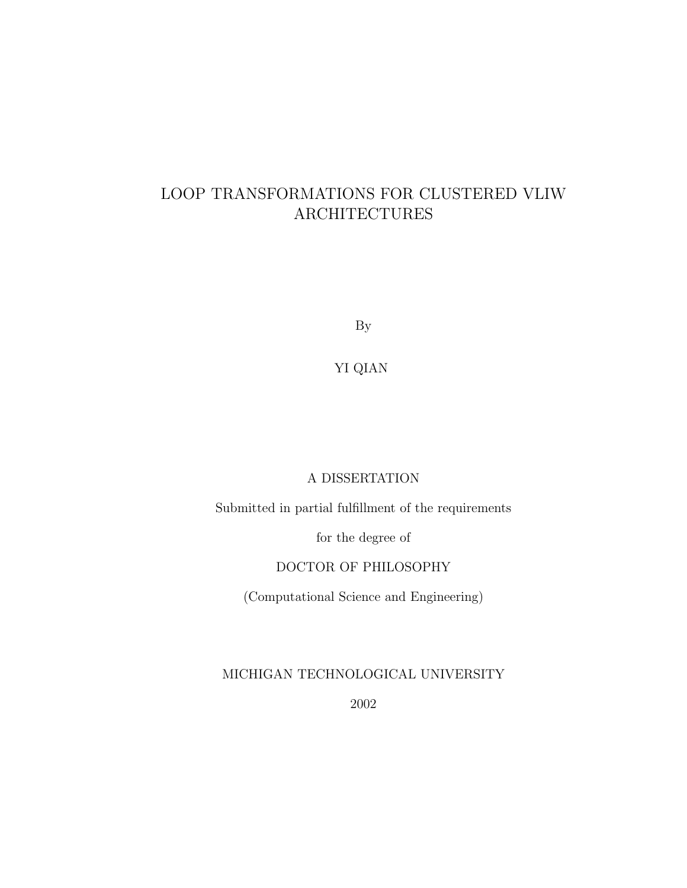### LOOP TRANSFORMATIONS FOR CLUSTERED VLIW ARCHITECTURES

By

YI QIAN

#### A DISSERTATION

Submitted in partial fulfillment of the requirements

for the degree of

#### DOCTOR OF PHILOSOPHY

(Computational Science and Engineering)

MICHIGAN TECHNOLOGICAL UNIVERSITY

2002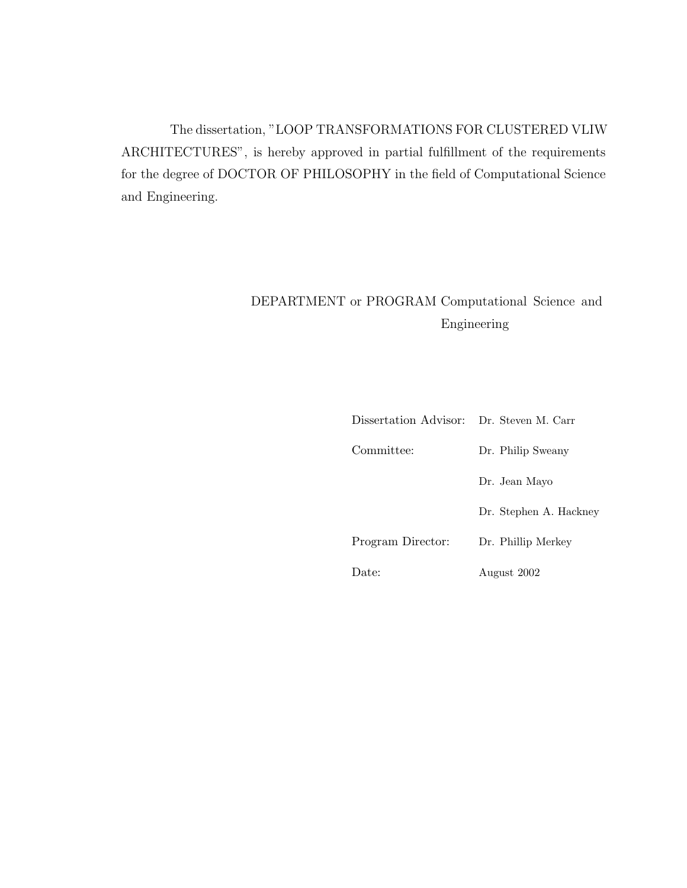The dissertation, "LOOP TRANSFORMATIONS FOR CLUSTERED VLIW ARCHITECTURES", is hereby approved in partial fulfillment of the requirements for the degree of DOCTOR OF PHILOSOPHY in the field of Computational Science and Engineering.

### DEPARTMENT or PROGRAM Computational Science and Engineering

| Dissertation Advisor: Dr. Steven M. Carr |                        |
|------------------------------------------|------------------------|
| Committee:                               | Dr. Philip Sweany      |
|                                          | Dr. Jean Mayo          |
|                                          | Dr. Stephen A. Hackney |
| Program Director:                        | Dr. Phillip Merkey     |
| Date:                                    | August 2002            |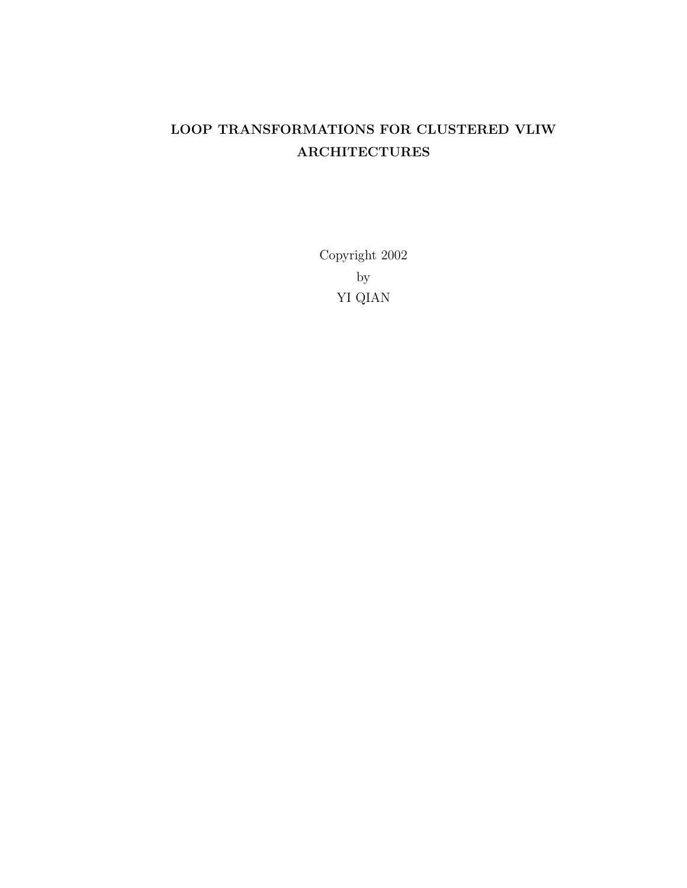### LOOP TRANSFORMATIONS FOR CLUSTERED VLIW ARCHITECTURES

Copyright 2002 by YI QIAN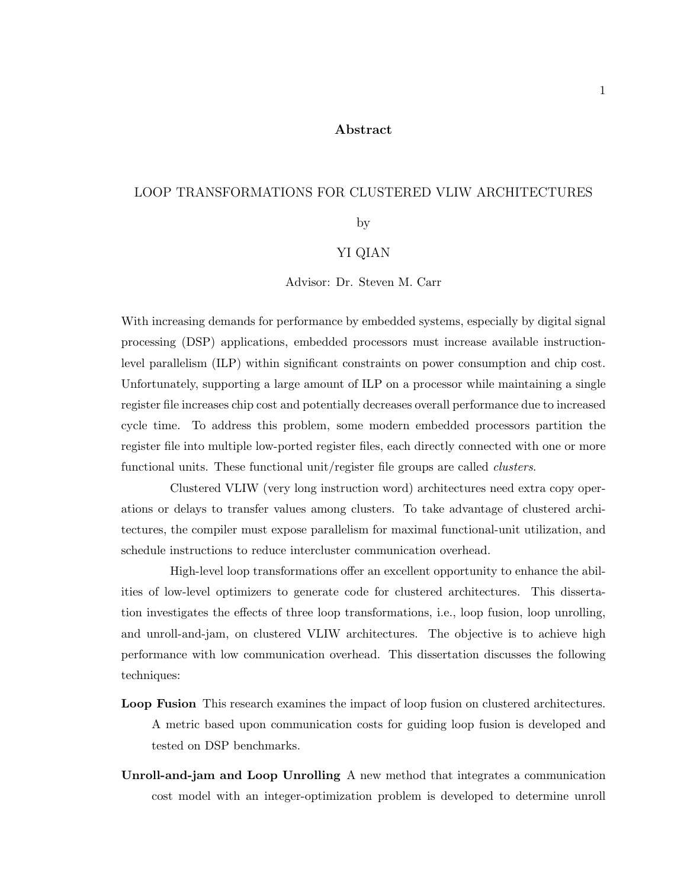#### Abstract

#### LOOP TRANSFORMATIONS FOR CLUSTERED VLIW ARCHITECTURES

by

#### YI QIAN

Advisor: Dr. Steven M. Carr

With increasing demands for performance by embedded systems, especially by digital signal processing (DSP) applications, embedded processors must increase available instructionlevel parallelism (ILP) within significant constraints on power consumption and chip cost. Unfortunately, supporting a large amount of ILP on a processor while maintaining a single register file increases chip cost and potentially decreases overall performance due to increased cycle time. To address this problem, some modern embedded processors partition the register file into multiple low-ported register files, each directly connected with one or more functional units. These functional unit/register file groups are called *clusters*.

Clustered VLIW (very long instruction word) architectures need extra copy operations or delays to transfer values among clusters. To take advantage of clustered architectures, the compiler must expose parallelism for maximal functional-unit utilization, and schedule instructions to reduce intercluster communication overhead.

High-level loop transformations offer an excellent opportunity to enhance the abilities of low-level optimizers to generate code for clustered architectures. This dissertation investigates the effects of three loop transformations, i.e., loop fusion, loop unrolling, and unroll-and-jam, on clustered VLIW architectures. The objective is to achieve high performance with low communication overhead. This dissertation discusses the following techniques:

- Loop Fusion This research examines the impact of loop fusion on clustered architectures. A metric based upon communication costs for guiding loop fusion is developed and tested on DSP benchmarks.
- Unroll-and-jam and Loop Unrolling A new method that integrates a communication cost model with an integer-optimization problem is developed to determine unroll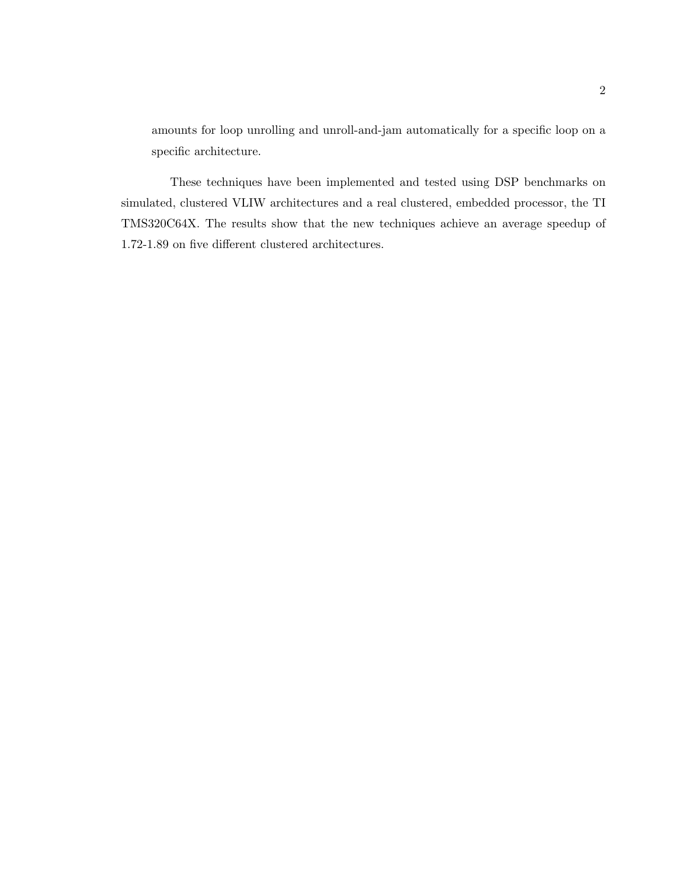amounts for loop unrolling and unroll-and-jam automatically for a specific loop on a specific architecture.

These techniques have been implemented and tested using DSP benchmarks on simulated, clustered VLIW architectures and a real clustered, embedded processor, the TI TMS320C64X. The results show that the new techniques achieve an average speedup of 1.72-1.89 on five different clustered architectures.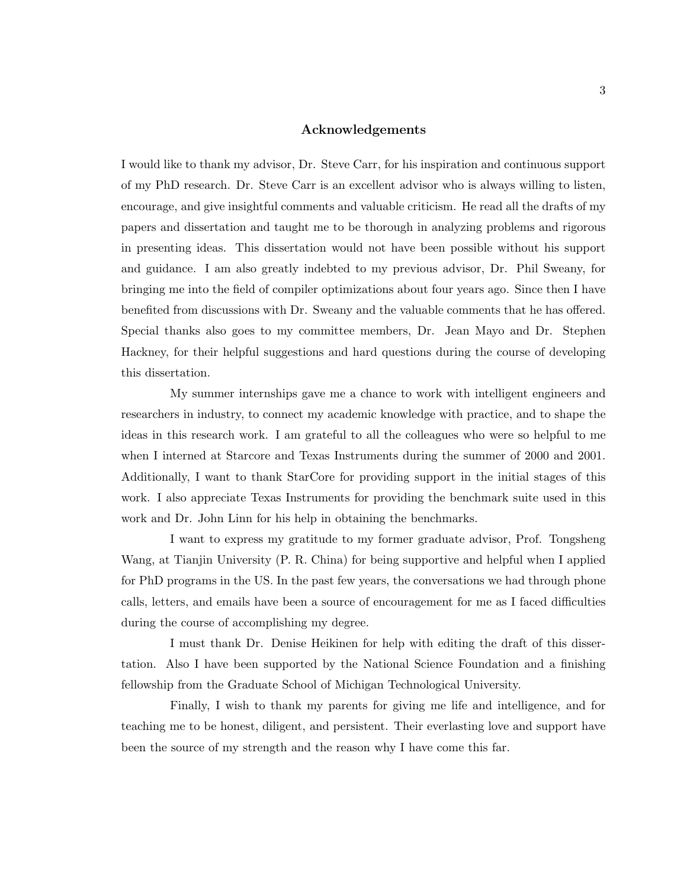#### Acknowledgements

I would like to thank my advisor, Dr. Steve Carr, for his inspiration and continuous support of my PhD research. Dr. Steve Carr is an excellent advisor who is always willing to listen, encourage, and give insightful comments and valuable criticism. He read all the drafts of my papers and dissertation and taught me to be thorough in analyzing problems and rigorous in presenting ideas. This dissertation would not have been possible without his support and guidance. I am also greatly indebted to my previous advisor, Dr. Phil Sweany, for bringing me into the field of compiler optimizations about four years ago. Since then I have benefited from discussions with Dr. Sweany and the valuable comments that he has offered. Special thanks also goes to my committee members, Dr. Jean Mayo and Dr. Stephen Hackney, for their helpful suggestions and hard questions during the course of developing this dissertation.

My summer internships gave me a chance to work with intelligent engineers and researchers in industry, to connect my academic knowledge with practice, and to shape the ideas in this research work. I am grateful to all the colleagues who were so helpful to me when I interned at Starcore and Texas Instruments during the summer of 2000 and 2001. Additionally, I want to thank StarCore for providing support in the initial stages of this work. I also appreciate Texas Instruments for providing the benchmark suite used in this work and Dr. John Linn for his help in obtaining the benchmarks.

I want to express my gratitude to my former graduate advisor, Prof. Tongsheng Wang, at Tianjin University (P. R. China) for being supportive and helpful when I applied for PhD programs in the US. In the past few years, the conversations we had through phone calls, letters, and emails have been a source of encouragement for me as I faced difficulties during the course of accomplishing my degree.

I must thank Dr. Denise Heikinen for help with editing the draft of this dissertation. Also I have been supported by the National Science Foundation and a finishing fellowship from the Graduate School of Michigan Technological University.

Finally, I wish to thank my parents for giving me life and intelligence, and for teaching me to be honest, diligent, and persistent. Their everlasting love and support have been the source of my strength and the reason why I have come this far.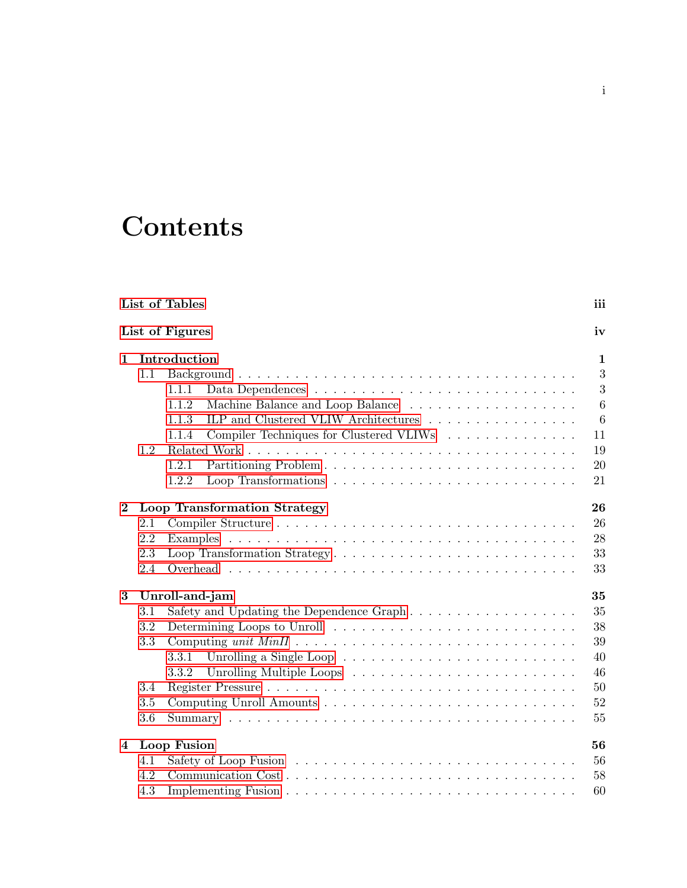# **Contents**

|                | List of Tables |                                                                                         | iii            |
|----------------|----------------|-----------------------------------------------------------------------------------------|----------------|
|                |                | List of Figures                                                                         | iv             |
| $\mathbf{1}$   |                | Introduction                                                                            | $\mathbf{1}$   |
|                | 1.1            |                                                                                         | 3              |
|                |                | 1.1.1                                                                                   | 3              |
|                |                | 1.1.2                                                                                   | 6              |
|                |                | ILP and Clustered VLIW Architectures $\dots \dots \dots \dots \dots \dots$<br>1.1.3     | $\overline{6}$ |
|                |                | Compiler Techniques for Clustered VLIWs<br>1.1.4                                        | 11             |
|                | 1.2            |                                                                                         | 19             |
|                |                | 1.2.1                                                                                   | 20             |
|                |                | Loop Transformations $\ldots \ldots \ldots \ldots \ldots \ldots \ldots \ldots$<br>1.2.2 | 21             |
| $\bf{2}$       |                | <b>Loop Transformation Strategy</b>                                                     | 26             |
|                | 2.1            |                                                                                         | 26             |
|                | 2.2            |                                                                                         | 28             |
|                | 2.3            |                                                                                         | 33             |
|                | 2.4            |                                                                                         | 33             |
| 3              |                | Unroll-and-jam                                                                          | 35             |
|                | 3.1            |                                                                                         | 35             |
|                | 3.2            |                                                                                         | 38             |
|                | 3.3            |                                                                                         | 39             |
|                |                | 3.3.1                                                                                   | 40             |
|                |                | 3.3.2                                                                                   | 46             |
|                | 3.4            |                                                                                         | 50             |
|                | 3.5            |                                                                                         | 52             |
|                | 3.6            |                                                                                         | 55             |
| $\overline{4}$ |                | Loop Fusion                                                                             | 56             |
|                | 4.1            |                                                                                         | 56             |
|                | 4.2            |                                                                                         | 58             |
|                | 4.3            |                                                                                         | 60             |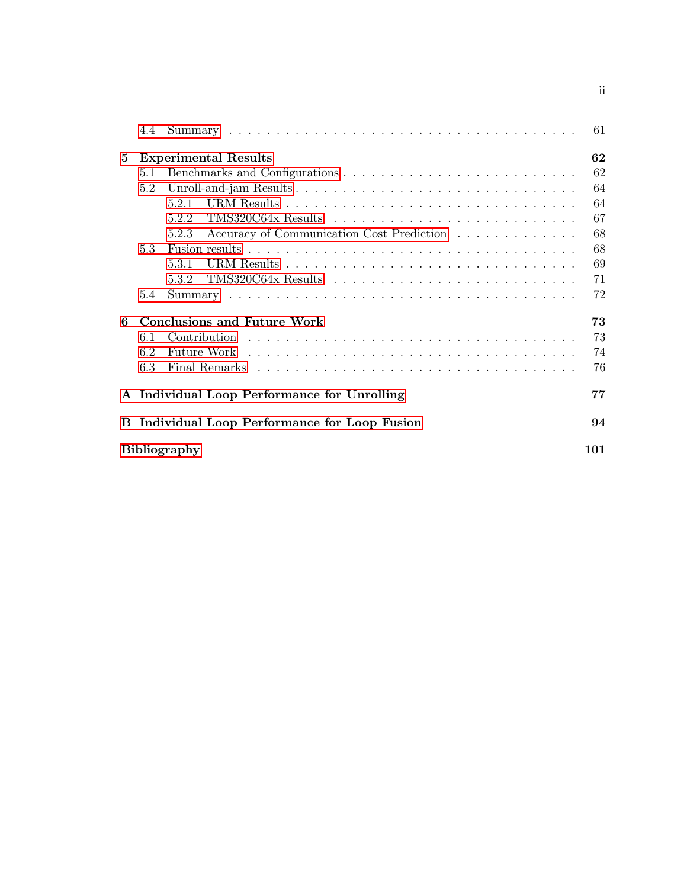|   | 4.4 |                                                    | 61  |
|---|-----|----------------------------------------------------|-----|
| 5 |     | <b>Experimental Results</b>                        | 62  |
|   | 5.1 |                                                    | 62  |
|   | 5.2 |                                                    | 64  |
|   |     | 5.2.1                                              | 64  |
|   |     | 5.2.2                                              | 67  |
|   |     | Accuracy of Communication Cost Prediction<br>5.2.3 | 68  |
|   | 5.3 |                                                    | 68  |
|   |     | 5.3.1                                              | 69  |
|   |     | 5.3.2                                              | 71  |
|   | 5.4 |                                                    | 72  |
| 6 |     | <b>Conclusions and Future Work</b>                 | 73  |
|   | 6.1 |                                                    | 73  |
|   | 6.2 |                                                    | 74  |
|   | 6.3 |                                                    | 76  |
|   |     | A Individual Loop Performance for Unrolling        | 77  |
| B |     | Individual Loop Performance for Loop Fusion        | 94  |
|   |     | <b>Bibliography</b>                                | 101 |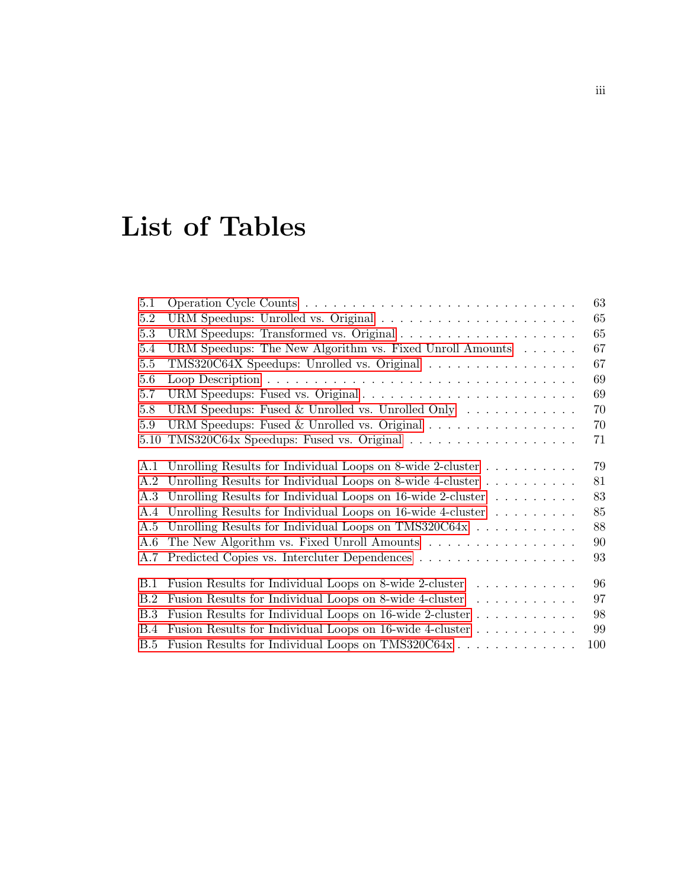# List of Tables

<span id="page-9-0"></span>

| 5.1        |                                                                                | 63  |
|------------|--------------------------------------------------------------------------------|-----|
| 5.2        |                                                                                | 65  |
| 5.3        |                                                                                | 65  |
| 5.4        | URM Speedups: The New Algorithm vs. Fixed Unroll Amounts $\ldots \ldots$       | 67  |
| $5.5\,$    | TMS320C64X Speedups: Unrolled vs. Original                                     | 67  |
| 5.6        |                                                                                | 69  |
| 5.7        |                                                                                | 69  |
| 5.8        | URM Speedups: Fused & Unrolled vs. Unrolled Only $\ldots \ldots \ldots \ldots$ | 70  |
| 5.9        | URM Speedups: Fused & Unrolled vs. Original                                    | 70  |
| 5.10       |                                                                                | 71  |
|            | A.1 Unrolling Results for Individual Loops on 8-wide 2-cluster                 | 79  |
|            | A.2 Unrolling Results for Individual Loops on 8-wide 4-cluster                 | 81  |
| A.3        | Unrolling Results for Individual Loops on $16$ -wide 2-cluster                 | 83  |
|            | A.4 Unrolling Results for Individual Loops on 16-wide 4-cluster                | 85  |
| A.5        | Unrolling Results for Individual Loops on TMS320C64x                           | 88  |
| A.6        | The New Algorithm vs. Fixed Unroll Amounts                                     | 90  |
| A.7        | Predicted Copies vs. Intercluter Dependences                                   | 93  |
| <b>B.1</b> | Fusion Results for Individual Loops on 8-wide 2-cluster                        | 96  |
| B.2        | Fusion Results for Individual Loops on 8-wide 4-cluster                        | 97  |
| B.3        | Fusion Results for Individual Loops on 16-wide 2-cluster                       | 98  |
| B.4        | Fusion Results for Individual Loops on 16-wide 4-cluster                       | 99  |
| B.5        | Fusion Results for Individual Loops on TMS320C64x                              | 100 |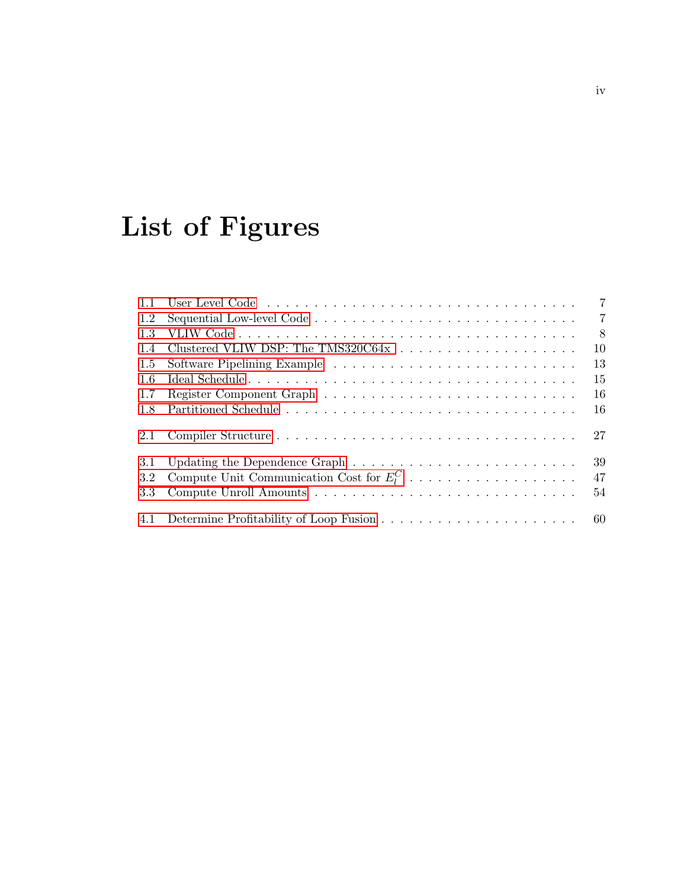# List of Figures

<span id="page-10-0"></span>

| 1.1 | $\overline{7}$                                                                                    |
|-----|---------------------------------------------------------------------------------------------------|
| 1.2 | $\overline{7}$                                                                                    |
| 1.3 | - 8                                                                                               |
| 1.4 | 10                                                                                                |
| 1.5 | 13                                                                                                |
| 1.6 | 15                                                                                                |
| 1.7 | 16                                                                                                |
| 1.8 | 16                                                                                                |
| 2.1 | 27                                                                                                |
| 3.1 | 39<br>Updating the Dependence Graph $\dots \dots \dots \dots \dots \dots \dots \dots \dots \dots$ |
| 3.2 | Compute Unit Communication Cost for $E_1^C$<br>47                                                 |
| 3.3 | 54                                                                                                |
| 4.1 |                                                                                                   |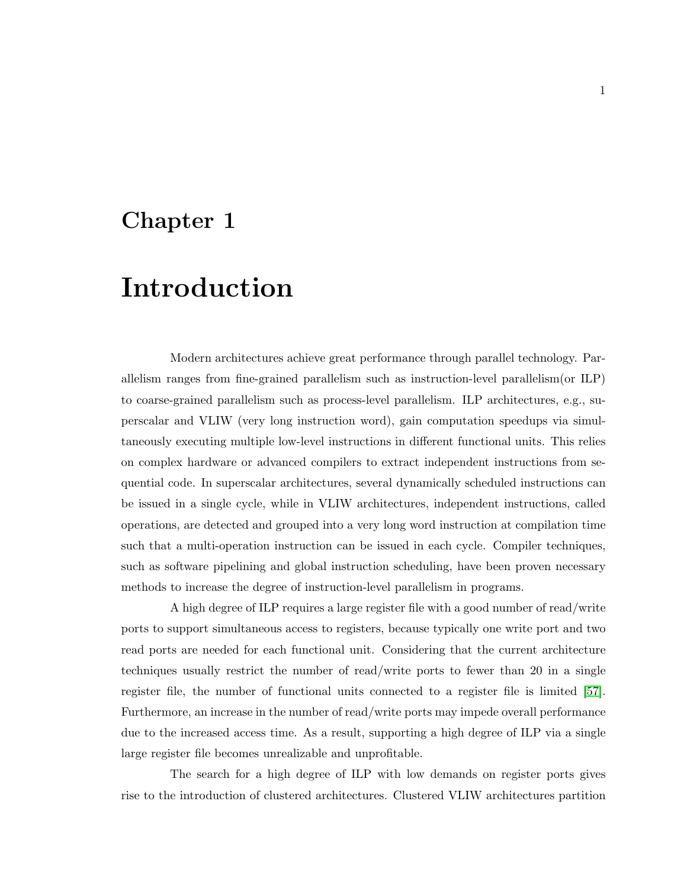## <span id="page-11-0"></span>Chapter 1

# Introduction

Modern architectures achieve great performance through parallel technology. Parallelism ranges from fine-grained parallelism such as instruction-level parallelism(or ILP) to coarse-grained parallelism such as process-level parallelism. ILP architectures, e.g., superscalar and VLIW (very long instruction word), gain computation speedups via simultaneously executing multiple low-level instructions in different functional units. This relies on complex hardware or advanced compilers to extract independent instructions from sequential code. In superscalar architectures, several dynamically scheduled instructions can be issued in a single cycle, while in VLIW architectures, independent instructions, called operations, are detected and grouped into a very long word instruction at compilation time such that a multi-operation instruction can be issued in each cycle. Compiler techniques, such as software pipelining and global instruction scheduling, have been proven necessary methods to increase the degree of instruction-level parallelism in programs.

A high degree of ILP requires a large register file with a good number of read/write ports to support simultaneous access to registers, because typically one write port and two read ports are needed for each functional unit. Considering that the current architecture techniques usually restrict the number of read/write ports to fewer than 20 in a single register file, the number of functional units connected to a register file is limited [\[57\]](#page-116-0). Furthermore, an increase in the number of read/write ports may impede overall performance due to the increased access time. As a result, supporting a high degree of ILP via a single large register file becomes unrealizable and unprofitable.

The search for a high degree of ILP with low demands on register ports gives rise to the introduction of clustered architectures. Clustered VLIW architectures partition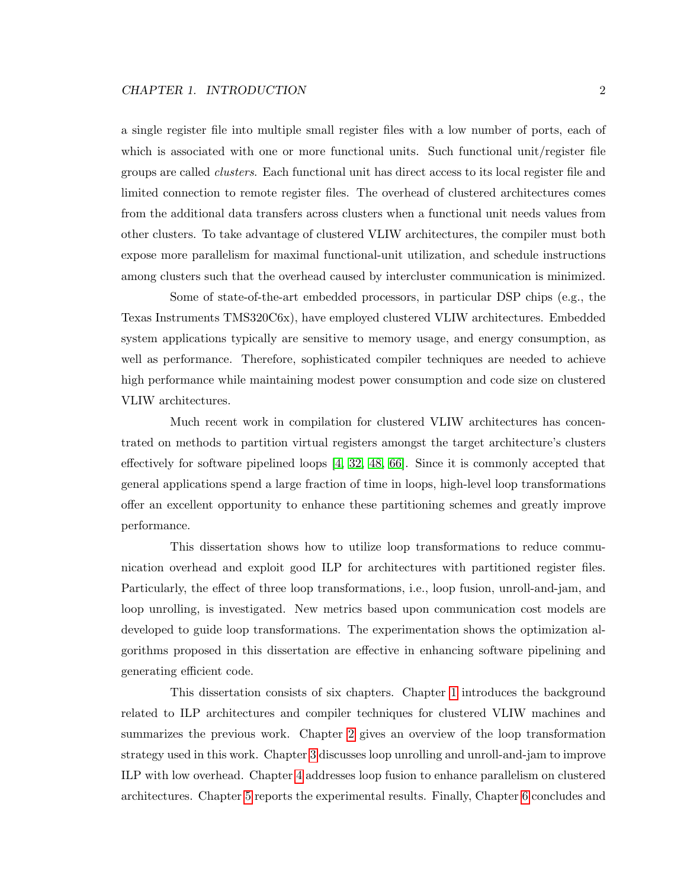a single register file into multiple small register files with a low number of ports, each of which is associated with one or more functional units. Such functional unit/register file groups are called clusters. Each functional unit has direct access to its local register file and limited connection to remote register files. The overhead of clustered architectures comes from the additional data transfers across clusters when a functional unit needs values from other clusters. To take advantage of clustered VLIW architectures, the compiler must both expose more parallelism for maximal functional-unit utilization, and schedule instructions among clusters such that the overhead caused by intercluster communication is minimized.

Some of state-of-the-art embedded processors, in particular DSP chips (e.g., the Texas Instruments TMS320C6x), have employed clustered VLIW architectures. Embedded system applications typically are sensitive to memory usage, and energy consumption, as well as performance. Therefore, sophisticated compiler techniques are needed to achieve high performance while maintaining modest power consumption and code size on clustered VLIW architectures.

Much recent work in compilation for clustered VLIW architectures has concentrated on methods to partition virtual registers amongst the target architecture's clusters effectively for software pipelined loops [\[4,](#page-111-1) [32,](#page-114-0) [48,](#page-115-0) [66\]](#page-117-0). Since it is commonly accepted that general applications spend a large fraction of time in loops, high-level loop transformations offer an excellent opportunity to enhance these partitioning schemes and greatly improve performance.

This dissertation shows how to utilize loop transformations to reduce communication overhead and exploit good ILP for architectures with partitioned register files. Particularly, the effect of three loop transformations, i.e., loop fusion, unroll-and-jam, and loop unrolling, is investigated. New metrics based upon communication cost models are developed to guide loop transformations. The experimentation shows the optimization algorithms proposed in this dissertation are effective in enhancing software pipelining and generating efficient code.

This dissertation consists of six chapters. Chapter [1](#page-11-0) introduces the background related to ILP architectures and compiler techniques for clustered VLIW machines and summarizes the previous work. Chapter [2](#page-36-0) gives an overview of the loop transformation strategy used in this work. Chapter [3](#page-45-0) discusses loop unrolling and unroll-and-jam to improve ILP with low overhead. Chapter [4](#page-66-0) addresses loop fusion to enhance parallelism on clustered architectures. Chapter [5](#page-72-0) reports the experimental results. Finally, Chapter [6](#page-83-0) concludes and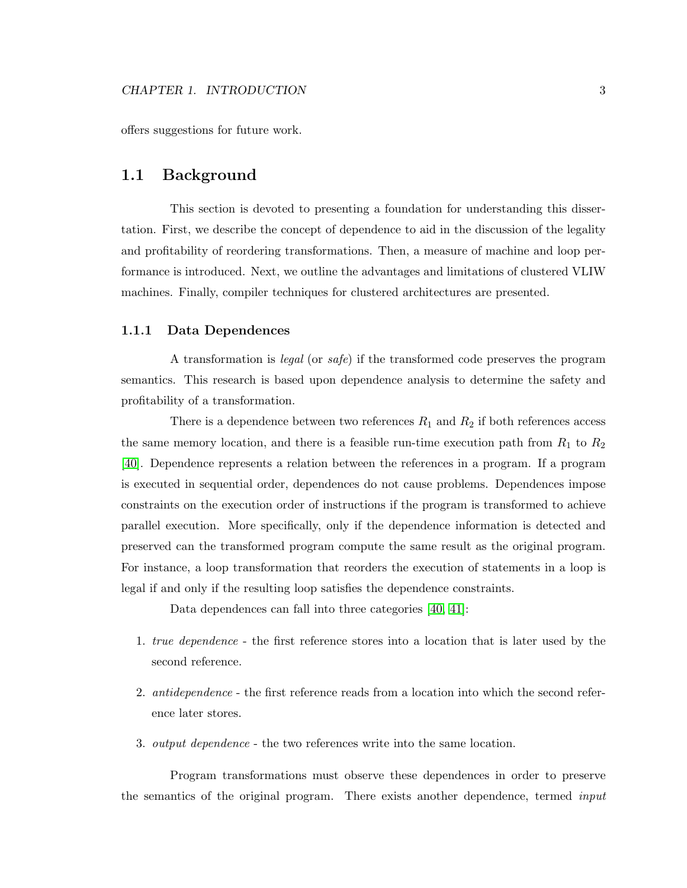offers suggestions for future work.

#### <span id="page-13-0"></span>1.1 Background

This section is devoted to presenting a foundation for understanding this dissertation. First, we describe the concept of dependence to aid in the discussion of the legality and profitability of reordering transformations. Then, a measure of machine and loop performance is introduced. Next, we outline the advantages and limitations of clustered VLIW machines. Finally, compiler techniques for clustered architectures are presented.

#### <span id="page-13-1"></span>1.1.1 Data Dependences

A transformation is legal (or safe) if the transformed code preserves the program semantics. This research is based upon dependence analysis to determine the safety and profitability of a transformation.

There is a dependence between two references  $R_1$  and  $R_2$  if both references access the same memory location, and there is a feasible run-time execution path from  $R_1$  to  $R_2$ [\[40\]](#page-115-1). Dependence represents a relation between the references in a program. If a program is executed in sequential order, dependences do not cause problems. Dependences impose constraints on the execution order of instructions if the program is transformed to achieve parallel execution. More specifically, only if the dependence information is detected and preserved can the transformed program compute the same result as the original program. For instance, a loop transformation that reorders the execution of statements in a loop is legal if and only if the resulting loop satisfies the dependence constraints.

Data dependences can fall into three categories [\[40,](#page-115-1) [41\]](#page-115-2):

- 1. true dependence the first reference stores into a location that is later used by the second reference.
- 2. antidependence the first reference reads from a location into which the second reference later stores.
- 3. output dependence the two references write into the same location.

Program transformations must observe these dependences in order to preserve the semantics of the original program. There exists another dependence, termed input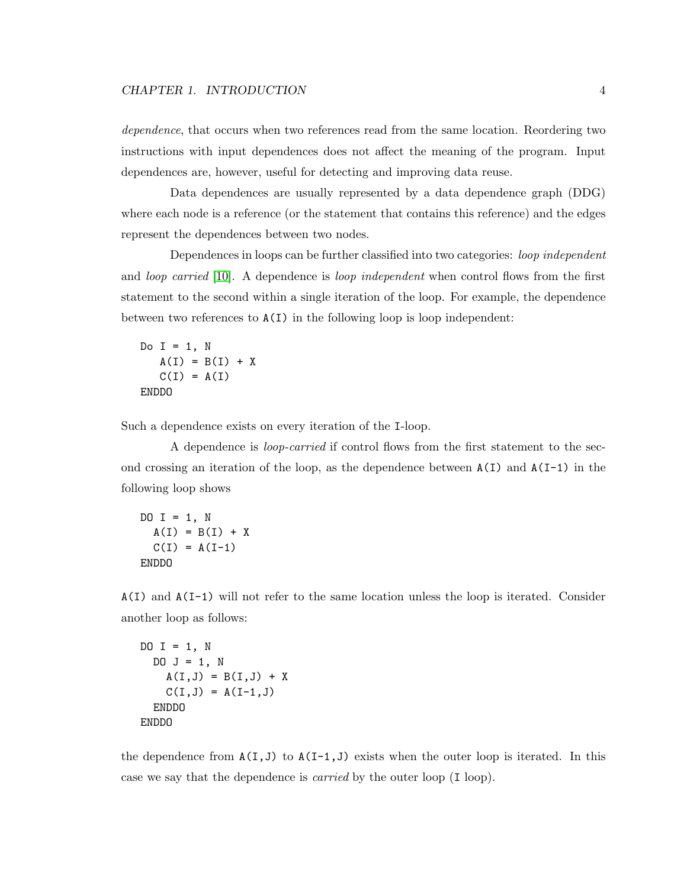#### CHAPTER 1. INTRODUCTION 4

dependence, that occurs when two references read from the same location. Reordering two instructions with input dependences does not affect the meaning of the program. Input dependences are, however, useful for detecting and improving data reuse.

Data dependences are usually represented by a data dependence graph (DDG) where each node is a reference (or the statement that contains this reference) and the edges represent the dependences between two nodes.

Dependences in loops can be further classified into two categories: loop independent and *loop carried* [\[10\]](#page-112-0). A dependence is *loop independent* when control flows from the first statement to the second within a single iteration of the loop. For example, the dependence between two references to A(I) in the following loop is loop independent:

Do  $I = 1$ , N  $A(I) = B(I) + X$  $C(I) = A(I)$ ENDDO

Such a dependence exists on every iteration of the I-loop.

A dependence is loop-carried if control flows from the first statement to the second crossing an iteration of the loop, as the dependence between  $A(I)$  and  $A(I-1)$  in the following loop shows

DO  $I = 1$ , N  $A(I) = B(I) + X$  $C(I) = A(I-1)$ ENDDO

A(I) and A(I-1) will not refer to the same location unless the loop is iterated. Consider another loop as follows:

```
DO I = 1, N
 DO J = 1, N
    A(I,J) = B(I,J) + XC(I,J) = A(I-1,J)ENDDO
ENDDO
```
the dependence from  $A(I,J)$  to  $A(I-1,J)$  exists when the outer loop is iterated. In this case we say that the dependence is carried by the outer loop (I loop).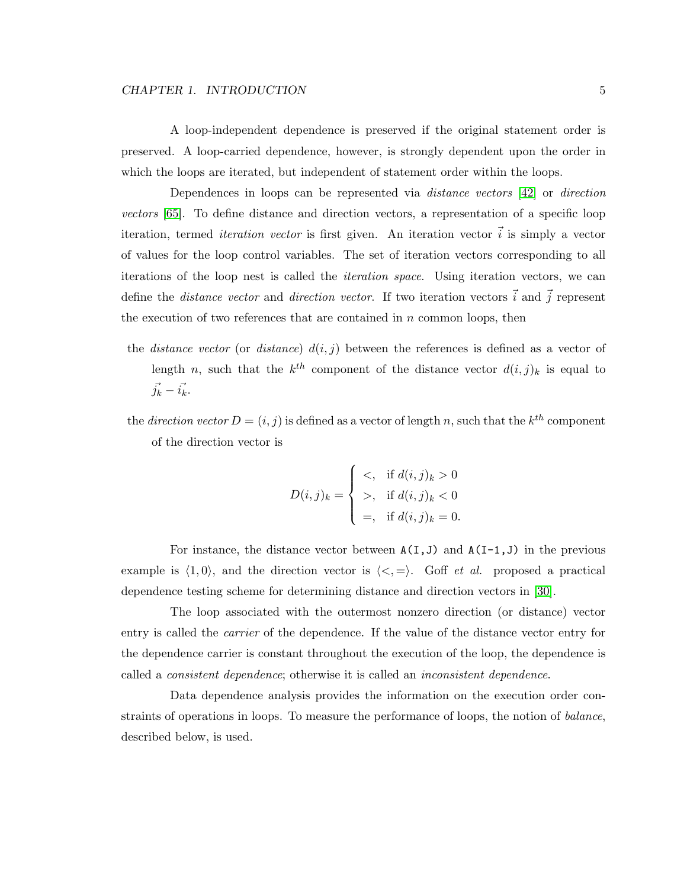#### CHAPTER 1. INTRODUCTION 5

A loop-independent dependence is preserved if the original statement order is preserved. A loop-carried dependence, however, is strongly dependent upon the order in which the loops are iterated, but independent of statement order within the loops.

Dependences in loops can be represented via distance vectors [\[42\]](#page-115-3) or direction vectors [\[65\]](#page-117-1). To define distance and direction vectors, a representation of a specific loop iteration, termed *iteration vector* is first given. An iteration vector  $\vec{i}$  is simply a vector of values for the loop control variables. The set of iteration vectors corresponding to all iterations of the loop nest is called the iteration space. Using iteration vectors, we can define the *distance vector* and *direction vector*. If two iteration vectors  $\vec{i}$  and  $\vec{j}$  represent the execution of two references that are contained in  $n$  common loops, then

- the *distance vector* (or *distance*)  $d(i, j)$  between the references is defined as a vector of length n, such that the  $k^{th}$  component of the distance vector  $d(i, j)_k$  is equal to  $\vec{j_k} - \vec{i_k}.$
- the *direction vector*  $D = (i, j)$  is defined as a vector of length n, such that the  $k^{th}$  component of the direction vector is

$$
D(i,j)_k = \begin{cases} <, \quad \text{if } d(i,j)_k > 0 \\ >, \quad \text{if } d(i,j)_k < 0 \\ <, \quad \text{if } d(i,j)_k = 0. \end{cases}
$$

For instance, the distance vector between  $A(I,J)$  and  $A(I-1,J)$  in the previous example is  $\langle 1, 0 \rangle$ , and the direction vector is  $\langle \langle , = \rangle$ . Goff *et al.* proposed a practical dependence testing scheme for determining distance and direction vectors in [\[30\]](#page-113-0).

The loop associated with the outermost nonzero direction (or distance) vector entry is called the carrier of the dependence. If the value of the distance vector entry for the dependence carrier is constant throughout the execution of the loop, the dependence is called a consistent dependence; otherwise it is called an inconsistent dependence.

Data dependence analysis provides the information on the execution order constraints of operations in loops. To measure the performance of loops, the notion of *balance*, described below, is used.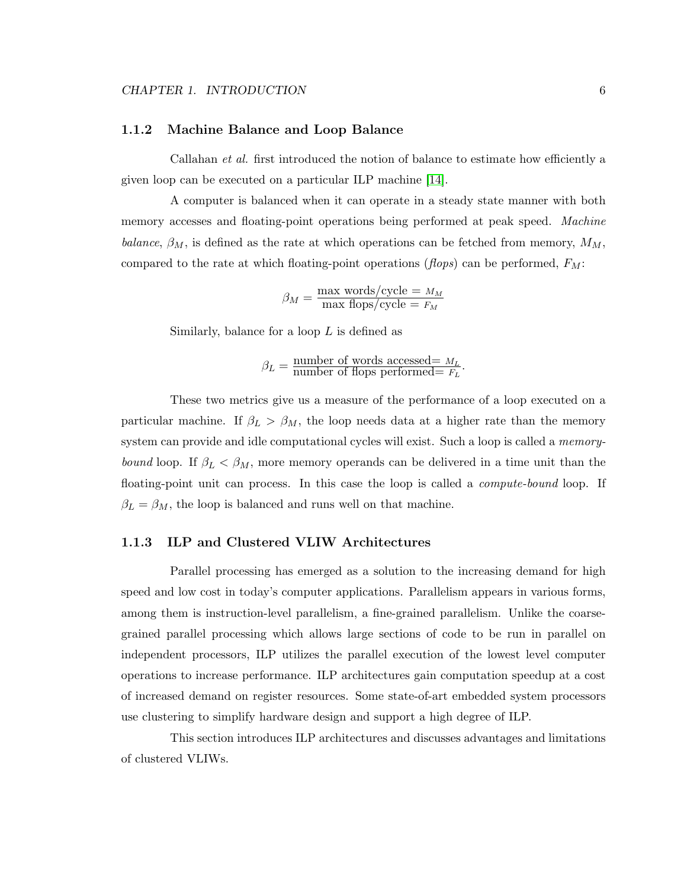#### <span id="page-16-0"></span>1.1.2 Machine Balance and Loop Balance

Callahan et al. first introduced the notion of balance to estimate how efficiently a given loop can be executed on a particular ILP machine [\[14\]](#page-112-1).

A computer is balanced when it can operate in a steady state manner with both memory accesses and floating-point operations being performed at peak speed. Machine balance,  $\beta_M$ , is defined as the rate at which operations can be fetched from memory,  $M_M$ , compared to the rate at which floating-point operations (*flops*) can be performed,  $F_M$ :

$$
\beta_M = \frac{\text{max words/cycle} = M_M}{\text{max flops/cycle}} = F_M
$$

Similarly, balance for a loop  $L$  is defined as

$$
\beta_L = \frac{\text{number of words accessed} = M_L}{\text{number of flops performed} = F_L}.
$$

These two metrics give us a measure of the performance of a loop executed on a particular machine. If  $\beta_L > \beta_M$ , the loop needs data at a higher rate than the memory system can provide and idle computational cycles will exist. Such a loop is called a *memory*bound loop. If  $\beta_L < \beta_M$ , more memory operands can be delivered in a time unit than the floating-point unit can process. In this case the loop is called a *compute-bound* loop. If  $\beta_L = \beta_M$ , the loop is balanced and runs well on that machine.

#### <span id="page-16-1"></span>1.1.3 ILP and Clustered VLIW Architectures

Parallel processing has emerged as a solution to the increasing demand for high speed and low cost in today's computer applications. Parallelism appears in various forms, among them is instruction-level parallelism, a fine-grained parallelism. Unlike the coarsegrained parallel processing which allows large sections of code to be run in parallel on independent processors, ILP utilizes the parallel execution of the lowest level computer operations to increase performance. ILP architectures gain computation speedup at a cost of increased demand on register resources. Some state-of-art embedded system processors use clustering to simplify hardware design and support a high degree of ILP.

This section introduces ILP architectures and discusses advantages and limitations of clustered VLIWs.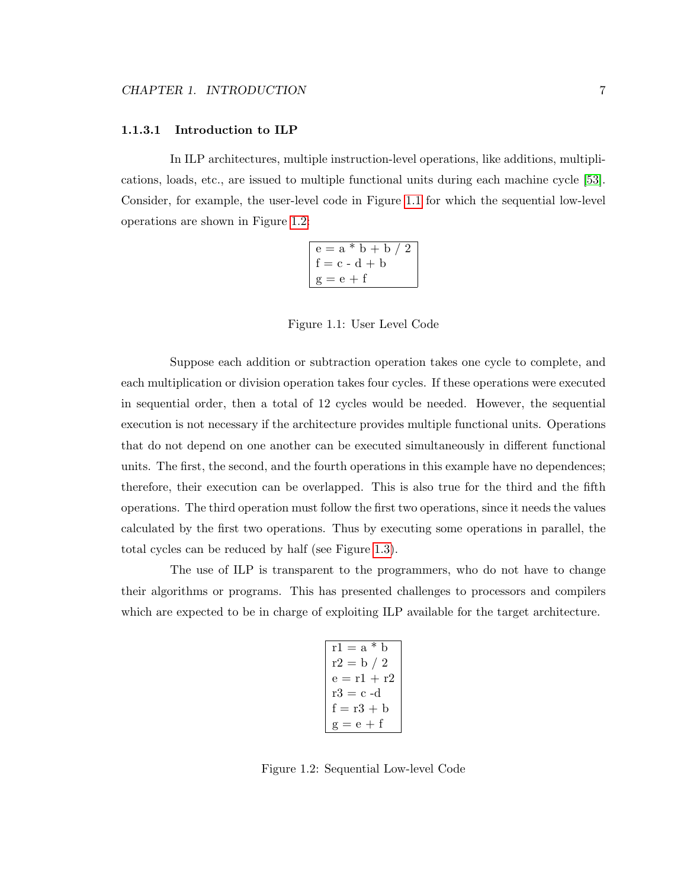#### 1.1.3.1 Introduction to ILP

In ILP architectures, multiple instruction-level operations, like additions, multiplications, loads, etc., are issued to multiple functional units during each machine cycle [\[53\]](#page-116-1). Consider, for example, the user-level code in Figure [1.1](#page-17-0) for which the sequential low-level operations are shown in Figure [1.2:](#page-17-1)

| $e = a * b + b / 2$ |  |
|---------------------|--|
| $f = c - d + b$     |  |
| $g = e + f$         |  |

<span id="page-17-0"></span>Figure 1.1: User Level Code

Suppose each addition or subtraction operation takes one cycle to complete, and each multiplication or division operation takes four cycles. If these operations were executed in sequential order, then a total of 12 cycles would be needed. However, the sequential execution is not necessary if the architecture provides multiple functional units. Operations that do not depend on one another can be executed simultaneously in different functional units. The first, the second, and the fourth operations in this example have no dependences; therefore, their execution can be overlapped. This is also true for the third and the fifth operations. The third operation must follow the first two operations, since it needs the values calculated by the first two operations. Thus by executing some operations in parallel, the total cycles can be reduced by half (see Figure [1.3\)](#page-18-0).

The use of ILP is transparent to the programmers, who do not have to change their algorithms or programs. This has presented challenges to processors and compilers which are expected to be in charge of exploiting ILP available for the target architecture.

| $r1 = a * b$  |
|---------------|
| $r2 = b / 2$  |
| $e = r1 + r2$ |
| $r3 = c - d$  |
| $f = r3 + b$  |
| $g = e + f$   |

<span id="page-17-1"></span>Figure 1.2: Sequential Low-level Code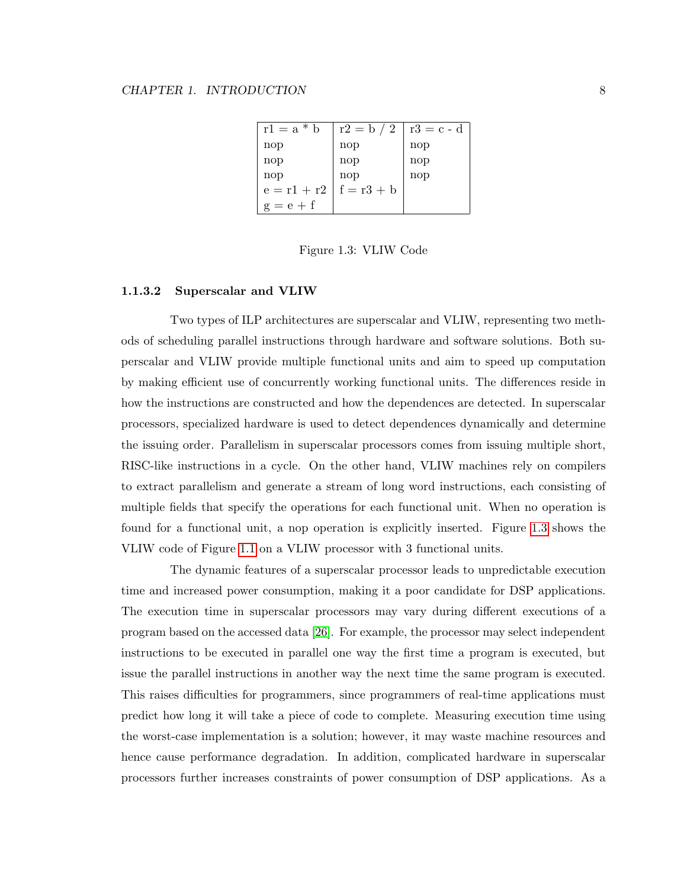| $r1 = a * b$  | $r2 = b / 2$ | $r3 = c - d$ |
|---------------|--------------|--------------|
| nop           | nop          | nop          |
| nop           | nop          | nop          |
| nop           | nop          | nop          |
| $e = r1 + r2$ | $f = r3 + b$ |              |
| $g = e + f$   |              |              |

<span id="page-18-0"></span>Figure 1.3: VLIW Code

#### 1.1.3.2 Superscalar and VLIW

Two types of ILP architectures are superscalar and VLIW, representing two methods of scheduling parallel instructions through hardware and software solutions. Both superscalar and VLIW provide multiple functional units and aim to speed up computation by making efficient use of concurrently working functional units. The differences reside in how the instructions are constructed and how the dependences are detected. In superscalar processors, specialized hardware is used to detect dependences dynamically and determine the issuing order. Parallelism in superscalar processors comes from issuing multiple short, RISC-like instructions in a cycle. On the other hand, VLIW machines rely on compilers to extract parallelism and generate a stream of long word instructions, each consisting of multiple fields that specify the operations for each functional unit. When no operation is found for a functional unit, a nop operation is explicitly inserted. Figure [1.3](#page-18-0) shows the VLIW code of Figure [1.1](#page-17-0) on a VLIW processor with 3 functional units.

The dynamic features of a superscalar processor leads to unpredictable execution time and increased power consumption, making it a poor candidate for DSP applications. The execution time in superscalar processors may vary during different executions of a program based on the accessed data [\[26\]](#page-113-1). For example, the processor may select independent instructions to be executed in parallel one way the first time a program is executed, but issue the parallel instructions in another way the next time the same program is executed. This raises difficulties for programmers, since programmers of real-time applications must predict how long it will take a piece of code to complete. Measuring execution time using the worst-case implementation is a solution; however, it may waste machine resources and hence cause performance degradation. In addition, complicated hardware in superscalar processors further increases constraints of power consumption of DSP applications. As a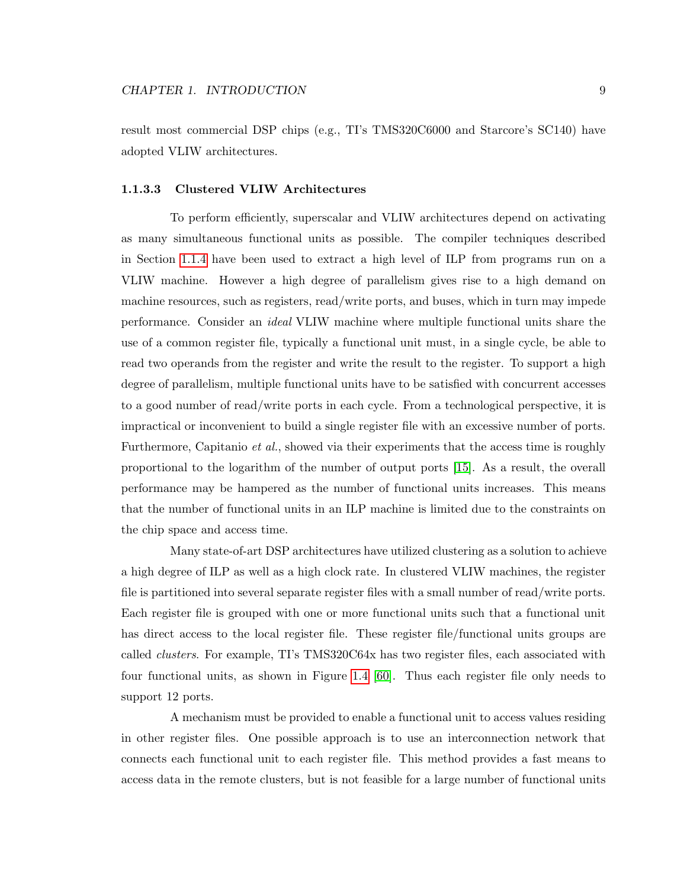result most commercial DSP chips (e.g., TI's TMS320C6000 and Starcore's SC140) have adopted VLIW architectures.

#### 1.1.3.3 Clustered VLIW Architectures

To perform efficiently, superscalar and VLIW architectures depend on activating as many simultaneous functional units as possible. The compiler techniques described in Section [1.1.4](#page-21-0) have been used to extract a high level of ILP from programs run on a VLIW machine. However a high degree of parallelism gives rise to a high demand on machine resources, such as registers, read/write ports, and buses, which in turn may impede performance. Consider an ideal VLIW machine where multiple functional units share the use of a common register file, typically a functional unit must, in a single cycle, be able to read two operands from the register and write the result to the register. To support a high degree of parallelism, multiple functional units have to be satisfied with concurrent accesses to a good number of read/write ports in each cycle. From a technological perspective, it is impractical or inconvenient to build a single register file with an excessive number of ports. Furthermore, Capitanio *et al.*, showed via their experiments that the access time is roughly proportional to the logarithm of the number of output ports [\[15\]](#page-112-2). As a result, the overall performance may be hampered as the number of functional units increases. This means that the number of functional units in an ILP machine is limited due to the constraints on the chip space and access time.

Many state-of-art DSP architectures have utilized clustering as a solution to achieve a high degree of ILP as well as a high clock rate. In clustered VLIW machines, the register file is partitioned into several separate register files with a small number of read/write ports. Each register file is grouped with one or more functional units such that a functional unit has direct access to the local register file. These register file/functional units groups are called clusters. For example, TI's TMS320C64x has two register files, each associated with four functional units, as shown in Figure [1.4](#page-20-0) [\[60\]](#page-116-2). Thus each register file only needs to support 12 ports.

A mechanism must be provided to enable a functional unit to access values residing in other register files. One possible approach is to use an interconnection network that connects each functional unit to each register file. This method provides a fast means to access data in the remote clusters, but is not feasible for a large number of functional units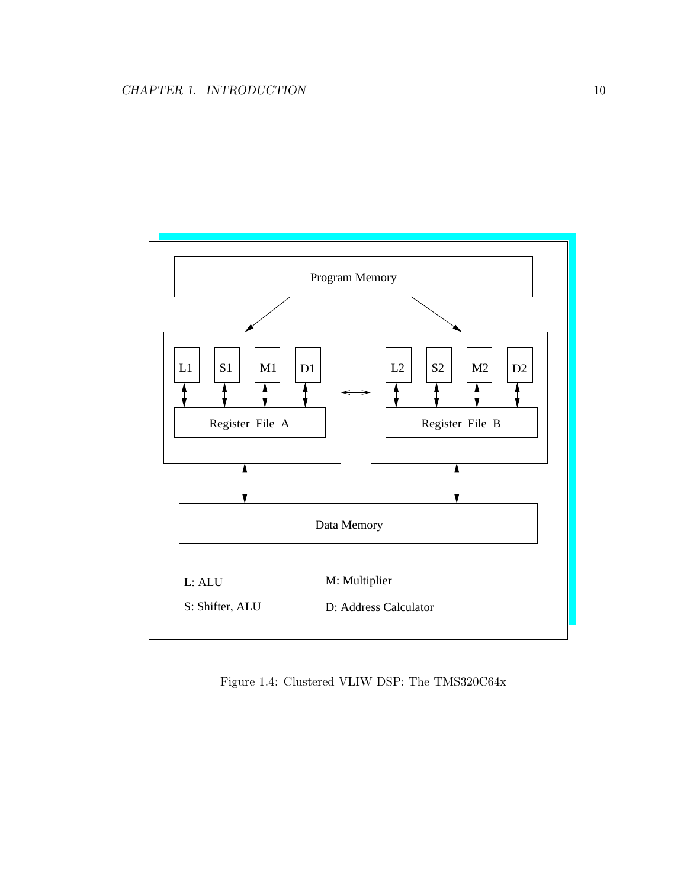

<span id="page-20-0"></span>Figure 1.4: Clustered VLIW DSP: The TMS320C64x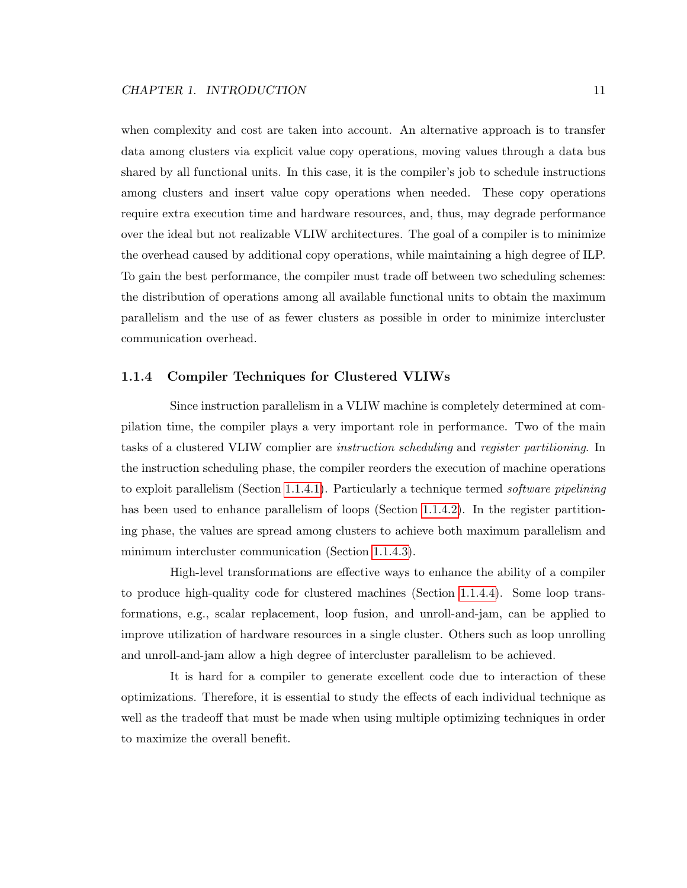when complexity and cost are taken into account. An alternative approach is to transfer data among clusters via explicit value copy operations, moving values through a data bus shared by all functional units. In this case, it is the compiler's job to schedule instructions among clusters and insert value copy operations when needed. These copy operations require extra execution time and hardware resources, and, thus, may degrade performance over the ideal but not realizable VLIW architectures. The goal of a compiler is to minimize the overhead caused by additional copy operations, while maintaining a high degree of ILP. To gain the best performance, the compiler must trade off between two scheduling schemes: the distribution of operations among all available functional units to obtain the maximum parallelism and the use of as fewer clusters as possible in order to minimize intercluster communication overhead.

#### <span id="page-21-0"></span>1.1.4 Compiler Techniques for Clustered VLIWs

Since instruction parallelism in a VLIW machine is completely determined at compilation time, the compiler plays a very important role in performance. Two of the main tasks of a clustered VLIW complier are instruction scheduling and register partitioning. In the instruction scheduling phase, the compiler reorders the execution of machine operations to exploit parallelism (Section [1.1.4.1\)](#page-22-0). Particularly a technique termed software pipelining has been used to enhance parallelism of loops (Section [1.1.4.2\)](#page-23-1). In the register partitioning phase, the values are spread among clusters to achieve both maximum parallelism and minimum intercluster communication (Section [1.1.4.3\)](#page-24-0).

High-level transformations are effective ways to enhance the ability of a compiler to produce high-quality code for clustered machines (Section [1.1.4.4\)](#page-26-2). Some loop transformations, e.g., scalar replacement, loop fusion, and unroll-and-jam, can be applied to improve utilization of hardware resources in a single cluster. Others such as loop unrolling and unroll-and-jam allow a high degree of intercluster parallelism to be achieved.

It is hard for a compiler to generate excellent code due to interaction of these optimizations. Therefore, it is essential to study the effects of each individual technique as well as the tradeoff that must be made when using multiple optimizing techniques in order to maximize the overall benefit.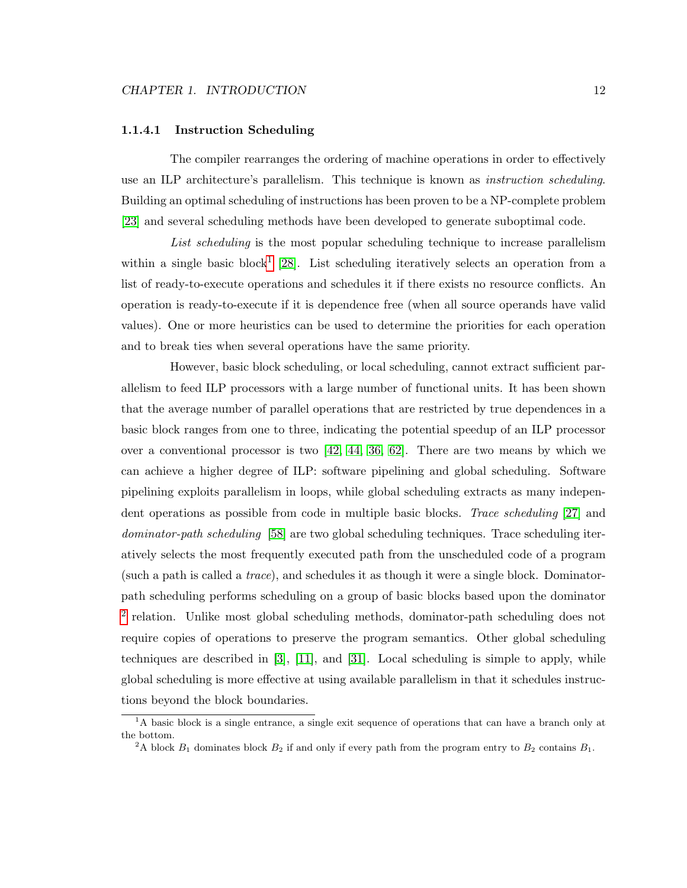#### <span id="page-22-0"></span>1.1.4.1 Instruction Scheduling

The compiler rearranges the ordering of machine operations in order to effectively use an ILP architecture's parallelism. This technique is known as *instruction scheduling*. Building an optimal scheduling of instructions has been proven to be a NP-complete problem [\[23\]](#page-113-2) and several scheduling methods have been developed to generate suboptimal code.

List scheduling is the most popular scheduling technique to increase parallelism within a single basic block<sup>[1](#page-22-1)</sup> [\[28\]](#page-113-3). List scheduling iteratively selects an operation from a list of ready-to-execute operations and schedules it if there exists no resource conflicts. An operation is ready-to-execute if it is dependence free (when all source operands have valid values). One or more heuristics can be used to determine the priorities for each operation and to break ties when several operations have the same priority.

However, basic block scheduling, or local scheduling, cannot extract sufficient parallelism to feed ILP processors with a large number of functional units. It has been shown that the average number of parallel operations that are restricted by true dependences in a basic block ranges from one to three, indicating the potential speedup of an ILP processor over a conventional processor is two  $[42, 44, 36, 62]$  $[42, 44, 36, 62]$  $[42, 44, 36, 62]$  $[42, 44, 36, 62]$ . There are two means by which we can achieve a higher degree of ILP: software pipelining and global scheduling. Software pipelining exploits parallelism in loops, while global scheduling extracts as many independent operations as possible from code in multiple basic blocks. Trace scheduling [\[27\]](#page-113-4) and dominator-path scheduling [\[58\]](#page-116-3) are two global scheduling techniques. Trace scheduling iteratively selects the most frequently executed path from the unscheduled code of a program (such a path is called a trace), and schedules it as though it were a single block. Dominatorpath scheduling performs scheduling on a group of basic blocks based upon the dominator <sup>[2](#page-22-2)</sup> relation. Unlike most global scheduling methods, dominator-path scheduling does not require copies of operations to preserve the program semantics. Other global scheduling techniques are described in [\[3\]](#page-111-2), [\[11\]](#page-112-3), and [\[31\]](#page-114-2). Local scheduling is simple to apply, while global scheduling is more effective at using available parallelism in that it schedules instructions beyond the block boundaries.

<span id="page-22-1"></span><sup>&</sup>lt;sup>1</sup>A basic block is a single entrance, a single exit sequence of operations that can have a branch only at the bottom.

<span id="page-22-2"></span><sup>&</sup>lt;sup>2</sup>A block  $B_1$  dominates block  $B_2$  if and only if every path from the program entry to  $B_2$  contains  $B_1$ .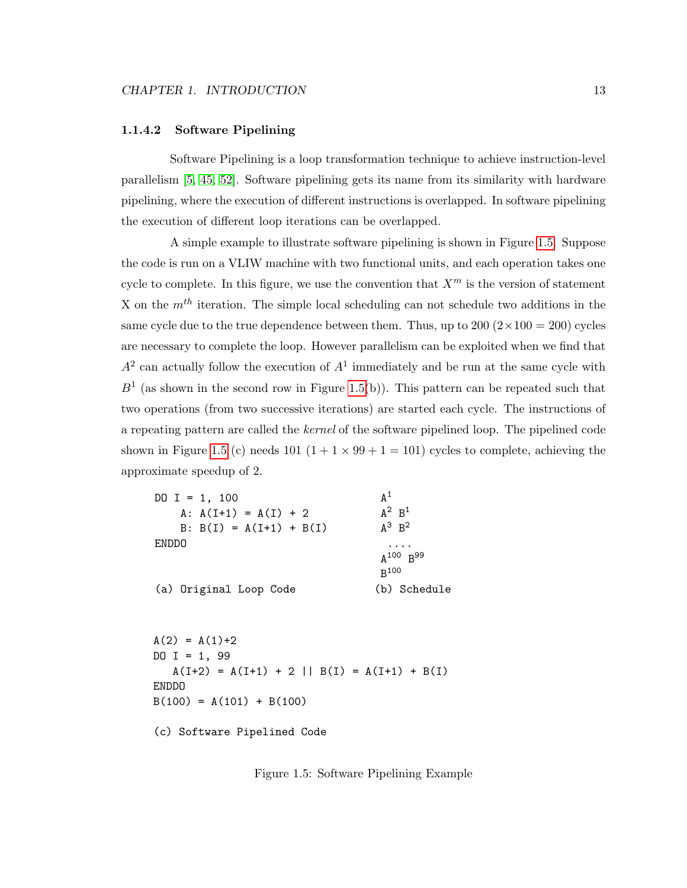#### <span id="page-23-1"></span>1.1.4.2 Software Pipelining

Software Pipelining is a loop transformation technique to achieve instruction-level parallelism [\[5,](#page-111-3) [45,](#page-115-5) [52\]](#page-116-4). Software pipelining gets its name from its similarity with hardware pipelining, where the execution of different instructions is overlapped. In software pipelining the execution of different loop iterations can be overlapped.

A simple example to illustrate software pipelining is shown in Figure [1.5.](#page-23-0) Suppose the code is run on a VLIW machine with two functional units, and each operation takes one cycle to complete. In this figure, we use the convention that  $X^m$  is the version of statement X on the  $m<sup>th</sup>$  iteration. The simple local scheduling can not schedule two additions in the same cycle due to the true dependence between them. Thus, up to  $200 (2 \times 100 = 200)$  cycles are necessary to complete the loop. However parallelism can be exploited when we find that  $A<sup>2</sup>$  can actually follow the execution of  $A<sup>1</sup>$  immediately and be run at the same cycle with  $B<sup>1</sup>$  (as shown in the second row in Figure [1.5\(](#page-23-0)b)). This pattern can be repeated such that two operations (from two successive iterations) are started each cycle. The instructions of a repeating pattern are called the kernel of the software pipelined loop. The pipelined code shown in Figure [1.5](#page-23-0) (c) needs 101  $(1 + 1 \times 99 + 1 = 101)$  cycles to complete, achieving the approximate speedup of 2.

| DO I = 1, 100<br>A: $A(I+1) = A(I) + 2$<br>$B: B(I) = A(I+1) + B(I)$ | $\mathsf{A}^1$<br>$A^2$ $B^1$<br>$A^3$ $B^2$ |
|----------------------------------------------------------------------|----------------------------------------------|
| <b>ENDDO</b>                                                         | .<br>$A^{100}$ $B^{99}$<br>$R^{100}$         |
| (a) Original Loop Code                                               | (b) Schedule                                 |
| $A(2) = A(1)+2$                                                      |                                              |
| DO I = 1, 99                                                         |                                              |
| $A(I+2) = A(I+1) + 2    B(I) = A(I+1) + B(I)$<br><b>ENDDO</b>        |                                              |
| $B(100) = A(101) + B(100)$                                           |                                              |
| (c) Software Pipelined Code                                          |                                              |

<span id="page-23-0"></span>Figure 1.5: Software Pipelining Example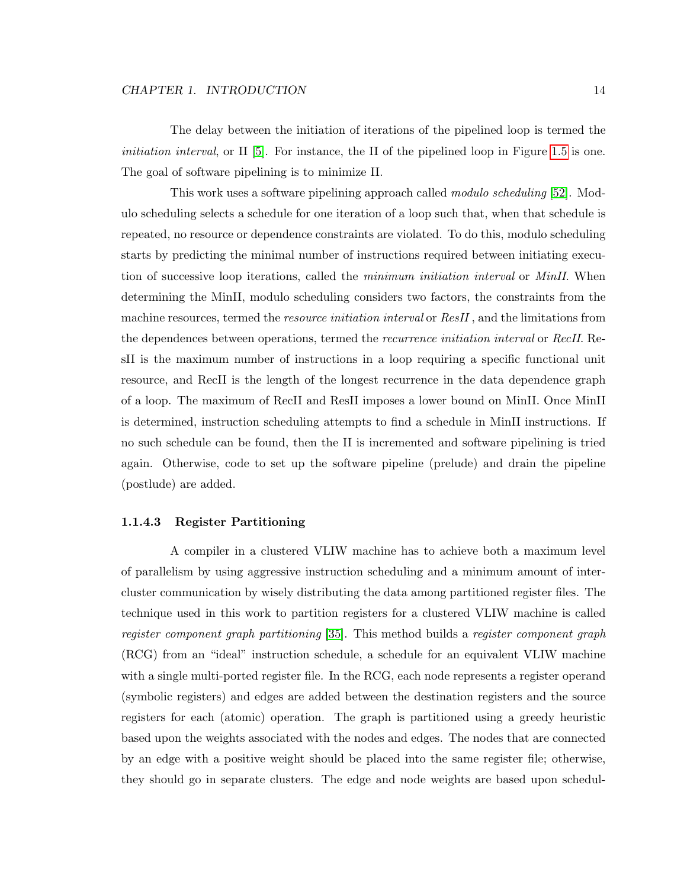The delay between the initiation of iterations of the pipelined loop is termed the *initiation interval*, or  $II$  [\[5\]](#page-111-3). For instance, the II of the pipelined loop in Figure [1.5](#page-23-0) is one. The goal of software pipelining is to minimize II.

This work uses a software pipelining approach called modulo scheduling [\[52\]](#page-116-4). Modulo scheduling selects a schedule for one iteration of a loop such that, when that schedule is repeated, no resource or dependence constraints are violated. To do this, modulo scheduling starts by predicting the minimal number of instructions required between initiating execution of successive loop iterations, called the *minimum initiation interval* or *MinII*. When determining the MinII, modulo scheduling considers two factors, the constraints from the machine resources, termed the *resource initiation interval* or  $ResII$ , and the limitations from the dependences between operations, termed the *recurrence initiation interval* or *RecII*. ResII is the maximum number of instructions in a loop requiring a specific functional unit resource, and RecII is the length of the longest recurrence in the data dependence graph of a loop. The maximum of RecII and ResII imposes a lower bound on MinII. Once MinII is determined, instruction scheduling attempts to find a schedule in MinII instructions. If no such schedule can be found, then the II is incremented and software pipelining is tried again. Otherwise, code to set up the software pipeline (prelude) and drain the pipeline (postlude) are added.

#### <span id="page-24-0"></span>1.1.4.3 Register Partitioning

A compiler in a clustered VLIW machine has to achieve both a maximum level of parallelism by using aggressive instruction scheduling and a minimum amount of intercluster communication by wisely distributing the data among partitioned register files. The technique used in this work to partition registers for a clustered VLIW machine is called register component graph partitioning [\[35\]](#page-114-3). This method builds a register component graph (RCG) from an "ideal" instruction schedule, a schedule for an equivalent VLIW machine with a single multi-ported register file. In the RCG, each node represents a register operand (symbolic registers) and edges are added between the destination registers and the source registers for each (atomic) operation. The graph is partitioned using a greedy heuristic based upon the weights associated with the nodes and edges. The nodes that are connected by an edge with a positive weight should be placed into the same register file; otherwise, they should go in separate clusters. The edge and node weights are based upon schedul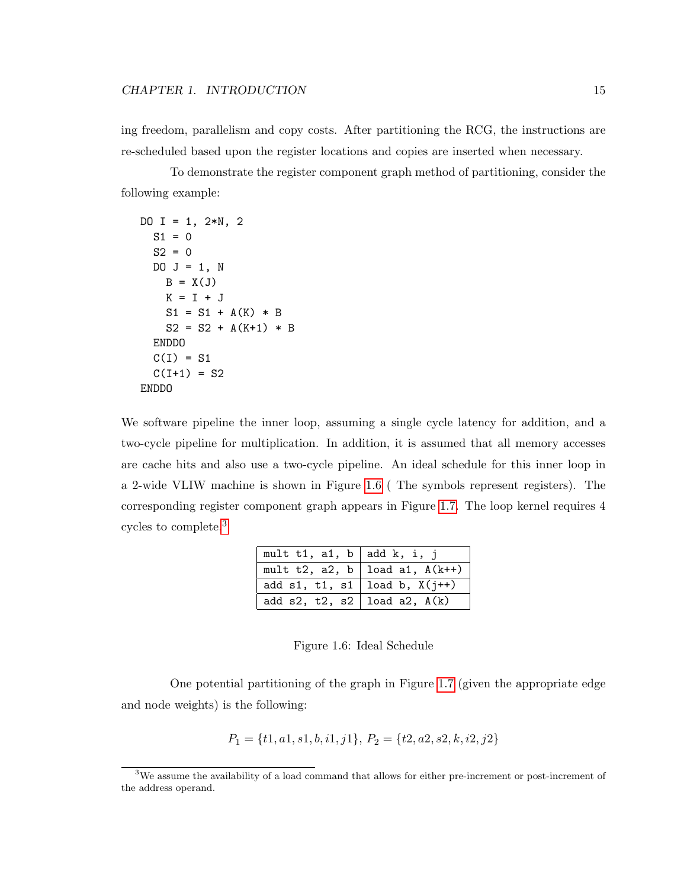ing freedom, parallelism and copy costs. After partitioning the RCG, the instructions are re-scheduled based upon the register locations and copies are inserted when necessary.

To demonstrate the register component graph method of partitioning, consider the following example:

```
DO I = 1, 2*N, 2S1 = 0S2 = 0DO J = 1, NB = X(J)K = I + JS1 = S1 + A(K) * BS2 = S2 + A(K+1) * BENDDO
 C(I) = S1C(I+1) = S2ENDDO
```
We software pipeline the inner loop, assuming a single cycle latency for addition, and a two-cycle pipeline for multiplication. In addition, it is assumed that all memory accesses are cache hits and also use a two-cycle pipeline. An ideal schedule for this inner loop in a 2-wide VLIW machine is shown in Figure [1.6](#page-25-0) ( The symbols represent registers). The corresponding register component graph appears in Figure [1.7.](#page-26-0) The loop kernel requires 4 cycles to complete.[3](#page-25-1)

| mult t1, a1, b   add k, i, j      |                                    |
|-----------------------------------|------------------------------------|
|                                   | mult t2, a2, b   load a1, $A(k++)$ |
| add s1, t1, s1   load b, $X(i++)$ |                                    |
| add s2, t2, s2   load a2, $A(k)$  |                                    |

<span id="page-25-0"></span>Figure 1.6: Ideal Schedule

One potential partitioning of the graph in Figure [1.7](#page-26-0) (given the appropriate edge and node weights) is the following:

$$
P_1 = \{t1, a1, s1, b, i1, j1\}, P_2 = \{t2, a2, s2, k, i2, j2\}
$$

<span id="page-25-1"></span><sup>3</sup>We assume the availability of a load command that allows for either pre-increment or post-increment of the address operand.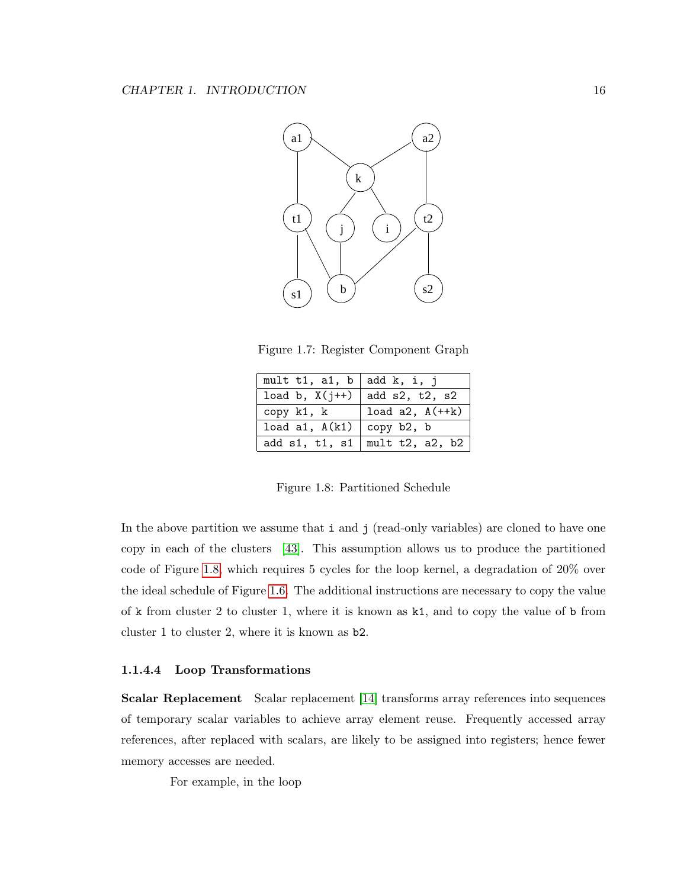

<span id="page-26-0"></span>Figure 1.7: Register Component Graph

| mult t1, a1, b   add k, i, j    |                      |
|---------------------------------|----------------------|
| load b, $X(j++)$ add s2, t2, s2 |                      |
| copy k1, k                      | load $a2$ , $A(++k)$ |
| load a1, $A(k1)$ copy b2, b     |                      |
| add s1, t1, s1                  | mult $t2$ , a2, b2   |

<span id="page-26-1"></span>Figure 1.8: Partitioned Schedule

In the above partition we assume that i and j (read-only variables) are cloned to have one copy in each of the clusters [\[43\]](#page-115-6). This assumption allows us to produce the partitioned code of Figure [1.8,](#page-26-1) which requires 5 cycles for the loop kernel, a degradation of 20% over the ideal schedule of Figure [1.6.](#page-25-0) The additional instructions are necessary to copy the value of k from cluster 2 to cluster 1, where it is known as k1, and to copy the value of b from cluster 1 to cluster 2, where it is known as b2.

#### <span id="page-26-2"></span>1.1.4.4 Loop Transformations

Scalar Replacement Scalar replacement [\[14\]](#page-112-1) transforms array references into sequences of temporary scalar variables to achieve array element reuse. Frequently accessed array references, after replaced with scalars, are likely to be assigned into registers; hence fewer memory accesses are needed.

For example, in the loop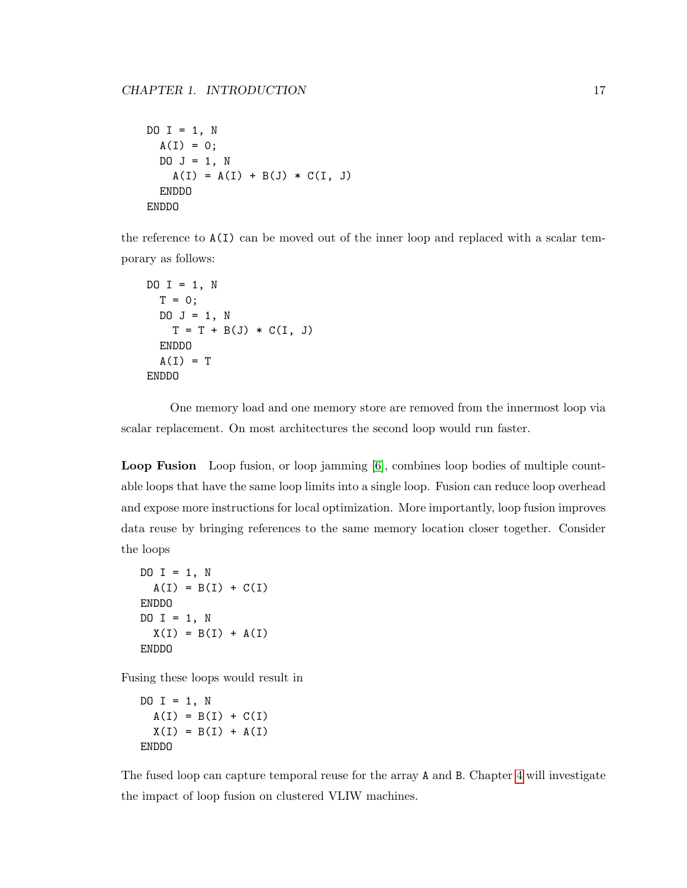```
DO I = 1, N
 A(I) = 0;DO J = 1, N
   A(I) = A(I) + B(J) * C(I, J)ENDDO
ENDDO
```
the reference to A(I) can be moved out of the inner loop and replaced with a scalar temporary as follows:

```
DO I = 1, N
  T = 0;
  DO J = 1, N
    T = T + B(J) * C(I, J)ENDDO
  A(I) = TENDDO
```
One memory load and one memory store are removed from the innermost loop via scalar replacement. On most architectures the second loop would run faster.

Loop Fusion Loop fusion, or loop jamming [\[6\]](#page-111-4), combines loop bodies of multiple countable loops that have the same loop limits into a single loop. Fusion can reduce loop overhead and expose more instructions for local optimization. More importantly, loop fusion improves data reuse by bringing references to the same memory location closer together. Consider the loops

```
DO I = 1, N
 A(I) = B(I) + C(I)ENDDO
DO I = 1, N
 X(I) = B(I) + A(I)ENDDO
```
Fusing these loops would result in

```
DO I = 1, N
  A(I) = B(I) + C(I)X(I) = B(I) + A(I)ENDDO
```
The fused loop can capture temporal reuse for the array A and B. Chapter [4](#page-66-0) will investigate the impact of loop fusion on clustered VLIW machines.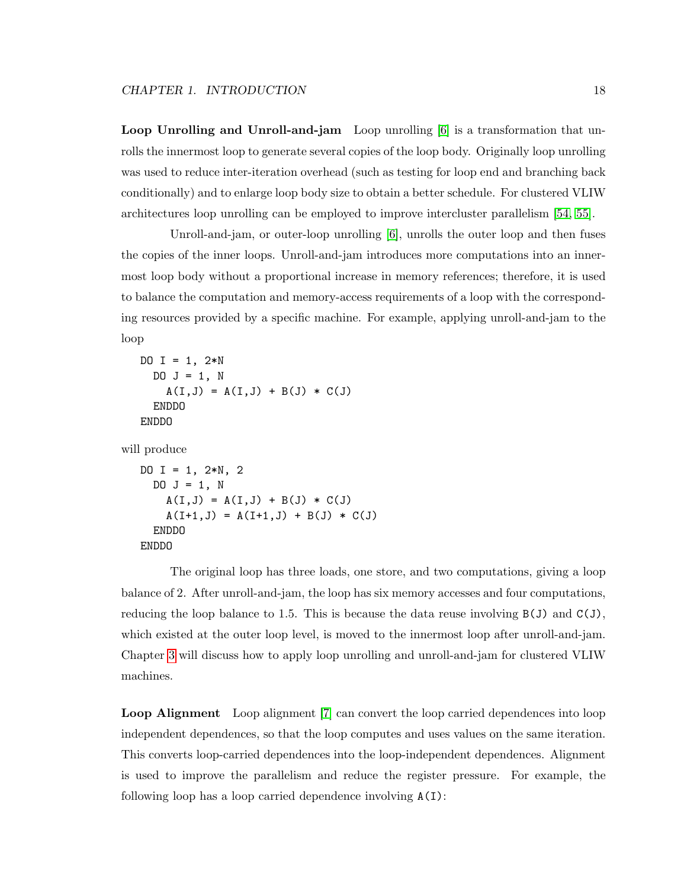Loop Unrolling and Unroll-and-jam Loop unrolling [\[6\]](#page-111-4) is a transformation that unrolls the innermost loop to generate several copies of the loop body. Originally loop unrolling was used to reduce inter-iteration overhead (such as testing for loop end and branching back conditionally) and to enlarge loop body size to obtain a better schedule. For clustered VLIW architectures loop unrolling can be employed to improve intercluster parallelism [\[54,](#page-116-5) [55\]](#page-116-6).

Unroll-and-jam, or outer-loop unrolling [\[6\]](#page-111-4), unrolls the outer loop and then fuses the copies of the inner loops. Unroll-and-jam introduces more computations into an innermost loop body without a proportional increase in memory references; therefore, it is used to balance the computation and memory-access requirements of a loop with the corresponding resources provided by a specific machine. For example, applying unroll-and-jam to the loop

```
DO I = 1, 2*NDO J = 1, N
    A(I,J) = A(I,J) + B(J) * C(J)ENDDO
ENDDO
```
will produce

```
DO I = 1, 2*N, 2
  DO J = 1, N
    A(I,J) = A(I,J) + B(J) * C(J)A(I+1, J) = A(I+1, J) + B(J) * C(J)ENDDO
ENDDO
```
The original loop has three loads, one store, and two computations, giving a loop balance of 2. After unroll-and-jam, the loop has six memory accesses and four computations, reducing the loop balance to 1.5. This is because the data reuse involving  $B(J)$  and  $C(J)$ , which existed at the outer loop level, is moved to the innermost loop after unroll-and-jam. Chapter [3](#page-45-0) will discuss how to apply loop unrolling and unroll-and-jam for clustered VLIW machines.

Loop Alignment Loop alignment [\[7\]](#page-111-5) can convert the loop carried dependences into loop independent dependences, so that the loop computes and uses values on the same iteration. This converts loop-carried dependences into the loop-independent dependences. Alignment is used to improve the parallelism and reduce the register pressure. For example, the following loop has a loop carried dependence involving  $A(I)$ :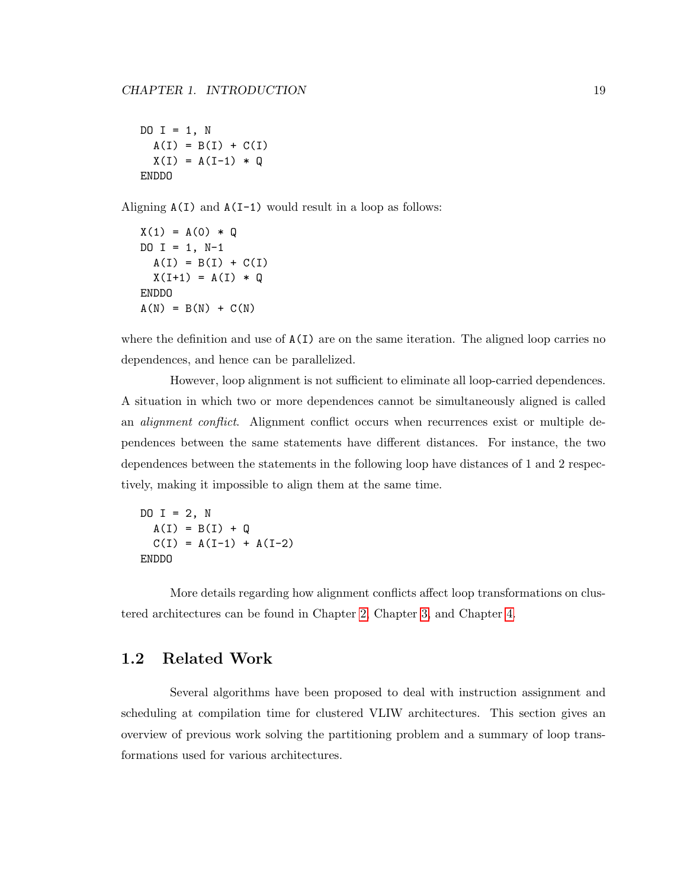DO  $I = 1$ , N  $A(I) = B(I) + C(I)$  $X(I) = A(I-1) * Q$ ENDDO

Aligning  $A(I)$  and  $A(I-1)$  would result in a loop as follows:

 $X(1) = A(0) * Q$  $DO I = 1, N-1$  $A(I) = B(I) + C(I)$  $X(I+1) = A(I) * Q$ ENDDO  $A(N) = B(N) + C(N)$ 

where the definition and use of  $A(I)$  are on the same iteration. The aligned loop carries no dependences, and hence can be parallelized.

However, loop alignment is not sufficient to eliminate all loop-carried dependences. A situation in which two or more dependences cannot be simultaneously aligned is called an *alignment conflict*. Alignment conflict occurs when recurrences exist or multiple dependences between the same statements have different distances. For instance, the two dependences between the statements in the following loop have distances of 1 and 2 respectively, making it impossible to align them at the same time.

DO  $I = 2$ , N  $A(I) = B(I) + Q$  $C(I) = A(I-1) + A(I-2)$ ENDDO

More details regarding how alignment conflicts affect loop transformations on clustered architectures can be found in Chapter [2,](#page-36-0) Chapter [3,](#page-45-0) and Chapter [4.](#page-66-0)

#### <span id="page-29-0"></span>1.2 Related Work

Several algorithms have been proposed to deal with instruction assignment and scheduling at compilation time for clustered VLIW architectures. This section gives an overview of previous work solving the partitioning problem and a summary of loop transformations used for various architectures.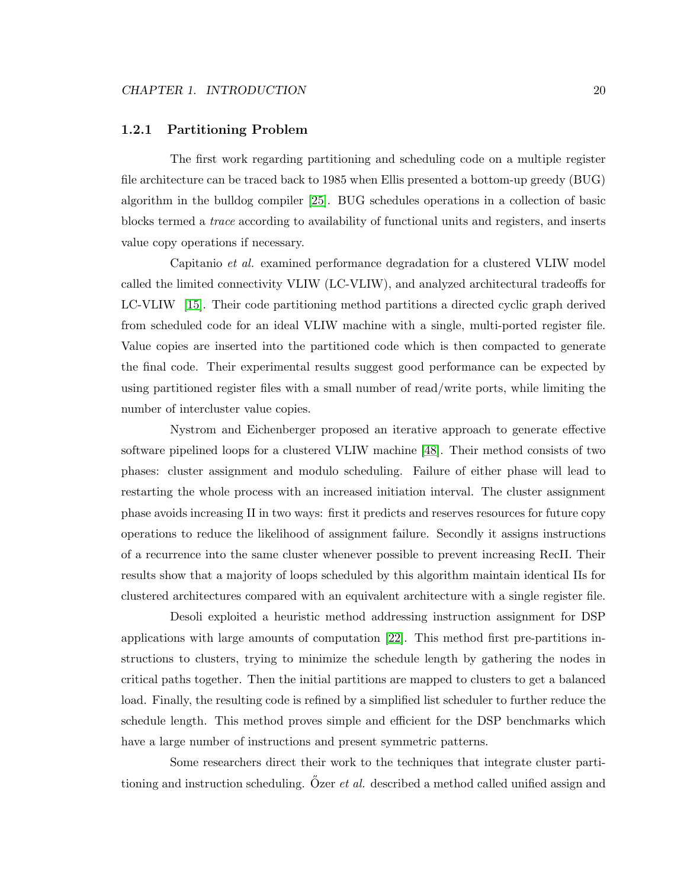#### <span id="page-30-0"></span>1.2.1 Partitioning Problem

The first work regarding partitioning and scheduling code on a multiple register file architecture can be traced back to 1985 when Ellis presented a bottom-up greedy (BUG) algorithm in the bulldog compiler [\[25\]](#page-113-5). BUG schedules operations in a collection of basic blocks termed a trace according to availability of functional units and registers, and inserts value copy operations if necessary.

Capitanio et al. examined performance degradation for a clustered VLIW model called the limited connectivity VLIW (LC-VLIW), and analyzed architectural tradeoffs for LC-VLIW [\[15\]](#page-112-2). Their code partitioning method partitions a directed cyclic graph derived from scheduled code for an ideal VLIW machine with a single, multi-ported register file. Value copies are inserted into the partitioned code which is then compacted to generate the final code. Their experimental results suggest good performance can be expected by using partitioned register files with a small number of read/write ports, while limiting the number of intercluster value copies.

Nystrom and Eichenberger proposed an iterative approach to generate effective software pipelined loops for a clustered VLIW machine [\[48\]](#page-115-0). Their method consists of two phases: cluster assignment and modulo scheduling. Failure of either phase will lead to restarting the whole process with an increased initiation interval. The cluster assignment phase avoids increasing II in two ways: first it predicts and reserves resources for future copy operations to reduce the likelihood of assignment failure. Secondly it assigns instructions of a recurrence into the same cluster whenever possible to prevent increasing RecII. Their results show that a majority of loops scheduled by this algorithm maintain identical IIs for clustered architectures compared with an equivalent architecture with a single register file.

Desoli exploited a heuristic method addressing instruction assignment for DSP applications with large amounts of computation [\[22\]](#page-113-6). This method first pre-partitions instructions to clusters, trying to minimize the schedule length by gathering the nodes in critical paths together. Then the initial partitions are mapped to clusters to get a balanced load. Finally, the resulting code is refined by a simplified list scheduler to further reduce the schedule length. This method proves simple and efficient for the DSP benchmarks which have a large number of instructions and present symmetric patterns.

Some researchers direct their work to the techniques that integrate cluster partitioning and instruction scheduling. Özer *et al.* described a method called unified assign and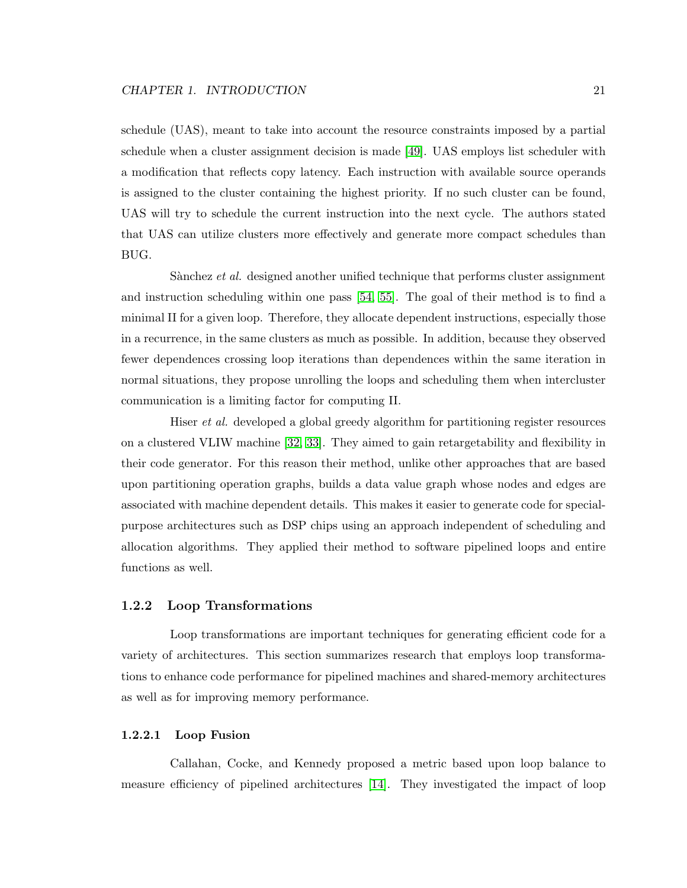schedule (UAS), meant to take into account the resource constraints imposed by a partial schedule when a cluster assignment decision is made [\[49\]](#page-115-7). UAS employs list scheduler with a modification that reflects copy latency. Each instruction with available source operands is assigned to the cluster containing the highest priority. If no such cluster can be found, UAS will try to schedule the current instruction into the next cycle. The authors stated that UAS can utilize clusters more effectively and generate more compact schedules than BUG.

Sànchez et al. designed another unified technique that performs cluster assignment and instruction scheduling within one pass [\[54,](#page-116-5) [55\]](#page-116-6). The goal of their method is to find a minimal II for a given loop. Therefore, they allocate dependent instructions, especially those in a recurrence, in the same clusters as much as possible. In addition, because they observed fewer dependences crossing loop iterations than dependences within the same iteration in normal situations, they propose unrolling the loops and scheduling them when intercluster communication is a limiting factor for computing II.

Hiser et al. developed a global greedy algorithm for partitioning register resources on a clustered VLIW machine [\[32,](#page-114-0) [33\]](#page-114-4). They aimed to gain retargetability and flexibility in their code generator. For this reason their method, unlike other approaches that are based upon partitioning operation graphs, builds a data value graph whose nodes and edges are associated with machine dependent details. This makes it easier to generate code for specialpurpose architectures such as DSP chips using an approach independent of scheduling and allocation algorithms. They applied their method to software pipelined loops and entire functions as well.

#### <span id="page-31-0"></span>1.2.2 Loop Transformations

Loop transformations are important techniques for generating efficient code for a variety of architectures. This section summarizes research that employs loop transformations to enhance code performance for pipelined machines and shared-memory architectures as well as for improving memory performance.

#### 1.2.2.1 Loop Fusion

Callahan, Cocke, and Kennedy proposed a metric based upon loop balance to measure efficiency of pipelined architectures [\[14\]](#page-112-1). They investigated the impact of loop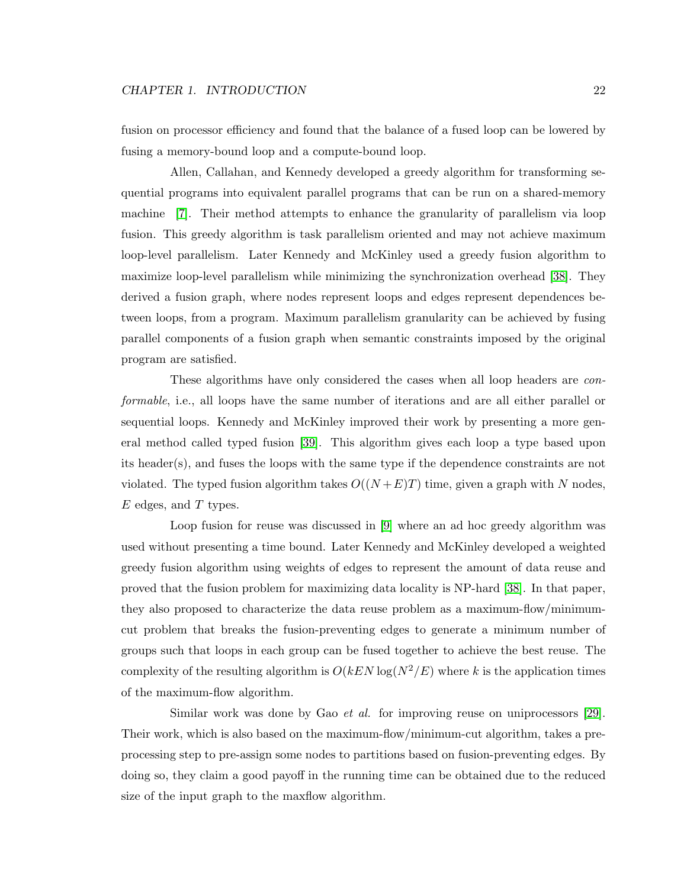fusion on processor efficiency and found that the balance of a fused loop can be lowered by fusing a memory-bound loop and a compute-bound loop.

Allen, Callahan, and Kennedy developed a greedy algorithm for transforming sequential programs into equivalent parallel programs that can be run on a shared-memory machine [\[7\]](#page-111-5). Their method attempts to enhance the granularity of parallelism via loop fusion. This greedy algorithm is task parallelism oriented and may not achieve maximum loop-level parallelism. Later Kennedy and McKinley used a greedy fusion algorithm to maximize loop-level parallelism while minimizing the synchronization overhead [\[38\]](#page-114-5). They derived a fusion graph, where nodes represent loops and edges represent dependences between loops, from a program. Maximum parallelism granularity can be achieved by fusing parallel components of a fusion graph when semantic constraints imposed by the original program are satisfied.

These algorithms have only considered the cases when all loop headers are conformable, i.e., all loops have the same number of iterations and are all either parallel or sequential loops. Kennedy and McKinley improved their work by presenting a more general method called typed fusion [\[39\]](#page-114-6). This algorithm gives each loop a type based upon its header(s), and fuses the loops with the same type if the dependence constraints are not violated. The typed fusion algorithm takes  $O((N+E)T)$  time, given a graph with N nodes,  $E$  edges, and  $T$  types.

Loop fusion for reuse was discussed in [\[9\]](#page-112-4) where an ad hoc greedy algorithm was used without presenting a time bound. Later Kennedy and McKinley developed a weighted greedy fusion algorithm using weights of edges to represent the amount of data reuse and proved that the fusion problem for maximizing data locality is NP-hard [\[38\]](#page-114-5). In that paper, they also proposed to characterize the data reuse problem as a maximum-flow/minimumcut problem that breaks the fusion-preventing edges to generate a minimum number of groups such that loops in each group can be fused together to achieve the best reuse. The complexity of the resulting algorithm is  $O(kEN\log(N^2/E))$  where k is the application times of the maximum-flow algorithm.

Similar work was done by Gao et al. for improving reuse on uniprocessors [\[29\]](#page-113-7). Their work, which is also based on the maximum-flow/minimum-cut algorithm, takes a preprocessing step to pre-assign some nodes to partitions based on fusion-preventing edges. By doing so, they claim a good payoff in the running time can be obtained due to the reduced size of the input graph to the maxflow algorithm.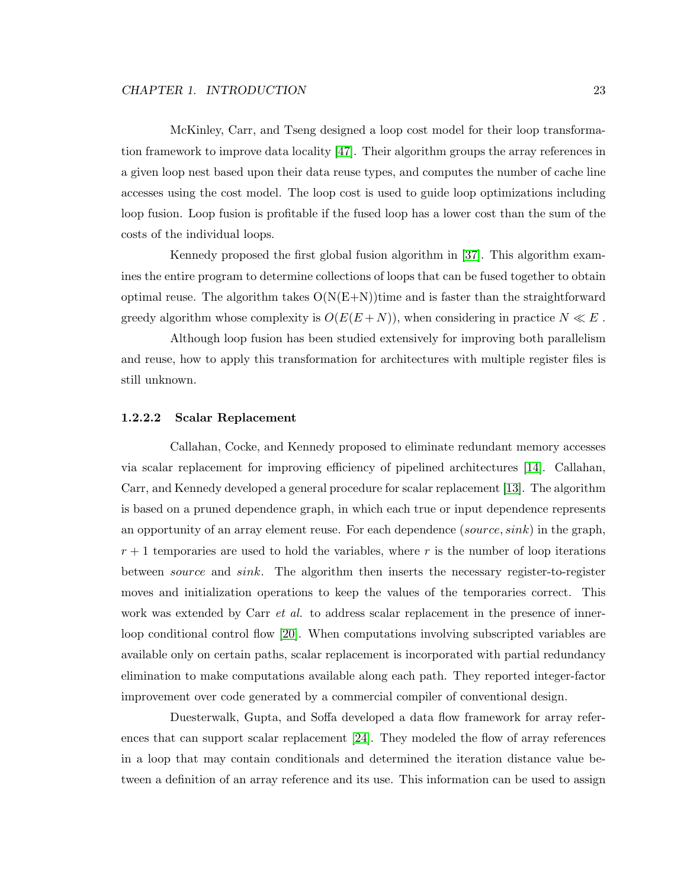McKinley, Carr, and Tseng designed a loop cost model for their loop transformation framework to improve data locality [\[47\]](#page-115-8). Their algorithm groups the array references in a given loop nest based upon their data reuse types, and computes the number of cache line accesses using the cost model. The loop cost is used to guide loop optimizations including loop fusion. Loop fusion is profitable if the fused loop has a lower cost than the sum of the costs of the individual loops.

Kennedy proposed the first global fusion algorithm in [\[37\]](#page-114-7). This algorithm examines the entire program to determine collections of loops that can be fused together to obtain optimal reuse. The algorithm takes  $O(N(E+N))$ time and is faster than the straightforward greedy algorithm whose complexity is  $O(E(E+N))$ , when considering in practice  $N \ll E$ .

Although loop fusion has been studied extensively for improving both parallelism and reuse, how to apply this transformation for architectures with multiple register files is still unknown.

#### 1.2.2.2 Scalar Replacement

Callahan, Cocke, and Kennedy proposed to eliminate redundant memory accesses via scalar replacement for improving efficiency of pipelined architectures [\[14\]](#page-112-1). Callahan, Carr, and Kennedy developed a general procedure for scalar replacement [\[13\]](#page-112-5). The algorithm is based on a pruned dependence graph, in which each true or input dependence represents an opportunity of an array element reuse. For each dependence (source, sink) in the graph,  $r + 1$  temporaries are used to hold the variables, where r is the number of loop iterations between source and sink. The algorithm then inserts the necessary register-to-register moves and initialization operations to keep the values of the temporaries correct. This work was extended by Carr *et al.* to address scalar replacement in the presence of innerloop conditional control flow [\[20\]](#page-113-8). When computations involving subscripted variables are available only on certain paths, scalar replacement is incorporated with partial redundancy elimination to make computations available along each path. They reported integer-factor improvement over code generated by a commercial compiler of conventional design.

Duesterwalk, Gupta, and Soffa developed a data flow framework for array references that can support scalar replacement [\[24\]](#page-113-9). They modeled the flow of array references in a loop that may contain conditionals and determined the iteration distance value between a definition of an array reference and its use. This information can be used to assign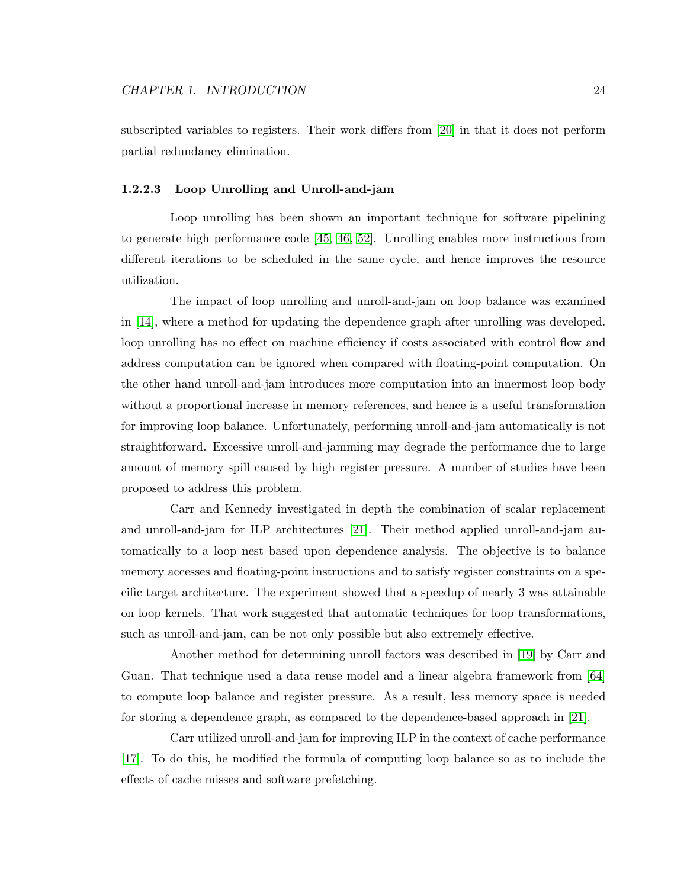subscripted variables to registers. Their work differs from [\[20\]](#page-113-8) in that it does not perform partial redundancy elimination.

#### 1.2.2.3 Loop Unrolling and Unroll-and-jam

Loop unrolling has been shown an important technique for software pipelining to generate high performance code [\[45,](#page-115-5) [46,](#page-115-9) [52\]](#page-116-4). Unrolling enables more instructions from different iterations to be scheduled in the same cycle, and hence improves the resource utilization.

The impact of loop unrolling and unroll-and-jam on loop balance was examined in [\[14\]](#page-112-1), where a method for updating the dependence graph after unrolling was developed. loop unrolling has no effect on machine efficiency if costs associated with control flow and address computation can be ignored when compared with floating-point computation. On the other hand unroll-and-jam introduces more computation into an innermost loop body without a proportional increase in memory references, and hence is a useful transformation for improving loop balance. Unfortunately, performing unroll-and-jam automatically is not straightforward. Excessive unroll-and-jamming may degrade the performance due to large amount of memory spill caused by high register pressure. A number of studies have been proposed to address this problem.

Carr and Kennedy investigated in depth the combination of scalar replacement and unroll-and-jam for ILP architectures [\[21\]](#page-113-10). Their method applied unroll-and-jam automatically to a loop nest based upon dependence analysis. The objective is to balance memory accesses and floating-point instructions and to satisfy register constraints on a specific target architecture. The experiment showed that a speedup of nearly 3 was attainable on loop kernels. That work suggested that automatic techniques for loop transformations, such as unroll-and-jam, can be not only possible but also extremely effective.

Another method for determining unroll factors was described in [\[19\]](#page-112-6) by Carr and Guan. That technique used a data reuse model and a linear algebra framework from [\[64\]](#page-117-3) to compute loop balance and register pressure. As a result, less memory space is needed for storing a dependence graph, as compared to the dependence-based approach in [\[21\]](#page-113-10).

Carr utilized unroll-and-jam for improving ILP in the context of cache performance [\[17\]](#page-112-7). To do this, he modified the formula of computing loop balance so as to include the effects of cache misses and software prefetching.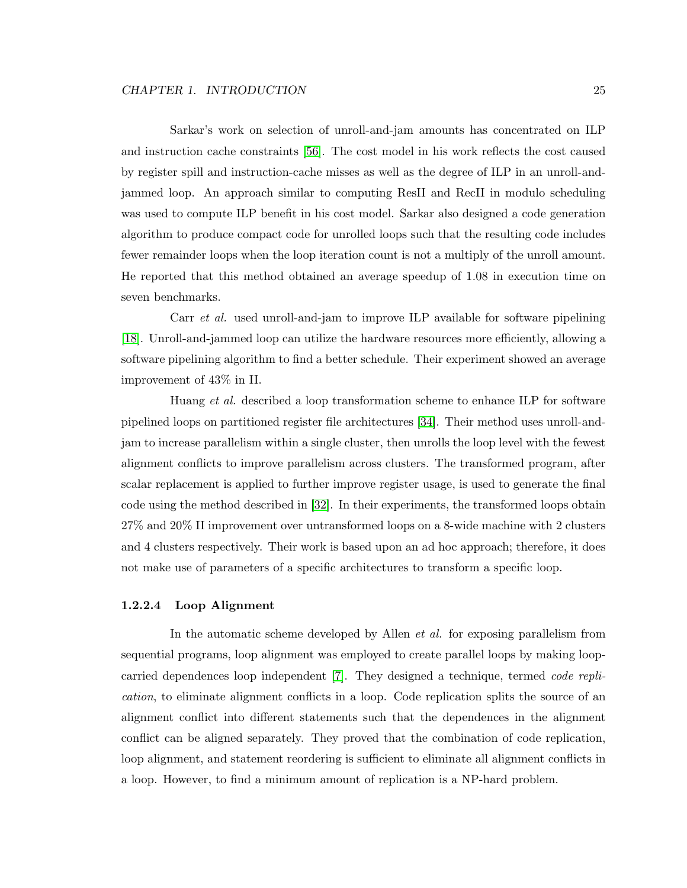Sarkar's work on selection of unroll-and-jam amounts has concentrated on ILP and instruction cache constraints [\[56\]](#page-116-7). The cost model in his work reflects the cost caused by register spill and instruction-cache misses as well as the degree of ILP in an unroll-andjammed loop. An approach similar to computing ResII and RecII in modulo scheduling was used to compute ILP benefit in his cost model. Sarkar also designed a code generation algorithm to produce compact code for unrolled loops such that the resulting code includes fewer remainder loops when the loop iteration count is not a multiply of the unroll amount. He reported that this method obtained an average speedup of 1.08 in execution time on seven benchmarks.

Carr et al. used unroll-and-jam to improve ILP available for software pipelining [\[18\]](#page-112-8). Unroll-and-jammed loop can utilize the hardware resources more efficiently, allowing a software pipelining algorithm to find a better schedule. Their experiment showed an average improvement of 43% in II.

Huang *et al.* described a loop transformation scheme to enhance ILP for software pipelined loops on partitioned register file architectures [\[34\]](#page-114-8). Their method uses unroll-andjam to increase parallelism within a single cluster, then unrolls the loop level with the fewest alignment conflicts to improve parallelism across clusters. The transformed program, after scalar replacement is applied to further improve register usage, is used to generate the final code using the method described in [\[32\]](#page-114-0). In their experiments, the transformed loops obtain 27% and 20% II improvement over untransformed loops on a 8-wide machine with 2 clusters and 4 clusters respectively. Their work is based upon an ad hoc approach; therefore, it does not make use of parameters of a specific architectures to transform a specific loop.

#### 1.2.2.4 Loop Alignment

In the automatic scheme developed by Allen et al. for exposing parallelism from sequential programs, loop alignment was employed to create parallel loops by making loopcarried dependences loop independent [\[7\]](#page-111-5). They designed a technique, termed code replication, to eliminate alignment conflicts in a loop. Code replication splits the source of an alignment conflict into different statements such that the dependences in the alignment conflict can be aligned separately. They proved that the combination of code replication, loop alignment, and statement reordering is sufficient to eliminate all alignment conflicts in a loop. However, to find a minimum amount of replication is a NP-hard problem.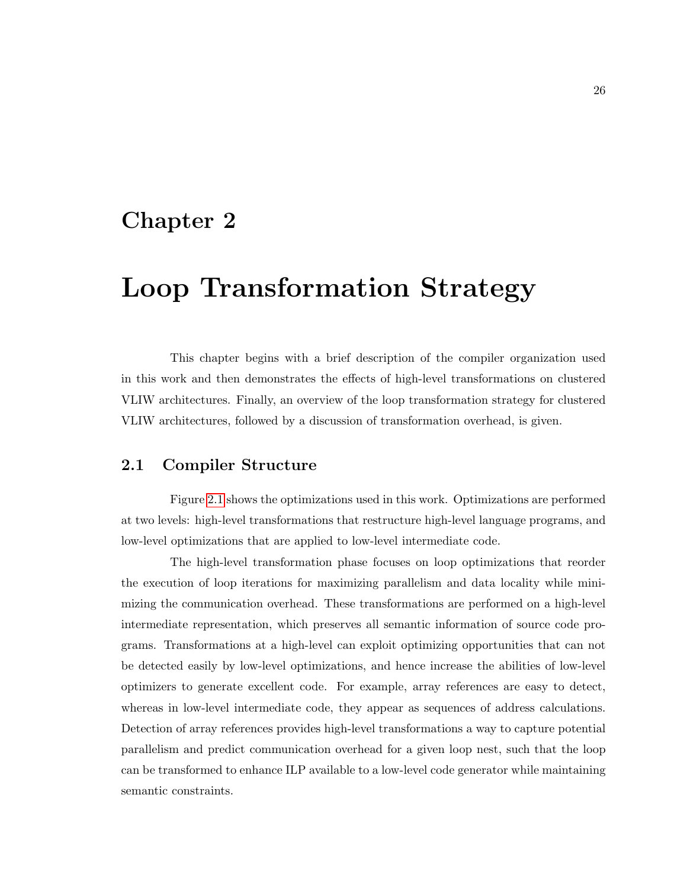## Chapter 2

# Loop Transformation Strategy

This chapter begins with a brief description of the compiler organization used in this work and then demonstrates the effects of high-level transformations on clustered VLIW architectures. Finally, an overview of the loop transformation strategy for clustered VLIW architectures, followed by a discussion of transformation overhead, is given.

#### 2.1 Compiler Structure

Figure [2.1](#page-37-0) shows the optimizations used in this work. Optimizations are performed at two levels: high-level transformations that restructure high-level language programs, and low-level optimizations that are applied to low-level intermediate code.

The high-level transformation phase focuses on loop optimizations that reorder the execution of loop iterations for maximizing parallelism and data locality while minimizing the communication overhead. These transformations are performed on a high-level intermediate representation, which preserves all semantic information of source code programs. Transformations at a high-level can exploit optimizing opportunities that can not be detected easily by low-level optimizations, and hence increase the abilities of low-level optimizers to generate excellent code. For example, array references are easy to detect, whereas in low-level intermediate code, they appear as sequences of address calculations. Detection of array references provides high-level transformations a way to capture potential parallelism and predict communication overhead for a given loop nest, such that the loop can be transformed to enhance ILP available to a low-level code generator while maintaining semantic constraints.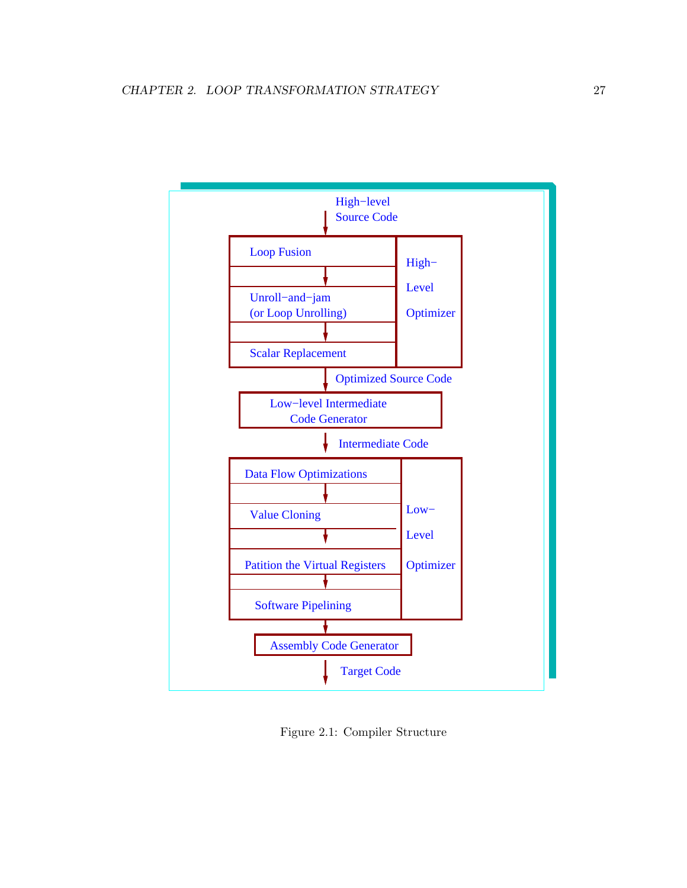

<span id="page-37-0"></span>Figure 2.1: Compiler Structure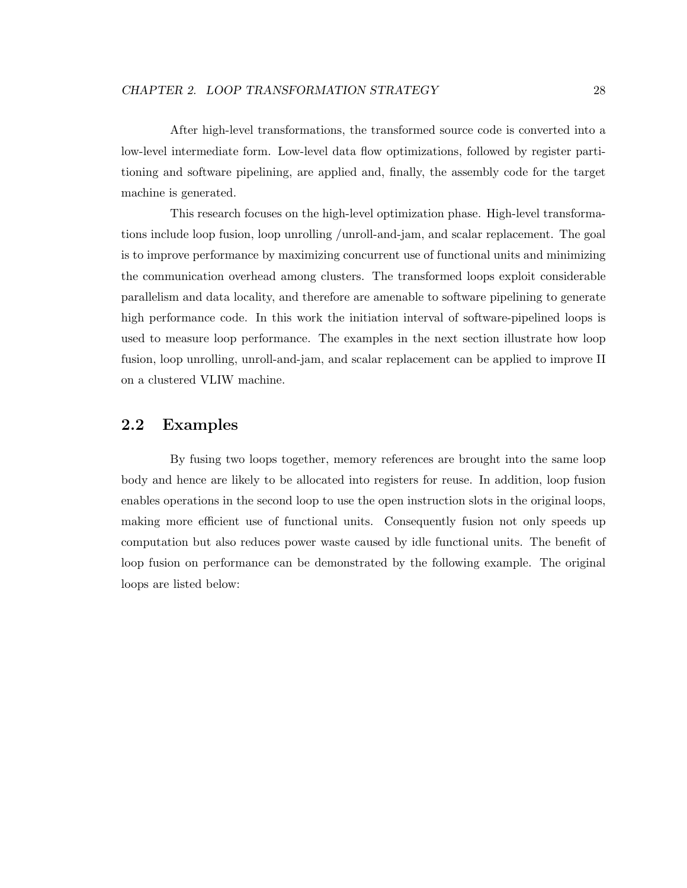After high-level transformations, the transformed source code is converted into a low-level intermediate form. Low-level data flow optimizations, followed by register partitioning and software pipelining, are applied and, finally, the assembly code for the target machine is generated.

This research focuses on the high-level optimization phase. High-level transformations include loop fusion, loop unrolling /unroll-and-jam, and scalar replacement. The goal is to improve performance by maximizing concurrent use of functional units and minimizing the communication overhead among clusters. The transformed loops exploit considerable parallelism and data locality, and therefore are amenable to software pipelining to generate high performance code. In this work the initiation interval of software-pipelined loops is used to measure loop performance. The examples in the next section illustrate how loop fusion, loop unrolling, unroll-and-jam, and scalar replacement can be applied to improve II on a clustered VLIW machine.

#### 2.2 Examples

By fusing two loops together, memory references are brought into the same loop body and hence are likely to be allocated into registers for reuse. In addition, loop fusion enables operations in the second loop to use the open instruction slots in the original loops, making more efficient use of functional units. Consequently fusion not only speeds up computation but also reduces power waste caused by idle functional units. The benefit of loop fusion on performance can be demonstrated by the following example. The original loops are listed below: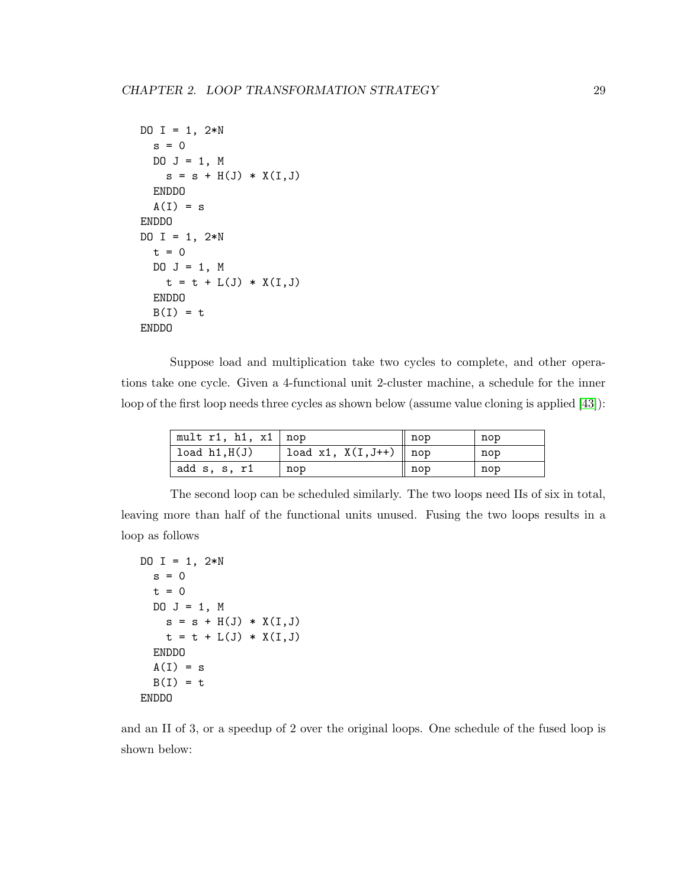```
DO I = 1, 2*Ns = 0DO J = 1, Ms = s + H(J) * X(I, J)ENDDO
  A(I) = sENDDO
DO I = 1, 2*Nt = 0DO J = 1, Mt = t + L(J) * X(I, J)ENDDO
 B(I) = tENDDO
```
Suppose load and multiplication take two cycles to complete, and other operations take one cycle. Given a 4-functional unit 2-cluster machine, a schedule for the inner loop of the first loop needs three cycles as shown below (assume value cloning is applied [\[43\]](#page-115-0)):

| mult $r1$ , h1, $x1 \mid nop$ |                         | nop   | nop |
|-------------------------------|-------------------------|-------|-----|
| $'$ load $h1, H(J)$           | load x1, $X(I,J++)$ nop |       | nop |
| add s, s, r1                  | nop                     | ∥ nop | nop |

The second loop can be scheduled similarly. The two loops need IIs of six in total, leaving more than half of the functional units unused. Fusing the two loops results in a loop as follows

```
DO I = 1, 2*Ns = 0t = 0DO J = 1, M
    s = s + H(J) * X(I, J)t = t + L(J) * X(I, J)ENDDO
  A(I) = sB(I) = tENDDO
```
and an II of 3, or a speedup of 2 over the original loops. One schedule of the fused loop is shown below: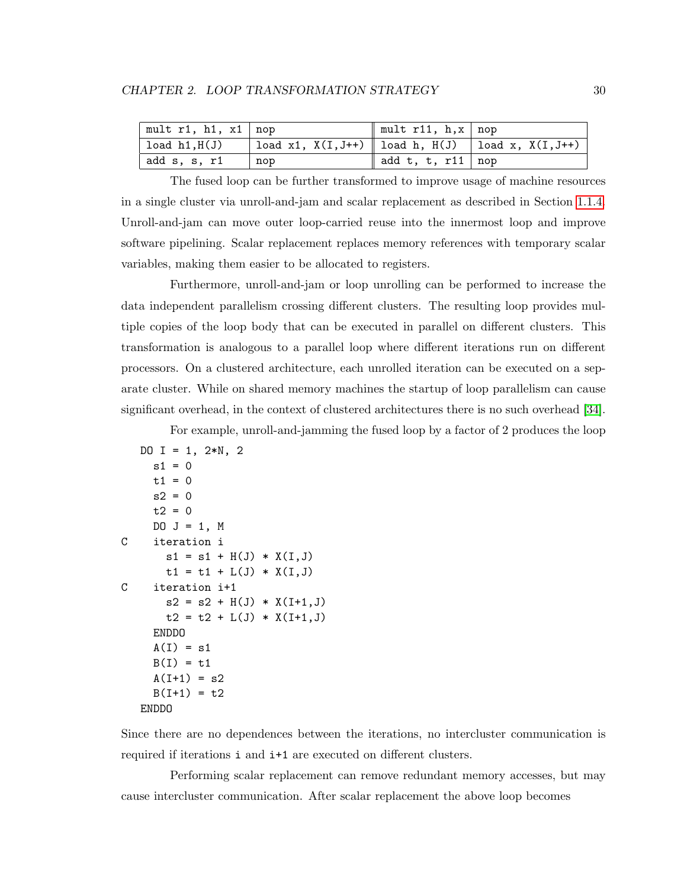| $\vert$ mult r1, h1, x1 $\vert$ nop |                                                             | $\parallel$ mult r11, h, x $\mid$ nop |  |
|-------------------------------------|-------------------------------------------------------------|---------------------------------------|--|
| load $h1, H(J)$                     | load x1, $X(I, J++)$   load h, $H(J)$   load x, $X(I, J++)$ |                                       |  |
| add s, s, r1                        | nop                                                         | add t, t, r11   nop                   |  |

The fused loop can be further transformed to improve usage of machine resources in a single cluster via unroll-and-jam and scalar replacement as described in Section [1.1.4.](#page-21-0) Unroll-and-jam can move outer loop-carried reuse into the innermost loop and improve software pipelining. Scalar replacement replaces memory references with temporary scalar variables, making them easier to be allocated to registers.

Furthermore, unroll-and-jam or loop unrolling can be performed to increase the data independent parallelism crossing different clusters. The resulting loop provides multiple copies of the loop body that can be executed in parallel on different clusters. This transformation is analogous to a parallel loop where different iterations run on different processors. On a clustered architecture, each unrolled iteration can be executed on a separate cluster. While on shared memory machines the startup of loop parallelism can cause significant overhead, in the context of clustered architectures there is no such overhead [\[34\]](#page-114-0).

For example, unroll-and-jamming the fused loop by a factor of 2 produces the loop

```
DO I = 1, 2*N, 2
    s1 = 0t1 = 0s2 = 0t2 = 0DO J = 1, MC iteration i
      s1 = s1 + H(J) * X(I,J)t1 = t1 + L(J) * X(I,J)C iteration i+1
      s2 = s2 + H(J) * X(I+1, J)t2 = t2 + L(J) * X(I+1, J)ENDDO
    A(I) = s1B(I) = t1A(I+1) = s2B(I+1) = t2ENDDO
```
Since there are no dependences between the iterations, no intercluster communication is required if iterations i and i+1 are executed on different clusters.

Performing scalar replacement can remove redundant memory accesses, but may cause intercluster communication. After scalar replacement the above loop becomes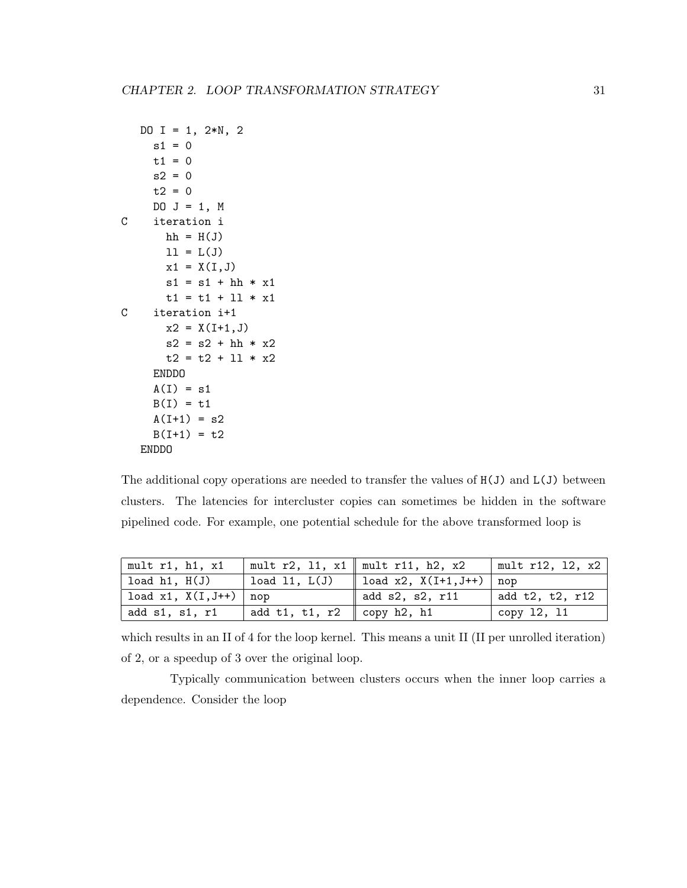```
DO I = 1, 2*N, 2
    s1 = 0t1 = 0s2 = 0t2 = 0DO J = 1, M
C iteration i
      hh = H(J)11 = L(J)x1 = X(I, J)s1 = s1 + hh * x1t1 = t1 + 11 * x1C iteration i+1
      x2 = X(I+1, J)s2 = s2 + hh * x2t2 = t2 + 11 * x2ENDDO
    A(I) = s1B(I) = t1A(I+1) = s2B(I+1) = t2ENDDO
```
The additional copy operations are needed to transfer the values of H(J) and L(J) between clusters. The latencies for intercluster copies can sometimes be hidden in the software pipelined code. For example, one potential schedule for the above transformed loop is

| mult $r1$ , $h1$ , $x1$    |                                        | mult r2, 11, $x1 \parallel \text{mult}$ r11, h2, $x2$ | mult $r12$ , 12, $x2$ |
|----------------------------|----------------------------------------|-------------------------------------------------------|-----------------------|
| load $h1, H(J)$            | load $11, L(J)$                        | load x2, $X(I+1, J++)$   nop                          |                       |
| load $x1$ , $X(I,J++)$ nop |                                        | add s2, s2, r11                                       | add t2, t2, r12       |
| add s1, s1, r1             | add t1, t1, r2 $\parallel$ copy h2, h1 |                                                       | copy 12, 11           |

which results in an II of 4 for the loop kernel. This means a unit II (II per unrolled iteration) of 2, or a speedup of 3 over the original loop.

Typically communication between clusters occurs when the inner loop carries a dependence. Consider the loop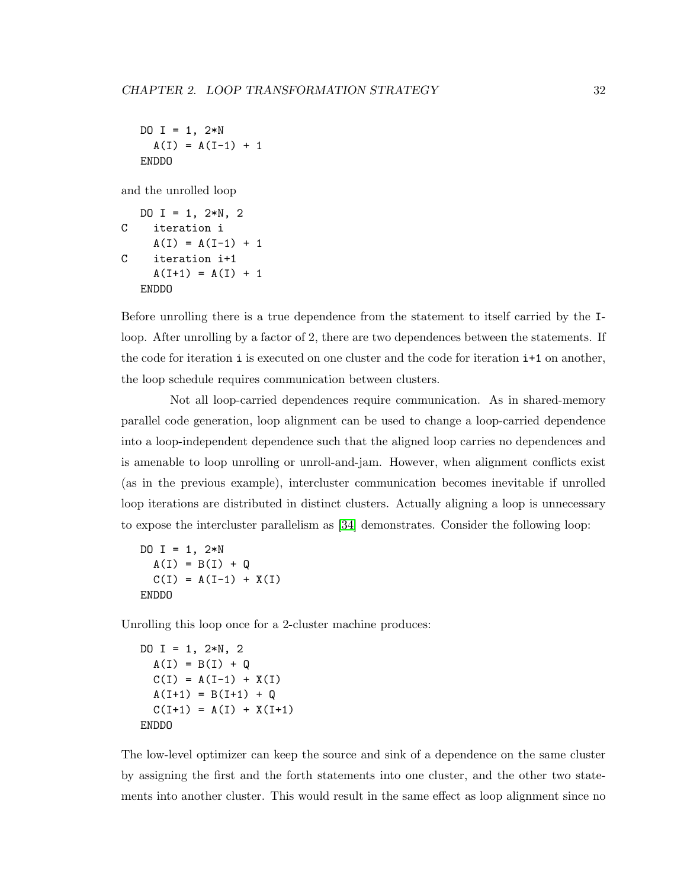```
DO I = 1, 2*NA(I) = A(I-1) + 1ENDDO
```
and the unrolled loop

```
DO I = 1, 2*N, 2
C iteration i
    A(I) = A(I-1) + 1C iteration i+1
    A(I+1) = A(I) + 1ENDDO
```
Before unrolling there is a true dependence from the statement to itself carried by the Iloop. After unrolling by a factor of 2, there are two dependences between the statements. If the code for iteration i is executed on one cluster and the code for iteration i+1 on another, the loop schedule requires communication between clusters.

Not all loop-carried dependences require communication. As in shared-memory parallel code generation, loop alignment can be used to change a loop-carried dependence into a loop-independent dependence such that the aligned loop carries no dependences and is amenable to loop unrolling or unroll-and-jam. However, when alignment conflicts exist (as in the previous example), intercluster communication becomes inevitable if unrolled loop iterations are distributed in distinct clusters. Actually aligning a loop is unnecessary to expose the intercluster parallelism as [\[34\]](#page-114-0) demonstrates. Consider the following loop:

```
DO I = 1, 2*NA(I) = B(I) + QC(I) = A(I-1) + X(I)ENDDO
```
Unrolling this loop once for a 2-cluster machine produces:

```
DO I = 1, 2*N, 2
 A(I) = B(I) + QC(I) = A(I-1) + X(I)A(I+1) = B(I+1) + QC(I+1) = A(I) + X(I+1)ENDDO
```
The low-level optimizer can keep the source and sink of a dependence on the same cluster by assigning the first and the forth statements into one cluster, and the other two statements into another cluster. This would result in the same effect as loop alignment since no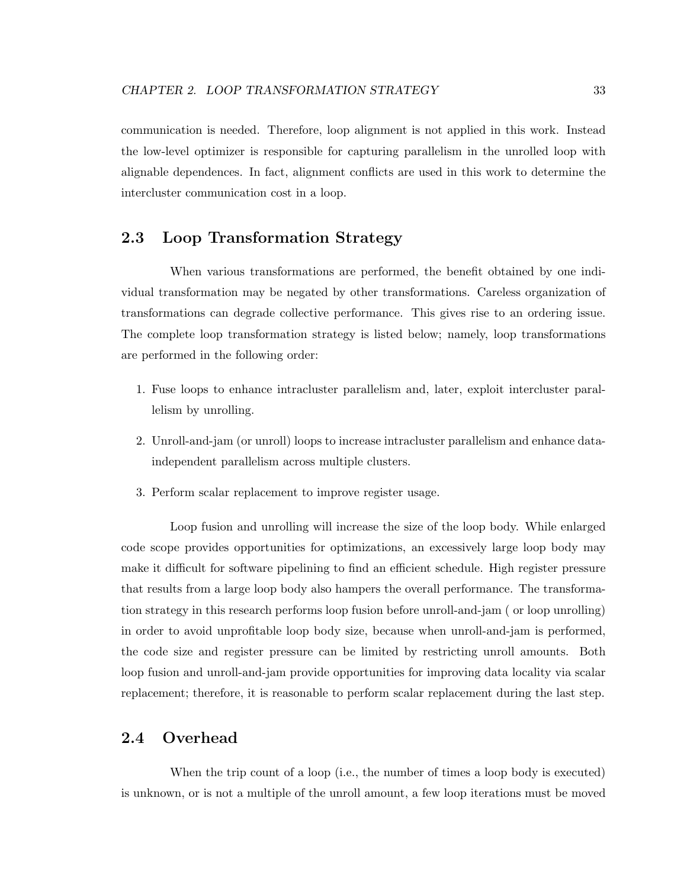communication is needed. Therefore, loop alignment is not applied in this work. Instead the low-level optimizer is responsible for capturing parallelism in the unrolled loop with alignable dependences. In fact, alignment conflicts are used in this work to determine the intercluster communication cost in a loop.

#### 2.3 Loop Transformation Strategy

When various transformations are performed, the benefit obtained by one individual transformation may be negated by other transformations. Careless organization of transformations can degrade collective performance. This gives rise to an ordering issue. The complete loop transformation strategy is listed below; namely, loop transformations are performed in the following order:

- 1. Fuse loops to enhance intracluster parallelism and, later, exploit intercluster parallelism by unrolling.
- 2. Unroll-and-jam (or unroll) loops to increase intracluster parallelism and enhance dataindependent parallelism across multiple clusters.
- 3. Perform scalar replacement to improve register usage.

Loop fusion and unrolling will increase the size of the loop body. While enlarged code scope provides opportunities for optimizations, an excessively large loop body may make it difficult for software pipelining to find an efficient schedule. High register pressure that results from a large loop body also hampers the overall performance. The transformation strategy in this research performs loop fusion before unroll-and-jam ( or loop unrolling) in order to avoid unprofitable loop body size, because when unroll-and-jam is performed, the code size and register pressure can be limited by restricting unroll amounts. Both loop fusion and unroll-and-jam provide opportunities for improving data locality via scalar replacement; therefore, it is reasonable to perform scalar replacement during the last step.

### 2.4 Overhead

When the trip count of a loop (i.e., the number of times a loop body is executed) is unknown, or is not a multiple of the unroll amount, a few loop iterations must be moved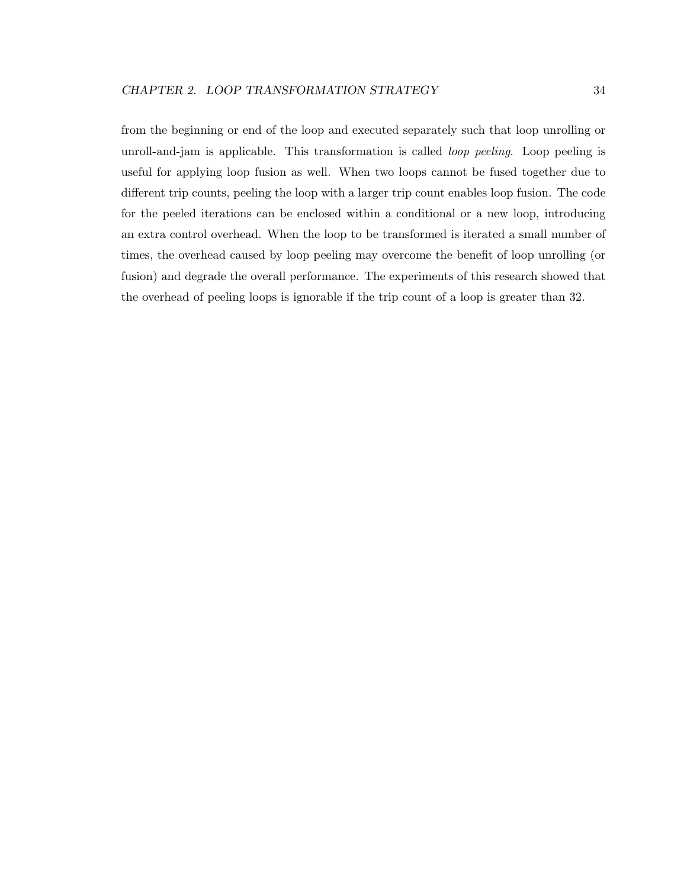from the beginning or end of the loop and executed separately such that loop unrolling or unroll-and-jam is applicable. This transformation is called loop peeling. Loop peeling is useful for applying loop fusion as well. When two loops cannot be fused together due to different trip counts, peeling the loop with a larger trip count enables loop fusion. The code for the peeled iterations can be enclosed within a conditional or a new loop, introducing an extra control overhead. When the loop to be transformed is iterated a small number of times, the overhead caused by loop peeling may overcome the benefit of loop unrolling (or fusion) and degrade the overall performance. The experiments of this research showed that the overhead of peeling loops is ignorable if the trip count of a loop is greater than 32.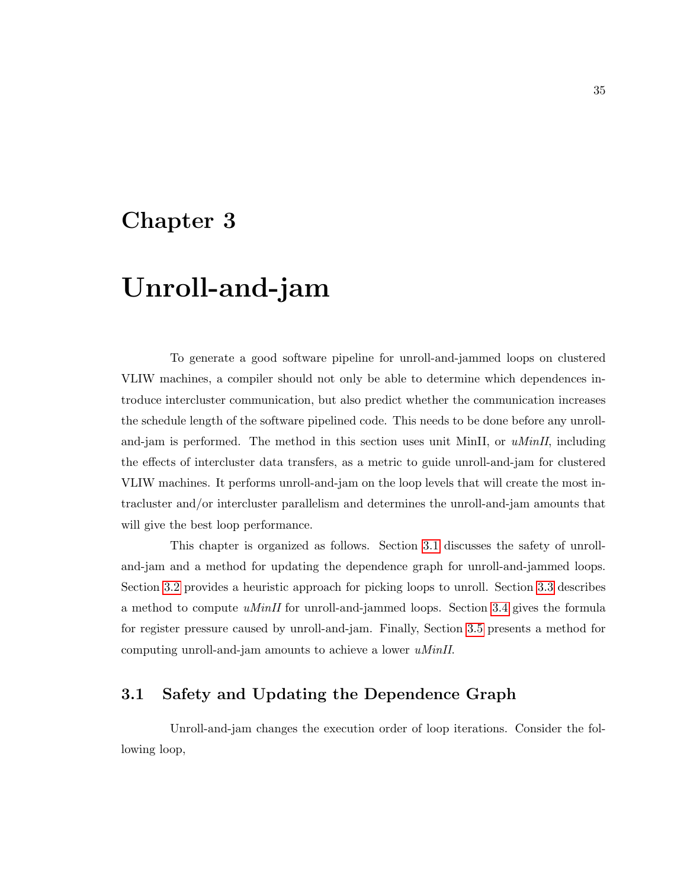## Chapter 3

# Unroll-and-jam

To generate a good software pipeline for unroll-and-jammed loops on clustered VLIW machines, a compiler should not only be able to determine which dependences introduce intercluster communication, but also predict whether the communication increases the schedule length of the software pipelined code. This needs to be done before any unrolland-jam is performed. The method in this section uses unit MinII, or  $uMinII$ , including the effects of intercluster data transfers, as a metric to guide unroll-and-jam for clustered VLIW machines. It performs unroll-and-jam on the loop levels that will create the most intracluster and/or intercluster parallelism and determines the unroll-and-jam amounts that will give the best loop performance.

This chapter is organized as follows. Section [3.1](#page-45-0) discusses the safety of unrolland-jam and a method for updating the dependence graph for unroll-and-jammed loops. Section [3.2](#page-48-0) provides a heuristic approach for picking loops to unroll. Section [3.3](#page-49-0) describes a method to compute  $uMinII$  for unroll-and-jammed loops. Section [3.4](#page-60-0) gives the formula for register pressure caused by unroll-and-jam. Finally, Section [3.5](#page-62-0) presents a method for computing unroll-and-jam amounts to achieve a lower uMinII.

## <span id="page-45-0"></span>3.1 Safety and Updating the Dependence Graph

Unroll-and-jam changes the execution order of loop iterations. Consider the following loop,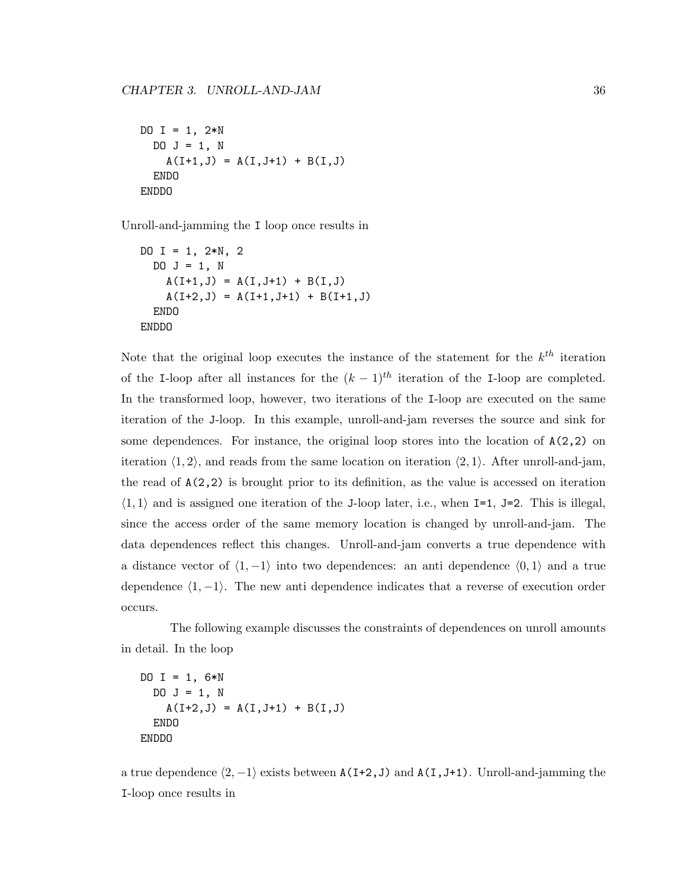```
DO I = 1, 2*NDO J = 1, N
    A(I+1,J) = A(I,J+1) + B(I,J)ENDO
ENDDO
```
Unroll-and-jamming the I loop once results in

```
DO I = 1, 2*N, 2
 DO J = 1, N
    A(I+1, J) = A(I, J+1) + B(I, J)A(I+2, J) = A(I+1, J+1) + B(I+1, J)ENDO
ENDDO
```
Note that the original loop executes the instance of the statement for the  $k^{th}$  iteration of the I-loop after all instances for the  $(k-1)^{th}$  iteration of the I-loop are completed. In the transformed loop, however, two iterations of the I-loop are executed on the same iteration of the J-loop. In this example, unroll-and-jam reverses the source and sink for some dependences. For instance, the original loop stores into the location of  $A(2,2)$  on iteration  $\langle 1, 2 \rangle$ , and reads from the same location on iteration  $\langle 2, 1 \rangle$ . After unroll-and-jam, the read of  $A(2,2)$  is brought prior to its definition, as the value is accessed on iteration  $\langle 1, 1 \rangle$  and is assigned one iteration of the J-loop later, i.e., when I=1, J=2. This is illegal, since the access order of the same memory location is changed by unroll-and-jam. The data dependences reflect this changes. Unroll-and-jam converts a true dependence with a distance vector of  $\langle 1, -1 \rangle$  into two dependences: an anti dependence  $\langle 0, 1 \rangle$  and a true dependence  $\langle 1, -1 \rangle$ . The new anti dependence indicates that a reverse of execution order occurs.

The following example discusses the constraints of dependences on unroll amounts in detail. In the loop

```
DO I = 1, 6*NDO J = 1, N
    A(I+2,J) = A(I,J+1) + B(I,J)ENDO
ENDDO
```
a true dependence  $\langle 2, -1 \rangle$  exists between A(I+2, J) and A(I,J+1). Unroll-and-jamming the I-loop once results in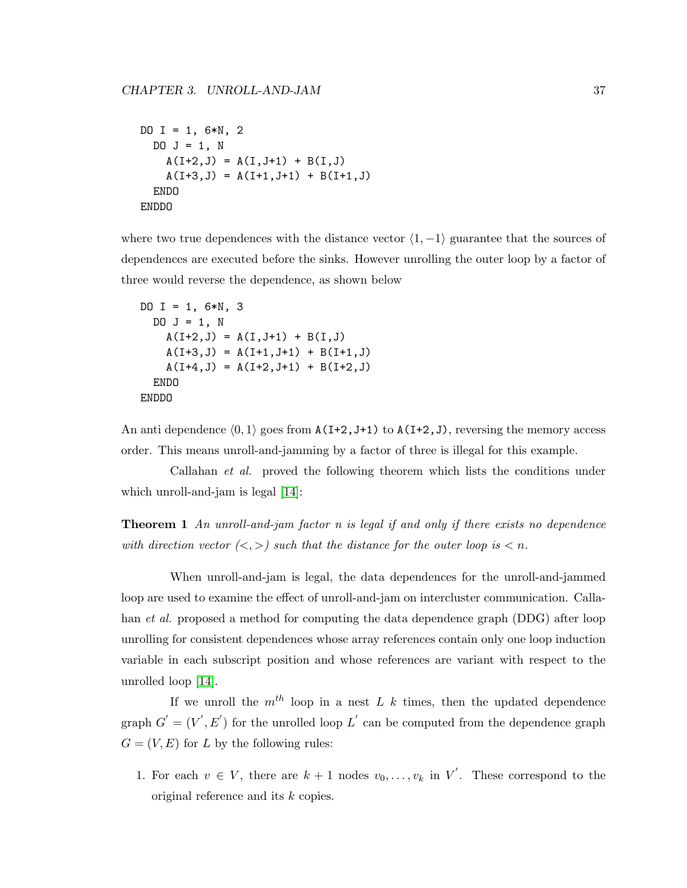```
DO I = 1, 6*N, 2
 DO J = 1, N
    A(I+2, J) = A(I, J+1) + B(I, J)A(I+3, J) = A(I+1, J+1) + B(I+1, J)ENDO
ENDDO
```
where two true dependences with the distance vector  $\langle 1, -1 \rangle$  guarantee that the sources of dependences are executed before the sinks. However unrolling the outer loop by a factor of three would reverse the dependence, as shown below

```
DO I = 1, 6*N, 3
 DO J = 1, N
    A(I+2,J) = A(I,J+1) + B(I,J)A(I+3,J) = A(I+1,J+1) + B(I+1,J)A(I+4, J) = A(I+2, J+1) + B(I+2, J)ENDO
ENDDO
```
An anti dependence  $(0, 1)$  goes from A(I+2,J+1) to A(I+2,J), reversing the memory access order. This means unroll-and-jamming by a factor of three is illegal for this example.

Callahan et al. proved the following theorem which lists the conditions under which unroll-and-jam is legal  $[14]$ :

**Theorem 1** An unroll-and-jam factor  $n$  is legal if and only if there exists no dependence with direction vector  $\langle \langle , \rangle \rangle$  such that the distance for the outer loop is  $\langle n \rangle$ .

When unroll-and-jam is legal, the data dependences for the unroll-and-jammed loop are used to examine the effect of unroll-and-jam on intercluster communication. Callahan et al. proposed a method for computing the data dependence graph (DDG) after loop unrolling for consistent dependences whose array references contain only one loop induction variable in each subscript position and whose references are variant with respect to the unrolled loop [\[14\]](#page-112-0).

If we unroll the  $m^{th}$  loop in a nest L k times, then the updated dependence graph  $G' = (V', E')$  for the unrolled loop  $L'$  can be computed from the dependence graph  $G = (V, E)$  for L by the following rules:

1. For each  $v \in V$ , there are  $k+1$  nodes  $v_0, \ldots, v_k$  in  $V'$ . These correspond to the original reference and its k copies.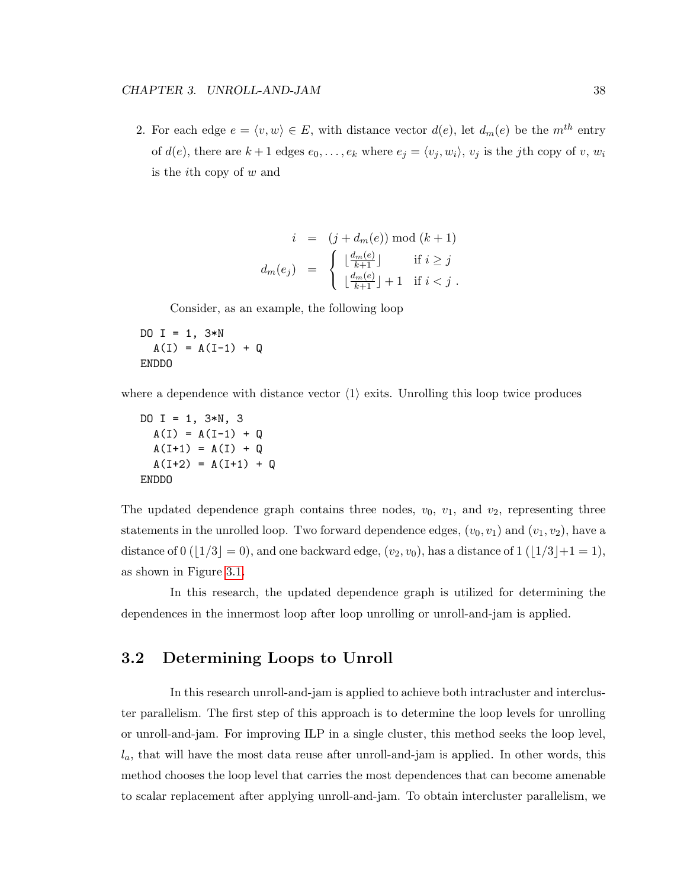2. For each edge  $e = \langle v, w \rangle \in E$ , with distance vector  $d(e)$ , let  $d_m(e)$  be the  $m^{th}$  entry of  $d(e)$ , there are  $k+1$  edges  $e_0, \ldots, e_k$  where  $e_j = \langle v_j, w_i \rangle$ ,  $v_j$  is the jth copy of v,  $w_i$ is the *i*<sup>th</sup> copy of  $w$  and

$$
i = (j + d_m(e)) \mod (k+1)
$$

$$
d_m(e_j) = \begin{cases} \lfloor \frac{d_m(e)}{k+1} \rfloor & \text{if } i \geq j \\ \lfloor \frac{d_m(e)}{k+1} \rfloor + 1 & \text{if } i < j \end{cases}.
$$

Consider, as an example, the following loop

DO  $I = 1$ ,  $3*N$  $A(I) = A(I-1) + Q$ ENDDO

where a dependence with distance vector  $\langle 1 \rangle$  exits. Unrolling this loop twice produces

DO  $I = 1, 3*N, 3$  $A(I) = A(I-1) + Q$  $A(I+1) = A(I) + Q$  $A(I+2) = A(I+1) + Q$ ENDDO

The updated dependence graph contains three nodes,  $v_0$ ,  $v_1$ , and  $v_2$ , representing three statements in the unrolled loop. Two forward dependence edges,  $(v_0, v_1)$  and  $(v_1, v_2)$ , have a distance of  $0$  ( $|1/3| = 0$ ), and one backward edge,  $(v_2, v_0)$ , has a distance of  $1$  ( $|1/3|+1=1$ ), as shown in Figure [3.1.](#page-49-1)

In this research, the updated dependence graph is utilized for determining the dependences in the innermost loop after loop unrolling or unroll-and-jam is applied.

#### <span id="page-48-0"></span>3.2 Determining Loops to Unroll

In this research unroll-and-jam is applied to achieve both intracluster and intercluster parallelism. The first step of this approach is to determine the loop levels for unrolling or unroll-and-jam. For improving ILP in a single cluster, this method seeks the loop level,  $l_a$ , that will have the most data reuse after unroll-and-jam is applied. In other words, this method chooses the loop level that carries the most dependences that can become amenable to scalar replacement after applying unroll-and-jam. To obtain intercluster parallelism, we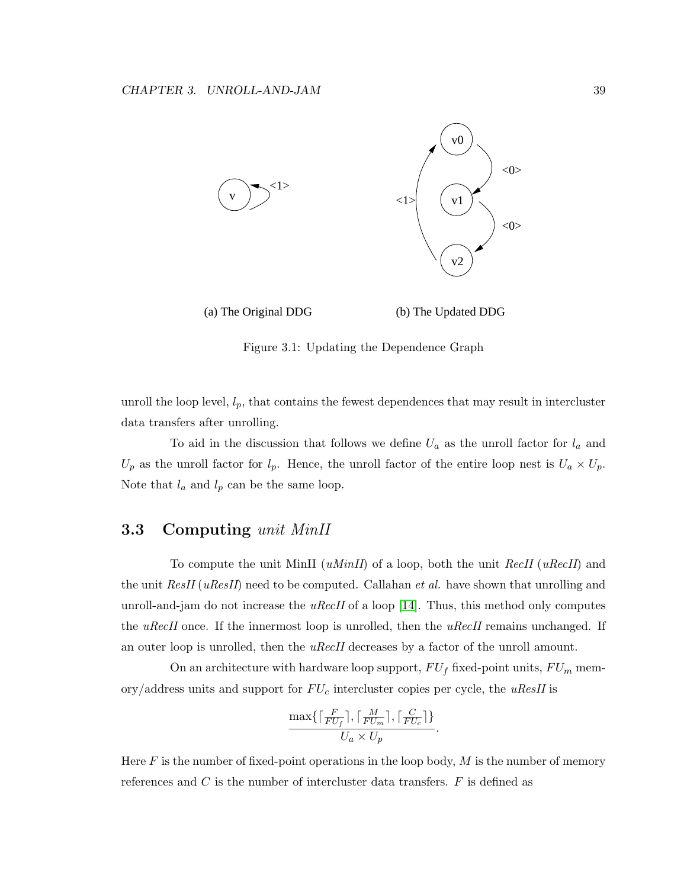

(a) The Original DDG (b) The Updated DDG

<span id="page-49-1"></span>Figure 3.1: Updating the Dependence Graph

unroll the loop level,  $l_p$ , that contains the fewest dependences that may result in intercluster data transfers after unrolling.

To aid in the discussion that follows we define  $U_a$  as the unroll factor for  $l_a$  and  $U_p$  as the unroll factor for  $l_p$ . Hence, the unroll factor of the entire loop nest is  $U_a \times U_p$ . Note that  $l_a$  and  $l_p$  can be the same loop.

## <span id="page-49-0"></span>3.3 Computing unit MinII

To compute the unit MinII ( $uMinII$ ) of a loop, both the unit RecII ( $uRecII$ ) and the unit  $ResII(uResII)$  need to be computed. Callahan *et al.* have shown that unrolling and unroll-and-jam do not increase the  $uRecII$  of a loop [\[14\]](#page-112-0). Thus, this method only computes the uRecII once. If the innermost loop is unrolled, then the uRecII remains unchanged. If an outer loop is unrolled, then the *uRecII* decreases by a factor of the unroll amount.

On an architecture with hardware loop support,  $FU_f$  fixed-point units,  $FU_m$  memory/address units and support for  $FU_c$  intercluster copies per cycle, the uResII is

$$
\frac{\max\{\lceil \frac{F}{FU_f}\rceil,\lceil \frac{M}{FU_m}\rceil,\lceil \frac{C}{FU_c}\rceil\}}{U_a \times U_p}.
$$

Here  $F$  is the number of fixed-point operations in the loop body,  $M$  is the number of memory references and  $C$  is the number of intercluster data transfers.  $F$  is defined as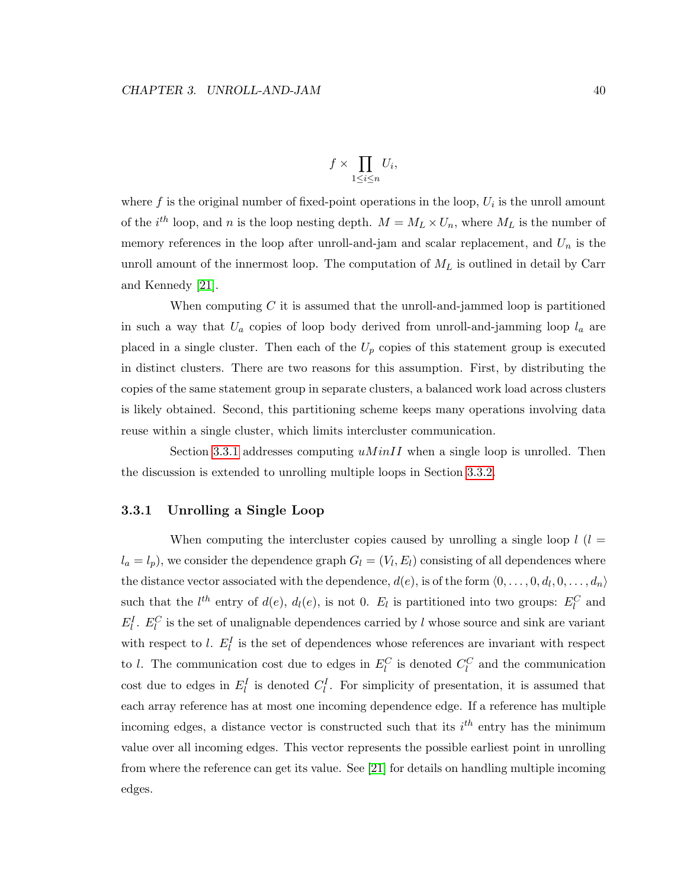$$
f \times \prod_{1 \le i \le n} U_i
$$

where  $f$  is the original number of fixed-point operations in the loop,  $U_i$  is the unroll amount of the  $i^{th}$  loop, and n is the loop nesting depth.  $M = M_L \times U_n$ , where  $M_L$  is the number of memory references in the loop after unroll-and-jam and scalar replacement, and  $U_n$  is the unroll amount of the innermost loop. The computation of  $M_L$  is outlined in detail by Carr and Kennedy [\[21\]](#page-113-0).

When computing  $C$  it is assumed that the unroll-and-jammed loop is partitioned in such a way that  $U_a$  copies of loop body derived from unroll-and-jamming loop  $l_a$  are placed in a single cluster. Then each of the  $U_p$  copies of this statement group is executed in distinct clusters. There are two reasons for this assumption. First, by distributing the copies of the same statement group in separate clusters, a balanced work load across clusters is likely obtained. Second, this partitioning scheme keeps many operations involving data reuse within a single cluster, which limits intercluster communication.

Section [3.3.1](#page-50-0) addresses computing  $uMinII$  when a single loop is unrolled. Then the discussion is extended to unrolling multiple loops in Section [3.3.2.](#page-56-0)

#### <span id="page-50-0"></span>3.3.1 Unrolling a Single Loop

When computing the intercluster copies caused by unrolling a single loop  $l$  ( $l =$  $l_a = l_p$ ), we consider the dependence graph  $G_l = (V_l, E_l)$  consisting of all dependences where the distance vector associated with the dependence,  $d(e)$ , is of the form  $\langle 0, \ldots, 0, d_l, 0, \ldots, d_n \rangle$ such that the  $l^{th}$  entry of  $d(e)$ ,  $d_l(e)$ , is not 0.  $E_l$  is partitioned into two groups:  $E_l^C$  and  $E_l^I$ .  $E_l^C$  is the set of unalignable dependences carried by l whose source and sink are variant with respect to l.  $E_l^I$  is the set of dependences whose references are invariant with respect to l. The communication cost due to edges in  $E_l^C$  is denoted  $C_l^C$  and the communication cost due to edges in  $E_l^I$  is denoted  $C_l^I$ . For simplicity of presentation, it is assumed that each array reference has at most one incoming dependence edge. If a reference has multiple incoming edges, a distance vector is constructed such that its  $i^{th}$  entry has the minimum value over all incoming edges. This vector represents the possible earliest point in unrolling from where the reference can get its value. See [\[21\]](#page-113-0) for details on handling multiple incoming edges.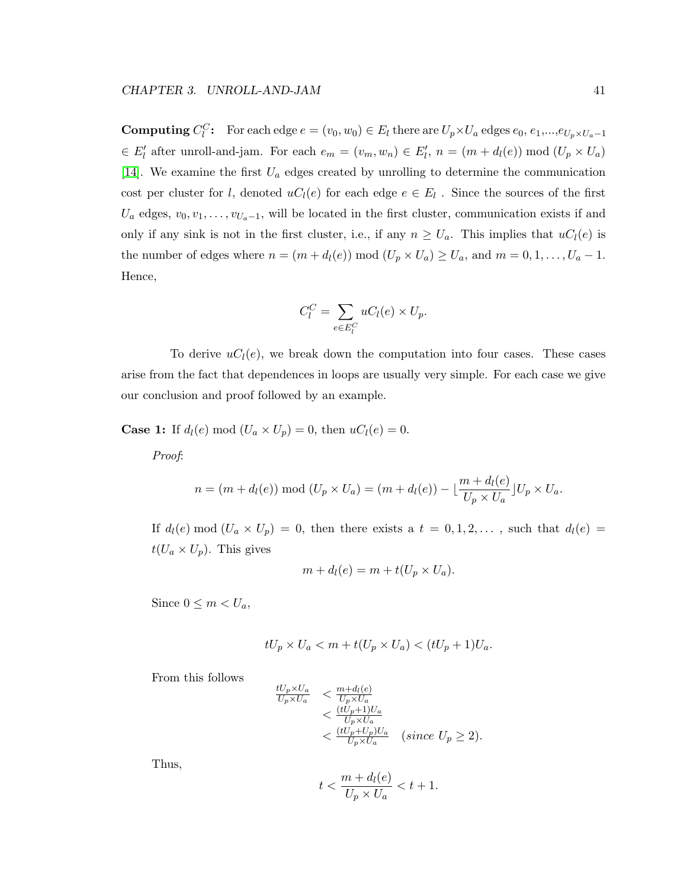**Computing**  $C_l^C$ : For each edge  $e = (v_0, w_0) \in E_l$  there are  $U_p \times U_a$  edges  $e_0, e_1, ..., e_{U_p} \times U_a - 1$  $\in E'_{l}$  after unroll-and-jam. For each  $e_{m} = (v_{m}, w_{n}) \in E'_{l}$ ,  $n = (m + d_{l}(e)) \mod (U_{p} \times U_{a})$ [\[14\]](#page-112-0). We examine the first  $U_a$  edges created by unrolling to determine the communication cost per cluster for l, denoted  $uC_l(e)$  for each edge  $e \in E_l$ . Since the sources of the first  $U_a$  edges,  $v_0, v_1, \ldots, v_{U_a-1}$ , will be located in the first cluster, communication exists if and only if any sink is not in the first cluster, i.e., if any  $n \ge U_a$ . This implies that  $uC_l(e)$  is the number of edges where  $n = (m + d_l(e)) \mod (U_p \times U_a) \ge U_a$ , and  $m = 0, 1, \ldots, U_a - 1$ . Hence,

$$
C_l^C = \sum_{e \in E_l^C} uC_l(e) \times U_p.
$$

To derive  $uC<sub>l</sub>(e)$ , we break down the computation into four cases. These cases arise from the fact that dependences in loops are usually very simple. For each case we give our conclusion and proof followed by an example.

**Case 1:** If  $d_l(e) \mod (U_a \times U_p) = 0$ , then  $uC_l(e) = 0$ .

Proof:

$$
n = (m + d_l(e)) \bmod (U_p \times U_a) = (m + d_l(e)) - \lfloor \frac{m + d_l(e)}{U_p \times U_a} \rfloor U_p \times U_a.
$$

If  $d_l(e) \mod (U_a \times U_p) = 0$ , then there exists a  $t = 0, 1, 2, \ldots$ , such that  $d_l(e) =$  $t(U_a \times U_p)$ . This gives

$$
m + d_l(e) = m + t(U_p \times U_a).
$$

Since  $0 \leq m < U_a$ ,

$$
tU_p \times U_a < m + t(U_p \times U_a) < (tU_p + 1)U_a.
$$

From this follows

$$
\frac{tU_p \times U_a}{U_p \times U_a} < \frac{m + d_l(e)}{U_p \times U_a} \n< \frac{(tU_p + 1)U_a}{U_p \times U_a} \n< \frac{(tU_p + U_p)U_a}{U_p \times U_a} \quad \text{(since } U_p \ge 2\text{)}.
$$

Thus,

$$
t < \frac{m + d_l(e)}{U_p \times U_a} < t + 1.
$$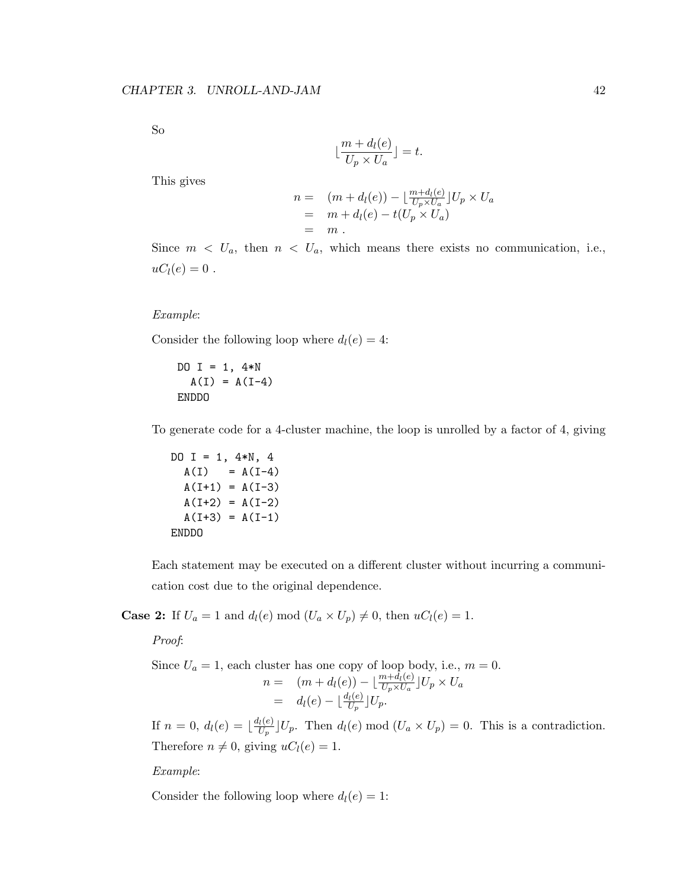So

$$
\lfloor \frac{m + d_l(e)}{U_p \times U_a} \rfloor = t.
$$

This gives

$$
n = (m + d_l(e)) - \lfloor \frac{m + d_l(e)}{U_p \times U_a} \rfloor U_p \times U_a
$$
  
=  $m + d_l(e) - t(U_p \times U_a)$   
=  $m$ .

Since  $m < U_a$ , then  $n < U_a$ , which means there exists no communication, i.e.,  $uC_l(e) = 0$ .

Example:

Consider the following loop where  $d_l(e) = 4$ :

DO  $I = 1, 4*N$  $A(I) = A(I-4)$ ENDDO

To generate code for a 4-cluster machine, the loop is unrolled by a factor of 4, giving

DO I = 1,  $4*N$ , 4  $A(I) = A(I-4)$  $A(I+1) = A(I-3)$  $A(I+2) = A(I-2)$  $A(I+3) = A(I-1)$ ENDDO

Each statement may be executed on a different cluster without incurring a communication cost due to the original dependence.

**Case 2:** If  $U_a = 1$  and  $d_l(e) \mod (U_a \times U_p) \neq 0$ , then  $uC_l(e) = 1$ .

Proof:

Since  $U_a = 1$ , each cluster has one copy of loop body, i.e.,  $m = 0$ .  $n = (m + d_l(e)) - \lfloor \frac{m + d_l(e)}{U_p \times U_a} \rfloor U_p \times U_a$  $= d_l(e) - \lfloor \frac{d_l(e)}{U_p} \rfloor U_p.$ 

If  $n = 0, d_l(e) = \lfloor \frac{d_l(e)}{U_e} \rfloor$  $\frac{U(e)}{U_p}$   $\bigcup_{p}$ . Then  $d_l(e)$  mod  $(U_a \times U_p) = 0$ . This is a contradiction. Therefore  $n \neq 0$ , giving  $uC_l(e) = 1$ .

Example:

Consider the following loop where  $d_l(e) = 1$ :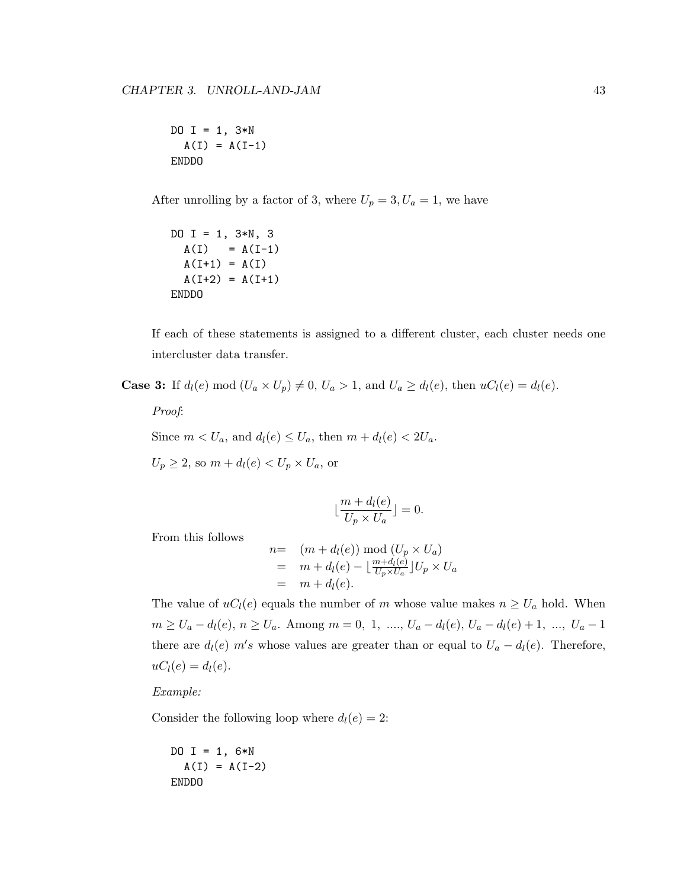DO  $I = 1, 3*N$  $A(I) = A(I-1)$ ENDDO

After unrolling by a factor of 3, where  $U_p = 3, U_a = 1$ , we have

DO I = 1,  $3*N$ , 3  $A(I) = A(I-1)$  $A(I+1) = A(I)$  $A(I+2) = A(I+1)$ ENDDO

If each of these statements is assigned to a different cluster, each cluster needs one intercluster data transfer.

**Case 3:** If  $d_l(e) \mod (U_a \times U_p) \neq 0$ ,  $U_a > 1$ , and  $U_a \geq d_l(e)$ , then  $uC_l(e) = d_l(e)$ .

Proof:

Since  $m < U_a$ , and  $d_l(e) \leq U_a$ , then  $m + d_l(e) < 2U_a$ .

 $U_p \geq 2$ , so  $m + d_l(e) < U_p \times U_a$ , or

$$
\lfloor \frac{m + d_l(e)}{U_p \times U_a} \rfloor = 0.
$$

From this follows

$$
n= (m + d_l(e)) \mod (U_p \times U_a)
$$
  
=  $m + d_l(e) - \lfloor \frac{m + d_l(e)}{U_p \times U_a} \rfloor U_p \times U_a$   
=  $m + d_l(e).$ 

The value of  $uC_l(e)$  equals the number of m whose value makes  $n \geq U_a$  hold. When  $m ≥ U_a - d_l(e), n ≥ U_a$ . Among  $m = 0, 1, ..., U_a - d_l(e), U_a - d_l(e) + 1, ..., U_a - 1$ there are  $d_l(e)$  m's whose values are greater than or equal to  $U_a - d_l(e)$ . Therefore,  $uC_l(e) = d_l(e)$ .

Example:

Consider the following loop where  $d_l(e) = 2$ :

$$
DO I = 1, 6*N
$$
  

$$
A(I) = A(I-2)
$$
  
ENDDO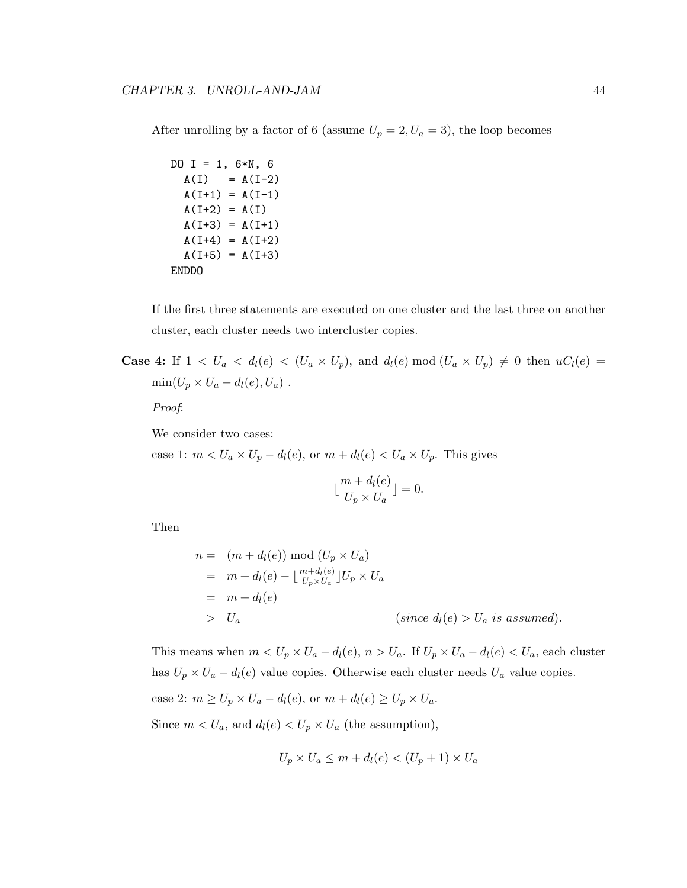After unrolling by a factor of 6 (assume  $U_p = 2, U_a = 3$ ), the loop becomes

```
DO I = 1, 6*N, 6
  A(I) = A(I-2)A(I+1) = A(I-1)A(I+2) = A(I)A(I+3) = A(I+1)A(I+4) = A(I+2)A(I+5) = A(I+3)ENDDO
```
If the first three statements are executed on one cluster and the last three on another cluster, each cluster needs two intercluster copies.

**Case 4:** If  $1 < U_a < d_l(e) < (U_a \times U_p)$ , and  $d_l(e) \mod (U_a \times U_p) \neq 0$  then  $uC_l(e)$  $\min(U_p \times U_a - d_l(e), U_a)$ .

Proof:

We consider two cases:

case 1:  $m < U_a \times U_p - d_l(e)$ , or  $m + d_l(e) < U_a \times U_p$ . This gives

$$
\lfloor \frac{m + d_l(e)}{U_p \times U_a} \rfloor = 0.
$$

Then

$$
n = (m + d_l(e)) \mod (U_p \times U_a)
$$
  
=  $m + d_l(e) - \lfloor \frac{m + d_l(e)}{U_p \times U_a} \rfloor U_p \times U_a$   
=  $m + d_l(e)$   
>  $U_a$  (since  $d_l(e) > U_a$  is assumed).

This means when  $m < U_p \times U_a - d_l(e)$ ,  $n > U_a$ . If  $U_p \times U_a - d_l(e) < U_a$ , each cluster has  $U_p \times U_a - d_l(e)$  value copies. Otherwise each cluster needs  $U_a$  value copies. case 2:  $m \ge U_p \times U_a - d_l(e)$ , or  $m + d_l(e) \ge U_p \times U_a$ .

Since  $m < U_a$ , and  $d_l(e) < U_p \times U_a$  (the assumption),

$$
U_p \times U_a \le m + d_l(e) < (U_p + 1) \times U_a
$$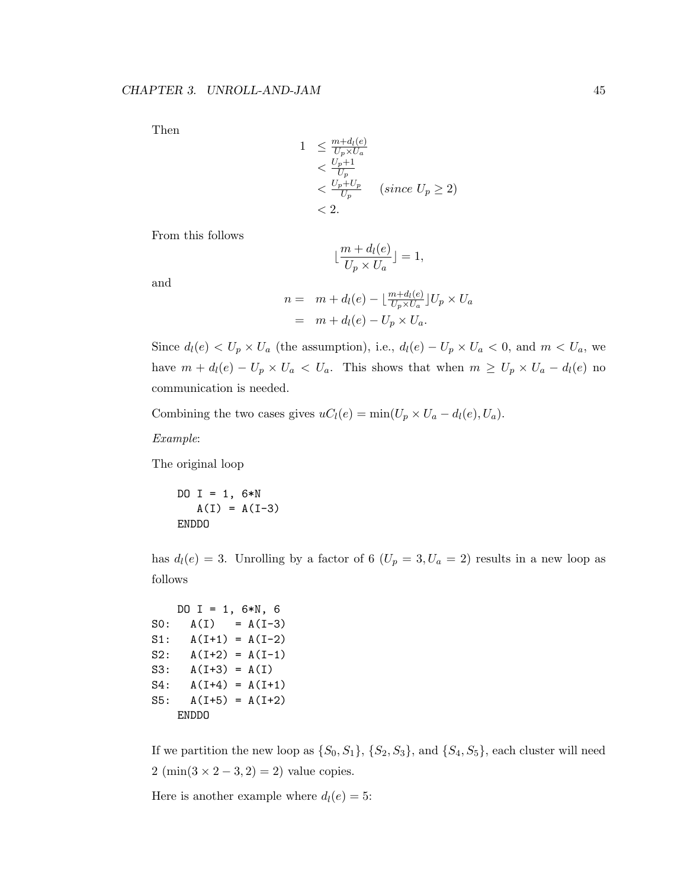Then

$$
1 \leq \frac{m + d_l(e)}{U_p \times U_a}
$$
  

$$
< \frac{U_p + 1}{U_p}
$$
  

$$
< \frac{U_p + U_p}{U_p} \quad (since U_p \geq 2)
$$
  

$$
< 2.
$$

From this follows

$$
\lfloor \frac{m + d_l(e)}{U_p \times U_a} \rfloor = 1,
$$

and

$$
n = m + d_l(e) - \lfloor \frac{m + d_l(e)}{U_p \times U_a} \rfloor U_p \times U_a
$$
  
=  $m + d_l(e) - U_p \times U_a$ .

Since  $d_l(e) < U_p \times U_a$  (the assumption), i.e.,  $d_l(e) - U_p \times U_a < 0$ , and  $m < U_a$ , we have  $m + d_l(e) - U_p \times U_a < U_a$ . This shows that when  $m \ge U_p \times U_a - d_l(e)$  no communication is needed.

Combining the two cases gives  $uC_l(e) = \min(U_p \times U_a - d_l(e), U_a)$ .

Example:

The original loop

DO I = 1,  $6*N$  $A(I) = A(I-3)$ ENDDO

has  $d_l(e) = 3$ . Unrolling by a factor of 6  $(U_p = 3, U_a = 2)$  results in a new loop as follows

```
DO I = 1, 6*N, 6
S0: A(I) = A(I-3)S1: A(I+1) = A(I-2)S2: A(I+2) = A(I-1)S3: A(I+3) = A(I)S4: A(I+4) = A(I+1)S5: A(I+5) = A(I+2)ENDDO
```
If we partition the new loop as  $\{S_0, S_1\}$ ,  $\{S_2, S_3\}$ , and  $\{S_4, S_5\}$ , each cluster will need  $2 \text{ (min}(3 \times 2 - 3, 2) = 2)$  value copies.

Here is another example where  $d_l(e) = 5$ :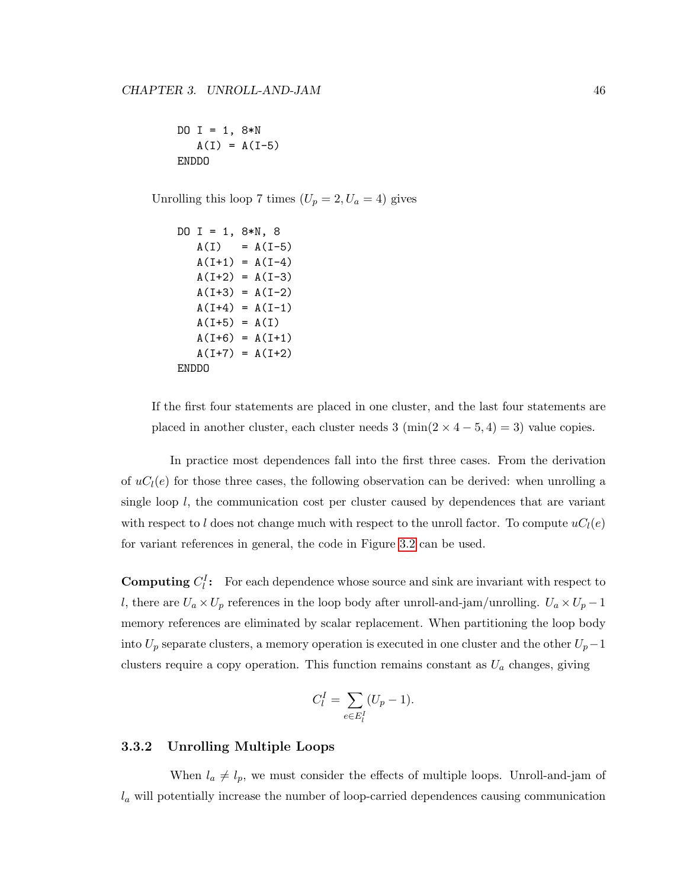DO I = 1,  $8*N$  $A(I) = A(I-5)$ ENDDO

Unrolling this loop 7 times  $(U_p = 2, U_a = 4)$  gives

```
DO I = 1, 8*N, 8
  A(I) = A(I-5)A(I+1) = A(I-4)A(I+2) = A(I-3)A(I+3) = A(I-2)A(I+4) = A(I-1)A(I+5) = A(I)A(I+6) = A(I+1)A(I+7) = A(I+2)ENDDO
```
If the first four statements are placed in one cluster, and the last four statements are placed in another cluster, each cluster needs 3 (min( $2 \times 4 - 5, 4$ ) = 3) value copies.

In practice most dependences fall into the first three cases. From the derivation of  $uC_l(e)$  for those three cases, the following observation can be derived: when unrolling a single loop l, the communication cost per cluster caused by dependences that are variant with respect to l does not change much with respect to the unroll factor. To compute  $uC<sub>l</sub>(e)$ for variant references in general, the code in Figure [3.2](#page-57-0) can be used.

**Computing**  $C_l^I$ : For each dependence whose source and sink are invariant with respect to l, there are  $U_a \times U_p$  references in the loop body after unroll-and-jam/unrolling.  $U_a \times U_p - 1$ memory references are eliminated by scalar replacement. When partitioning the loop body into  $U_p$  separate clusters, a memory operation is executed in one cluster and the other  $U_p-1$ clusters require a copy operation. This function remains constant as  $U_a$  changes, giving

$$
C_l^I = \sum_{e \in E_l^I} (U_p - 1).
$$

#### <span id="page-56-0"></span>3.3.2 Unrolling Multiple Loops

When  $l_a \neq l_p$ , we must consider the effects of multiple loops. Unroll-and-jam of  $l_a$  will potentially increase the number of loop-carried dependences causing communication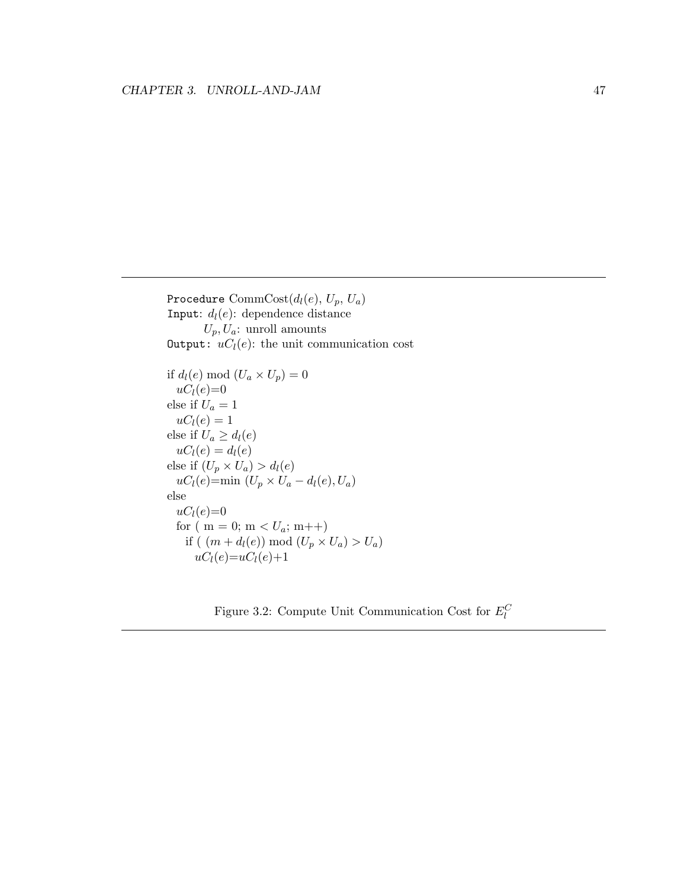Procedure Comm $Cost(d_l(e), U_p, U_a)$ Input:  $d_l(e)$ : dependence distance  $U_p, U_a$ : unroll amounts Output:  $uC_l(e)$ : the unit communication cost

if  $d_l(e) \mod (U_a \times U_p) = 0$  $uC_l(e)=0$ else if  $U_a = 1$  $uC_l(e) = 1$ else if  $U_a \geq d_l(e)$  $uC_l(e) = d_l(e)$ else if  $(U_p \times U_a) > d_l(e)$  $uC_l(e)$ =min  $(U_p \times U_a - d_l(e), U_a)$ else  $uc_l(e)=0$ for ( m = 0; m <  $U_a$ ; m++) if (  $(m + d_l(e)) \mod (U_p \times U_a) > U_a$ )  $uC_l(e)=uC_l(e)+1$ 

<span id="page-57-0"></span>Figure 3.2: Compute Unit Communication Cost for  $E_l^C$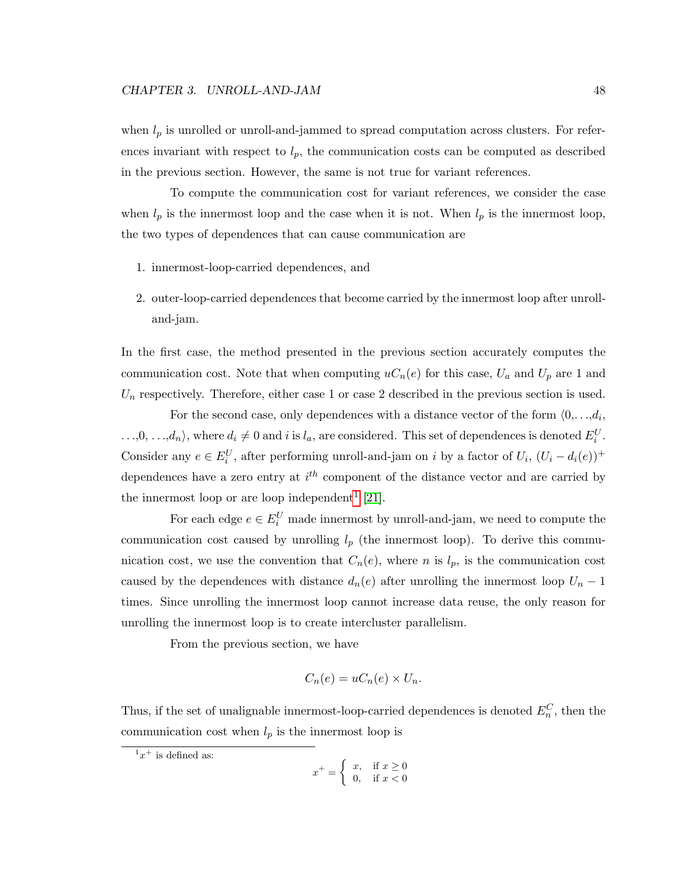when  $l_p$  is unrolled or unroll-and-jammed to spread computation across clusters. For references invariant with respect to  $l_p$ , the communication costs can be computed as described in the previous section. However, the same is not true for variant references.

To compute the communication cost for variant references, we consider the case when  $l_p$  is the innermost loop and the case when it is not. When  $l_p$  is the innermost loop, the two types of dependences that can cause communication are

- 1. innermost-loop-carried dependences, and
- 2. outer-loop-carried dependences that become carried by the innermost loop after unrolland-jam.

In the first case, the method presented in the previous section accurately computes the communication cost. Note that when computing  $uC_n(e)$  for this case,  $U_a$  and  $U_p$  are 1 and  $U_n$  respectively. Therefore, either case 1 or case 2 described in the previous section is used.

For the second case, only dependences with a distance vector of the form  $\langle 0, \ldots, d_i, \ldots \rangle$  $...,0,...,d_n$ , where  $d_i \neq 0$  and i is  $l_a$ , are considered. This set of dependences is denoted  $E_i^U$ . Consider any  $e \in E_i^U$ , after performing unroll-and-jam on i by a factor of  $U_i$ ,  $(U_i - d_i(e))^+$ dependences have a zero entry at  $i<sup>th</sup>$  component of the distance vector and are carried by the innermost loop or are loop independent<sup>[1](#page-58-0)</sup> [\[21\]](#page-113-0).

For each edge  $e \in E_i^U$  made innermost by unroll-and-jam, we need to compute the communication cost caused by unrolling  $l_p$  (the innermost loop). To derive this communication cost, we use the convention that  $C_n(e)$ , where n is  $l_p$ , is the communication cost caused by the dependences with distance  $d_n(e)$  after unrolling the innermost loop  $U_n - 1$ times. Since unrolling the innermost loop cannot increase data reuse, the only reason for unrolling the innermost loop is to create intercluster parallelism.

From the previous section, we have

$$
C_n(e) = uC_n(e) \times U_n.
$$

Thus, if the set of unalignable innermost-loop-carried dependences is denoted  $E_n^C$ , then the communication cost when  $l_p$  is the innermost loop is

$$
x^+ = \begin{cases} x, & \text{if } x \ge 0\\ 0, & \text{if } x < 0 \end{cases}
$$

<span id="page-58-0"></span> $x^+$  is defined as: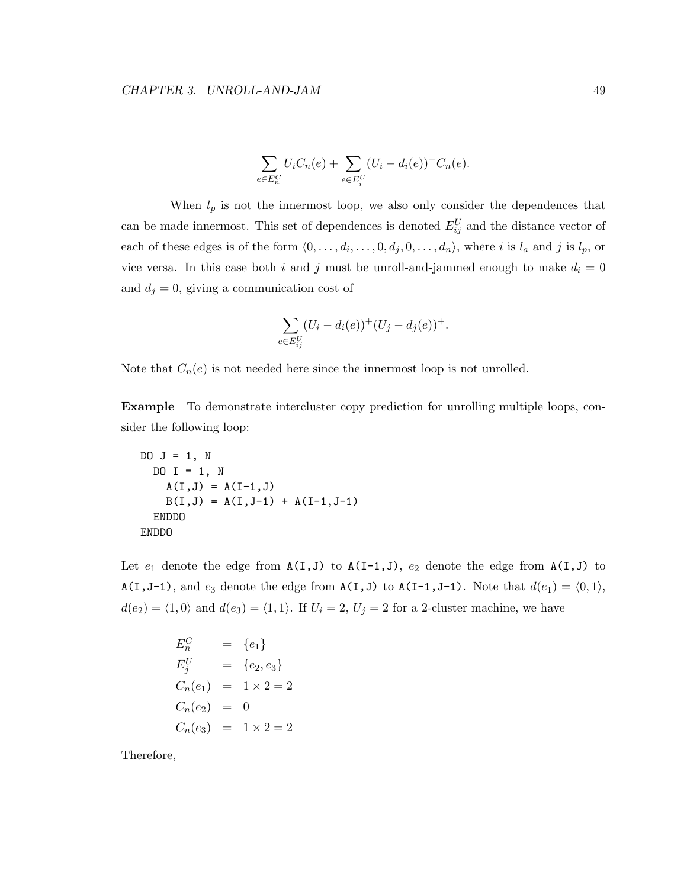$$
\sum_{e \in E_n^C} U_i C_n(e) + \sum_{e \in E_i^U} (U_i - d_i(e))^+ C_n(e).
$$

When  $l_p$  is not the innermost loop, we also only consider the dependences that can be made innermost. This set of dependences is denoted  $E_{ij}^U$  and the distance vector of each of these edges is of the form  $\langle 0, \ldots, d_i, \ldots, 0, d_j, 0, \ldots, d_n \rangle$ , where i is  $l_a$  and j is  $l_p$ , or vice versa. In this case both i and j must be unroll-and-jammed enough to make  $d_i = 0$ and  $d_j = 0$ , giving a communication cost of

$$
\sum_{e \in E_{ij}^U} (U_i - d_i(e))^+(U_j - d_j(e))^+.
$$

Note that  $C_n(e)$  is not needed here since the innermost loop is not unrolled.

Example To demonstrate intercluster copy prediction for unrolling multiple loops, consider the following loop:

```
DO J = 1, N
  DO I = 1, N
    A(I,J) = A(I-1,J)B(I,J) = A(I,J-1) + A(I-1,J-1)ENDDO
ENDDO
```
Let  $e_1$  denote the edge from  $A(I,J)$  to  $A(I-1,J)$ ,  $e_2$  denote the edge from  $A(I,J)$  to A(I, J-1), and  $e_3$  denote the edge from A(I, J) to A(I-1, J-1). Note that  $d(e_1) = \langle 0, 1 \rangle$ ,  $d(e_2) = \langle 1, 0 \rangle$  and  $d(e_3) = \langle 1, 1 \rangle$ . If  $U_i = 2, U_j = 2$  for a 2-cluster machine, we have

$$
E_n^C = \{e_1\}
$$
  
\n
$$
E_j^U = \{e_2, e_3\}
$$
  
\n
$$
C_n(e_1) = 1 \times 2 = 2
$$
  
\n
$$
C_n(e_2) = 0
$$
  
\n
$$
C_n(e_3) = 1 \times 2 = 2
$$

Therefore,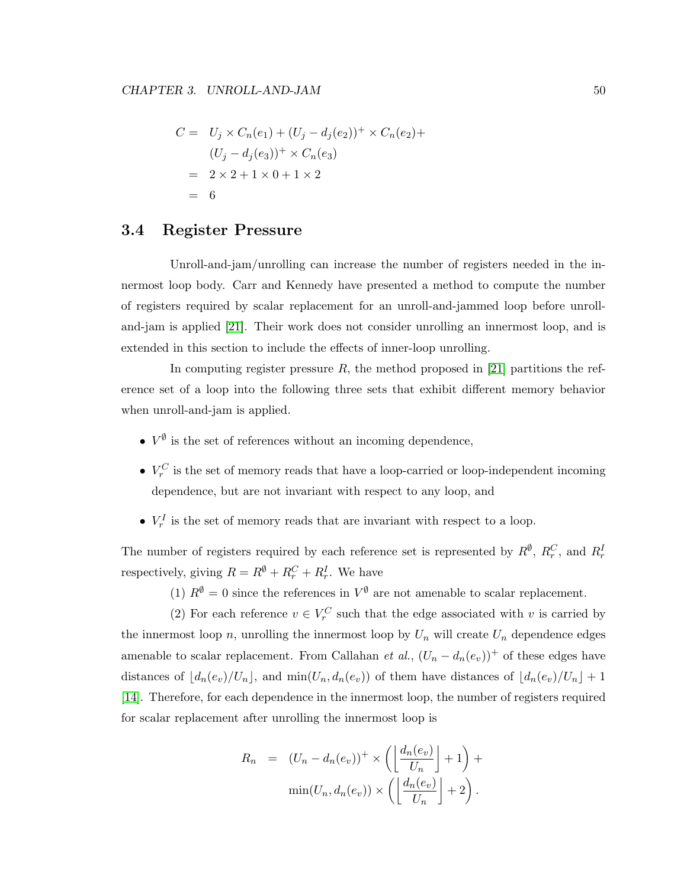$$
C = U_j \times C_n(e_1) + (U_j - d_j(e_2))^+ \times C_n(e_2) +
$$
  
\n
$$
(U_j - d_j(e_3))^+ \times C_n(e_3)
$$
  
\n
$$
= 2 \times 2 + 1 \times 0 + 1 \times 2
$$
  
\n
$$
= 6
$$

### <span id="page-60-0"></span>3.4 Register Pressure

Unroll-and-jam/unrolling can increase the number of registers needed in the innermost loop body. Carr and Kennedy have presented a method to compute the number of registers required by scalar replacement for an unroll-and-jammed loop before unrolland-jam is applied [\[21\]](#page-113-0). Their work does not consider unrolling an innermost loop, and is extended in this section to include the effects of inner-loop unrolling.

In computing register pressure  $R$ , the method proposed in [\[21\]](#page-113-0) partitions the reference set of a loop into the following three sets that exhibit different memory behavior when unroll-and-jam is applied.

- $V^{\emptyset}$  is the set of references without an incoming dependence,
- $V_r^C$  is the set of memory reads that have a loop-carried or loop-independent incoming dependence, but are not invariant with respect to any loop, and
- $V_r^I$  is the set of memory reads that are invariant with respect to a loop.

The number of registers required by each reference set is represented by  $R^{\emptyset}, R^C_r$ , and  $R^I_r$ respectively, giving  $R = R^{\emptyset} + R_r^C + R_r^I$ . We have

(1)  $R^{\emptyset} = 0$  since the references in  $V^{\emptyset}$  are not amenable to scalar replacement.

(2) For each reference  $v \in V_r^C$  such that the edge associated with v is carried by the innermost loop n, unrolling the innermost loop by  $U_n$  will create  $U_n$  dependence edges amenable to scalar replacement. From Callahan et al.,  $(U_n - d_n(e_v))^+$  of these edges have distances of  $\lfloor d_n(e_v)/U_n \rfloor$ , and  $\min(U_n, d_n(e_v))$  of them have distances of  $\lfloor d_n(e_v)/U_n \rfloor + 1$ [\[14\]](#page-112-0). Therefore, for each dependence in the innermost loop, the number of registers required for scalar replacement after unrolling the innermost loop is

$$
R_n = (U_n - d_n(e_v))^+ \times \left( \left\lfloor \frac{d_n(e_v)}{U_n} \right\rfloor + 1 \right) + \min(U_n, d_n(e_v)) \times \left( \left\lfloor \frac{d_n(e_v)}{U_n} \right\rfloor + 2 \right).
$$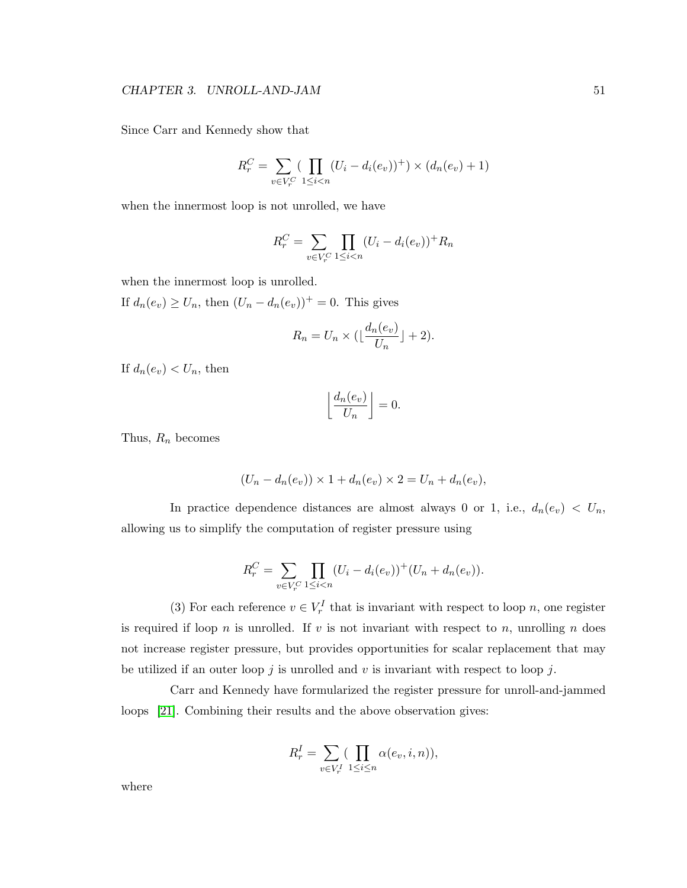Since Carr and Kennedy show that

$$
R_r^C = \sum_{v \in V_r^C} \left( \prod_{1 \le i < n} (U_i - d_i(e_v))^+ \right) \times (d_n(e_v) + 1)
$$

when the innermost loop is not unrolled, we have

$$
R_r^C = \sum_{v \in V_r^C} \prod_{1 \le i < n} (U_i - d_i(e_v))^+ R_n
$$

when the innermost loop is unrolled.

If  $d_n(e_v) \ge U_n$ , then  $(U_n - d_n(e_v))^+ = 0$ . This gives

$$
R_n = U_n \times \left(\lfloor \frac{d_n(e_v)}{U_n} \rfloor + 2\right).
$$

If  $d_n(e_v) < U_n$ , then

$$
\left\lfloor \frac{d_n(e_v)}{U_n} \right\rfloor = 0.
$$

Thus,  $R_n$  becomes

$$
(U_n - d_n(e_v)) \times 1 + d_n(e_v) \times 2 = U_n + d_n(e_v),
$$

In practice dependence distances are almost always 0 or 1, i.e.,  $d_n(e_v) < U_n$ , allowing us to simplify the computation of register pressure using

$$
R_r^C = \sum_{v \in V_r^C} \prod_{1 \le i < n} (U_i - d_i(e_v))^+(U_n + d_n(e_v)).
$$

(3) For each reference  $v \in V_r^I$  that is invariant with respect to loop n, one register is required if loop n is unrolled. If  $v$  is not invariant with respect to  $n$ , unrolling  $n$  does not increase register pressure, but provides opportunities for scalar replacement that may be utilized if an outer loop j is unrolled and v is invariant with respect to loop j.

Carr and Kennedy have formularized the register pressure for unroll-and-jammed loops [\[21\]](#page-113-0). Combining their results and the above observation gives:

$$
R_r^I = \sum_{v \in V_r^I} \left( \prod_{1 \le i \le n} \alpha(e_v, i, n) \right),
$$

where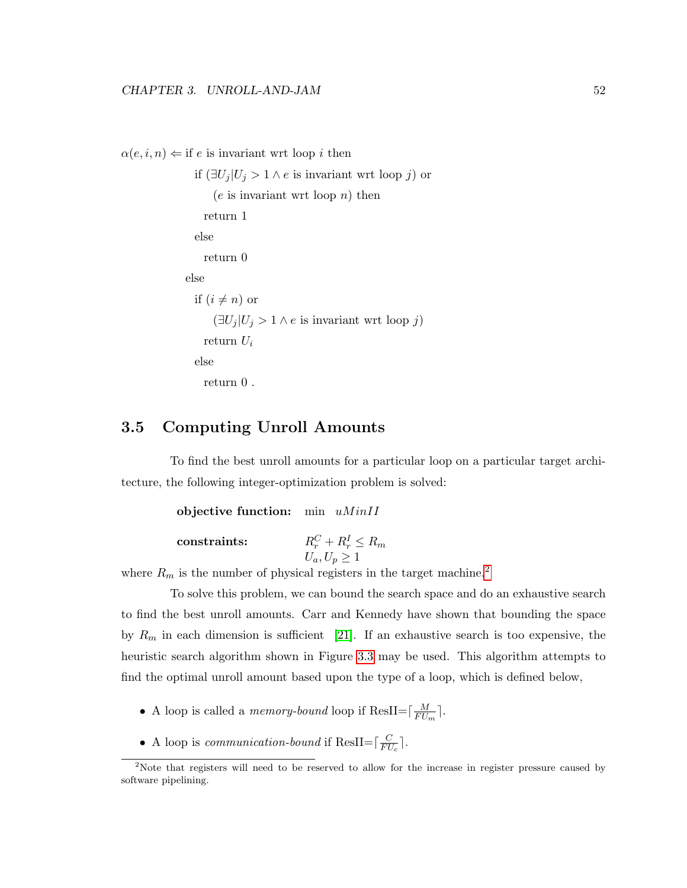```
\alpha(e, i, n) \leftarrow \text{if } e \text{ is invariant wrt loop } i \text{ then}
```

```
if (\exists U_j | U_j > 1 \land e is invariant wrt loop j) or
      (e is invariant wrt loop n) then
    return 1
 else
    return 0
else
 if (i \neq n) or
      (\exists U_j | U_j > 1 \land e is invariant wrt loop j)
    return U_ielse
    return 0 .
```
#### <span id="page-62-0"></span>3.5 Computing Unroll Amounts

To find the best unroll amounts for a particular loop on a particular target architecture, the following integer-optimization problem is solved:

```
objective function: min uMinIIconstraints:
                           r_r^C + R_r^I \leq R_mU_a, U_p \geq 1
```
where  $R_m$  is the number of physical registers in the target machine.<sup>[2](#page-62-1)</sup>

To solve this problem, we can bound the search space and do an exhaustive search to find the best unroll amounts. Carr and Kennedy have shown that bounding the space by  $R_m$  in each dimension is sufficient [\[21\]](#page-113-0). If an exhaustive search is too expensive, the heuristic search algorithm shown in Figure [3.3](#page-64-0) may be used. This algorithm attempts to find the optimal unroll amount based upon the type of a loop, which is defined below,

- A loop is called a *memory-bound* loop if ResII= $\frac{M}{F}$  $\frac{M}{FU_m}$  .
- A loop is *communication-bound* if ResII= $\frac{C}{FL}$  $\frac{C}{FU_c}$ .

<span id="page-62-1"></span><sup>&</sup>lt;sup>2</sup>Note that registers will need to be reserved to allow for the increase in register pressure caused by software pipelining.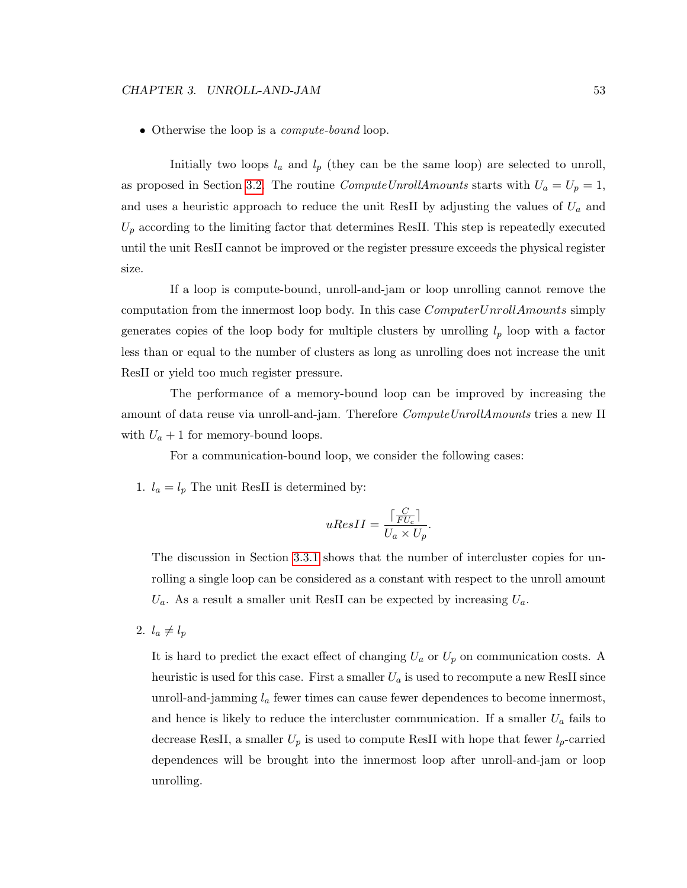• Otherwise the loop is a *compute-bound* loop.

Initially two loops  $l_a$  and  $l_p$  (they can be the same loop) are selected to unroll, as proposed in Section [3.2.](#page-48-0) The routine *ComputeUnrollAmounts* starts with  $U_a = U_p = 1$ , and uses a heuristic approach to reduce the unit ResII by adjusting the values of  $U_a$  and  $U_p$  according to the limiting factor that determines ResII. This step is repeatedly executed until the unit ResII cannot be improved or the register pressure exceeds the physical register size.

If a loop is compute-bound, unroll-and-jam or loop unrolling cannot remove the computation from the innermost loop body. In this case  $ComputerUnrollAmounts$  simply generates copies of the loop body for multiple clusters by unrolling  $l_p$  loop with a factor less than or equal to the number of clusters as long as unrolling does not increase the unit ResII or yield too much register pressure.

The performance of a memory-bound loop can be improved by increasing the amount of data reuse via unroll-and-jam. Therefore *ComputeUnrollAmounts* tries a new II with  $U_a + 1$  for memory-bound loops.

For a communication-bound loop, we consider the following cases:

1.  $l_a = l_p$  The unit ResII is determined by:

$$
uResII = \frac{\lceil \frac{C}{FU_c} \rceil}{U_a \times U_p}.
$$

The discussion in Section [3.3.1](#page-50-0) shows that the number of intercluster copies for unrolling a single loop can be considered as a constant with respect to the unroll amount  $U_a$ . As a result a smaller unit ResII can be expected by increasing  $U_a$ .

2.  $l_a \neq l_p$ 

It is hard to predict the exact effect of changing  $U_a$  or  $U_p$  on communication costs. A heuristic is used for this case. First a smaller  $U_a$  is used to recompute a new ResII since unroll-and-jamming  $l_a$  fewer times can cause fewer dependences to become innermost, and hence is likely to reduce the intercluster communication. If a smaller  $U_a$  fails to decrease ResII, a smaller  $U_p$  is used to compute ResII with hope that fewer  $l_p$ -carried dependences will be brought into the innermost loop after unroll-and-jam or loop unrolling.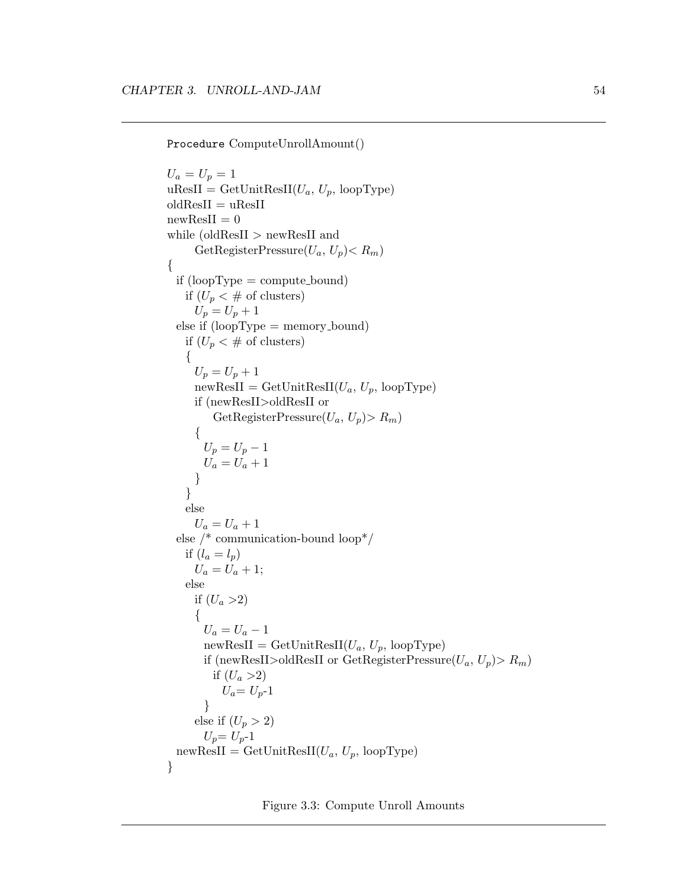Procedure ComputeUnrollAmount()

```
U_a = U_p = 1u\text{ResII} = \text{GetUnitResII}(U_a, U_p, \text{loopType})oldResII = uResIInewResII = 0while (oldResII > newResII and
     GetRegisterPressure(U_a, U_p) < R_m{
 if (loopType = compute\_bound)if (U_p < \# \text{ of clusters})U_p = U_p + 1else if (loopType = memory_bound)if (U_p < \# \text{ of clusters}){
     U_p = U_p + 1newResult = GetUnitResult(U_a, U_p, loopType)if (newResII>oldResII or
        GetRegisterPressure(U_a, U_p) > R_m{
       U_p = U_p - 1U_a = U_a + 1}
   }
   else
     U_a = U_a + 1else /* communication-bound loop*/
   if (l_a = l_p)U_a = U_a + 1;else
     if (U_a > 2)\{U_a = U_a - 1newResult = GetUnitResult(U_a, U_p, loopType)if (newResII>oldResII or GetRegisterPressure(U_a, U_p) > R_m)
        if (U_a > 2)U_a = U_{p-1}}
     else if (U_p > 2)U_p = U_p - 1newResult = GetUnitResult(U_a, U_p, loopType)}
```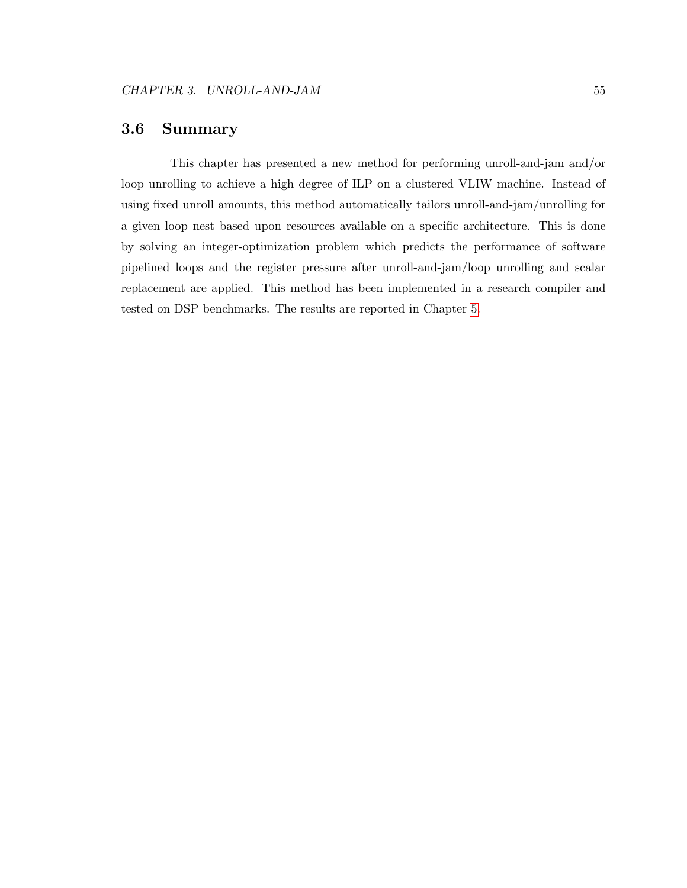#### 3.6 Summary

This chapter has presented a new method for performing unroll-and-jam and/or loop unrolling to achieve a high degree of ILP on a clustered VLIW machine. Instead of using fixed unroll amounts, this method automatically tailors unroll-and-jam/unrolling for a given loop nest based upon resources available on a specific architecture. This is done by solving an integer-optimization problem which predicts the performance of software pipelined loops and the register pressure after unroll-and-jam/loop unrolling and scalar replacement are applied. This method has been implemented in a research compiler and tested on DSP benchmarks. The results are reported in Chapter [5.](#page-72-0)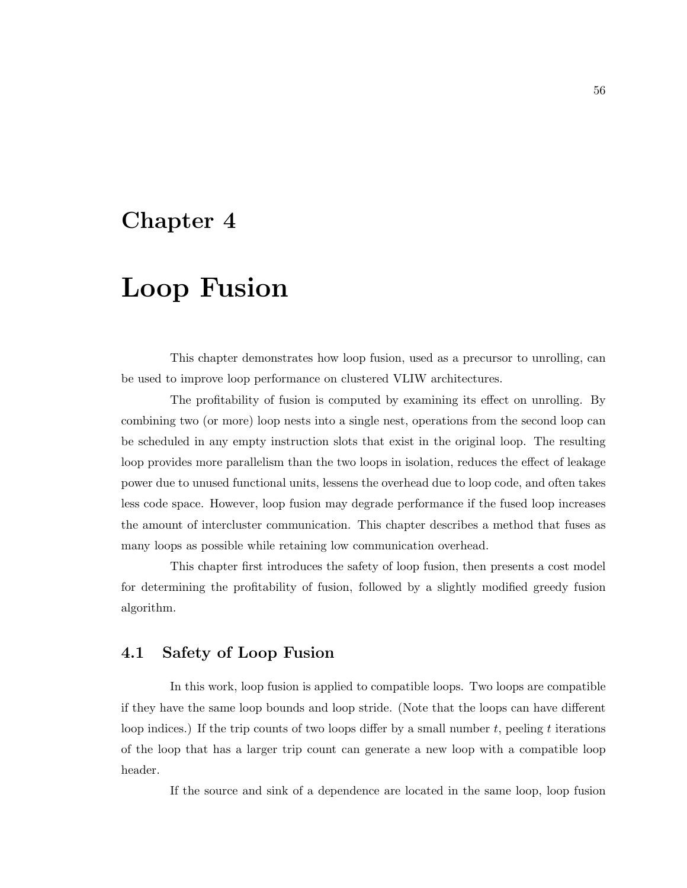## Chapter 4

# Loop Fusion

This chapter demonstrates how loop fusion, used as a precursor to unrolling, can be used to improve loop performance on clustered VLIW architectures.

The profitability of fusion is computed by examining its effect on unrolling. By combining two (or more) loop nests into a single nest, operations from the second loop can be scheduled in any empty instruction slots that exist in the original loop. The resulting loop provides more parallelism than the two loops in isolation, reduces the effect of leakage power due to unused functional units, lessens the overhead due to loop code, and often takes less code space. However, loop fusion may degrade performance if the fused loop increases the amount of intercluster communication. This chapter describes a method that fuses as many loops as possible while retaining low communication overhead.

This chapter first introduces the safety of loop fusion, then presents a cost model for determining the profitability of fusion, followed by a slightly modified greedy fusion algorithm.

#### 4.1 Safety of Loop Fusion

In this work, loop fusion is applied to compatible loops. Two loops are compatible if they have the same loop bounds and loop stride. (Note that the loops can have different loop indices.) If the trip counts of two loops differ by a small number  $t$ , peeling  $t$  iterations of the loop that has a larger trip count can generate a new loop with a compatible loop header.

If the source and sink of a dependence are located in the same loop, loop fusion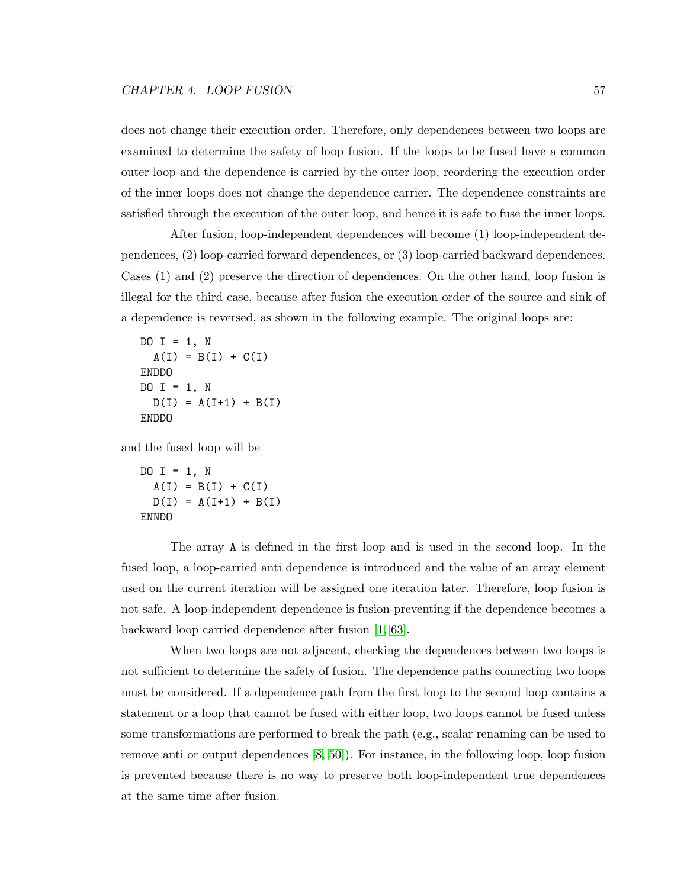does not change their execution order. Therefore, only dependences between two loops are examined to determine the safety of loop fusion. If the loops to be fused have a common outer loop and the dependence is carried by the outer loop, reordering the execution order of the inner loops does not change the dependence carrier. The dependence constraints are satisfied through the execution of the outer loop, and hence it is safe to fuse the inner loops.

After fusion, loop-independent dependences will become (1) loop-independent dependences, (2) loop-carried forward dependences, or (3) loop-carried backward dependences. Cases (1) and (2) preserve the direction of dependences. On the other hand, loop fusion is illegal for the third case, because after fusion the execution order of the source and sink of a dependence is reversed, as shown in the following example. The original loops are:

```
DO I = 1, N
  A(I) = B(I) + C(I)ENDDO
DO I = 1, N
  D(I) = A(I+1) + B(I)ENDDO
```
and the fused loop will be

```
DO I = 1, N
  A(I) = B(I) + C(I)D(I) = A(I+1) + B(I)ENNDO
```
The array A is defined in the first loop and is used in the second loop. In the fused loop, a loop-carried anti dependence is introduced and the value of an array element used on the current iteration will be assigned one iteration later. Therefore, loop fusion is not safe. A loop-independent dependence is fusion-preventing if the dependence becomes a backward loop carried dependence after fusion [\[1,](#page-111-0) [63\]](#page-117-0).

When two loops are not adjacent, checking the dependences between two loops is not sufficient to determine the safety of fusion. The dependence paths connecting two loops must be considered. If a dependence path from the first loop to the second loop contains a statement or a loop that cannot be fused with either loop, two loops cannot be fused unless some transformations are performed to break the path (e.g., scalar renaming can be used to remove anti or output dependences [\[8,](#page-111-1) [50\]](#page-116-0)). For instance, in the following loop, loop fusion is prevented because there is no way to preserve both loop-independent true dependences at the same time after fusion.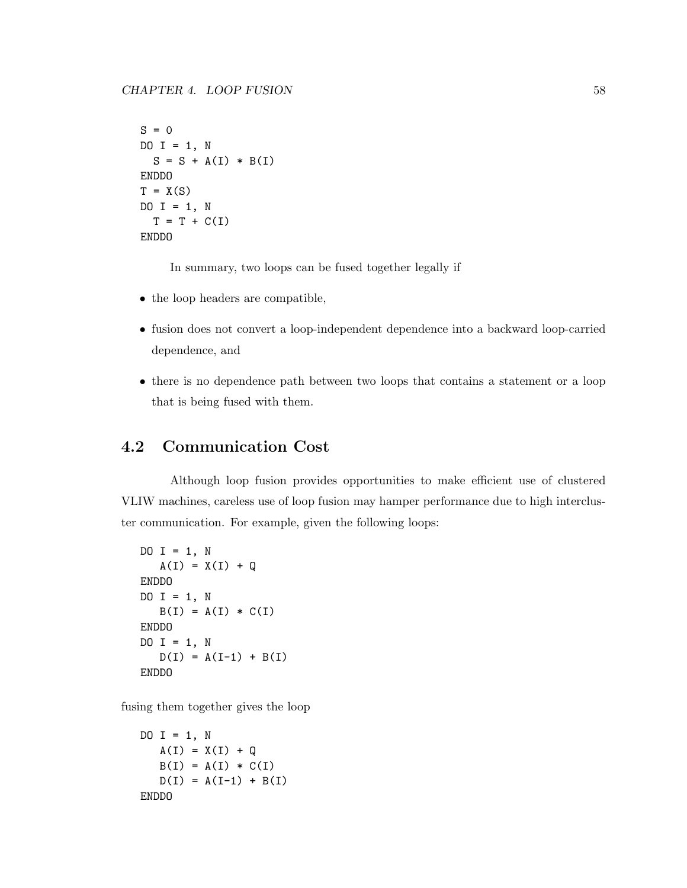```
S = 0DO I = 1, N
 S = S + A(I) * B(I)ENDDO
T = X(S)DO I = 1, N
 T = T + C(I)ENDDO
```
In summary, two loops can be fused together legally if

- the loop headers are compatible,
- fusion does not convert a loop-independent dependence into a backward loop-carried dependence, and
- there is no dependence path between two loops that contains a statement or a loop that is being fused with them.

### 4.2 Communication Cost

Although loop fusion provides opportunities to make efficient use of clustered VLIW machines, careless use of loop fusion may hamper performance due to high intercluster communication. For example, given the following loops:

```
DO I = 1, N
   A(I) = X(I) + QENDDO
DO I = 1, N
  B(I) = A(I) * C(I)ENDDO
DO I = 1, N
  D(I) = A(I-1) + B(I)ENDDO
```
fusing them together gives the loop

```
DO I = 1, N
  A(I) = X(I) + QB(I) = A(I) * C(I)D(I) = A(I-1) + B(I)ENDDO
```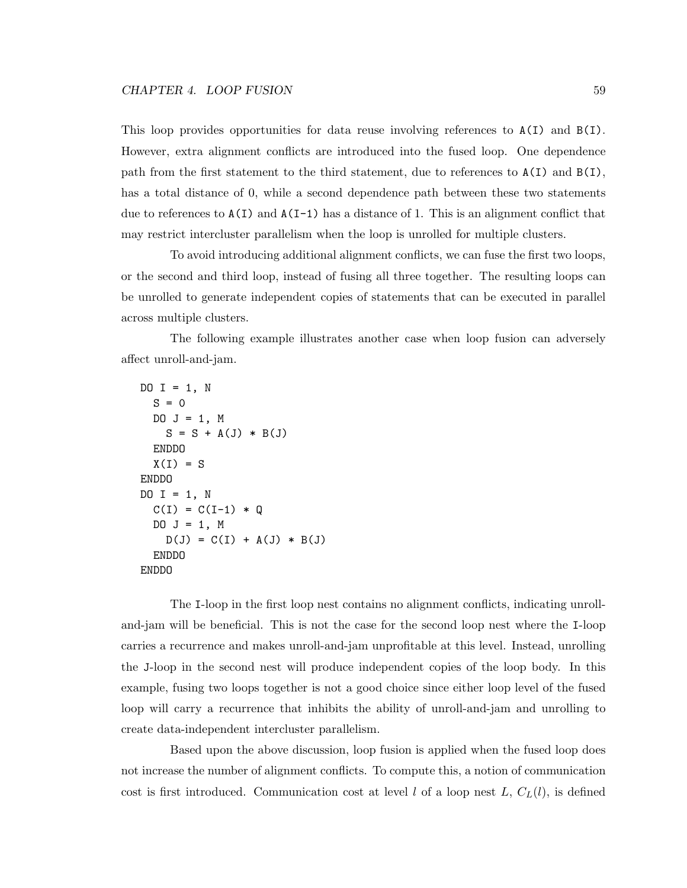This loop provides opportunities for data reuse involving references to  $A(I)$  and  $B(I)$ . However, extra alignment conflicts are introduced into the fused loop. One dependence path from the first statement to the third statement, due to references to A(I) and B(I), has a total distance of 0, while a second dependence path between these two statements due to references to  $A(I)$  and  $A(I-1)$  has a distance of 1. This is an alignment conflict that may restrict intercluster parallelism when the loop is unrolled for multiple clusters.

To avoid introducing additional alignment conflicts, we can fuse the first two loops, or the second and third loop, instead of fusing all three together. The resulting loops can be unrolled to generate independent copies of statements that can be executed in parallel across multiple clusters.

The following example illustrates another case when loop fusion can adversely affect unroll-and-jam.

```
DO I = 1, N
 S = 0DO J = 1, MS = S + A(J) * B(J)ENDDO
 X(I) = SENDDO
DO I = 1, N
 C(I) = C(I-1) * QDO J = 1, M
   D(J) = C(I) + A(J) * B(J)ENDDO
ENDDO
```
The I-loop in the first loop nest contains no alignment conflicts, indicating unrolland-jam will be beneficial. This is not the case for the second loop nest where the I-loop carries a recurrence and makes unroll-and-jam unprofitable at this level. Instead, unrolling the J-loop in the second nest will produce independent copies of the loop body. In this example, fusing two loops together is not a good choice since either loop level of the fused loop will carry a recurrence that inhibits the ability of unroll-and-jam and unrolling to create data-independent intercluster parallelism.

Based upon the above discussion, loop fusion is applied when the fused loop does not increase the number of alignment conflicts. To compute this, a notion of communication cost is first introduced. Communication cost at level l of a loop nest L,  $C<sub>L</sub>(l)$ , is defined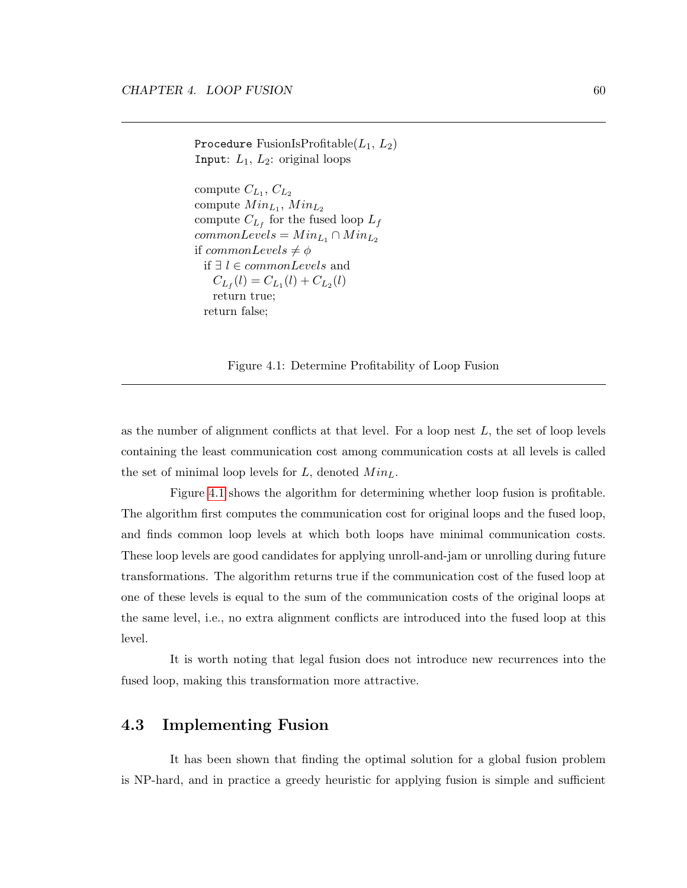```
Procedure FusionIsProfitable(L_1, L_2)Input: L_1, L_2: original loops
```
compute  $C_{L_1}, C_{L_2}$ compute  $Min_{L_1}$ ,  $Min_{L_2}$ compute  $C_{L_f}$  for the fused loop  $L_f$  $commonLevels = Min_{L_1} \cap Min_{L_2}$ if  $commonLevels \neq \phi$ if ∃  $l \in commonLevels$  and  $C_{L_f}(l) = C_{L_1}(l) + C_{L_2}(l)$ return true; return false;

<span id="page-70-0"></span>Figure 4.1: Determine Profitability of Loop Fusion

as the number of alignment conflicts at that level. For a loop nest  $L$ , the set of loop levels containing the least communication cost among communication costs at all levels is called the set of minimal loop levels for  $L$ , denoted  $Min<sub>L</sub>$ .

Figure [4.1](#page-70-0) shows the algorithm for determining whether loop fusion is profitable. The algorithm first computes the communication cost for original loops and the fused loop, and finds common loop levels at which both loops have minimal communication costs. These loop levels are good candidates for applying unroll-and-jam or unrolling during future transformations. The algorithm returns true if the communication cost of the fused loop at one of these levels is equal to the sum of the communication costs of the original loops at the same level, i.e., no extra alignment conflicts are introduced into the fused loop at this level.

It is worth noting that legal fusion does not introduce new recurrences into the fused loop, making this transformation more attractive.

#### 4.3 Implementing Fusion

It has been shown that finding the optimal solution for a global fusion problem is NP-hard, and in practice a greedy heuristic for applying fusion is simple and sufficient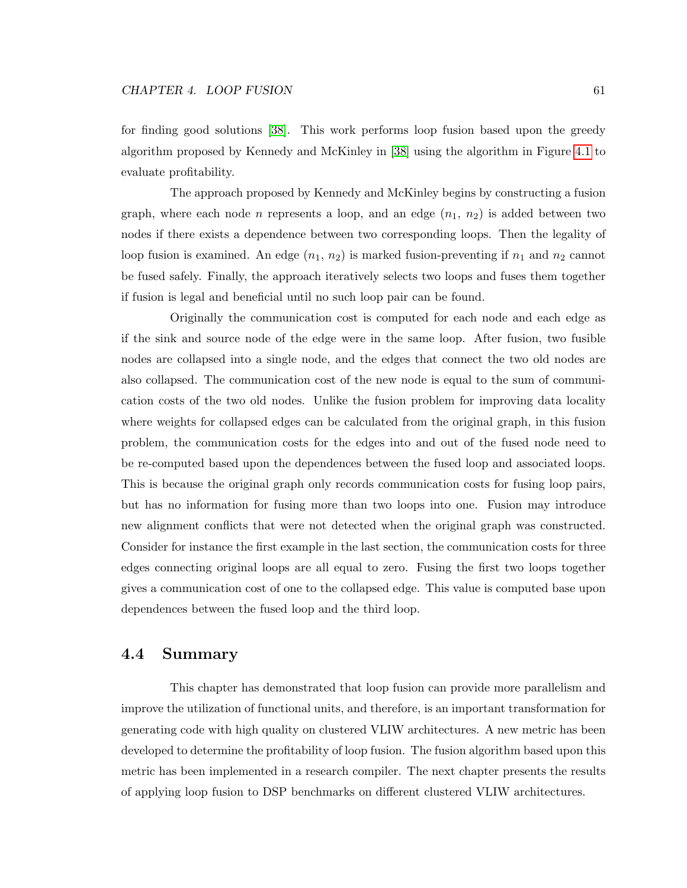for finding good solutions [\[38\]](#page-114-1). This work performs loop fusion based upon the greedy algorithm proposed by Kennedy and McKinley in [\[38\]](#page-114-1) using the algorithm in Figure [4.1](#page-70-0) to evaluate profitability.

The approach proposed by Kennedy and McKinley begins by constructing a fusion graph, where each node *n* represents a loop, and an edge  $(n_1, n_2)$  is added between two nodes if there exists a dependence between two corresponding loops. Then the legality of loop fusion is examined. An edge  $(n_1, n_2)$  is marked fusion-preventing if  $n_1$  and  $n_2$  cannot be fused safely. Finally, the approach iteratively selects two loops and fuses them together if fusion is legal and beneficial until no such loop pair can be found.

Originally the communication cost is computed for each node and each edge as if the sink and source node of the edge were in the same loop. After fusion, two fusible nodes are collapsed into a single node, and the edges that connect the two old nodes are also collapsed. The communication cost of the new node is equal to the sum of communication costs of the two old nodes. Unlike the fusion problem for improving data locality where weights for collapsed edges can be calculated from the original graph, in this fusion problem, the communication costs for the edges into and out of the fused node need to be re-computed based upon the dependences between the fused loop and associated loops. This is because the original graph only records communication costs for fusing loop pairs, but has no information for fusing more than two loops into one. Fusion may introduce new alignment conflicts that were not detected when the original graph was constructed. Consider for instance the first example in the last section, the communication costs for three edges connecting original loops are all equal to zero. Fusing the first two loops together gives a communication cost of one to the collapsed edge. This value is computed base upon dependences between the fused loop and the third loop.

#### 4.4 Summary

This chapter has demonstrated that loop fusion can provide more parallelism and improve the utilization of functional units, and therefore, is an important transformation for generating code with high quality on clustered VLIW architectures. A new metric has been developed to determine the profitability of loop fusion. The fusion algorithm based upon this metric has been implemented in a research compiler. The next chapter presents the results of applying loop fusion to DSP benchmarks on different clustered VLIW architectures.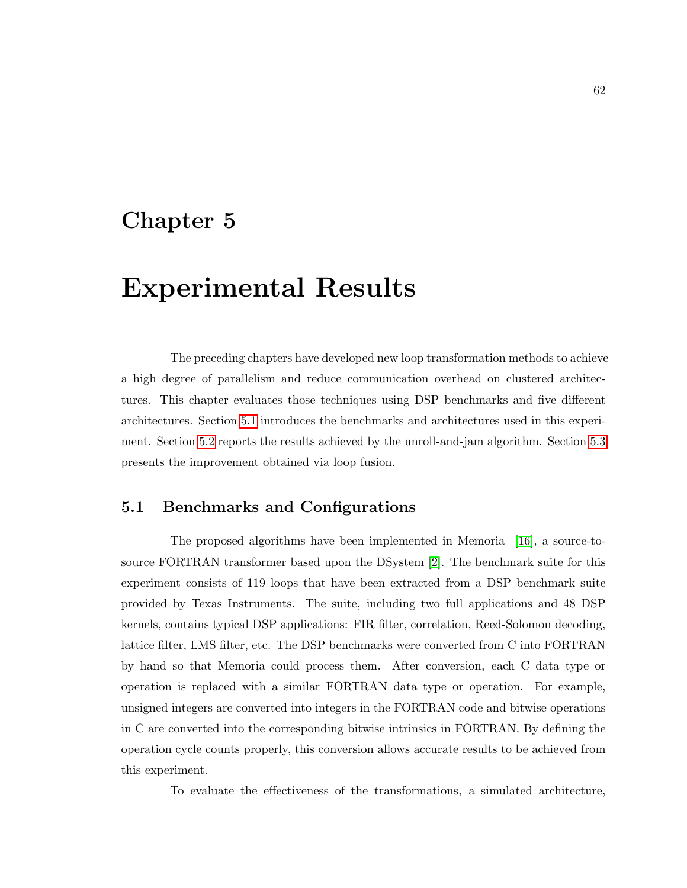## Chapter 5

# Experimental Results

The preceding chapters have developed new loop transformation methods to achieve a high degree of parallelism and reduce communication overhead on clustered architectures. This chapter evaluates those techniques using DSP benchmarks and five different architectures. Section [5.1](#page-72-0) introduces the benchmarks and architectures used in this experiment. Section [5.2](#page-74-0) reports the results achieved by the unroll-and-jam algorithm. Section [5.3](#page-78-0) presents the improvement obtained via loop fusion.

## <span id="page-72-0"></span>5.1 Benchmarks and Configurations

The proposed algorithms have been implemented in Memoria [\[16\]](#page-112-0), a source-tosource FORTRAN transformer based upon the DSystem [\[2\]](#page-111-0). The benchmark suite for this experiment consists of 119 loops that have been extracted from a DSP benchmark suite provided by Texas Instruments. The suite, including two full applications and 48 DSP kernels, contains typical DSP applications: FIR filter, correlation, Reed-Solomon decoding, lattice filter, LMS filter, etc. The DSP benchmarks were converted from C into FORTRAN by hand so that Memoria could process them. After conversion, each C data type or operation is replaced with a similar FORTRAN data type or operation. For example, unsigned integers are converted into integers in the FORTRAN code and bitwise operations in C are converted into the corresponding bitwise intrinsics in FORTRAN. By defining the operation cycle counts properly, this conversion allows accurate results to be achieved from this experiment.

To evaluate the effectiveness of the transformations, a simulated architecture,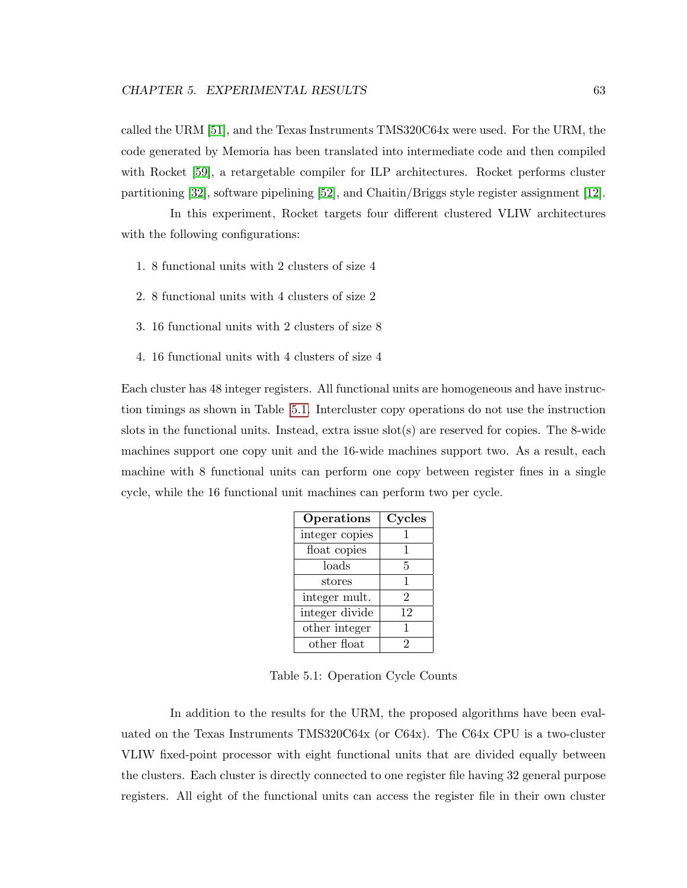called the URM [\[51\]](#page-116-0), and the Texas Instruments TMS320C64x were used. For the URM, the code generated by Memoria has been translated into intermediate code and then compiled with Rocket [\[59\]](#page-116-1), a retargetable compiler for ILP architectures. Rocket performs cluster partitioning [\[32\]](#page-114-0), software pipelining [\[52\]](#page-116-2), and Chaitin/Briggs style register assignment [\[12\]](#page-112-1).

In this experiment, Rocket targets four different clustered VLIW architectures with the following configurations:

- 1. 8 functional units with 2 clusters of size 4
- 2. 8 functional units with 4 clusters of size 2
- 3. 16 functional units with 2 clusters of size 8
- 4. 16 functional units with 4 clusters of size 4

Each cluster has 48 integer registers. All functional units are homogeneous and have instruction timings as shown in Table [5.1.](#page-73-0) Intercluster copy operations do not use the instruction slots in the functional units. Instead, extra issue  $slot(s)$  are reserved for copies. The 8-wide machines support one copy unit and the 16-wide machines support two. As a result, each machine with 8 functional units can perform one copy between register fines in a single cycle, while the 16 functional unit machines can perform two per cycle.

| Operations      | Cycles         |
|-----------------|----------------|
| integer copies  | 1              |
| float copies    | 1              |
| loads           | 5              |
| $_{\rm stores}$ | 1              |
| integer mult.   | $\overline{2}$ |
| integer divide  | 12             |
| other integer   | 1              |
| other float     | 2              |

<span id="page-73-0"></span>Table 5.1: Operation Cycle Counts

In addition to the results for the URM, the proposed algorithms have been evaluated on the Texas Instruments TMS320C64x (or C64x). The C64x CPU is a two-cluster VLIW fixed-point processor with eight functional units that are divided equally between the clusters. Each cluster is directly connected to one register file having 32 general purpose registers. All eight of the functional units can access the register file in their own cluster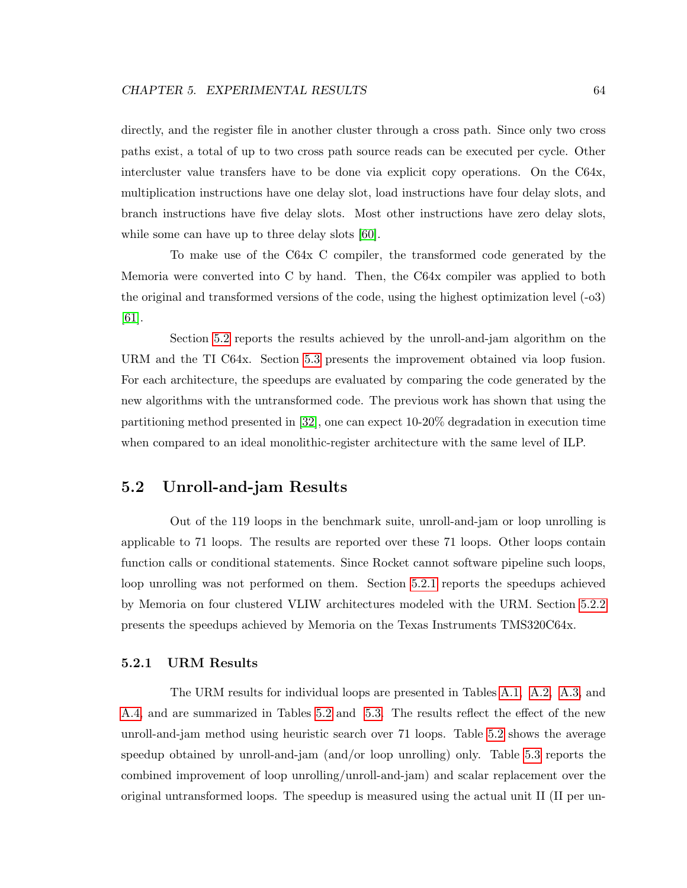directly, and the register file in another cluster through a cross path. Since only two cross paths exist, a total of up to two cross path source reads can be executed per cycle. Other intercluster value transfers have to be done via explicit copy operations. On the C64x, multiplication instructions have one delay slot, load instructions have four delay slots, and branch instructions have five delay slots. Most other instructions have zero delay slots, while some can have up to three delay slots [\[60\]](#page-116-3).

To make use of the C64x C compiler, the transformed code generated by the Memoria were converted into C by hand. Then, the C64x compiler was applied to both the original and transformed versions of the code, using the highest optimization level (-o3) [\[61\]](#page-117-0).

Section [5.2](#page-74-0) reports the results achieved by the unroll-and-jam algorithm on the URM and the TI C64x. Section [5.3](#page-78-0) presents the improvement obtained via loop fusion. For each architecture, the speedups are evaluated by comparing the code generated by the new algorithms with the untransformed code. The previous work has shown that using the partitioning method presented in [\[32\]](#page-114-0), one can expect 10-20% degradation in execution time when compared to an ideal monolithic-register architecture with the same level of ILP.

### <span id="page-74-0"></span>5.2 Unroll-and-jam Results

Out of the 119 loops in the benchmark suite, unroll-and-jam or loop unrolling is applicable to 71 loops. The results are reported over these 71 loops. Other loops contain function calls or conditional statements. Since Rocket cannot software pipeline such loops, loop unrolling was not performed on them. Section [5.2.1](#page-74-1) reports the speedups achieved by Memoria on four clustered VLIW architectures modeled with the URM. Section [5.2.2](#page-77-0) presents the speedups achieved by Memoria on the Texas Instruments TMS320C64x.

#### <span id="page-74-1"></span>5.2.1 URM Results

The URM results for individual loops are presented in Tables [A.1,](#page-89-0) [A.2,](#page-91-0) [A.3,](#page-93-0) and [A.4,](#page-95-0) and are summarized in Tables [5.2](#page-75-0) and [5.3.](#page-75-1) The results reflect the effect of the new unroll-and-jam method using heuristic search over 71 loops. Table [5.2](#page-75-0) shows the average speedup obtained by unroll-and-jam (and/or loop unrolling) only. Table [5.3](#page-75-1) reports the combined improvement of loop unrolling/unroll-and-jam) and scalar replacement over the original untransformed loops. The speedup is measured using the actual unit II (II per un-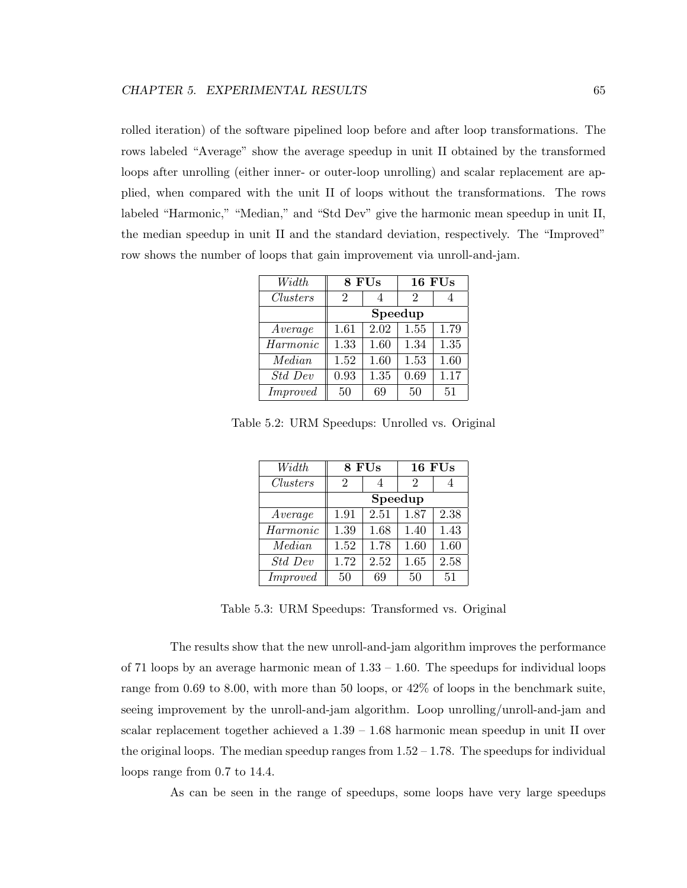rolled iteration) of the software pipelined loop before and after loop transformations. The rows labeled "Average" show the average speedup in unit II obtained by the transformed loops after unrolling (either inner- or outer-loop unrolling) and scalar replacement are applied, when compared with the unit II of loops without the transformations. The rows labeled "Harmonic," "Median," and "Std Dev" give the harmonic mean speedup in unit II, the median speedup in unit II and the standard deviation, respectively. The "Improved" row shows the number of loops that gain improvement via unroll-and-jam.

| Width           | 8 FUs |      |         | <b>16 FUs</b> |
|-----------------|-------|------|---------|---------------|
| <i>Clusters</i> | 2     | 4    | 2       |               |
|                 |       |      | Speedup |               |
| Average         | 1.61  | 2.02 | 1.55    | 1.79          |
| Harmonic        | 1.33  | 1.60 | 1.34    | 1.35          |
| Median          | 1.52  | 1.60 | 1.53    | 1.60          |
| Std Dev         | 0.93  | 1.35 | 0.69    | 1.17          |
| <i>Improved</i> | 50    | 69   | 50      | 51            |

Table 5.2: URM Speedups: Unrolled vs. Original

<span id="page-75-0"></span>

| Width           | 8 FUs          |         | <b>16 FUs</b> |      |  |
|-----------------|----------------|---------|---------------|------|--|
| <i>Clusters</i> | $\overline{2}$ |         | 2             |      |  |
|                 |                | Speedup |               |      |  |
| Average         | 1.91           | 2.51    | 1.87          | 2.38 |  |
| Harmonic        | 1.39           | 1.68    | 1.40          | 1.43 |  |
| Median          | 1.52           | 1.78    | 1.60          | 1.60 |  |
| Std Dev         | 1.72           | 2.52    | 1.65          | 2.58 |  |
| <i>Improved</i> | 50             | 69      | 50            | 51   |  |

<span id="page-75-1"></span>Table 5.3: URM Speedups: Transformed vs. Original

The results show that the new unroll-and-jam algorithm improves the performance of 71 loops by an average harmonic mean of  $1.33 - 1.60$ . The speedups for individual loops range from 0.69 to 8.00, with more than 50 loops, or 42% of loops in the benchmark suite, seeing improvement by the unroll-and-jam algorithm. Loop unrolling/unroll-and-jam and scalar replacement together achieved a 1.39 – 1.68 harmonic mean speedup in unit II over the original loops. The median speedup ranges from  $1.52 - 1.78$ . The speedups for individual loops range from 0.7 to 14.4.

As can be seen in the range of speedups, some loops have very large speedups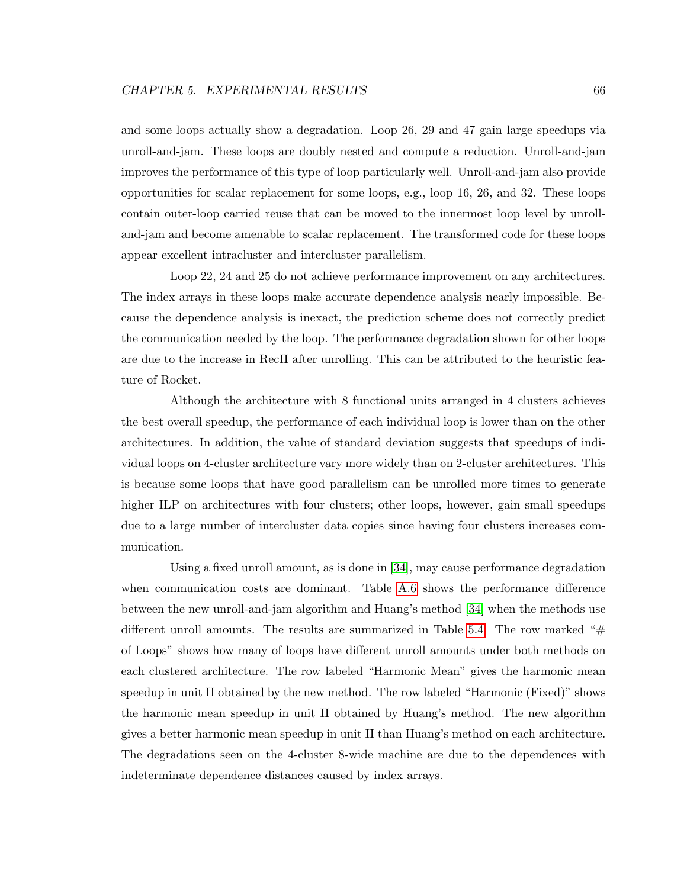and some loops actually show a degradation. Loop 26, 29 and 47 gain large speedups via unroll-and-jam. These loops are doubly nested and compute a reduction. Unroll-and-jam improves the performance of this type of loop particularly well. Unroll-and-jam also provide opportunities for scalar replacement for some loops, e.g., loop 16, 26, and 32. These loops contain outer-loop carried reuse that can be moved to the innermost loop level by unrolland-jam and become amenable to scalar replacement. The transformed code for these loops appear excellent intracluster and intercluster parallelism.

Loop 22, 24 and 25 do not achieve performance improvement on any architectures. The index arrays in these loops make accurate dependence analysis nearly impossible. Because the dependence analysis is inexact, the prediction scheme does not correctly predict the communication needed by the loop. The performance degradation shown for other loops are due to the increase in RecII after unrolling. This can be attributed to the heuristic feature of Rocket.

Although the architecture with 8 functional units arranged in 4 clusters achieves the best overall speedup, the performance of each individual loop is lower than on the other architectures. In addition, the value of standard deviation suggests that speedups of individual loops on 4-cluster architecture vary more widely than on 2-cluster architectures. This is because some loops that have good parallelism can be unrolled more times to generate higher ILP on architectures with four clusters; other loops, however, gain small speedups due to a large number of intercluster data copies since having four clusters increases communication.

Using a fixed unroll amount, as is done in [\[34\]](#page-114-1), may cause performance degradation when communication costs are dominant. Table [A.6](#page-100-0) shows the performance difference between the new unroll-and-jam algorithm and Huang's method [\[34\]](#page-114-1) when the methods use different unroll amounts. The results are summarized in Table [5.4.](#page-77-1) The row marked " $#$ of Loops" shows how many of loops have different unroll amounts under both methods on each clustered architecture. The row labeled "Harmonic Mean" gives the harmonic mean speedup in unit II obtained by the new method. The row labeled "Harmonic (Fixed)" shows the harmonic mean speedup in unit II obtained by Huang's method. The new algorithm gives a better harmonic mean speedup in unit II than Huang's method on each architecture. The degradations seen on the 4-cluster 8-wide machine are due to the dependences with indeterminate dependence distances caused by index arrays.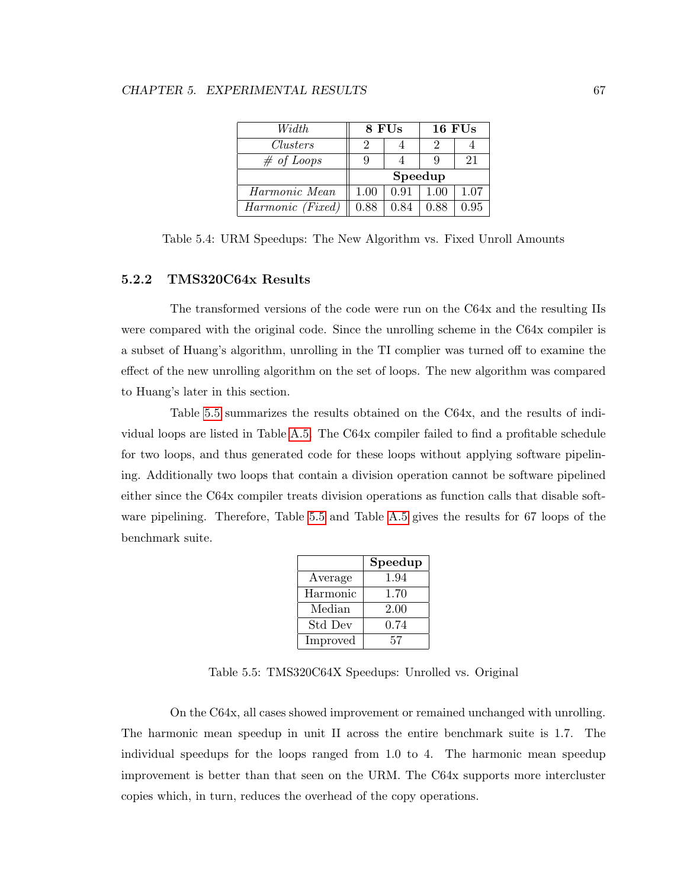#### CHAPTER 5. EXPERIMENTAL RESULTS 67

| Width            |      | 8 FUs   | <b>16 FUs</b> |      |
|------------------|------|---------|---------------|------|
| Clusters         | 2    |         | 9             |      |
| $\#$ of Loops    | 9    |         |               | 21   |
|                  |      | Speedup |               |      |
| Harmonic Mean    | 1.00 | 0.91    | 1.00          | 1.07 |
| Harmonic (Fixed) | 0.88 | 0.84    | 0.88          | 0.95 |

<span id="page-77-1"></span>Table 5.4: URM Speedups: The New Algorithm vs. Fixed Unroll Amounts

#### <span id="page-77-0"></span>5.2.2 TMS320C64x Results

The transformed versions of the code were run on the C64x and the resulting IIs were compared with the original code. Since the unrolling scheme in the C64x compiler is a subset of Huang's algorithm, unrolling in the TI complier was turned off to examine the effect of the new unrolling algorithm on the set of loops. The new algorithm was compared to Huang's later in this section.

Table [5.5](#page-77-2) summarizes the results obtained on the C64x, and the results of individual loops are listed in Table [A.5.](#page-98-0) The C64x compiler failed to find a profitable schedule for two loops, and thus generated code for these loops without applying software pipelining. Additionally two loops that contain a division operation cannot be software pipelined either since the C64x compiler treats division operations as function calls that disable software pipelining. Therefore, Table [5.5](#page-77-2) and Table [A.5](#page-98-0) gives the results for 67 loops of the benchmark suite.

|          | Speedup |
|----------|---------|
| Average  | 1.94    |
| Harmonic | 1.70    |
| Median   | 2.00    |
| Std Dev  | 0.74    |
| Improved | 57      |

<span id="page-77-2"></span>Table 5.5: TMS320C64X Speedups: Unrolled vs. Original

On the C64x, all cases showed improvement or remained unchanged with unrolling. The harmonic mean speedup in unit II across the entire benchmark suite is 1.7. The individual speedups for the loops ranged from 1.0 to 4. The harmonic mean speedup improvement is better than that seen on the URM. The C64x supports more intercluster copies which, in turn, reduces the overhead of the copy operations.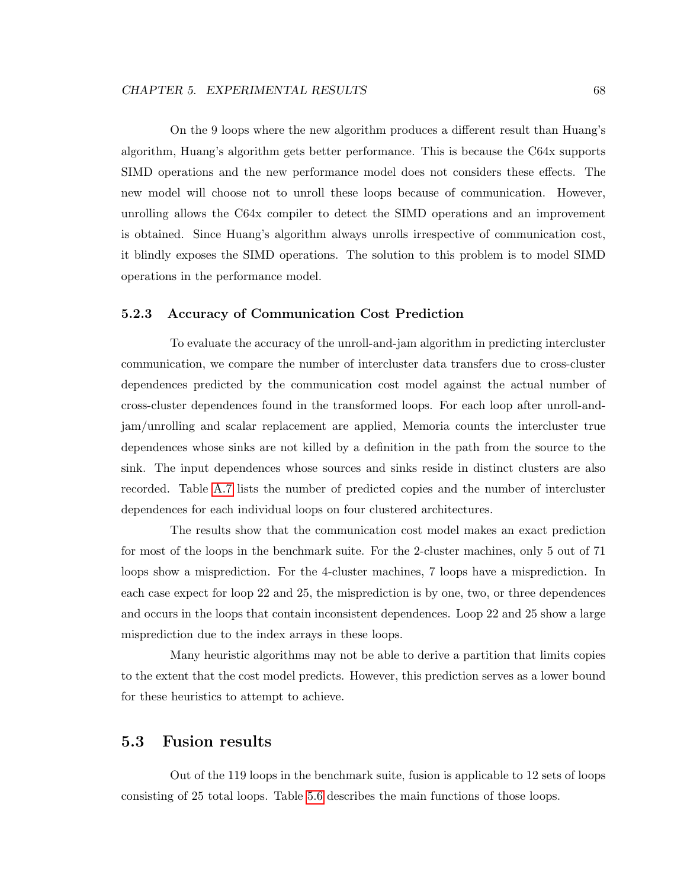On the 9 loops where the new algorithm produces a different result than Huang's algorithm, Huang's algorithm gets better performance. This is because the C64x supports SIMD operations and the new performance model does not considers these effects. The new model will choose not to unroll these loops because of communication. However, unrolling allows the C64x compiler to detect the SIMD operations and an improvement is obtained. Since Huang's algorithm always unrolls irrespective of communication cost, it blindly exposes the SIMD operations. The solution to this problem is to model SIMD operations in the performance model.

#### 5.2.3 Accuracy of Communication Cost Prediction

To evaluate the accuracy of the unroll-and-jam algorithm in predicting intercluster communication, we compare the number of intercluster data transfers due to cross-cluster dependences predicted by the communication cost model against the actual number of cross-cluster dependences found in the transformed loops. For each loop after unroll-andjam/unrolling and scalar replacement are applied, Memoria counts the intercluster true dependences whose sinks are not killed by a definition in the path from the source to the sink. The input dependences whose sources and sinks reside in distinct clusters are also recorded. Table [A.7](#page-103-0) lists the number of predicted copies and the number of intercluster dependences for each individual loops on four clustered architectures.

The results show that the communication cost model makes an exact prediction for most of the loops in the benchmark suite. For the 2-cluster machines, only 5 out of 71 loops show a misprediction. For the 4-cluster machines, 7 loops have a misprediction. In each case expect for loop 22 and 25, the misprediction is by one, two, or three dependences and occurs in the loops that contain inconsistent dependences. Loop 22 and 25 show a large misprediction due to the index arrays in these loops.

Many heuristic algorithms may not be able to derive a partition that limits copies to the extent that the cost model predicts. However, this prediction serves as a lower bound for these heuristics to attempt to achieve.

## <span id="page-78-0"></span>5.3 Fusion results

Out of the 119 loops in the benchmark suite, fusion is applicable to 12 sets of loops consisting of 25 total loops. Table [5.6](#page-79-0) describes the main functions of those loops.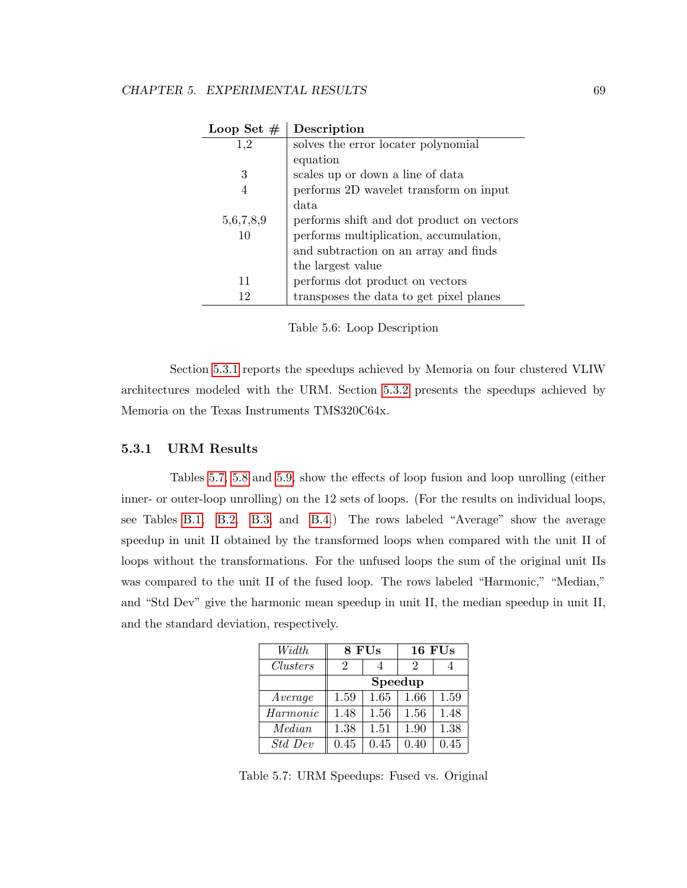| Loop Set $#$ | Description                               |
|--------------|-------------------------------------------|
| 1,2          | solves the error locater polynomial       |
|              | equation                                  |
| 3            | scales up or down a line of data          |
| 4            | performs 2D wavelet transform on input    |
|              | data                                      |
| 5,6,7,8,9    | performs shift and dot product on vectors |
| 10           | performs multiplication, accumulation,    |
|              | and subtraction on an array and finds     |
|              | the largest value                         |
| 11           | performs dot product on vectors           |
| 12           | transposes the data to get pixel planes   |

<span id="page-79-0"></span>

Section [5.3.1](#page-79-1) reports the speedups achieved by Memoria on four clustered VLIW architectures modeled with the URM. Section [5.3.2](#page-81-0) presents the speedups achieved by Memoria on the Texas Instruments TMS320C64x.

#### <span id="page-79-1"></span>5.3.1 URM Results

Tables [5.7,](#page-79-2) [5.8](#page-80-0) and [5.9,](#page-80-1) show the effects of loop fusion and loop unrolling (either inner- or outer-loop unrolling) on the 12 sets of loops. (For the results on individual loops, see Tables [B.1,](#page-106-0) [B.2,](#page-107-0) [B.3,](#page-108-0) and [B.4.](#page-109-0)) The rows labeled "Average" show the average speedup in unit II obtained by the transformed loops when compared with the unit II of loops without the transformations. For the unfused loops the sum of the original unit IIs was compared to the unit II of the fused loop. The rows labeled "Harmonic," "Median," and "Std Dev" give the harmonic mean speedup in unit II, the median speedup in unit II, and the standard deviation, respectively.

| Width           | 8 FUs   |      |      | 16 FUs |
|-----------------|---------|------|------|--------|
| <i>Clusters</i> | 2       |      | 2    |        |
|                 | Speedup |      |      |        |
| Average         | 1.59    | 1.65 | 1.66 | 1.59   |
| Harmonic        | 1.48    | 1.56 | 1.56 | 1.48   |
| Median          | 1.38    | 1.51 | 1.90 | 1.38   |
| Std Dev         | 0.45    | 0.45 | 0.40 | 0.45   |

<span id="page-79-2"></span>Table 5.7: URM Speedups: Fused vs. Original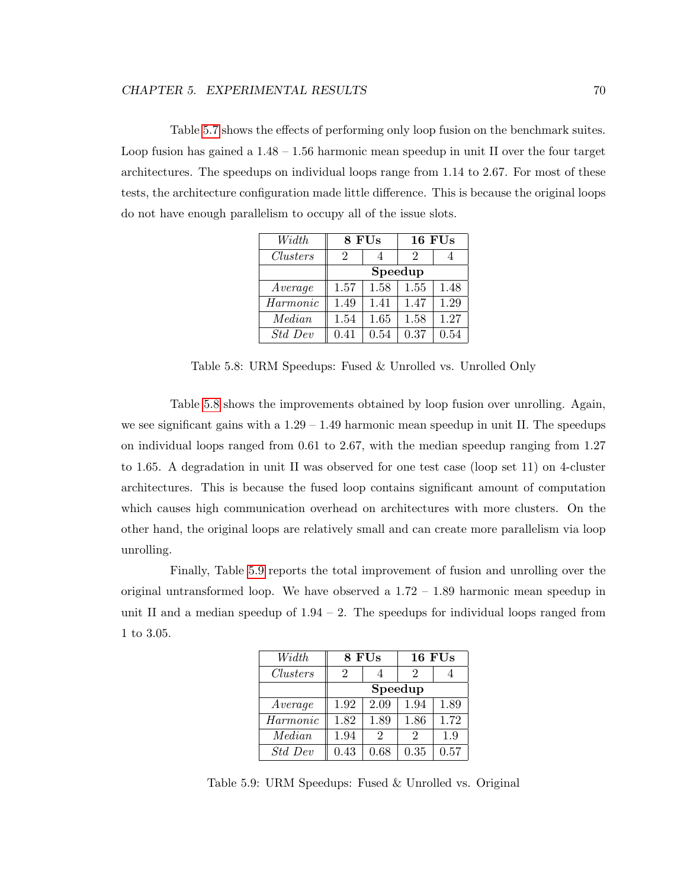Table [5.7](#page-79-2) shows the effects of performing only loop fusion on the benchmark suites. Loop fusion has gained a 1.48 – 1.56 harmonic mean speedup in unit II over the four target architectures. The speedups on individual loops range from 1.14 to 2.67. For most of these tests, the architecture configuration made little difference. This is because the original loops do not have enough parallelism to occupy all of the issue slots.

| Width           | 8 FUs   |      |      | 16 FUs |  |
|-----------------|---------|------|------|--------|--|
| <b>Clusters</b> | 2       |      | 2    |        |  |
|                 | Speedup |      |      |        |  |
| Average         | 1.57    | 1.58 | 1.55 | 1.48   |  |
| Harmonic        | 1.49    | 1.41 | 1.47 | 1.29   |  |
| Median          | 1.54    | 1.65 | 1.58 | 1.27   |  |
| <i>Std Dev</i>  | 0.41    | 0.54 | 0.37 | 0.54   |  |

<span id="page-80-0"></span>Table 5.8: URM Speedups: Fused & Unrolled vs. Unrolled Only

Table [5.8](#page-80-0) shows the improvements obtained by loop fusion over unrolling. Again, we see significant gains with a  $1.29 - 1.49$  harmonic mean speedup in unit II. The speedups on individual loops ranged from 0.61 to 2.67, with the median speedup ranging from 1.27 to 1.65. A degradation in unit II was observed for one test case (loop set 11) on 4-cluster architectures. This is because the fused loop contains significant amount of computation which causes high communication overhead on architectures with more clusters. On the other hand, the original loops are relatively small and can create more parallelism via loop unrolling.

Finally, Table [5.9](#page-80-1) reports the total improvement of fusion and unrolling over the original untransformed loop. We have observed a  $1.72 - 1.89$  harmonic mean speedup in unit II and a median speedup of  $1.94 - 2$ . The speedups for individual loops ranged from 1 to 3.05.

| Width           | 8 FUs |                             |                | 16 FUs |  |
|-----------------|-------|-----------------------------|----------------|--------|--|
| <i>Clusters</i> | 2     |                             | 2              |        |  |
|                 |       | Speedup                     |                |        |  |
| Average         | 1.92  | 2.09                        | 1.94           | 1.89   |  |
| Harmonic        | 1.82  | 1.89                        | 1.86           | 1.72   |  |
| Median          | 1.94  | $\mathcal{D}_{\mathcal{L}}$ | $\mathfrak{D}$ | 1.9    |  |
| Std Dev         | 0.43  | 0.68                        | 0.35           | 0.57   |  |

<span id="page-80-1"></span>Table 5.9: URM Speedups: Fused & Unrolled vs. Original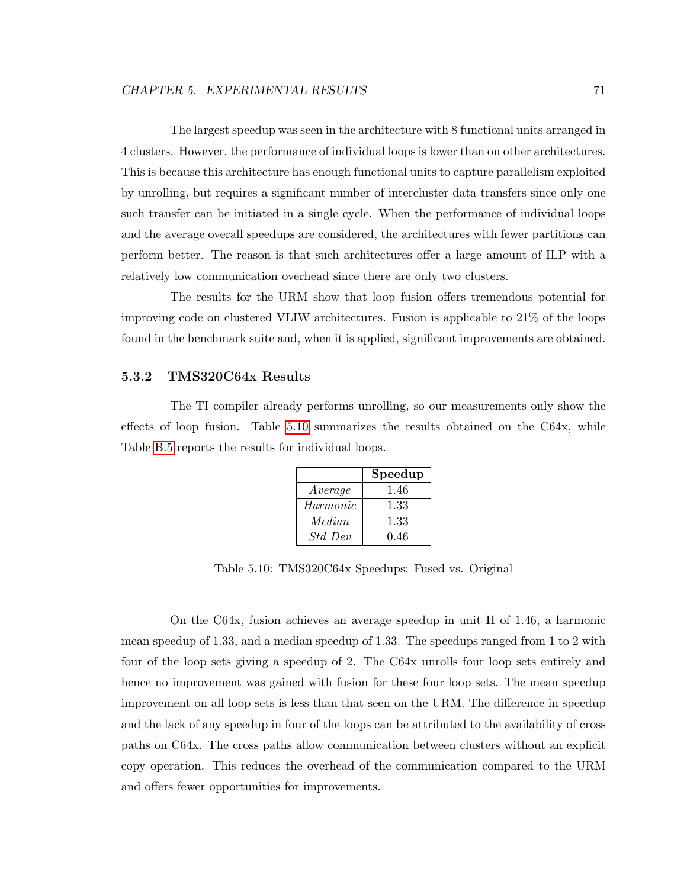The largest speedup was seen in the architecture with 8 functional units arranged in 4 clusters. However, the performance of individual loops is lower than on other architectures. This is because this architecture has enough functional units to capture parallelism exploited by unrolling, but requires a significant number of intercluster data transfers since only one such transfer can be initiated in a single cycle. When the performance of individual loops and the average overall speedups are considered, the architectures with fewer partitions can perform better. The reason is that such architectures offer a large amount of ILP with a relatively low communication overhead since there are only two clusters.

The results for the URM show that loop fusion offers tremendous potential for improving code on clustered VLIW architectures. Fusion is applicable to 21% of the loops found in the benchmark suite and, when it is applied, significant improvements are obtained.

#### <span id="page-81-0"></span>5.3.2 TMS320C64x Results

The TI compiler already performs unrolling, so our measurements only show the effects of loop fusion. Table [5.10](#page-81-1) summarizes the results obtained on the C64x, while Table [B.5](#page-110-0) reports the results for individual loops.

|                | Speedup |
|----------------|---------|
| Average        | 1.46    |
| Harmonic       | 1.33    |
| Median         | 1.33    |
| <i>Std Dev</i> | 0.46    |

<span id="page-81-1"></span>Table 5.10: TMS320C64x Speedups: Fused vs. Original

On the C64x, fusion achieves an average speedup in unit II of 1.46, a harmonic mean speedup of 1.33, and a median speedup of 1.33. The speedups ranged from 1 to 2 with four of the loop sets giving a speedup of 2. The C64x unrolls four loop sets entirely and hence no improvement was gained with fusion for these four loop sets. The mean speedup improvement on all loop sets is less than that seen on the URM. The difference in speedup and the lack of any speedup in four of the loops can be attributed to the availability of cross paths on C64x. The cross paths allow communication between clusters without an explicit copy operation. This reduces the overhead of the communication compared to the URM and offers fewer opportunities for improvements.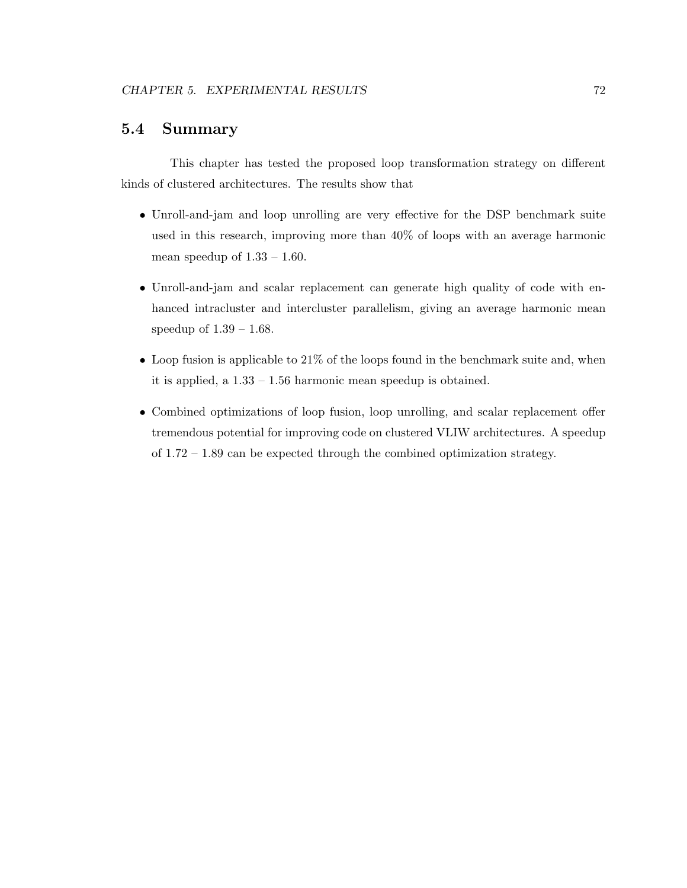## 5.4 Summary

This chapter has tested the proposed loop transformation strategy on different kinds of clustered architectures. The results show that

- Unroll-and-jam and loop unrolling are very effective for the DSP benchmark suite used in this research, improving more than 40% of loops with an average harmonic mean speedup of  $1.33 - 1.60$ .
- Unroll-and-jam and scalar replacement can generate high quality of code with enhanced intracluster and intercluster parallelism, giving an average harmonic mean speedup of 1.39 – 1.68.
- $\bullet$  Loop fusion is applicable to 21% of the loops found in the benchmark suite and, when it is applied, a 1.33 – 1.56 harmonic mean speedup is obtained.
- Combined optimizations of loop fusion, loop unrolling, and scalar replacement offer tremendous potential for improving code on clustered VLIW architectures. A speedup of 1.72 – 1.89 can be expected through the combined optimization strategy.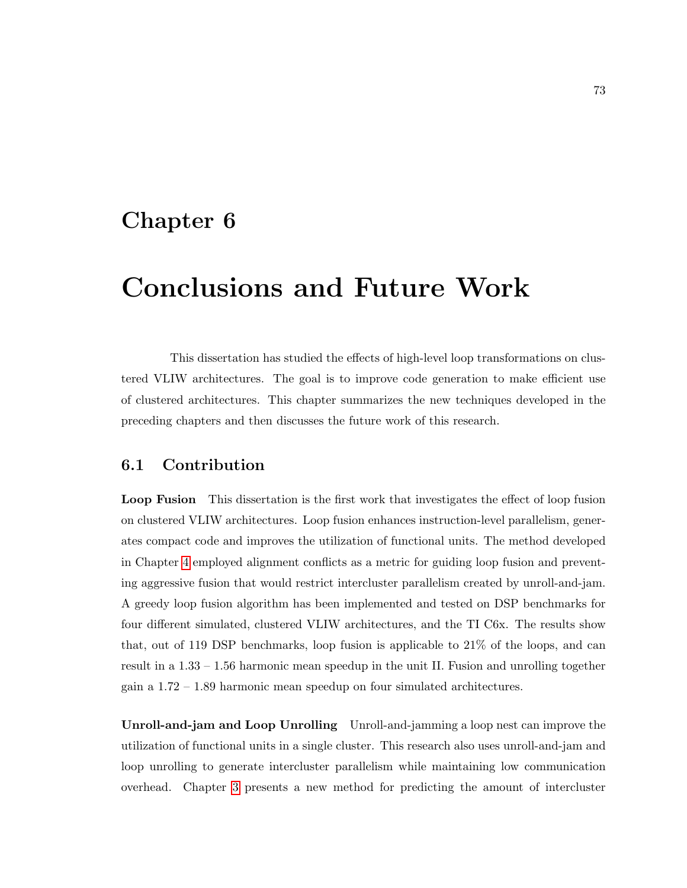## Chapter 6

# Conclusions and Future Work

This dissertation has studied the effects of high-level loop transformations on clustered VLIW architectures. The goal is to improve code generation to make efficient use of clustered architectures. This chapter summarizes the new techniques developed in the preceding chapters and then discusses the future work of this research.

### 6.1 Contribution

Loop Fusion This dissertation is the first work that investigates the effect of loop fusion on clustered VLIW architectures. Loop fusion enhances instruction-level parallelism, generates compact code and improves the utilization of functional units. The method developed in Chapter [4](#page-66-0) employed alignment conflicts as a metric for guiding loop fusion and preventing aggressive fusion that would restrict intercluster parallelism created by unroll-and-jam. A greedy loop fusion algorithm has been implemented and tested on DSP benchmarks for four different simulated, clustered VLIW architectures, and the TI C6x. The results show that, out of 119 DSP benchmarks, loop fusion is applicable to 21% of the loops, and can result in a 1.33 – 1.56 harmonic mean speedup in the unit II. Fusion and unrolling together gain a 1.72 – 1.89 harmonic mean speedup on four simulated architectures.

Unroll-and-jam and Loop Unrolling Unroll-and-jamming a loop nest can improve the utilization of functional units in a single cluster. This research also uses unroll-and-jam and loop unrolling to generate intercluster parallelism while maintaining low communication overhead. Chapter [3](#page-45-0) presents a new method for predicting the amount of intercluster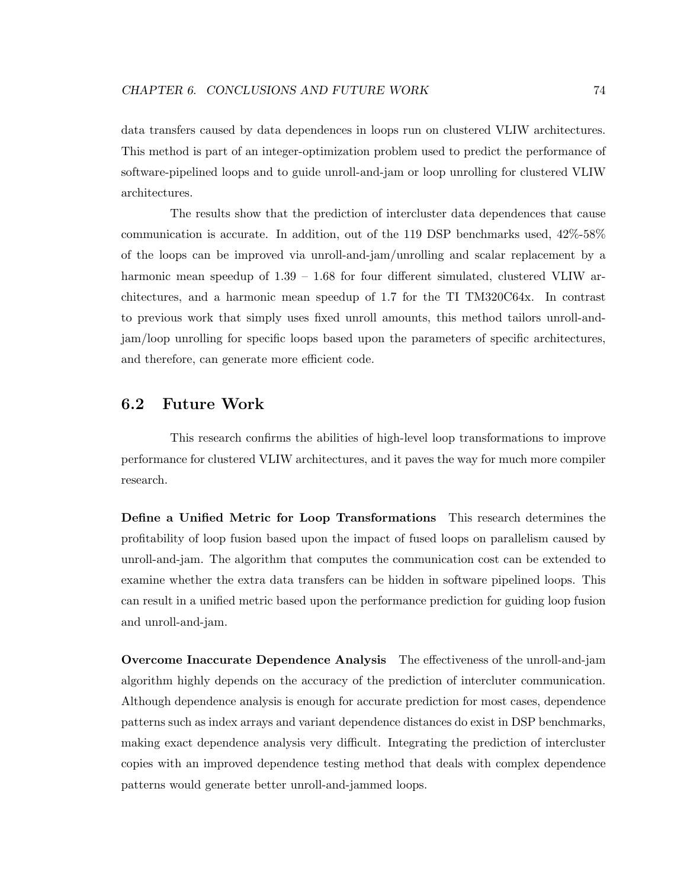data transfers caused by data dependences in loops run on clustered VLIW architectures. This method is part of an integer-optimization problem used to predict the performance of software-pipelined loops and to guide unroll-and-jam or loop unrolling for clustered VLIW architectures.

The results show that the prediction of intercluster data dependences that cause communication is accurate. In addition, out of the 119 DSP benchmarks used, 42%-58% of the loops can be improved via unroll-and-jam/unrolling and scalar replacement by a harmonic mean speedup of  $1.39 - 1.68$  for four different simulated, clustered VLIW architectures, and a harmonic mean speedup of 1.7 for the TI TM320C64x. In contrast to previous work that simply uses fixed unroll amounts, this method tailors unroll-andjam/loop unrolling for specific loops based upon the parameters of specific architectures, and therefore, can generate more efficient code.

#### 6.2 Future Work

This research confirms the abilities of high-level loop transformations to improve performance for clustered VLIW architectures, and it paves the way for much more compiler research.

Define a Unified Metric for Loop Transformations This research determines the profitability of loop fusion based upon the impact of fused loops on parallelism caused by unroll-and-jam. The algorithm that computes the communication cost can be extended to examine whether the extra data transfers can be hidden in software pipelined loops. This can result in a unified metric based upon the performance prediction for guiding loop fusion and unroll-and-jam.

Overcome Inaccurate Dependence Analysis The effectiveness of the unroll-and-jam algorithm highly depends on the accuracy of the prediction of intercluter communication. Although dependence analysis is enough for accurate prediction for most cases, dependence patterns such as index arrays and variant dependence distances do exist in DSP benchmarks, making exact dependence analysis very difficult. Integrating the prediction of intercluster copies with an improved dependence testing method that deals with complex dependence patterns would generate better unroll-and-jammed loops.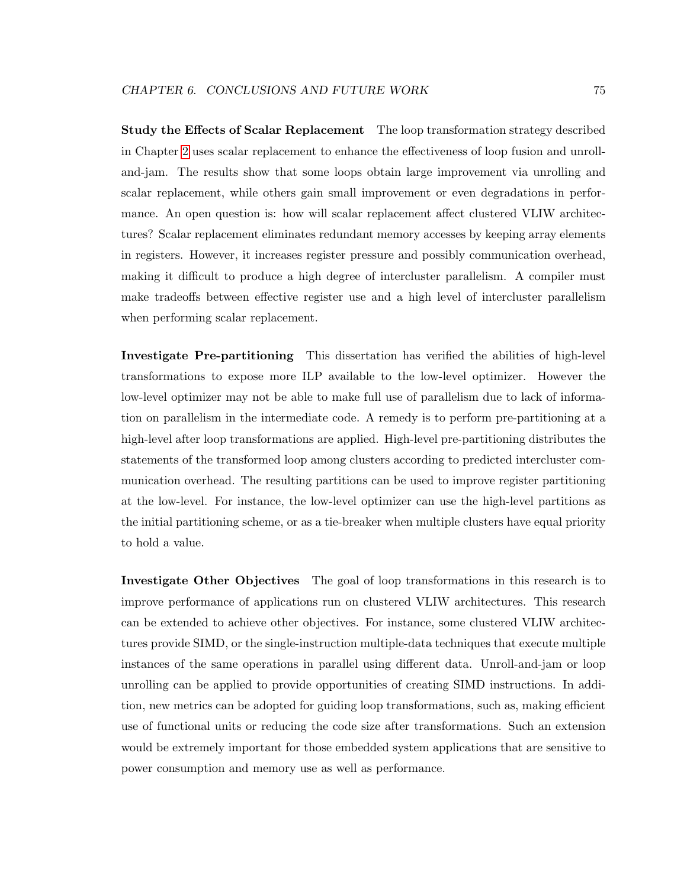Study the Effects of Scalar Replacement The loop transformation strategy described in Chapter [2](#page-36-0) uses scalar replacement to enhance the effectiveness of loop fusion and unrolland-jam. The results show that some loops obtain large improvement via unrolling and scalar replacement, while others gain small improvement or even degradations in performance. An open question is: how will scalar replacement affect clustered VLIW architectures? Scalar replacement eliminates redundant memory accesses by keeping array elements in registers. However, it increases register pressure and possibly communication overhead, making it difficult to produce a high degree of intercluster parallelism. A compiler must make tradeoffs between effective register use and a high level of intercluster parallelism when performing scalar replacement.

Investigate Pre-partitioning This dissertation has verified the abilities of high-level transformations to expose more ILP available to the low-level optimizer. However the low-level optimizer may not be able to make full use of parallelism due to lack of information on parallelism in the intermediate code. A remedy is to perform pre-partitioning at a high-level after loop transformations are applied. High-level pre-partitioning distributes the statements of the transformed loop among clusters according to predicted intercluster communication overhead. The resulting partitions can be used to improve register partitioning at the low-level. For instance, the low-level optimizer can use the high-level partitions as the initial partitioning scheme, or as a tie-breaker when multiple clusters have equal priority to hold a value.

Investigate Other Objectives The goal of loop transformations in this research is to improve performance of applications run on clustered VLIW architectures. This research can be extended to achieve other objectives. For instance, some clustered VLIW architectures provide SIMD, or the single-instruction multiple-data techniques that execute multiple instances of the same operations in parallel using different data. Unroll-and-jam or loop unrolling can be applied to provide opportunities of creating SIMD instructions. In addition, new metrics can be adopted for guiding loop transformations, such as, making efficient use of functional units or reducing the code size after transformations. Such an extension would be extremely important for those embedded system applications that are sensitive to power consumption and memory use as well as performance.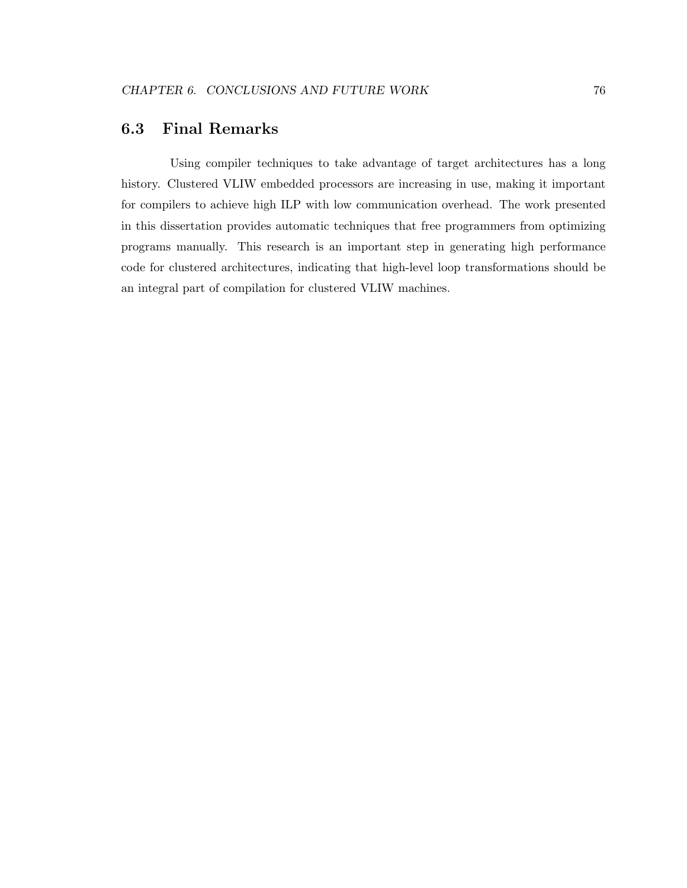## 6.3 Final Remarks

Using compiler techniques to take advantage of target architectures has a long history. Clustered VLIW embedded processors are increasing in use, making it important for compilers to achieve high ILP with low communication overhead. The work presented in this dissertation provides automatic techniques that free programmers from optimizing programs manually. This research is an important step in generating high performance code for clustered architectures, indicating that high-level loop transformations should be an integral part of compilation for clustered VLIW machines.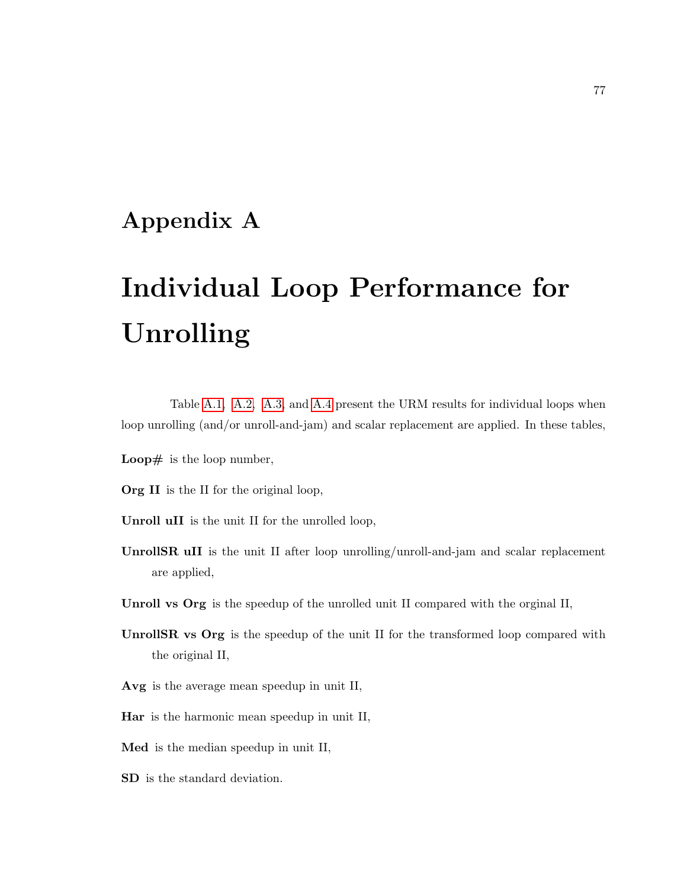# Appendix A

# Individual Loop Performance for Unrolling

Table [A.1,](#page-89-0) [A.2,](#page-91-0) [A.3,](#page-93-0) and [A.4](#page-95-0) present the URM results for individual loops when loop unrolling (and/or unroll-and-jam) and scalar replacement are applied. In these tables,

- **Loop**# is the loop number,
- Org II is the II for the original loop,
- Unroll uII is the unit II for the unrolled loop,
- UnrollSR uII is the unit II after loop unrolling/unroll-and-jam and scalar replacement are applied,
- Unroll vs Org is the speedup of the unrolled unit II compared with the orginal II,
- UnrollSR vs Org is the speedup of the unit II for the transformed loop compared with the original II,
- Avg is the average mean speedup in unit II,
- Har is the harmonic mean speedup in unit II,
- Med is the median speedup in unit II,
- SD is the standard deviation.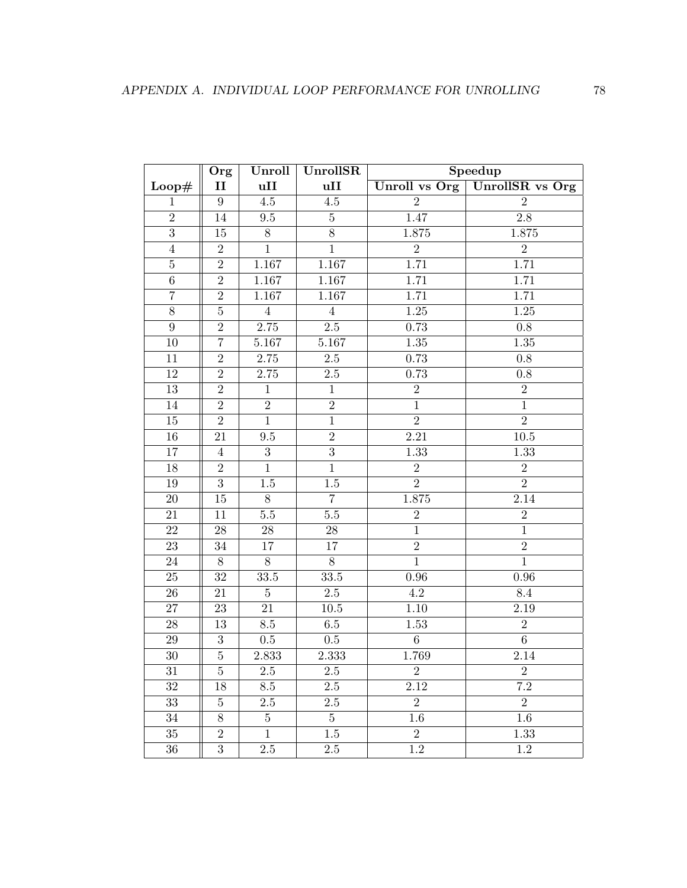|                | Org            | Unroll           | UnrollSR         | Speedup          |                  |
|----------------|----------------|------------------|------------------|------------------|------------------|
| Loop#          | $\mathbf{I}$   | uII              | uII              | Unroll vs Org    | UnrollSR vs Org  |
| $\mathbf{1}$   | $\overline{9}$ | $\overline{4.5}$ | $\overline{4.5}$ | $\overline{2}$   | $\overline{2}$   |
| $\overline{2}$ | $14\,$         | $\ \, 9.5$       | $\bf 5$          | 1.47             | $\overline{2.8}$ |
| $\overline{3}$ | 15             | $8\,$            | $8\,$            | 1.875            | 1.875            |
| $\overline{4}$ | $\overline{2}$ | $\overline{1}$   | $\overline{1}$   | $\overline{2}$   | $\overline{2}$   |
| $\overline{5}$ | $\overline{2}$ | 1.167            | 1.167            | 1.71             | 1.71             |
| $\,6\,$        | $\overline{2}$ | 1.167            | 1.167            | 1.71             | 1.71             |
| $\overline{7}$ | $\overline{2}$ | 1.167            | 1.167            | 1.71             | 1.71             |
| $\overline{8}$ | $\overline{5}$ | $\sqrt{4}$       | $\overline{4}$   | $1.25\,$         | $1.25\,$         |
| $\overline{9}$ | $\overline{2}$ | 2.75             | $2.5\,$          | 0.73             | $0.8\,$          |
| 10             | $\overline{7}$ | 5.167            | 5.167            | $1.35\,$         | 1.35             |
| 11             | $\overline{2}$ | $2.75\,$         | $2.5\,$          | 0.73             | $\rm 0.8$        |
| $12\,$         | $\sqrt{2}$     | 2.75             | $2.5\,$          | 0.73             | $0.8\,$          |
| 13             | $\overline{2}$ | $\mathbf{1}$     | $\mathbf{1}$     | $\overline{2}$   | $\overline{2}$   |
| 14             | $\overline{2}$ | $\overline{2}$   | $\overline{2}$   | $\overline{1}$   | $\overline{1}$   |
| $15\,$         | $\overline{2}$ | $\overline{1}$   | $\overline{1}$   | $\overline{2}$   | $\overline{2}$   |
| 16             | 21             | 9.5              | $\overline{2}$   | 2.21             | $10.5\,$         |
| 17             | $\overline{4}$ | $\boldsymbol{3}$ | $\overline{3}$   | 1.33             | 1.33             |
| 18             | $\sqrt{2}$     | $\mathbf 1$      | $\mathbf{1}$     | $\overline{2}$   | $\sqrt{2}$       |
| $19\,$         | $\overline{3}$ | $1.5\,$          | $1.5\,$          | $\overline{2}$   | $\overline{2}$   |
| $20\,$         | 15             | $8\,$            | $\overline{7}$   | 1.875            | 2.14             |
| 21             | 11             | $5.5\,$          | $5.5\,$          | $\sqrt{2}$       | $\,2$            |
| 22             | $28\,$         | $28\,$           | $28\,$           | $\mathbf{1}$     | $\mathbf{1}$     |
| 23             | $34\,$         | 17               | 17               | $\overline{2}$   | $\overline{2}$   |
| 24             | $8\,$          | $8\,$            | $8\,$            | $\mathbf{1}$     | $\mathbf{1}$     |
| 25             | $32\,$         | 33.5             | $33.5\,$         | $0.96\,$         | $0.96\,$         |
| $26\,$         | $21\,$         | $\bf 5$          | $2.5\,$          | $4.2\,$          | $8.4\,$          |
| 27             | $23\,$         | 21               | $10.5\,$         | 1.10             | 2.19             |
| 28             | 13             | 8.5              | $6.5\,$          | 1.53             | $\overline{2}$   |
| $\,29$         | $\sqrt{3}$     | $0.5\,$          | $0.5\,$          | $\overline{6}$   | $\overline{6}$   |
| $30\,$         | $\overline{5}$ | 2.833            | 2.333            | 1.769            | 2.14             |
| 31             | $\overline{5}$ | $2.5\,$          | $2.5\,$          | $\boldsymbol{2}$ | $\boldsymbol{2}$ |
| 32             | 18             | 8.5              | $2.5\,$          | $2.12\,$         | $7.2\,$          |
| 33             | $\overline{5}$ | $2.5\,$          | $2.5\,$          | $\overline{2}$   | $\boldsymbol{2}$ |
| 34             | $8\,$          | $5\phantom{.0}$  | $5\phantom{.0}$  | $1.6\,$          | 1.6              |
| $35\,$         | $\overline{2}$ | $\mathbf{1}$     | $1.5\,$          | $\overline{2}$   | 1.33             |
| $36\,$         | $\sqrt{3}$     | $2.5\,$          | $2.5\,$          | 1.2              | $\overline{1.2}$ |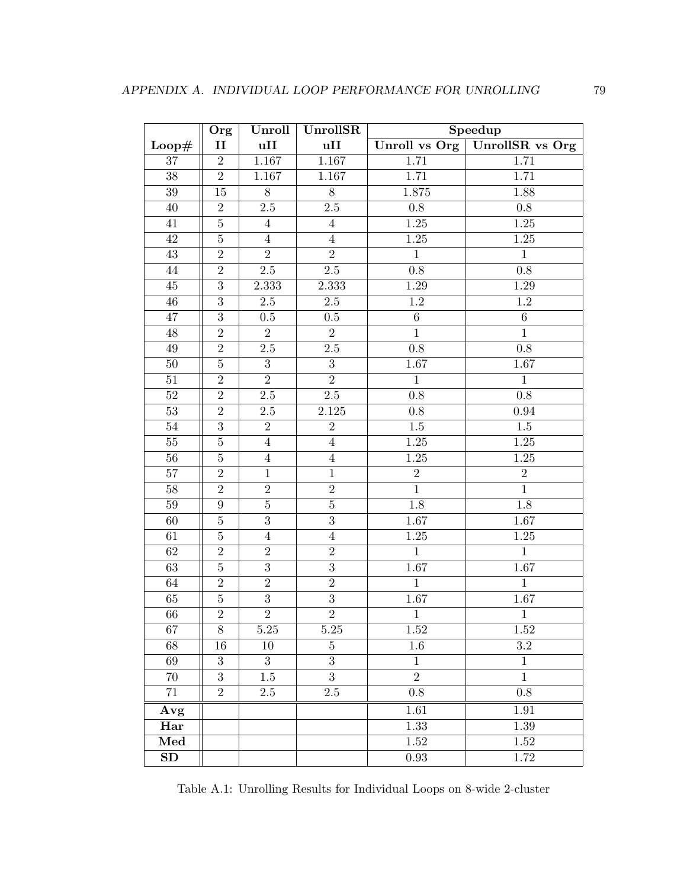|                 | Org              | Unroll           | UnrollSR         | Speedup          |                        |  |
|-----------------|------------------|------------------|------------------|------------------|------------------------|--|
| Loop#           | $\mathbf{I}$     | uII              | uII              | Unroll vs Org    | <b>UnrollSR</b> vs Org |  |
| 37              | $\overline{2}$   | 1.167            | $1.167\,$        | 1.71             | 1.71                   |  |
| 38              | $\overline{2}$   | 1.167            | 1.167            | 1.71             | 1.71                   |  |
| $39\,$          | 15               | $\overline{8}$   | $\overline{8}$   | 1.875            | 1.88                   |  |
| $40\,$          | $\overline{2}$   | $\overline{2.5}$ | $\overline{2.5}$ | 0.8              | $0.8\,$                |  |
| $41\,$          | $\overline{5}$   | $\overline{4}$   | $\,4\,$          | $1.25\,$         | $1.25\,$               |  |
| 42              | $\bf 5$          | $\overline{4}$   | $\overline{4}$   | $1.25\,$         | $1.25\,$               |  |
| 43              | $\overline{2}$   | $\overline{2}$   | $\overline{2}$   | $\mathbf{1}$     | $\mathbf{1}$           |  |
| $44\,$          | $\overline{2}$   | $2.5\,$          | $2.5\,$          | $0.8\,$          | 0.8                    |  |
| 45              | $\overline{3}$   | 2.333            | 2.333            | $1.29\,$         | 1.29                   |  |
| $46\,$          | $\overline{3}$   | $2.5\,$          | $2.5\,$          | $\overline{1.2}$ | $\overline{1.2}$       |  |
| $47\,$          | $\overline{3}$   | $0.5\,$          | $0.5\,$          | $\overline{6}$   | $\,6\,$                |  |
| 48              | $\overline{2}$   | $\overline{2}$   | $\overline{2}$   | $\mathbf{1}$     | $\mathbf{1}$           |  |
| 49              | $\overline{2}$   | 2.5              | $2.5\,$          | 0.8              | $\overline{0.8}$       |  |
| $50\,$          | $\bf 5$          | $\overline{3}$   | $\overline{3}$   | 1.67             | 1.67                   |  |
| $51\,$          | $\overline{2}$   | $\overline{2}$   | $\overline{2}$   | $\mathbf{1}$     | $\mathbf{1}$           |  |
| $\overline{52}$ | $\overline{2}$   | $\overline{2.5}$ | $\overline{2.5}$ | $\overline{0.8}$ | $\overline{0.8}$       |  |
| $53\,$          | $\overline{2}$   | $2.5\,$          | $2.125\,$        | $\rm 0.8$        | 0.94                   |  |
| $54\,$          | $\overline{3}$   | $\overline{2}$   | $\overline{2}$   | $1.5\,$          | $1.5\,$                |  |
| $55\,$          | $\overline{5}$   | $\sqrt{4}$       | $\overline{4}$   | 1.25             | 1.25                   |  |
| 56              | $\overline{5}$   | $\sqrt{4}$       | $\,4\,$          | $1.25\,$         | $1.25\,$               |  |
| $57\,$          | $\overline{2}$   | $\mathbf{1}$     | $\mathbf{1}$     | $\overline{2}$   | $\overline{2}$         |  |
| 58              | $\overline{2}$   | $\overline{2}$   | $\overline{2}$   | $\mathbf{1}$     | $\mathbf{1}$           |  |
| $59\,$          | 9                | $\overline{5}$   | $\overline{5}$   | 1.8              | 1.8                    |  |
| 60              | $\bf 5$          | $\overline{3}$   | $\overline{3}$   | 1.67             | 1.67                   |  |
| 61              | $\overline{5}$   | $\sqrt{4}$       | $\overline{4}$   | $1.25\,$         | $1.25\,$               |  |
| $62\,$          | $\overline{2}$   | $\overline{2}$   | $\overline{2}$   | $\overline{1}$   | $\overline{1}$         |  |
| 63              | $\bf 5$          | $\overline{3}$   | $\overline{3}$   | 1.67             | $1.67\,$               |  |
| $64\,$          | $\overline{2}$   | $\overline{2}$   | $\overline{2}$   | $\mathbf{1}$     | $\mathbf{1}$           |  |
| $65\,$          | $\overline{5}$   | $\overline{3}$   | $\overline{3}$   | 1.67             | 1.67                   |  |
| 66              | $\overline{2}$   | $\overline{2}$   | $\overline{2}$   | $\,1$            | $1\,$                  |  |
| 67              | $8\,$            | $5.25\,$         | $5.25\,$         | 1.52             | $1.52\,$               |  |
| 68              | 16               | 10               | $\overline{5}$   | $1.6\,$          | 3.2                    |  |
| 69              | $\boldsymbol{3}$ | 3                | 3                | 1                | $\mathbf 1$            |  |
| 70              | $\overline{3}$   | 1.5              | $\overline{3}$   | $\overline{2}$   | $\mathbf{1}$           |  |
| 71              | $\overline{2}$   | $2.5\,$          | $2.5\,$          | 0.8              | $0.8\,$                |  |
| Avg             |                  |                  |                  | 1.61             | 1.91                   |  |
| Har             |                  |                  |                  | 1.33             | 1.39                   |  |
| Med             |                  |                  |                  | $1.52\,$         | $1.52\,$               |  |
| SD              |                  |                  |                  | $0.93\,$         | 1.72                   |  |

<span id="page-89-0"></span>Table A.1: Unrolling Results for Individual Loops on 8-wide 2-cluster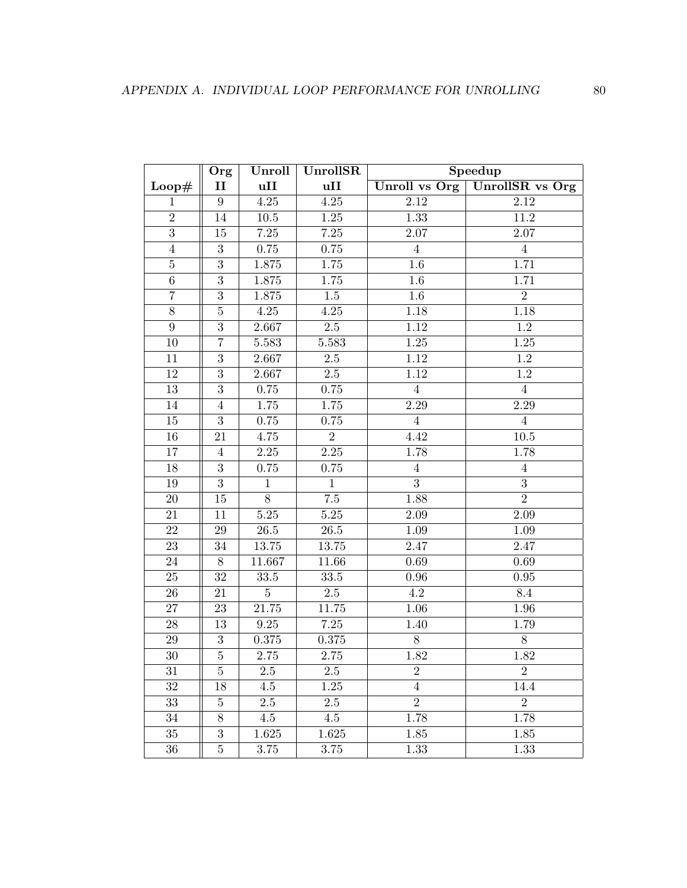|                  | Org              | Unroll         | UnrollSR          | Speedup           |                        |  |
|------------------|------------------|----------------|-------------------|-------------------|------------------------|--|
| Loop#            | $\mathbf{I}$     | uII            | uII               | Unroll vs Org     | <b>UnrollSR</b> vs Org |  |
| $\mathbf{1}$     | $\boldsymbol{9}$ | $4.25\,$       | $4.25\,$          | $2.12\,$          | 2.12                   |  |
| $\overline{2}$   | $14\,$           | $10.5\,$       | $1.25\,$          | 1.33              | 11.2                   |  |
| 3                | 15               | 7.25           | 7.25              | 2.07              | 2.07                   |  |
| $\overline{4}$   | $\overline{3}$   | 0.75           | 0.75              | $\overline{4}$    | $\overline{4}$         |  |
| $\bf 5$          | $\overline{3}$   | $1.875\,$      | $1.75\,$          | $1.6\,$           | 1.71                   |  |
| $\,6\,$          | $\overline{3}$   | $1.875\,$      | $1.75\,$          | 1.6               | 1.71                   |  |
| $\overline{7}$   | $\overline{3}$   | $1.875\,$      | $1.5\,$           | $1.6\,$           | $\overline{2}$         |  |
| $\overline{8}$   | $\overline{5}$   | $4.25\,$       | $4.25\,$          | 1.18              | 1.18                   |  |
| $\boldsymbol{9}$ | $\overline{3}$   | 2.667          | $2.5\,$           | 1.12              | $1.2\,$                |  |
| 10               | $\overline{7}$   | 5.583          | 5.583             | $\overline{1.25}$ | 1.25                   |  |
| 11               | $\overline{3}$   | 2.667          | $2.5\,$           | $1.12\,$          | 1.2                    |  |
| 12               | $\overline{3}$   | 2.667          | $2.5\,$           | $1.12\,$          | $1.2\,$                |  |
| 13               | $\overline{3}$   | $0.75\,$       | $0.75\,$          | $\overline{4}$    | $\overline{4}$         |  |
| 14               | $\overline{4}$   | $1.75\,$       | $1.75\,$          | 2.29              | $\overline{2.29}$      |  |
| 15               | $\overline{3}$   | 0.75           | 0.75              | $\overline{4}$    | $\overline{4}$         |  |
| 16               | 21               | 4.75           | $\overline{2}$    | 4.42              | $10.5\,$               |  |
| $17\,$           | $\overline{4}$   | $2.25\,$       | $\overline{2.25}$ | 1.78              | 1.78                   |  |
| 18               | $\sqrt{3}$       | 0.75           | 0.75              | $\overline{4}$    | $\overline{4}$         |  |
| 19               | $\overline{3}$   | $\mathbf{1}$   | $\mathbf{1}$      | 3                 | $\overline{3}$         |  |
| 20               | $15\,$           | $\overline{8}$ | 7.5               | 1.88              | $\overline{2}$         |  |
| $21\,$           | 11               | $5.25\,$       | $5.25\,$          | 2.09              | 2.09                   |  |
| 22               | 29               | $26.5\,$       | $26.5\,$          | 1.09              | 1.09                   |  |
| 23               | 34               | $13.75\,$      | $13.75\,$         | 2.47              | 2.47                   |  |
| 24               | $8\,$            | 11.667         | 11.66             | 0.69              | 0.69                   |  |
| 25               | 32               | 33.5           | $33.5\,$          | $0.96\,$          | 0.95                   |  |
| $26\,$           | 21               | $\overline{5}$ | $2.5\,$           | 4.2               | 8.4                    |  |
| 27               | 23               | 21.75          | 11.75             | 1.06              | 1.96                   |  |
| $28\,$           | 13               | $\ \, 9.25$    | $7.25\,$          | 1.40              | 1.79                   |  |
| 29               | 3                | $0.375\,$      | $0.375\,$         | 8                 | $8\,$                  |  |
| $30\,$           | $\overline{5}$   | $2.75\,$       | $2.75\,$          | 1.82              | 1.82                   |  |
| $31\,$           | 5                | $2.5\,$        | $2.5\,$           | $\sqrt{2}$        | $\sqrt{2}$             |  |
| 32               | 18               | 4.5            | 1.25              | $\overline{4}$    | 14.4                   |  |
| 33               | $\overline{5}$   | $2.5\,$        | 2.5               | $\overline{2}$    | $\overline{2}$         |  |
| 34               | 8                | 4.5            | 4.5               | 1.78              | 1.78                   |  |
| $35\,$           | $\overline{3}$   | $1.625\,$      | $1.625\,$         | 1.85              | $1.85\,$               |  |
| 36               | $\bf 5$          | 3.75           | $3.75\,$          | 1.33              | 1.33                   |  |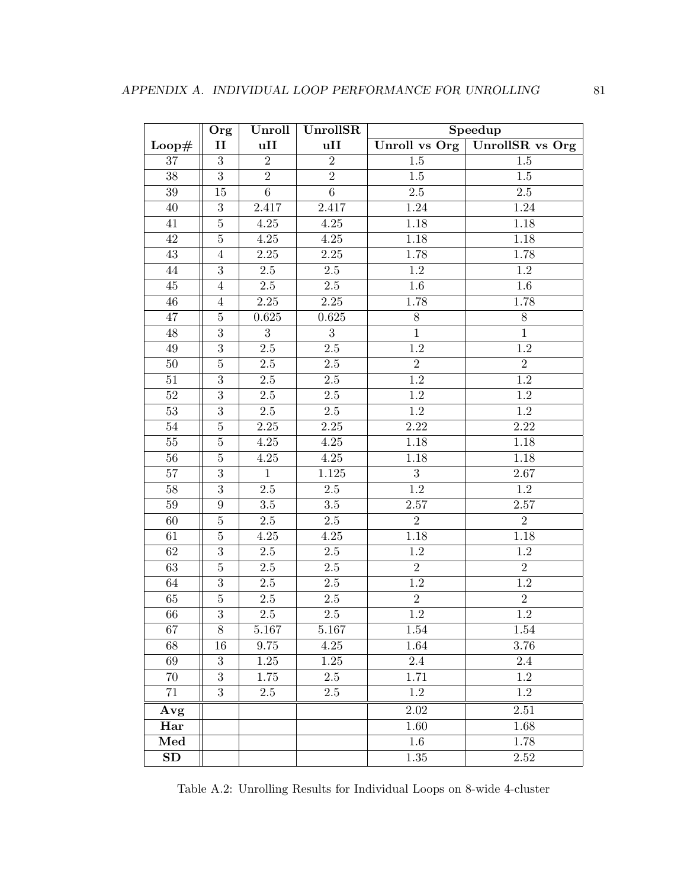|        | Org              | Unroll         | UnrollSR       | Speedup          |                        |  |
|--------|------------------|----------------|----------------|------------------|------------------------|--|
| Loop#  | $\mathbf{II}$    | uII            | uII            | Unroll vs Org    | <b>UnrollSR</b> vs Org |  |
| $37\,$ | 3                | $\overline{2}$ | $\overline{2}$ | $1.5\,$          | 1.5                    |  |
| 38     | $\overline{3}$   | $\overline{2}$ | $\overline{2}$ | $1.5\,$          | 1.5                    |  |
| $39\,$ | 15               | $\overline{6}$ | $\overline{6}$ | 2.5              | $2.5\,$                |  |
| 40     | $\overline{3}$   | 2.417          | 2.417          | 1.24             | 1.24                   |  |
| $41\,$ | $\overline{5}$   | $4.25\,$       | $4.25\,$       | 1.18             | 1.18                   |  |
| 42     | $\bf 5$          | $4.25\,$       | 4.25           | $1.18\,$         | $1.18\,$               |  |
| 43     | $\overline{4}$   | $2.25\,$       | $2.25\,$       | 1.78             | 1.78                   |  |
| 44     | $\overline{3}$   | $2.5\,$        | $2.5\,$        | 1.2              | $1.2\,$                |  |
| $45\,$ | $\overline{4}$   | $2.5\,$        | $2.5\,$        | $1.6\,$          | 1.6                    |  |
| $46\,$ | $\overline{4}$   | $2.25\,$       | $2.25\,$       | $1.78\,$         | 1.78                   |  |
| $47\,$ | $\bf 5$          | 0.625          | 0.625          | $8\,$            | 8                      |  |
| 48     | $\overline{3}$   | 3              | 3              | $\mathbf{1}$     | $\mathbf{1}$           |  |
| $49\,$ | $\overline{3}$   | $2.5\,$        | $2.5\,$        | $\overline{1.2}$ | $\overline{1.2}$       |  |
| $50\,$ | $\overline{5}$   | $2.5\,$        | $2.5\,$        | $\overline{2}$   | $\overline{2}$         |  |
| $51\,$ | $\overline{3}$   | $2.5\,$        | $2.5\,$        | $1.2\,$          | $1.2\,$                |  |
| $52\,$ | $\overline{3}$   | $2.5\,$        | $2.5\,$        | $1.2\,$          | $1.2\,$                |  |
| $53\,$ | $\overline{3}$   | $2.5\,$        | $2.5\,$        | $1.\overline{2}$ | $1.2\,$                |  |
| 54     | $\overline{5}$   | $2.25\,$       | $2.25\,$       | 2.22             | 2.22                   |  |
| $55\,$ | $\overline{5}$   | $4.25\,$       | $4.25\,$       | 1.18             | 1.18                   |  |
| 56     | $\overline{5}$   | $4.25\,$       | $4.25\,$       | 1.18             | 1.18                   |  |
| $57\,$ | $\overline{3}$   | $\mathbf{1}$   | 1.125          | 3                | 2.67                   |  |
| $58\,$ | $\overline{3}$   | $2.5\,$        | $2.5\,$        | $\overline{1.2}$ | 1.2                    |  |
| $59\,$ | 9                | $3.5\,$        | $3.5\,$        | $2.57\,$         | $2.57\,$               |  |
| 60     | $\bf 5$          | $2.5\,$        | $2.5\,$        | $\overline{2}$   | $\overline{2}$         |  |
| 61     | $\overline{5}$   | $4.25\,$       | $4.25\,$       | 1.18             | 1.18                   |  |
| 62     | $\overline{3}$   | $2.5\,$        | $2.5\,$        | $1.2\,$          | $1.2\,$                |  |
| 63     | $\overline{5}$   | $2.5\,$        | $2.5\,$        | $\overline{2}$   | $\overline{2}$         |  |
| 64     | $\overline{3}$   | 2.5            | $2.5\,$        | 1.2              | 1.2                    |  |
| 65     | $\bf 5$          | $2.5\,$        | $2.5\,$        | $\overline{2}$   | $\overline{2}$         |  |
| 66     | $\overline{3}$   | $2.5\,$        | $2.5\,$        | $1.2\,$          | $1.\overline{2}$       |  |
| 67     | $8\,$            | 5.167          | 5.167          | 1.54             | 1.54                   |  |
| 68     | 16               | 9.75           | 4.25           | 1.64             | 3.76                   |  |
| 69     | $\boldsymbol{3}$ | 1.25           | 1.25           | 2.4              | 2.4                    |  |
| 70     | $\overline{3}$   | 1.75           | 2.5            | 1.71             | 1.2                    |  |
| 71     | 3                | 2.5            | 2.5            | 1.2              | 1.2                    |  |
| Avg    |                  |                |                | 2.02             | 2.51                   |  |
| Har    |                  |                |                | 1.60             | 1.68                   |  |
| Med    |                  |                |                | 1.6              | 1.78                   |  |
| SD     |                  |                |                | 1.35             | 2.52                   |  |

<span id="page-91-0"></span>Table A.2: Unrolling Results for Individual Loops on 8-wide 4-cluster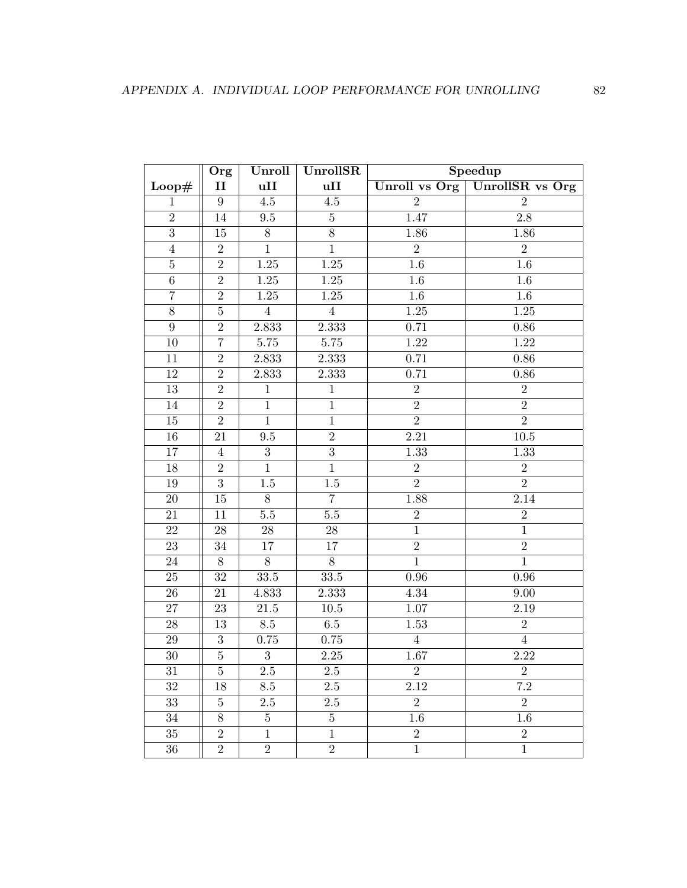|                  | Org              | Unroll         | UnrollSR          | Speedup           |                  |  |
|------------------|------------------|----------------|-------------------|-------------------|------------------|--|
| Loop#            | $\rm II$         | uII            | uII               | Unroll vs Org     | UnrollSR vs Org  |  |
| $\mathbf{1}$     | $\boldsymbol{9}$ | $4.5\,$        | $4.5\,$           | $\overline{2}$    | $\overline{2}$   |  |
| $\overline{2}$   | $14\,$           | $\ \, 9.5$     | $\bf 5$           | 1.47              | $2.8\,$          |  |
| 3                | 15               | $8\,$          | $8\,$             | 1.86              | 1.86             |  |
| $\overline{4}$   | $\overline{2}$   | $\overline{1}$ | $\overline{1}$    | $\overline{2}$    | $\overline{2}$   |  |
| $\bf 5$          | $\overline{2}$   | $1.25\,$       | $1.25\,$          | $1.6\,$           | $\overline{1.6}$ |  |
| $\,6\,$          | $\overline{2}$   | $1.25\,$       | $1.25\,$          | $1.6\,$           | $1.6\,$          |  |
| $\overline{7}$   | $\overline{2}$   | 1.25           | $\overline{1.25}$ | $1.6\,$           | $1.6\,$          |  |
| $\overline{8}$   | $\overline{5}$   | $\sqrt{4}$     | $\overline{4}$    | $1.25\,$          | $1.25\,$         |  |
| $\boldsymbol{9}$ | $\overline{2}$   | 2.833          | 2.333             | 0.71              | 0.86             |  |
| 10               | $\overline{7}$   | 5.75           | 5.75              | 1.22              | 1.22             |  |
| 11               | $\overline{2}$   | 2.833          | 2.333             | 0.71              | $0.86\,$         |  |
| 12               | $\overline{2}$   | 2.833          | 2.333             | 0.71              | $0.86\,$         |  |
| 13               | $\overline{2}$   | $\mathbf{1}$   | $\mathbf{1}$      | $\overline{2}$    | $\overline{2}$   |  |
| 14               | $\overline{2}$   | $\overline{1}$ | $\mathbf{1}$      | $\overline{2}$    | $\overline{2}$   |  |
| $15\,$           | $\overline{2}$   | $\mathbf{1}$   | $\mathbf{1}$      | $\overline{2}$    | $\overline{2}$   |  |
| $16\,$           | 21               | 9.5            | $\overline{2}$    | $\overline{2.21}$ | $10.5\,$         |  |
| 17               | $\overline{4}$   | $\overline{3}$ | $\overline{3}$    | 1.33              | 1.33             |  |
| 18               | $\sqrt{2}$       | $\mathbf{1}$   | $\mathbf{1}$      | $\sqrt{2}$        | $\sqrt{2}$       |  |
| $19\,$           | $\overline{3}$   | $1.5\,$        | $1.5\,$           | $\overline{2}$    | $\overline{2}$   |  |
| $20\,$           | $15\,$           | $8\,$          | $\overline{7}$    | 1.88              | 2.14             |  |
| $21\,$           | 11               | $5.5\,$        | $5.5\,$           | $\,2$             | $\sqrt{2}$       |  |
| $22\,$           | 28               | 28             | $28\,$            | $\overline{1}$    | $\overline{1}$   |  |
| 23               | 34               | 17             | 17                | $\sqrt{2}$        | $\overline{2}$   |  |
| 24               | $8\,$            | $8\,$          | $8\,$             | $\overline{1}$    | $\mathbf{1}$     |  |
| 25               | $32\,$           | $33.5\,$       | $33.5\,$          | $0.96\,$          | 0.96             |  |
| $26\,$           | 21               | 4.833          | 2.333             | 4.34              | 9.00             |  |
| $27\,$           | 23               | $21.5\,$       | $10.5\,$          | $1.07\,$          | 2.19             |  |
| $28\,$           | 13               | $8.5\,$        | $6.5\,$           | 1.53              | $\overline{2}$   |  |
| 29               | 3                | 0.75           | $0.75\,$          | $\overline{4}$    | $\overline{4}$   |  |
| $30\,$           | $\overline{5}$   | $\sqrt{3}$     | $2.25\,$          | $1.67\,$          | 2.22             |  |
| $31\,$           | 5                | $2.5\,$        | $2.5\,$           | $\sqrt{2}$        | $\sqrt{2}$       |  |
| $32\,$           | 18               | 8.5            | $2.5\,$           | $2.12\,$          | $7.2\,$          |  |
| 33               | $\overline{5}$   | $2.5\,$        | $2.5\,$           | $\boldsymbol{2}$  | $\boldsymbol{2}$ |  |
| 34               | 8                | $\overline{5}$ | $\overline{5}$    | 1.6               | 1.6              |  |
| $35\,$           | $\overline{2}$   | $\mathbf{1}$   | $\mathbf{1}$      | $\sqrt{2}$        | $\overline{2}$   |  |
| $36\,$           | $\overline{2}$   | $\sqrt{2}$     | $\sqrt{2}$        | $\mathbf{1}$      | $\,1$            |  |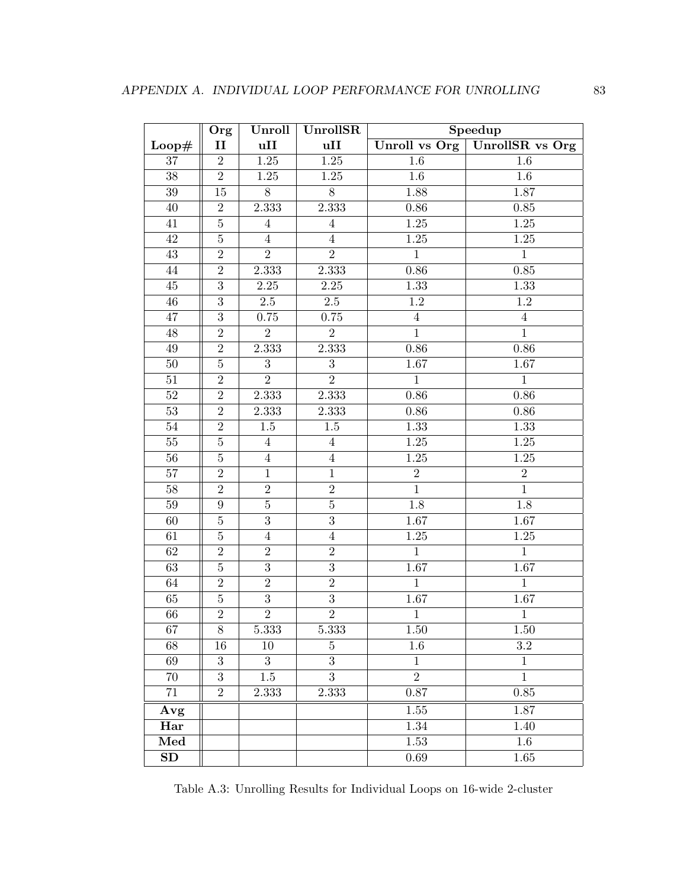|                 | Org              | Unroll         | UnrollSR          | Speedup        |                                 |  |
|-----------------|------------------|----------------|-------------------|----------------|---------------------------------|--|
| Loop#           | $\mathbf{II}$    | uII            | uII               |                | Unroll vs Org   UnrollSR vs Org |  |
| $37\,$          | $\overline{2}$   | $1.25\,$       | $\overline{1.25}$ | $1.6\,$        | 1.6                             |  |
| 38              | $\overline{2}$   | 1.25           | 1.25              | 1.6            | $1.6\,$                         |  |
| $39\,$          | 15               | $\overline{8}$ | $\overline{8}$    | 1.88           | 1.87                            |  |
| 40              | $\overline{2}$   | 2.333          | 2.333             | $0.86\,$       | $0.85\,$                        |  |
| $41\,$          | $\overline{5}$   | $\overline{4}$ | $\sqrt{4}$        | $1.25\,$       | $\overline{1.25}$               |  |
| 42              | $\bf 5$          | $\overline{4}$ | $\overline{4}$    | $1.25\,$       | $\overline{1.25}$               |  |
| 43              | $\overline{2}$   | $\overline{2}$ | $\overline{2}$    | $\mathbf{1}$   | $\mathbf{1}$                    |  |
| 44              | $\overline{2}$   | 2.333          | 2.333             | 0.86           | 0.85                            |  |
| $45\,$          | $\overline{3}$   | $2.25\,$       | $2.25\,$          | 1.33           | 1.33                            |  |
| $46\,$          | $\overline{3}$   | $2.5\,$        | $2.5\,$           | $1.2\,$        | 1.2                             |  |
| $47\,$          | $\overline{3}$   | 0.75           | 0.75              | $\sqrt{4}$     | $\overline{4}$                  |  |
| 48              | $\overline{2}$   | $\overline{2}$ | $\overline{2}$    | $\mathbf{1}$   | $\mathbf{1}$                    |  |
| $49\,$          | $\overline{2}$   | 2.333          | 2.333             | 0.86           | 0.86                            |  |
| $50\,$          | $\overline{5}$   | 3              | 3                 | $1.67\,$       | 1.67                            |  |
| $51\,$          | $\overline{2}$   | $\overline{2}$ | $\overline{2}$    | $\overline{1}$ | $\overline{1}$                  |  |
| $52\,$          | $\overline{2}$   | 2.333          | 2.333             | $0.86\,$       | 0.86                            |  |
| 53              | $\overline{2}$   | 2.333          | 2.333             | $0.86\,$       | 0.86                            |  |
| 54              | $\overline{2}$   | 1.5            | 1.5               | 1.33           | 1.33                            |  |
| $55\,$          | $\overline{5}$   | $\overline{4}$ | $\overline{4}$    | $1.25\,$       | $1.25$                          |  |
| 56              | $\overline{5}$   | $\overline{4}$ | $\overline{4}$    | $1.25\,$       | $1.25\,$                        |  |
| $57\,$          | $\overline{2}$   | $\mathbf{1}$   | $\mathbf{1}$      | $\overline{2}$ | $\overline{2}$                  |  |
| $\overline{58}$ | $\overline{2}$   | $\overline{2}$ | $\overline{2}$    | $\overline{1}$ | $\mathbf{1}$                    |  |
| $59\,$          | 9                | $\overline{5}$ | $\overline{5}$    | 1.8            | 1.8                             |  |
| 60              | $\bf 5$          | $\overline{3}$ | $\overline{3}$    | $1.67\,$       | 1.67                            |  |
| 61              | $\overline{5}$   | $\overline{4}$ | $\,4\,$           | $1.25\,$       | $\overline{1.25}$               |  |
| 62              | $\overline{2}$   | $\sqrt{2}$     | $\overline{2}$    | $\overline{1}$ | $\mathbf{1}$                    |  |
| 63              | $\overline{5}$   | $\overline{3}$ | $\overline{3}$    | 1.67           | 1.67                            |  |
| 64              | $\overline{2}$   | $\overline{2}$ | $\overline{2}$    | $\mathbf{1}$   | $\mathbf{1}$                    |  |
| 65              | $\overline{5}$   | $\overline{3}$ | $\overline{3}$    | $1.67\,$       | $1.67\,$                        |  |
| 66              | $\overline{2}$   | $\overline{2}$ | $\overline{2}$    | $\mathbf 1$    | $\,1$                           |  |
| 67              | $8\,$            | 5.333          | 5.333             | 1.50           | 1.50                            |  |
| 68              | 16               | 10             | 5                 | $1.6\,$        | $\!3.2\!$                       |  |
| 69              | $\boldsymbol{3}$ | 3              | 3                 | $\mathbf{1}$   | $\mathbf 1$                     |  |
| 70              | $\overline{3}$   | $1.5\,$        | $\overline{3}$    | $\overline{2}$ | $\mathbf{1}$                    |  |
| 71              | $\overline{2}$   | 2.333          | 2.333             | 0.87           | $0.85\,$                        |  |
| Avg             |                  |                |                   | 1.55           | 1.87                            |  |
| Har             |                  |                |                   | $1.34\,$       | 1.40                            |  |
| Med             |                  |                |                   | 1.53           | $1.6\,$                         |  |
| SD              |                  |                |                   | $0.69\,$       | 1.65                            |  |

<span id="page-93-0"></span>Table A.3: Unrolling Results for Individual Loops on 16-wide 2-cluster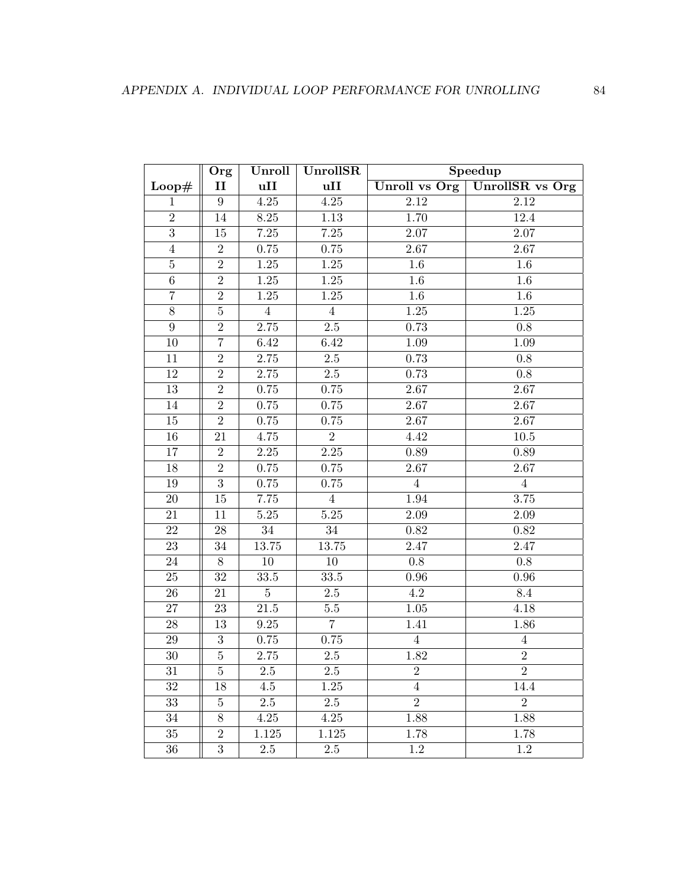|                  | Org            | Unroll         | UnrollSR          | Speedup           |                        |  |
|------------------|----------------|----------------|-------------------|-------------------|------------------------|--|
| Loop#            | $\mathbf{I}$   | uII            | uII               | Unroll vs Org     | <b>UnrollSR</b> vs Org |  |
| $\mathbf{1}$     | $\overline{9}$ | $4.25\,$       | $\overline{4.25}$ | $\overline{2.12}$ | 2.12                   |  |
| $\overline{2}$   | 14             | $8.25\,$       | $1.13\,$          | 1.70              | 12.4                   |  |
| $\overline{3}$   | 15             | 7.25           | $7.25\,$          | $2.07\,$          | 2.07                   |  |
| $\overline{4}$   | $\overline{2}$ | 0.75           | 0.75              | 2.67              | 2.67                   |  |
| $\bf 5$          | $\overline{2}$ | $1.25\,$       | $1.25\,$          | $1.6\,$           | $1.6\,$                |  |
| $\,6\,$          | $\overline{2}$ | $1.25\,$       | $1.25\,$          | 1.6               | 1.6                    |  |
| $\overline{7}$   | $\overline{2}$ | 1.25           | $1.25\,$          | $1.6\,$           | $1.6\,$                |  |
| $\overline{8}$   | $\overline{5}$ | $\overline{4}$ | $\overline{4}$    | $1.25\,$          | $1.25\,$               |  |
| $\boldsymbol{9}$ | $\overline{2}$ | 2.75           | $2.5\,$           | 0.73              | $0.8\,$                |  |
| 10               | $\overline{7}$ | 6.42           | 6.42              | 1.09              | 1.09                   |  |
| 11               | $\overline{2}$ | $2.75\,$       | $2.5\,$           | 0.73              | $0.8\,$                |  |
| 12               | $\sqrt{2}$     | 2.75           | $2.5\,$           | 0.73              | 0.8                    |  |
| 13               | $\overline{2}$ | 0.75           | $0.75\,$          | 2.67              | 2.67                   |  |
| 14               | $\overline{2}$ | 0.75           | $0.75\,$          | $2.67\,$          | $2.67\,$               |  |
| $15\,$           | $\overline{2}$ | 0.75           | 0.75              | 2.67              | 2.67                   |  |
| 16               | 21             | 4.75           | $\overline{2}$    | 4.42              | $10.5$                 |  |
| 17               | $\overline{2}$ | $2.25\,$       | $\overline{2.25}$ | $0.89\,$          | 0.89                   |  |
| 18               | $\overline{2}$ | 0.75           | 0.75              | 2.67              | $\overline{2.67}$      |  |
| $19\,$           | $\overline{3}$ | $0.75\,$       | 0.75              | $\overline{4}$    | $\overline{4}$         |  |
| $20\,$           | $15\,$         | 7.75           | $\overline{4}$    | 1.94              | 3.75                   |  |
| 21               | 11             | $5.25\,$       | $5.25\,$          | 2.09              | 2.09                   |  |
| $22\,$           | $28\,$         | $34\,$         | $34\,$            | $0.82\,$          | 0.82                   |  |
| 23               | 34             | $13.75\,$      | $13.75\,$         | $2.47\,$          | 2.47                   |  |
| 24               | 8              | 10             | 10                | $0.8\,$           | 0.8                    |  |
| 25               | $32\,$         | 33.5           | 33.5              | $\rm 0.96$        | $0.96\,$               |  |
| ${\bf 26}$       | $21\,$         | $\overline{5}$ | $2.5\,$           | $4.2\,$           | $8.4\,$                |  |
| $27\,$           | 23             | $21.5\,$       | $5.5\,$           | $1.05\,$          | 4.18                   |  |
| 28               | 13             | 9.25           | $\overline{7}$    | 1.41              | 1.86                   |  |
| $29\,$           | 3              | 0.75           | 0.75              | $\overline{4}$    | $\overline{4}$         |  |
| $30\,$           | $\overline{5}$ | $2.75\,$       | $2.5\,$           | 1.82              | $\overline{2}$         |  |
| $31\,$           | $\bf 5$        | $2.5\,$        | $2.5\,$           | $\sqrt{2}$        | $\overline{2}$         |  |
| $32\,$           | 18             | 4.5            | 1.25              | $\overline{4}$    | 14.4                   |  |
| 33               | $\overline{5}$ | $2.5\,$        | 2.5               | $\overline{2}$    | $\overline{2}$         |  |
| 34               | 8              | 4.25           | 4.25              | 1.88              | 1.88                   |  |
| $35\,$           | $\overline{2}$ | 1.125          | 1.125             | 1.78              | 1.78                   |  |
| $36\,$           | $\sqrt{3}$     | $2.5\,$        | $2.5\,$           | 1.2               | 1.2                    |  |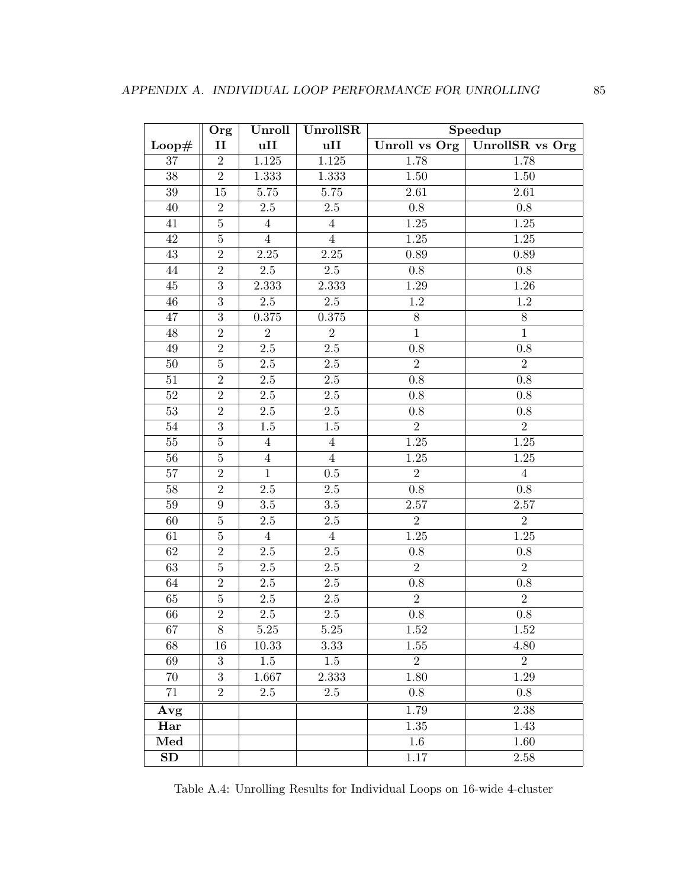|        | Org            | Unroll            | UnrollSR       | Speedup           |                   |  |
|--------|----------------|-------------------|----------------|-------------------|-------------------|--|
| Loop#  | $\mathbf{I}$   | uII               | uII            | Unroll vs $Org$   | UnrollSR vs Org   |  |
| 37     | $\overline{2}$ | $1.125\,$         | $1.125\,$      | 1.78              | 1.78              |  |
| 38     | $\overline{2}$ | 1.333             | 1.333          | 1.50              | 1.50              |  |
| 39     | 15             | 5.75              | $5.75\,$       | 2.61              | 2.61              |  |
| 40     | $\overline{2}$ | $2.5\,$           | 2.5            | $\rm 0.8$         | $0.8\,$           |  |
| $41\,$ | $\overline{5}$ | $\overline{4}$    | $\overline{4}$ | $1.25\,$          | $1.25\,$          |  |
| 42     | $\bf 5$        | $\overline{4}$    | $\overline{4}$ | $1.25\,$          | $1.25\,$          |  |
| 43     | $\overline{2}$ | $2.25\,$          | $2.25\,$       | 0.89              | 0.89              |  |
| 44     | $\overline{2}$ | 2.5               | $2.5\,$        | $0.8\,$           | $0.8\,$           |  |
| 45     | $\overline{3}$ | 2.333             | 2.333          | $1.29\,$          | 1.26              |  |
| $46\,$ | $\overline{3}$ | $2.5\,$           | $2.5\,$        | $\overline{1.2}$  | $1.2\,$           |  |
| 47     | $\overline{3}$ | $0.375\,$         | $0.375\,$      | $8\,$             | $8\,$             |  |
| 48     | $\overline{2}$ | $\overline{2}$    | $\overline{2}$ | $\mathbf{1}$      | $\mathbf{1}$      |  |
| $49\,$ | $\overline{2}$ | $2.5\,$           | $2.5\,$        | 0.8               | 0.8               |  |
| 50     | $\overline{5}$ | $2.5\,$           | $2.5\,$        | $\overline{2}$    | $\overline{2}$    |  |
| $51\,$ | $\overline{2}$ | $2.5\,$           | $2.5\,$        | $0.8\,$           | $0.8\,$           |  |
| $52\,$ | $\overline{2}$ | $2.5\,$           | $2.5\,$        | $0.8\,$           | $0.8\,$           |  |
| 53     | $\overline{2}$ | $2.5\,$           | $2.5\,$        | $0.8\,$           | 0.8               |  |
| 54     | $\overline{3}$ | 1.5               | $1.5\,$        | $\overline{2}$    | $\overline{2}$    |  |
| $55\,$ | $\overline{5}$ | $\overline{4}$    | $\overline{4}$ | 1.25              | $1.25$            |  |
| 56     | $\overline{5}$ | $\overline{4}$    | $\overline{4}$ | 1.25              | $1.25\,$          |  |
| 57     | $\overline{2}$ | $\mathbf{1}$      | $0.5\,$        | $\overline{2}$    | $\overline{4}$    |  |
| 58     | $\overline{2}$ | $\overline{2.5}$  | $2.5\,$        | $\overline{0.8}$  | 0.8               |  |
| $59\,$ | 9              | $3.5\,$           | $3.5\,$        | $2.57\,$          | 2.57              |  |
| 60     | $\bf 5$        | $2.5\,$           | $2.5\,$        | $\overline{2}$    | $\overline{2}$    |  |
| 61     | $\overline{5}$ | $\overline{4}$    | $\overline{4}$ | $\overline{1.25}$ | $\overline{1.25}$ |  |
| 62     | $\overline{2}$ | $2.5\,$           | $2.5\,$        | $0.8\,$           | 0.8               |  |
| 63     | $\overline{5}$ | $2.5\,$           | $2.5\,$        | $\overline{2}$    | $\overline{2}$    |  |
| 64     | $\overline{2}$ | $2.5\,$           | $2.5\,$        | 0.8               | 0.8               |  |
| 65     | $\bf 5$        | $2.5\,$           | $2.5\,$        | $\overline{2}$    | $\overline{2}$    |  |
| 66     | $\overline{2}$ | $2.5\,$           | $2.5\,$        | $0.8\,$           | $0.8\,$           |  |
| 67     | $8\,$          | $\overline{5.25}$ | $5.25\,$       | 1.52              | 1.52              |  |
| 68     | 16             | 10.33             | 3.33           | $1.55\,$          | 4.80              |  |
| 69     | 3              | $1.5\,$           | 1.5            | $\overline{2}$    | $\overline{2}$    |  |
| 70     | $\overline{3}$ | 1.667             | 2.333          | 1.80              | 1.29              |  |
| 71     | $\overline{2}$ | $2.5\,$           | 2.5            | 0.8               | 0.8               |  |
| Avg    |                |                   |                | 1.79              | 2.38              |  |
| Har    |                |                   |                | $1.35\,$          | 1.43              |  |
| Med    |                |                   |                | 1.6               | 1.60              |  |
| SD     |                |                   |                | 1.17              | 2.58              |  |

<span id="page-95-0"></span>Table A.4: Unrolling Results for Individual Loops on 16-wide 4-cluster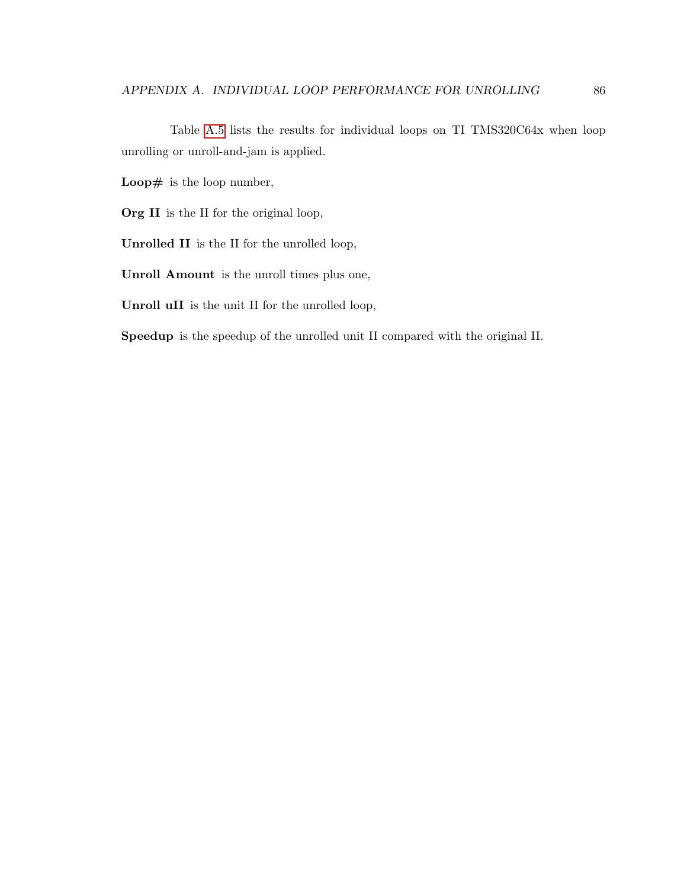Table [A.5](#page-98-0) lists the results for individual loops on TI TMS320C64x when loop unrolling or unroll-and-jam is applied.

Loop $#$  is the loop number,

Org II is the II for the original loop,

Unrolled II is the II for the unrolled loop,

Unroll Amount is the unroll times plus one,

Unroll uII is the unit II for the unrolled loop,

Speedup is the speedup of the unrolled unit II compared with the original II.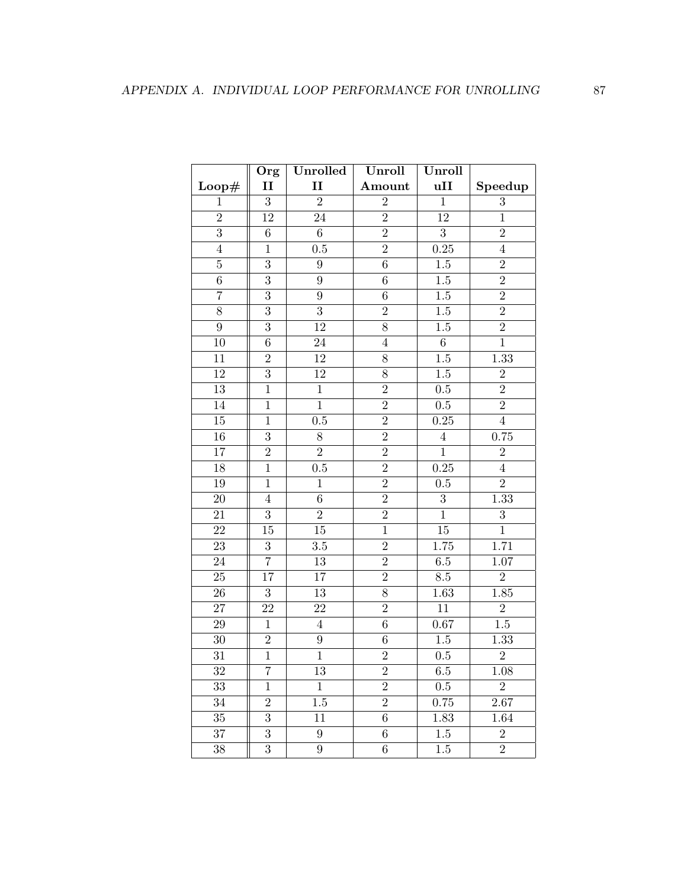|                 | Org              | Unrolled         | Unroll           | Unroll           |                  |
|-----------------|------------------|------------------|------------------|------------------|------------------|
| Loop#           | $\mathbf{I}$     | $\mathbf{I}$     | Amount           | uII              | Speedup          |
| $\mathbf{1}$    | $\overline{3}$   | $\overline{2}$   | $\overline{2}$   | $\mathbf{1}$     | 3                |
| $\overline{2}$  | 12               | $24\,$           | $\sqrt{2}$       | 12               | $\mathbf{1}$     |
| $\overline{3}$  | $6\phantom{.}6$  | $6\phantom{.}$   | $\overline{2}$   | $\overline{3}$   | $\overline{2}$   |
| $\overline{4}$  | $\overline{1}$   | 0.5              | $\overline{2}$   | 0.25             | $\overline{4}$   |
| $\bf 5$         | $\overline{3}$   | $\boldsymbol{9}$ | $\overline{6}$   | $1.5\,$          | $\boldsymbol{2}$ |
| $\sqrt{6}$      | 3                | 9                | 6                | $1.5\,$          | $\overline{2}$   |
| $\overline{7}$  | 3                | $\boldsymbol{9}$ | $\,6$            | $1.5\,$          | $\overline{2}$   |
| $\overline{8}$  | $\overline{3}$   | $\overline{3}$   | $\overline{2}$   | $1.5\,$          | $\overline{2}$   |
| $9\phantom{.0}$ | $\overline{3}$   | 12               | $\overline{8}$   | $1.5\,$          | $\overline{2}$   |
| 10              | $\overline{6}$   | $24\,$           | $\overline{4}$   | $\overline{6}$   | $\overline{1}$   |
| 11              | $\overline{2}$   | 12               | 8                | $1.5\,$          | 1.33             |
| 12              | $\overline{3}$   | 12               | 8                | $1.5\,$          | $\sqrt{2}$       |
| 13              | $\mathbf{1}$     | $\mathbf{1}$     | $\overline{2}$   | $0.5\,$          | $\overline{2}$   |
| 14              | $\overline{1}$   | $\overline{1}$   | $\overline{2}$   | $0.5\,$          | $\overline{2}$   |
| 15              | $\mathbf{1}$     | $0.5\,$          | $\overline{2}$   | $0.25\,$         | $\overline{4}$   |
| $\overline{16}$ | $\overline{3}$   | $\overline{8}$   | $\overline{2}$   | $\overline{4}$   | 0.75             |
| 17              | $\overline{2}$   | $\overline{2}$   | $\overline{2}$   | $\overline{1}$   | $\overline{2}$   |
| 18              | $\mathbf{1}$     | $0.5\,$          | $\overline{2}$   | 0.25             | $\overline{4}$   |
| 19              | $\overline{1}$   | $\mathbf{1}$     | $\overline{2}$   | 0.5              | $\overline{2}$   |
| $20\,$          | $\bf 4$          | $6\phantom{.}$   | $\overline{2}$   | $\boldsymbol{3}$ | 1.33             |
| 21              | $\overline{3}$   | $\overline{2}$   | $\overline{2}$   | $\overline{1}$   | $\sqrt{3}$       |
| 22              | 15               | $15\,$           | $\mathbf{1}$     | $15\,$           | $\mathbf{1}$     |
| 23              | $\overline{3}$   | 3.5              | $\overline{2}$   | 1.75             | 1.71             |
| 24              | $\overline{7}$   | $13\,$           | $\overline{2}$   | $6.5\,$          | $1.07\,$         |
| $\overline{25}$ | 17               | $17\,$           | $\overline{2}$   | $8.5\,$          | $\overline{2}$   |
| $26\,$          | $\boldsymbol{3}$ | $13\,$           | $\overline{8}$   | 1.63             | 1.85             |
| 27              | 22               | $22\,$           | $\sqrt{2}$       | 11               | $\sqrt{2}$       |
| 29              | $\mathbf{1}$     | $\overline{4}$   | $6\phantom{.}6$  | $0.67\,$         | $1.5\,$          |
| 30              | $\overline{2}$   | $\boldsymbol{9}$ | $\boldsymbol{6}$ | $1.5\,$          | 1.33             |
| $31\,$          | $\overline{1}$   | $\mathbf{1}$     | $\overline{2}$   | $\rm 0.5$        | $\overline{2}$   |
| 32              | 7                | 13               | $\overline{2}$   | $6.5\,$          | 1.08             |
| 33              | $\mathbf{1}$     | $\mathbf{1}$     | $\overline{2}$   | 0.5              | $\overline{2}$   |
| 34              | $\overline{2}$   | 1.5              | $\overline{2}$   | 0.75             | 2.67             |
| $35\,$          | 3                | 11               | $\boldsymbol{6}$ | 1.83             | 1.64             |
| 37              | $\overline{3}$   | $9\phantom{.0}$  | $6\phantom{.}6$  | $1.5\,$          | $\overline{2}$   |
| $38\,$          | $\overline{3}$   | $\boldsymbol{9}$ | $\,6$            | $1.5\,$          | $\overline{2}$   |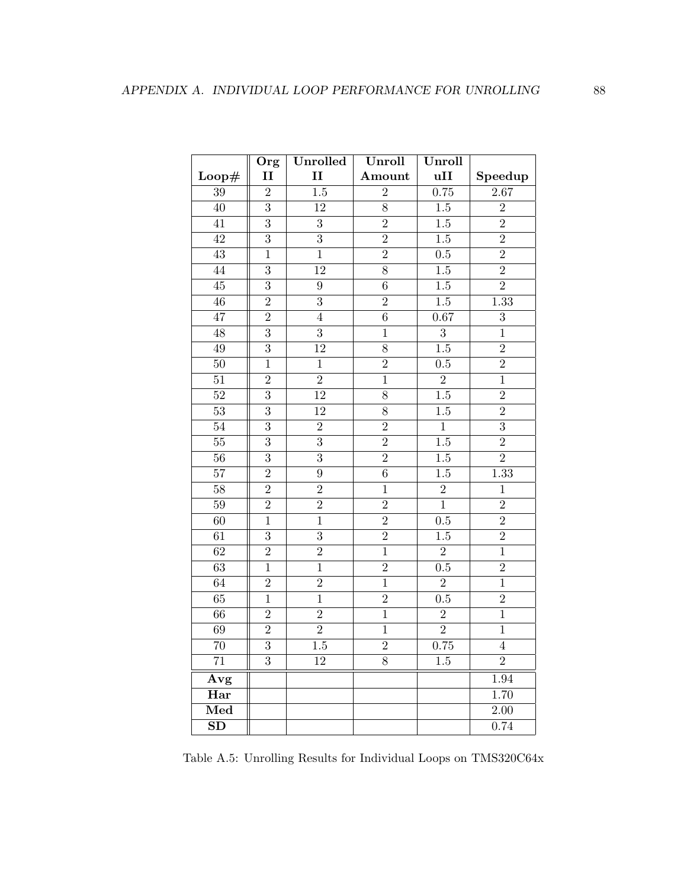|                        | Org            | Unrolled         | Unroll         | Unroll           |                   |
|------------------------|----------------|------------------|----------------|------------------|-------------------|
| Loop#                  | $\mathbf{I}$   | $\mathbf{I}$     | Amount         | uII              | Speedup           |
| 39                     | $\overline{2}$ | $\overline{1.5}$ | $\overline{2}$ | 0.75             | 2.67              |
| $\overline{40}$        | $\overline{3}$ | <sup>12</sup>    | $\overline{8}$ | $1.5\,$          | $\overline{2}$    |
| $\overline{41}$        | $\overline{3}$ | $\overline{3}$   | $\overline{2}$ | $1.5\,$          | $\overline{2}$    |
| $\overline{42}$        | $\overline{3}$ | $\overline{3}$   | $\overline{2}$ | 1.5              | $\overline{2}$    |
| $\overline{43}$        | $\mathbf{1}$   | $\,1$            | $\overline{2}$ | 0.5              | $\overline{2}$    |
| $\overline{44}$        | $\overline{3}$ | $\overline{12}$  | $\overline{8}$ | 1.5              | $\overline{2}$    |
| 45                     | $\overline{3}$ | $\boldsymbol{9}$ | $\,6$          | 1.5              | $\overline{2}$    |
| 46                     | $\overline{2}$ | 3                | $\overline{2}$ | 1.5              | 1.33              |
| 47                     | $\overline{2}$ | $\overline{4}$   | $\,6$          | 0.67             | 3                 |
| 48                     | $\overline{3}$ | $\overline{3}$   | $\mathbf{1}$   | $\overline{3}$   | $\mathbf 1$       |
| 49                     | $\overline{3}$ | $\overline{12}$  | $\overline{8}$ | 1.5              | $\overline{2}$    |
| $\overline{50}$        | $\overline{1}$ | $\,1$            | $\overline{2}$ | 0.5              | $\overline{2}$    |
| 51                     | $\overline{2}$ | $\overline{2}$   | $\overline{1}$ | $\overline{2}$   | $\overline{1}$    |
| $\overline{52}$        | $\overline{3}$ | $\overline{12}$  | $\overline{8}$ | $\overline{1.5}$ | $\overline{2}$    |
| $\overline{53}$        | $\overline{3}$ | $\overline{12}$  | $\overline{8}$ | $\overline{1.5}$ | $\overline{2}$    |
| 54                     | $\overline{3}$ | $\overline{2}$   | $\overline{2}$ | $\overline{1}$   | $\overline{3}$    |
| $\overline{55}$        | $\overline{3}$ | $\overline{3}$   | $\overline{2}$ | 1.5              | $\overline{2}$    |
| $\overline{56}$        | $\overline{3}$ | $\overline{3}$   | $\overline{2}$ | 1.5              | $\overline{2}$    |
| $\overline{57}$        | $\overline{2}$ | $\overline{9}$   | $\overline{6}$ | 1.5              | $\overline{1.33}$ |
| $\overline{58}$        | $\overline{2}$ | $\overline{2}$   | $\mathbf{1}$   | $\overline{2}$   | $\mathbf{1}$      |
| $\overline{59}$        | $\overline{2}$ | $\overline{2}$   | $\overline{2}$ | $\overline{1}$   | $\overline{2}$    |
| 60                     | $\overline{1}$ | $\overline{1}$   | $\overline{2}$ | 0.5              | $\overline{2}$    |
| $\overline{61}$        | $\overline{3}$ | $\overline{3}$   | $\overline{2}$ | $\overline{1.5}$ | $\overline{2}$    |
| $\overline{62}$        | $\overline{2}$ | $\overline{2}$   | $\overline{1}$ | $\overline{2}$   | $\overline{1}$    |
| $\overline{63}$        | $\overline{1}$ | $\overline{1}$   | $\overline{2}$ | 0.5              | $\overline{2}$    |
| 64                     | $\overline{2}$ | $\overline{2}$   | $\overline{1}$ | $\overline{2}$   | $\overline{1}$    |
| 65                     | $\mathbf{1}$   | $\mathbf{1}$     | $\overline{2}$ | 0.5              | $\overline{2}$    |
| 66                     | $\overline{2}$ | $\overline{2}$   | $\mathbf{1}$   | $\overline{2}$   | $\overline{1}$    |
| 69                     | $\overline{2}$ | $\overline{2}$   | $\mathbf{1}$   | $\overline{2}$   | $\mathbf{1}$      |
| 70                     | $\overline{3}$ | $1.5\,$          | $\overline{2}$ | 0.75             | $\overline{4}$    |
| $\overline{71}$        | $\overline{3}$ | $\overline{12}$  | $\overline{8}$ | 1.5              | $\overline{2}$    |
| Avg                    |                |                  |                |                  | 1.94              |
| Har                    |                |                  |                |                  | 1.70              |
| Med                    |                |                  |                |                  | $\overline{2.00}$ |
| $\overline{\text{SD}}$ |                |                  |                |                  | 0.74              |

<span id="page-98-0"></span>Table A.5: Unrolling Results for Individual Loops on TMS320C64x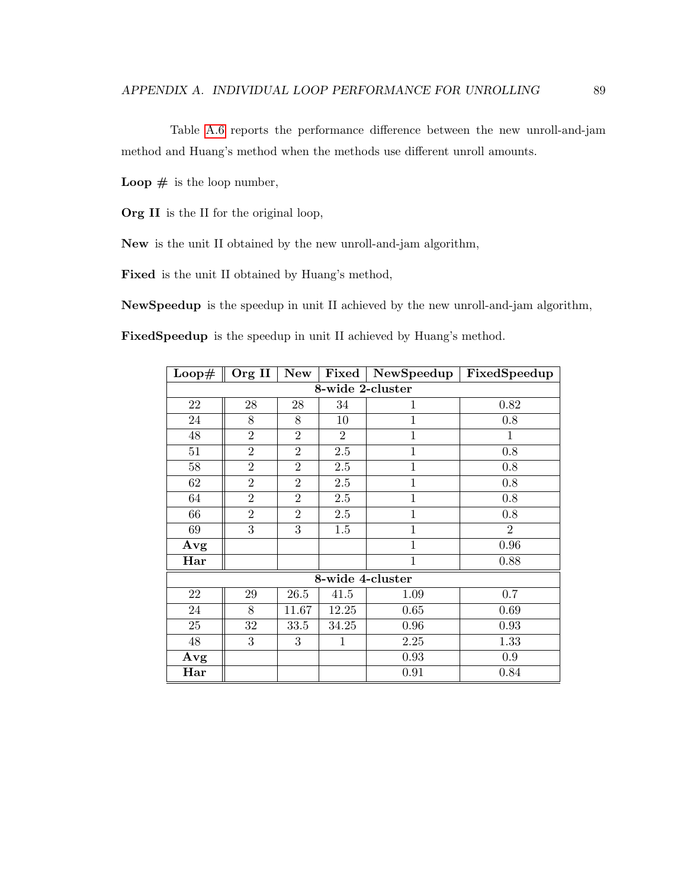Table [A.6](#page-100-0) reports the performance difference between the new unroll-and-jam method and Huang's method when the methods use different unroll amounts.

Loop  $#$  is the loop number,

Org II is the II for the original loop,

New is the unit II obtained by the new unroll-and-jam algorithm,

Fixed is the unit II obtained by Huang's method,

NewSpeedup is the speedup in unit II achieved by the new unroll-and-jam algorithm,

FixedSpeedup is the speedup in unit II achieved by Huang's method.

| $\bf Loop#$ | Org II           | New            | Fixed            | NewSpeedup     | FixedSpeedup   |  |  |  |  |  |
|-------------|------------------|----------------|------------------|----------------|----------------|--|--|--|--|--|
|             | 8-wide 2-cluster |                |                  |                |                |  |  |  |  |  |
| 22          | 28               | 28             | 34               | $\mathbf{1}$   | 0.82           |  |  |  |  |  |
| 24          | 8                | 8              | 10               | $\mathbf{1}$   | 0.8            |  |  |  |  |  |
| 48          | $\overline{2}$   | $\overline{2}$ | 2                | $\mathbf{1}$   | $\mathbf{1}$   |  |  |  |  |  |
| 51          | $\overline{2}$   | $\overline{2}$ | 2.5              | $\mathbf{1}$   | 0.8            |  |  |  |  |  |
| 58          | $\overline{2}$   | $\overline{2}$ | $2.5\,$          | $\mathbf{1}$   | $0.8\,$        |  |  |  |  |  |
| 62          | $\overline{2}$   | $\overline{2}$ | $2.5\,$          | $\mathbf{1}$   | 0.8            |  |  |  |  |  |
| 64          | $\overline{2}$   | $\overline{2}$ | $2.5\,$          | $\mathbf{1}$   | 0.8            |  |  |  |  |  |
| 66          | $\overline{2}$   | $\overline{2}$ | $2.5\,$          | $\overline{1}$ | 0.8            |  |  |  |  |  |
| 69          | 3                | 3              | 1.5              | $\mathbf{1}$   | $\overline{2}$ |  |  |  |  |  |
| Avg         |                  |                |                  | $\mathbf{1}$   | 0.96           |  |  |  |  |  |
| Har         |                  |                |                  | $\mathbf{1}$   | 0.88           |  |  |  |  |  |
|             |                  |                | 8-wide 4-cluster |                |                |  |  |  |  |  |
| 22          | 29               | 26.5           | 41.5             | 1.09           | 0.7            |  |  |  |  |  |
| 24          | 8                | 11.67          | 12.25            | 0.65           | 0.69           |  |  |  |  |  |
| 25          | 32               | 33.5           | 34.25            | 0.96           | 0.93           |  |  |  |  |  |
| 48          | 3                | 3              | $\mathbf{1}$     | $2.25\,$       | 1.33           |  |  |  |  |  |
| Avg         |                  |                |                  | 0.93           | 0.9            |  |  |  |  |  |
| Har         |                  |                |                  | 0.91           | 0.84           |  |  |  |  |  |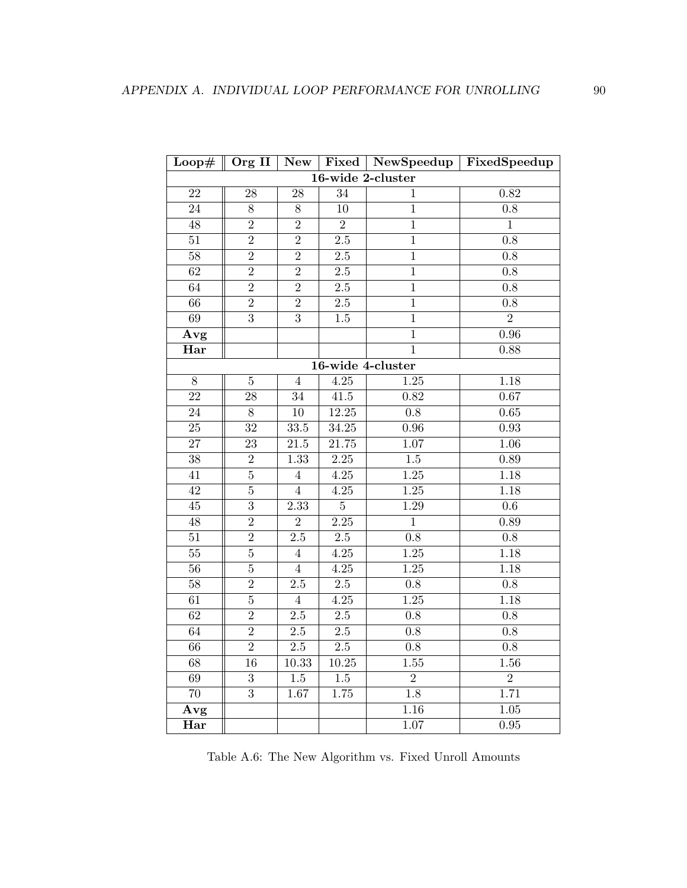|                 | Loop# $\parallel$ Org II | New               |                   |                   | Fixed   NewSpeedup   FixedSpeedup |
|-----------------|--------------------------|-------------------|-------------------|-------------------|-----------------------------------|
|                 |                          |                   |                   | 16-wide 2-cluster |                                   |
| $22\,$          | 28                       | 28                | 34                | $\mathbf{1}$      | 0.82                              |
| $24\,$          | $8\,$                    | $8\,$             | $10\,$            | $\,1$             | $0.8\,$                           |
| $48\,$          | $\overline{2}$           | $\overline{2}$    | $\sqrt{2}$        | $\mathbf{1}$      | $\mathbf{1}$                      |
| $51\,$          | $\overline{2}$           | $\overline{2}$    | $2.5\,$           | $\mathbf{1}$      | 0.8                               |
| $\overline{58}$ | $\overline{2}$           | $\overline{2}$    | 2.5               | $\overline{1}$    | 0.8                               |
| 62              | $\overline{2}$           | $\overline{2}$    | 2.5               | $\overline{1}$    | 0.8                               |
| 64              | $\overline{2}$           | $\overline{2}$    | $2.5\,$           | $\overline{1}$    | 0.8                               |
| $\overline{66}$ | $\overline{2}$           | $\overline{2}$    | $2.5\,$           | $\mathbf{1}$      | 0.8                               |
| 69              | $\overline{3}$           | $\overline{3}$    | $1.5\,$           | $\mathbf{1}$      | $\overline{2}$                    |
| Avg             |                          |                   |                   | $\overline{1}$    | 0.96                              |
| Har             |                          |                   |                   | $\mathbf{1}$      | 0.88                              |
|                 |                          |                   |                   | 16-wide 4-cluster |                                   |
| $8\,$           | $\bf 5$                  | $\overline{4}$    | $4.25\,$          | $1.25\,$          | 1.18                              |
| $\overline{22}$ | $28\,$                   | $34\,$            | $41.5\,$          | 0.82              | $0.67\,$                          |
| $24\,$          | $8\,$                    | 10                | 12.25             | $0.8\,$           | $0.65\,$                          |
| $25\,$          | $32\,$                   | $33.5\,$          | 34.25             | 0.96              | $\rm 0.93$                        |
| $27\,$          | $23\,$                   | $21.5\,$          | $21.75\,$         | $1.07\,$          | 1.06                              |
| $38\,$          | $\sqrt{2}$               | 1.33              | $2.25\,$          | $1.5\,$           | $0.89\,$                          |
| 41              | $\bf 5$                  | $\overline{4}$    | $4.25\,$          | $1.25\,$          | 1.18                              |
| $42\,$          | $\bf 5$                  | $\overline{4}$    | 4.25              | 1.25              | 1.18                              |
| $\rm 45$        | $\boldsymbol{3}$         | 2.33              | $\overline{5}$    | 1.29              | $0.6\,$                           |
| $48\,$          | $\overline{2}$           | $\overline{2}$    | $\overline{2.25}$ | $\mathbf{1}$      | 0.89                              |
| $51\,$          | $\sqrt{2}$               | $2.5\,$           | $\overline{2.5}$  | 0.8               | $0.8\,$                           |
| $55\,$          | $\bf 5$                  | $\,4\,$           | $\frac{4.25}{ }$  | $1.25\,$          | 1.18                              |
| $\overline{56}$ | $\overline{5}$           | $\overline{4}$    | 4.25              | $\overline{1.25}$ | 1.18                              |
| $58\,$          | $\overline{2}$           | $2.5\,$           | $\overline{2.5}$  | 0.8               | $0.8\,$                           |
| 61              | $\bf 5$                  | $\overline{4}$    | 4.25              | $1.25\,$          | 1.18                              |
| 62              | $\overline{2}$           | $2.5\,$           | $2.5\,$           | 0.8               | $0.8\,$                           |
| 64              | $\overline{2}$           | $\overline{2.5}$  | $\overline{2.5}$  | $0.8\,$           | $0.8\,$                           |
| $\overline{66}$ | $\overline{2}$           | $\overline{2.5}$  | $\overline{2.5}$  | $0.8\,$           | $0.8\,$                           |
| $\overline{68}$ | 16                       | 10.33             | $10.25\,$         | $\overline{1.55}$ | $\overline{1.56}$                 |
| 69              | 3                        | $1.5\,$           | $1.5\,$           | $\overline{2}$    | $\overline{2}$                    |
| $\overline{70}$ | $\overline{3}$           | $\overline{1.67}$ | 1.75              | $\overline{1.8}$  | 1.71                              |
| Avg             |                          |                   |                   | 1.16              | $\overline{1.05}$                 |
| Har             |                          |                   |                   | 1.07              | $\overline{0.95}$                 |

<span id="page-100-0"></span>Table A.6: The New Algorithm vs. Fixed Unroll Amounts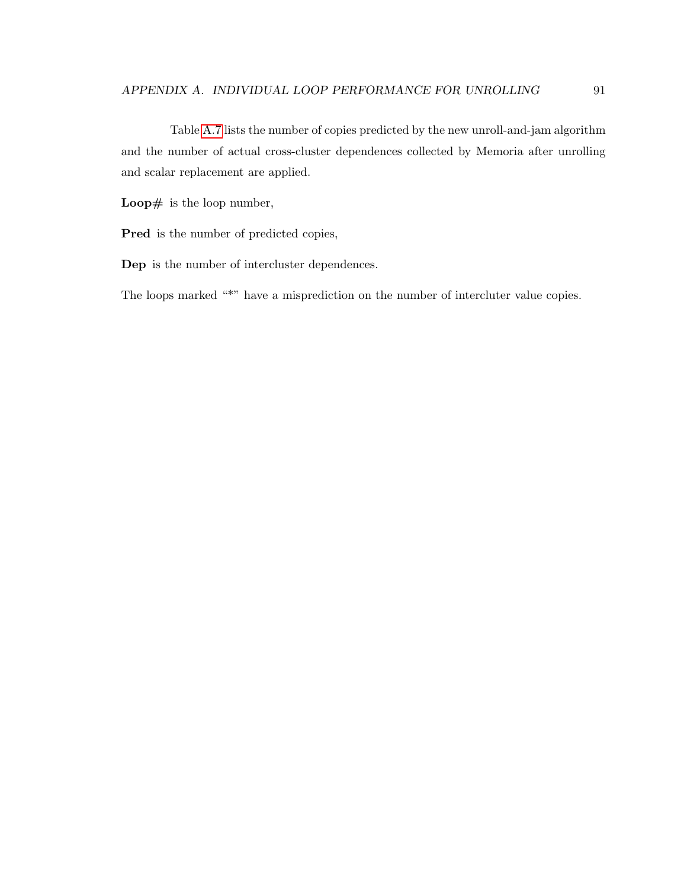Table [A.7](#page-103-0) lists the number of copies predicted by the new unroll-and-jam algorithm and the number of actual cross-cluster dependences collected by Memoria after unrolling and scalar replacement are applied.

Loop $#$  is the loop number,

Pred is the number of predicted copies,

Dep is the number of intercluster dependences.

The loops marked "\*" have a misprediction on the number of intercluter value copies.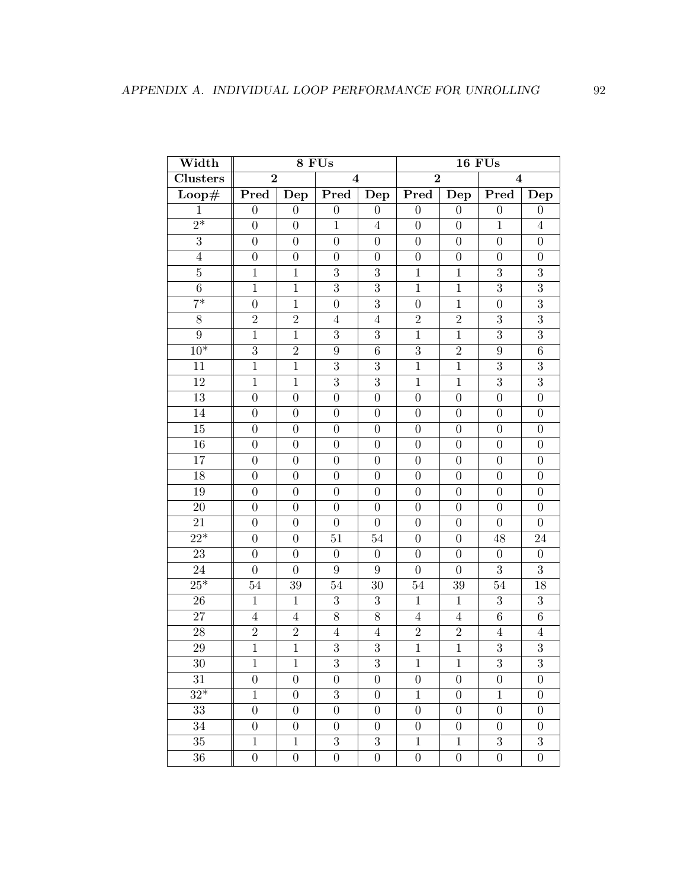| Width                      |                  |                  | 8 FUs                   |                  |                  |                  | <b>16 FUs</b>    |                  |
|----------------------------|------------------|------------------|-------------------------|------------------|------------------|------------------|------------------|------------------|
| <b>Clusters</b>            | $\overline{2}$   |                  | $\overline{\mathbf{4}}$ |                  | $\overline{2}$   |                  | $\bf{4}$         |                  |
| $\overline{\text{Loop}\#}$ | Pred             | Dep              | Pred                    | $\bar{D}ep$      | Pred             | $\mathbf{Dep}$   | Pred             | Dep              |
| $\mathbf{1}$               | $\boldsymbol{0}$ | $\overline{0}$   | $\boldsymbol{0}$        | $\boldsymbol{0}$ | $\overline{0}$   | $\boldsymbol{0}$ | $\boldsymbol{0}$ | $\overline{0}$   |
| $\overline{2^*}$           | $\overline{0}$   | $\boldsymbol{0}$ | $\mathbf{1}$            | $\overline{4}$   | $\overline{0}$   | $\boldsymbol{0}$ | $\mathbf{1}$     | $\overline{4}$   |
| $\overline{3}$             | $\overline{0}$   | $\overline{0}$   | $\boldsymbol{0}$        | $\boldsymbol{0}$ | $\boldsymbol{0}$ | $\boldsymbol{0}$ | $\boldsymbol{0}$ | $\boldsymbol{0}$ |
| $\overline{4}$             | $\overline{0}$   | $\boldsymbol{0}$ | $\boldsymbol{0}$        | $\boldsymbol{0}$ | $\boldsymbol{0}$ | $\boldsymbol{0}$ | $\boldsymbol{0}$ | $\boldsymbol{0}$ |
| $\bf 5$                    | $\mathbf{1}$     | $\mathbf{1}$     | 3                       | 3                | $\mathbf{1}$     | $\mathbf{1}$     | $\boldsymbol{3}$ | $\overline{3}$   |
| $\overline{6}$             | $\mathbf{1}$     | $\mathbf{1}$     | $\overline{3}$          | $\overline{3}$   | $\mathbf{1}$     | $\mathbf{1}$     | $\overline{3}$   | $\overline{3}$   |
| $\overline{7^*}$           | $\overline{0}$   | $\mathbf{1}$     | $\boldsymbol{0}$        | $\overline{3}$   | $\overline{0}$   | $\mathbf{1}$     | $\boldsymbol{0}$ | $\overline{3}$   |
| 8                          | $\overline{2}$   | $\overline{2}$   | $\overline{4}$          | $\overline{4}$   | $\overline{2}$   | $\overline{2}$   | 3                | $\overline{3}$   |
| $\boldsymbol{9}$           | $\mathbf{1}$     | $\mathbf{1}$     | 3                       | $\overline{3}$   | $\mathbf{1}$     | $\mathbf{1}$     | $\overline{3}$   | $\overline{3}$   |
| $\overline{10^*}$          | $\overline{3}$   | $\overline{2}$   | $\boldsymbol{9}$        | $\,6$            | $\overline{3}$   | $\overline{2}$   | 9                | $\,6\,$          |
| 11                         | $\mathbf{1}$     | $\mathbf{1}$     | 3                       | 3                | $\mathbf{1}$     | $\mathbf{1}$     | 3                | $\overline{3}$   |
| 12                         | $\mathbf{1}$     | $\mathbf{1}$     | $\overline{3}$          | $\overline{3}$   | $\mathbf{1}$     | $\mathbf{1}$     | $\overline{3}$   | $\overline{3}$   |
| 13                         | $\boldsymbol{0}$ | $\boldsymbol{0}$ | $\boldsymbol{0}$        | $\boldsymbol{0}$ | $\boldsymbol{0}$ | $\boldsymbol{0}$ | $\boldsymbol{0}$ | $\boldsymbol{0}$ |
| 14                         | $\overline{0}$   | $\boldsymbol{0}$ | $\overline{0}$          | $\boldsymbol{0}$ | $\overline{0}$   | $\boldsymbol{0}$ | $\boldsymbol{0}$ | $\boldsymbol{0}$ |
| 15                         | $\boldsymbol{0}$ | $\boldsymbol{0}$ | $\boldsymbol{0}$        | $\boldsymbol{0}$ | $\boldsymbol{0}$ | $\boldsymbol{0}$ | $\boldsymbol{0}$ | $\boldsymbol{0}$ |
| 16                         | $\overline{0}$   | $\boldsymbol{0}$ | $\boldsymbol{0}$        | $\boldsymbol{0}$ | $\boldsymbol{0}$ | $\boldsymbol{0}$ | $\theta$         | $\boldsymbol{0}$ |
| 17                         | $\overline{0}$   | $\boldsymbol{0}$ | $\boldsymbol{0}$        | $\boldsymbol{0}$ | $\boldsymbol{0}$ | $\boldsymbol{0}$ | $\overline{0}$   | $\overline{0}$   |
| $18\,$                     | $\overline{0}$   | $\boldsymbol{0}$ | $\boldsymbol{0}$        | $\boldsymbol{0}$ | $\boldsymbol{0}$ | $\boldsymbol{0}$ | $\boldsymbol{0}$ | $\overline{0}$   |
| 19                         | $\boldsymbol{0}$ | $\boldsymbol{0}$ | $\boldsymbol{0}$        | $\boldsymbol{0}$ | $\boldsymbol{0}$ | $\boldsymbol{0}$ | $\boldsymbol{0}$ | $\boldsymbol{0}$ |
| $\overline{20}$            | $\boldsymbol{0}$ | $\overline{0}$   | $\overline{0}$          | $\boldsymbol{0}$ | $\boldsymbol{0}$ | $\boldsymbol{0}$ | $\boldsymbol{0}$ | $\overline{0}$   |
| $21\,$                     | $\overline{0}$   | $\boldsymbol{0}$ | $\boldsymbol{0}$        | $\boldsymbol{0}$ | $\boldsymbol{0}$ | $\boldsymbol{0}$ | $\boldsymbol{0}$ | $\overline{0}$   |
| $\overline{22^*}$          | $\boldsymbol{0}$ | $\boldsymbol{0}$ | 51                      | 54               | $\boldsymbol{0}$ | $\boldsymbol{0}$ | 48               | $24\,$           |
| $23\,$                     | $\overline{0}$   | $\overline{0}$   | $\boldsymbol{0}$        | $\boldsymbol{0}$ | $\overline{0}$   | $\overline{0}$   | $\overline{0}$   | $\boldsymbol{0}$ |
| 24                         | $\boldsymbol{0}$ | $\boldsymbol{0}$ | 9                       | $\boldsymbol{9}$ | $\boldsymbol{0}$ | $\boldsymbol{0}$ | 3                | $\overline{3}$   |
| $25*$                      | $54\,$           | $39\,$           | 54                      | 30               | 54               | 39               | 54               | 18               |
| $26\,$                     | $\mathbf{1}$     | $\mathbf{1}$     | 3                       | $\boldsymbol{3}$ | $\mathbf{1}$     | $\mathbf{1}$     | $\overline{3}$   | $\overline{3}$   |
| $27\,$                     | $\overline{4}$   | $\overline{4}$   | 8                       | $8\,$            | $\overline{4}$   | $\overline{4}$   | $\sqrt{6}$       | $\overline{6}$   |
| $\sqrt{28}$                | $\sqrt{2}$       | $\sqrt{2}$       | $\overline{4}$          | $\overline{4}$   | $\sqrt{2}$       | $\sqrt{2}$       | $\overline{4}$   | $\overline{4}$   |
| $\overline{29}$            | $\overline{1}$   | $\overline{1}$   | $\overline{3}$          | $\overline{3}$   | $\overline{1}$   | $\overline{1}$   | $\overline{3}$   | $\overline{3}$   |
| 30                         | $\mathbf{1}$     | $\mathbf{1}$     | 3                       | 3                | $\mathbf{1}$     | $\mathbf{1}$     | 3                | 3                |
| 31                         | $\boldsymbol{0}$ | $\boldsymbol{0}$ | $\boldsymbol{0}$        | $\boldsymbol{0}$ | $\boldsymbol{0}$ | $\boldsymbol{0}$ | $\boldsymbol{0}$ | $\boldsymbol{0}$ |
| $\overline{32^*}$          | $\mathbf{1}$     | $\boldsymbol{0}$ | 3                       | $\boldsymbol{0}$ | $\mathbf{1}$     | $\boldsymbol{0}$ | $\mathbf{1}$     | $\overline{0}$   |
| 33                         | $\overline{0}$   | 0                | $\boldsymbol{0}$        | $\boldsymbol{0}$ | $\boldsymbol{0}$ | $\boldsymbol{0}$ | $\boldsymbol{0}$ | $\theta$         |
| 34                         | $\boldsymbol{0}$ | $\boldsymbol{0}$ | $\boldsymbol{0}$        | $\boldsymbol{0}$ | $\boldsymbol{0}$ | $\boldsymbol{0}$ | $\boldsymbol{0}$ | $\theta$         |
| 35                         | $\mathbf{1}$     | $\mathbf{1}$     | 3                       | 3                | $\mathbf{1}$     | $\mathbf{1}$     | 3                | 3                |
| 36                         | $\overline{0}$   | $\overline{0}$   | $\overline{0}$          | $\boldsymbol{0}$ | $\boldsymbol{0}$ | $\boldsymbol{0}$ | $\boldsymbol{0}$ | $\overline{0}$   |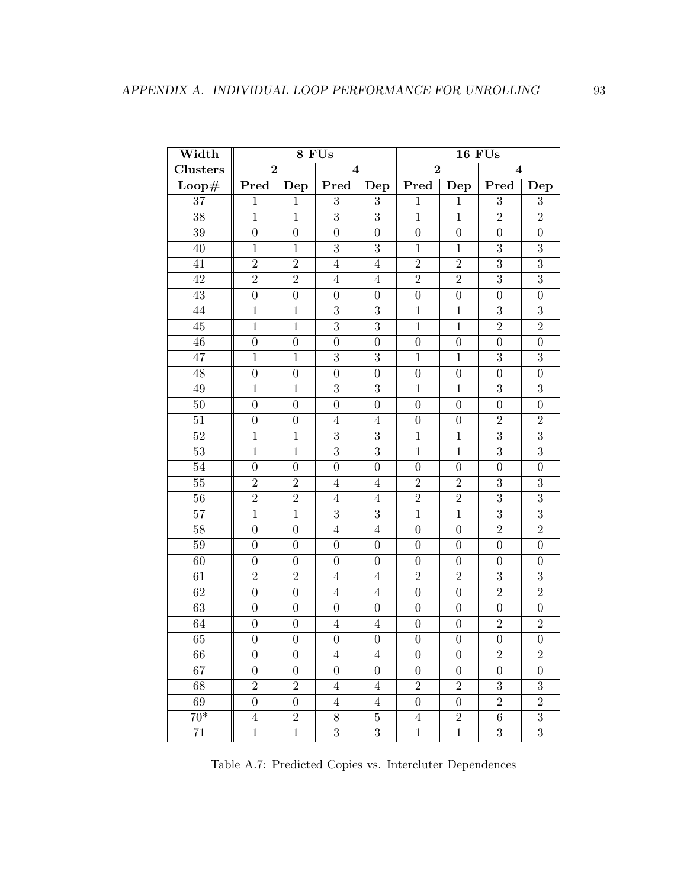| Width                      | 8 FUs            |                  |                         |                  | <b>16 FUs</b>    |                  |                         |                  |
|----------------------------|------------------|------------------|-------------------------|------------------|------------------|------------------|-------------------------|------------------|
| <b>Clusters</b>            | $\overline{2}$   |                  | $\overline{\mathbf{4}}$ |                  | $\overline{2}$   |                  | $\overline{\mathbf{4}}$ |                  |
| $\overline{\text{Loop}\#}$ | Pred             | Dep              | Pred                    | Dep              | Pred             | Dep              | Pred                    | Dep              |
| $\overline{37}$            | $\mathbf{1}$     | $\mathbf{1}$     | 3                       | 3                | $\mathbf{1}$     | $\mathbf{1}$     | 3                       | 3                |
| 38                         | $\mathbf{1}$     | $\mathbf{1}$     | $\overline{3}$          | 3                | $\overline{1}$   | $\mathbf{1}$     | $\overline{2}$          | $\overline{2}$   |
| 39                         | $\boldsymbol{0}$ | $\boldsymbol{0}$ | $\boldsymbol{0}$        | $\boldsymbol{0}$ | $\boldsymbol{0}$ | $\boldsymbol{0}$ | $\overline{0}$          | $\boldsymbol{0}$ |
| 40                         | $\mathbf{1}$     | $\mathbf{1}$     | 3                       | 3                | $\mathbf{1}$     | $\mathbf{1}$     | 3                       | $\overline{3}$   |
| 41                         | $\overline{2}$   | $\overline{2}$   | $\overline{4}$          | $\overline{4}$   | $\overline{2}$   | $\overline{2}$   | $\overline{3}$          | $\overline{3}$   |
| 42                         | $\overline{2}$   | $\sqrt{2}$       | $\overline{4}$          | $\overline{4}$   | $\sqrt{2}$       | $\overline{2}$   | 3                       | $\overline{3}$   |
| 43                         | $\overline{0}$   | $\overline{0}$   | $\overline{0}$          | $\overline{0}$   | $\boldsymbol{0}$ | $\boldsymbol{0}$ | $\overline{0}$          | $\overline{0}$   |
| 44                         | $\mathbf{1}$     | $\mathbf{1}$     | 3                       | $\boldsymbol{3}$ | $\mathbf{1}$     | $\mathbf{1}$     | 3                       | 3                |
| 45                         | $\mathbf{1}$     | $\mathbf{1}$     | 3                       | 3                | $\mathbf{1}$     | $\mathbf{1}$     | $\overline{2}$          | $\overline{2}$   |
| 46                         | $\overline{0}$   | $\overline{0}$   | $\overline{0}$          | $\overline{0}$   | $\boldsymbol{0}$ | $\boldsymbol{0}$ | $\overline{0}$          | $\overline{0}$   |
| 47                         | $\mathbf 1$      | $\mathbf{1}$     | 3                       | 3                | $\mathbf{1}$     | $\mathbf{1}$     | 3                       | 3                |
| 48                         | $\boldsymbol{0}$ | $\boldsymbol{0}$ | $\boldsymbol{0}$        | $\overline{0}$   | $\boldsymbol{0}$ | $\boldsymbol{0}$ | $\boldsymbol{0}$        | $\boldsymbol{0}$ |
| 49                         | $\overline{1}$   | $\mathbf{1}$     | 3                       | 3                | $\mathbf{1}$     | $\mathbf{1}$     | 3                       | $\overline{3}$   |
| 50                         | $\overline{0}$   | $\boldsymbol{0}$ | $\boldsymbol{0}$        | $\overline{0}$   | $\overline{0}$   | $\boldsymbol{0}$ | $\overline{0}$          | $\overline{0}$   |
| $51\,$                     | $\boldsymbol{0}$ | $\boldsymbol{0}$ | $\overline{4}$          | $\overline{4}$   | $\boldsymbol{0}$ | $\overline{0}$   | $\overline{2}$          | $\overline{2}$   |
| $52\,$                     | $\mathbf{1}$     | $\mathbf{1}$     | 3                       | 3                | $\mathbf{1}$     | $\mathbf{1}$     | 3                       | $\overline{3}$   |
| 53                         | $\mathbf{1}$     | $\mathbf{1}$     | 3                       | 3                | $\mathbf{1}$     | $\mathbf{1}$     | 3                       | $\overline{3}$   |
| 54                         | $\boldsymbol{0}$ | $\boldsymbol{0}$ | $\boldsymbol{0}$        | $\overline{0}$   | $\boldsymbol{0}$ | $\boldsymbol{0}$ | $\boldsymbol{0}$        | $\boldsymbol{0}$ |
| 55                         | $\overline{2}$   | $\overline{2}$   | $\overline{4}$          | $\overline{4}$   | $\overline{2}$   | $\overline{2}$   | 3                       | $\overline{3}$   |
| 56                         | $\overline{2}$   | $\overline{2}$   | $\overline{4}$          | $\overline{4}$   | $\overline{2}$   | $\overline{2}$   | 3                       | $\overline{3}$   |
| 57                         | $\mathbf{1}$     | 1                | 3                       | 3                | $\mathbf{1}$     | $\mathbf{1}$     | $\overline{3}$          | $\overline{3}$   |
| 58                         | $\overline{0}$   | $\overline{0}$   | $\overline{4}$          | $\overline{4}$   | $\boldsymbol{0}$ | $\boldsymbol{0}$ | $\overline{2}$          | $\overline{2}$   |
| 59                         | $\boldsymbol{0}$ | $\boldsymbol{0}$ | $\boldsymbol{0}$        | $\boldsymbol{0}$ | $\boldsymbol{0}$ | $\boldsymbol{0}$ | $\boldsymbol{0}$        | $\boldsymbol{0}$ |
| 60                         | $\boldsymbol{0}$ | $\boldsymbol{0}$ | $\boldsymbol{0}$        | $\boldsymbol{0}$ | $\boldsymbol{0}$ | $\boldsymbol{0}$ | $\boldsymbol{0}$        | $\boldsymbol{0}$ |
| 61                         | $\overline{2}$   | $\overline{2}$   | $\overline{4}$          | $\overline{4}$   | $\overline{2}$   | $\overline{2}$   | 3                       | $\overline{3}$   |
| 62                         | $\boldsymbol{0}$ | $\boldsymbol{0}$ | $\overline{4}$          | $\overline{4}$   | $\overline{0}$   | $\overline{0}$   | $\overline{2}$          | $\overline{2}$   |
| 63                         | $\boldsymbol{0}$ | $\boldsymbol{0}$ | $\boldsymbol{0}$        | $\boldsymbol{0}$ | $\boldsymbol{0}$ | $\boldsymbol{0}$ | $\boldsymbol{0}$        | $\boldsymbol{0}$ |
| 64                         | $\boldsymbol{0}$ | $\boldsymbol{0}$ | $\overline{4}$          | $\overline{4}$   | $\boldsymbol{0}$ | $\boldsymbol{0}$ | $\boldsymbol{2}$        | $\overline{2}$   |
| 65                         | $\overline{0}$   | $\boldsymbol{0}$ | $\overline{0}$          | $\overline{0}$   | $\boldsymbol{0}$ | $\boldsymbol{0}$ | $\overline{0}$          | $\overline{0}$   |
| 66                         | $\boldsymbol{0}$ | $\boldsymbol{0}$ | $\overline{4}$          | $\overline{4}$   | 0                | $\boldsymbol{0}$ | $\overline{2}$          | $\overline{2}$   |
| 67                         | $\theta$         | $\boldsymbol{0}$ | $\theta$                | 0                | 0                | $\theta$         | 0                       | $\theta$         |
| 68                         | $\overline{2}$   | $\overline{2}$   | $\overline{4}$          | $\overline{4}$   | $\overline{2}$   | $\overline{2}$   | 3                       | $\overline{3}$   |
| 69                         | $\overline{0}$   | $\boldsymbol{0}$ | $\overline{4}$          | $\overline{4}$   | $\boldsymbol{0}$ | $\boldsymbol{0}$ | $\overline{2}$          | $\overline{2}$   |
| $70*$                      | 4                | $\overline{2}$   | 8                       | $\bf 5$          | $\overline{4}$   | $\overline{2}$   | $\,6$                   | $\overline{3}$   |
| 71                         | $\mathbf{1}$     | $\mathbf{1}$     | 3                       | $\boldsymbol{3}$ | $\mathbf{1}$     | $\mathbf{1}$     | 3                       | $\overline{3}$   |

<span id="page-103-0"></span>Table A.7: Predicted Copies vs. Intercluter Dependences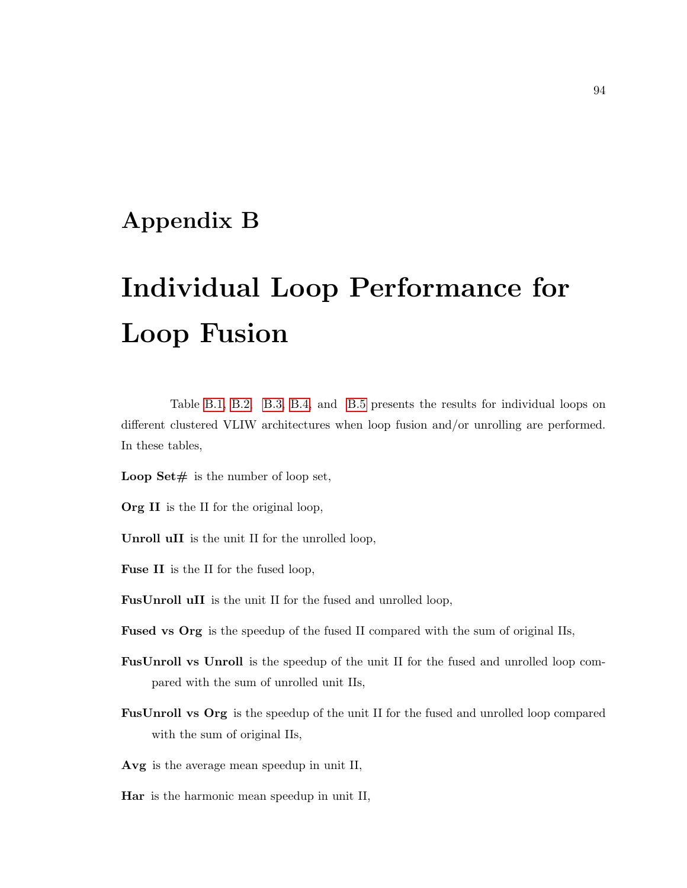# Appendix B

# Individual Loop Performance for Loop Fusion

Table [B.1,](#page-106-0) [B.2,](#page-107-0) [B.3,](#page-108-0) [B.4,](#page-109-0) and [B.5](#page-110-0) presents the results for individual loops on different clustered VLIW architectures when loop fusion and/or unrolling are performed. In these tables,

- **Loop Set**# is the number of loop set,
- Org II is the II for the original loop,
- Unroll uII is the unit II for the unrolled loop,
- Fuse II is the II for the fused loop,
- FusUnroll uII is the unit II for the fused and unrolled loop,
- Fused vs Org is the speedup of the fused II compared with the sum of original IIs,
- FusUnroll vs Unroll is the speedup of the unit II for the fused and unrolled loop compared with the sum of unrolled unit IIs,
- FusUnroll vs Org is the speedup of the unit II for the fused and unrolled loop compared with the sum of original IIs,

Avg is the average mean speedup in unit II,

Har is the harmonic mean speedup in unit II,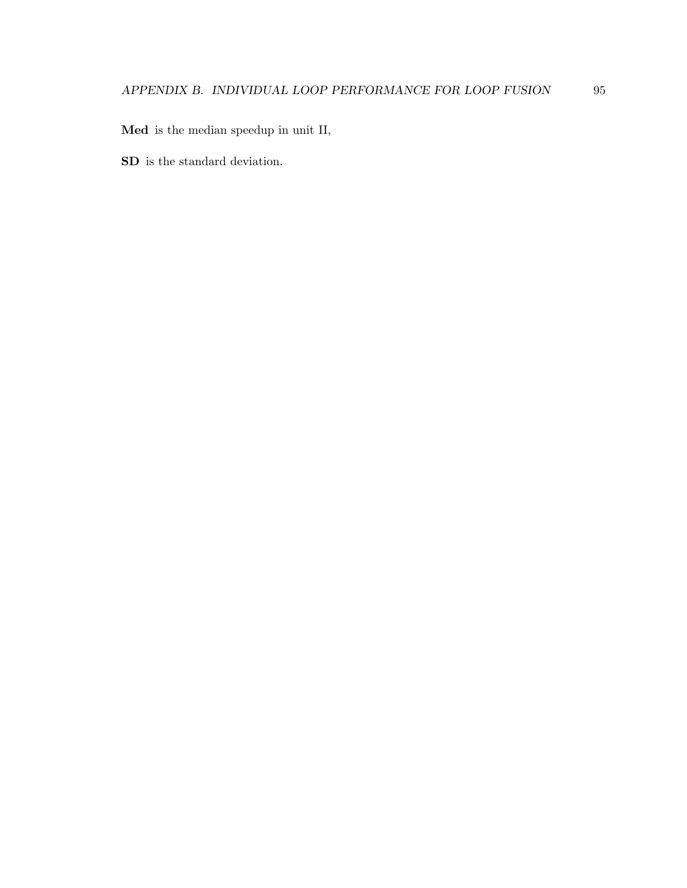Med is the median speedup in unit II,

SD is the standard deviation.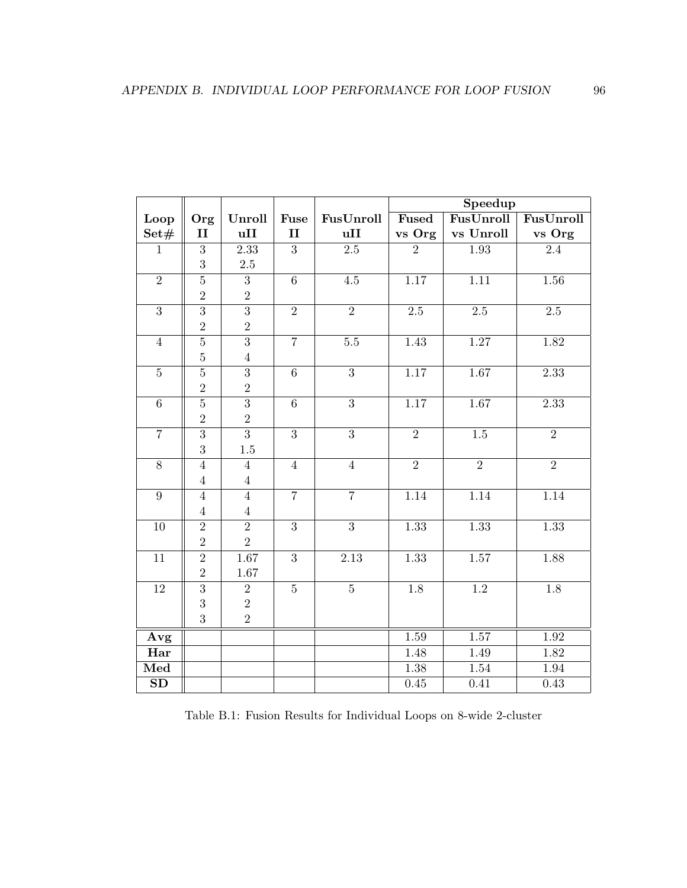|                        |                |                |                |                  | Speedup        |                  |                |  |
|------------------------|----------------|----------------|----------------|------------------|----------------|------------------|----------------|--|
| Loop                   | Org            | Unroll         | Fuse           | FusUnroll        | <b>Fused</b>   | FusUnroll        | FusUnroll      |  |
| Set#                   | $\mathbf{I}$   | uII            | $\mathbf{I}$   | uII              | vs Org         | vs Unroll        | vs Org         |  |
| $\mathbf{1}$           | $\overline{3}$ | 2.33           | $\overline{3}$ | $\overline{2.5}$ | $\overline{2}$ | 1.93             | 2.4            |  |
|                        | 3              | $2.5\,$        |                |                  |                |                  |                |  |
| $\overline{2}$         | $\overline{5}$ | $\overline{3}$ | $\overline{6}$ | 4.5              | 1.17           | 1.11             | 1.56           |  |
|                        | $\overline{2}$ | $\overline{2}$ |                |                  |                |                  |                |  |
| $\overline{3}$         | $\overline{3}$ | $\overline{3}$ | $\overline{2}$ | $\overline{2}$   | $2.5\,$        | $2.5\,$          | $2.5\,$        |  |
|                        | $\overline{2}$ | $\overline{2}$ |                |                  |                |                  |                |  |
| $\overline{4}$         | $\overline{5}$ | $\overline{3}$ | $\overline{7}$ | $\overline{5.5}$ | 1.43           | 1.27             | 1.82           |  |
|                        | $\overline{5}$ | $\,4\,$        |                |                  |                |                  |                |  |
| $\sqrt{5}$             | $\overline{5}$ | $\overline{3}$ | $\overline{6}$ | $\overline{3}$   | 1.17           | 1.67             | 2.33           |  |
|                        | $\overline{2}$ | $\overline{2}$ |                |                  |                |                  |                |  |
| $\,6\,$                | $\overline{5}$ | $\overline{3}$ | $\,6\,$        | $\overline{3}$   | 1.17           | 1.67             | 2.33           |  |
|                        | $\overline{2}$ | $\sqrt{2}$     |                |                  |                |                  |                |  |
| $\overline{7}$         | $\overline{3}$ | $\overline{3}$ | $\overline{3}$ | $\overline{3}$   | $\overline{2}$ | $\overline{1.5}$ | $\overline{2}$ |  |
|                        | 3              | 1.5            |                |                  |                |                  |                |  |
| $8\,$                  | $\overline{4}$ | $\overline{4}$ | $\overline{4}$ | $\overline{4}$   | $\overline{2}$ | $\overline{2}$   | $\overline{2}$ |  |
|                        | $\overline{4}$ | $\sqrt{4}$     |                |                  |                |                  |                |  |
| $\boldsymbol{9}$       | $\overline{4}$ | $\overline{4}$ | $\overline{7}$ | $\overline{7}$   | 1.14           | 1.14             | 1.14           |  |
|                        | $\overline{4}$ | $\,4\,$        |                |                  |                |                  |                |  |
| $10\,$                 | $\overline{2}$ | $\overline{2}$ | $\overline{3}$ | $\overline{3}$   | 1.33           | 1.33             | 1.33           |  |
|                        | $\overline{2}$ | $\overline{2}$ |                |                  |                |                  |                |  |
| $11\,$                 | $\overline{2}$ | 1.67           | $\sqrt{3}$     | 2.13             | 1.33           | 1.57             | 1.88           |  |
|                        | $\overline{2}$ | 1.67           |                |                  |                |                  |                |  |
| $12\,$                 | $\overline{3}$ | $\sqrt{2}$     | $\bf 5$        | $\bf 5$          | $1.8\,$        | 1.2              | 1.8            |  |
|                        | 3              | $\sqrt{2}$     |                |                  |                |                  |                |  |
|                        | 3              | $\sqrt{2}$     |                |                  |                |                  |                |  |
| Avg                    |                |                |                |                  | 1.59           | 1.57             | 1.92           |  |
| Har                    |                |                |                |                  | 1.48           | 1.49             | 1.82           |  |
| Med                    |                |                |                |                  | 1.38           | 1.54             | 1.94           |  |
| $\overline{\text{SD}}$ |                |                |                |                  | 0.45           | 0.41             | 0.43           |  |

<span id="page-106-0"></span>Table B.1: Fusion Results for Individual Loops on 8-wide 2-cluster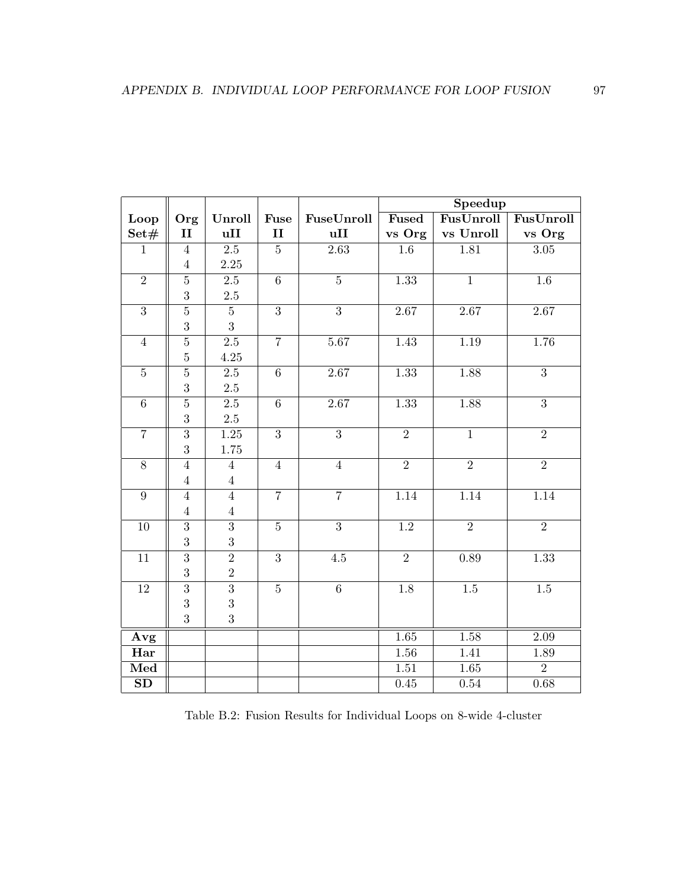|                        |                  |                   |                |                   | Speedup          |                |                   |  |
|------------------------|------------------|-------------------|----------------|-------------------|------------------|----------------|-------------------|--|
| Loop                   | Org              | Unroll            | Fuse           | FuseUnroll        | Fused            | FusUnroll      | FusUnroll         |  |
| Set#                   | $\mathbf{II}$    | uII               | II             | uII               | vs Org           | vs Unroll      | vs Org            |  |
| $\mathbf{1}$           | $\overline{4}$   | $\overline{2.5}$  | $\overline{5}$ | $\overline{2.63}$ | $\overline{1.6}$ | 1.81           | $\overline{3.05}$ |  |
|                        | $\overline{4}$   | 2.25              |                |                   |                  |                |                   |  |
| $\overline{2}$         | $\overline{5}$   | $\overline{2.5}$  | $\overline{6}$ | $\overline{5}$    | 1.33             | $\overline{1}$ | $1.6\,$           |  |
|                        | 3                | $2.5\,$           |                |                   |                  |                |                   |  |
| $\overline{3}$         | $\overline{5}$   | $\bf 5$           | $\overline{3}$ | $\overline{3}$    | 2.67             | 2.67           | 2.67              |  |
|                        | $\boldsymbol{3}$ | 3                 |                |                   |                  |                |                   |  |
| $\overline{4}$         | $\overline{5}$   | $\overline{2.5}$  | $\overline{7}$ | 5.67              | 1.43             | 1.19           | 1.76              |  |
|                        | $\overline{5}$   | 4.25              |                |                   |                  |                |                   |  |
| $\overline{5}$         | $\overline{5}$   | 2.5               | $\overline{6}$ | 2.67              | 1.33             | 1.88           | $\overline{3}$    |  |
|                        | 3                | $2.5\,$           |                |                   |                  |                |                   |  |
| $\,6\,$                | $\overline{5}$   | $2.5\,$           | $\,6\,$        | 2.67              | 1.33             | 1.88           | 3                 |  |
|                        | $\boldsymbol{3}$ | $2.5\,$           |                |                   |                  |                |                   |  |
| $\overline{7}$         | $\overline{3}$   | $\overline{1.25}$ | $\overline{3}$ | $\overline{3}$    | $\overline{2}$   | $\overline{1}$ | $\overline{2}$    |  |
|                        | 3                | 1.75              |                |                   |                  |                |                   |  |
| $8\,$                  | $\overline{4}$   | $\overline{4}$    | $\overline{4}$ | $\overline{4}$    | $\overline{2}$   | $\overline{2}$ | $\overline{2}$    |  |
|                        | $\overline{4}$   | $\bf 4$           |                |                   |                  |                |                   |  |
| $\boldsymbol{9}$       | $\overline{4}$   | $\overline{4}$    | $\overline{7}$ | $\overline{7}$    | 1.14             | 1.14           | 1.14              |  |
|                        | $\overline{4}$   | $\overline{4}$    |                |                   |                  |                |                   |  |
| $10\,$                 | $\overline{3}$   | $\overline{3}$    | $\overline{5}$ | $\overline{3}$    | $\overline{1.2}$ | $\overline{2}$ | $\overline{2}$    |  |
|                        | 3                | 3                 |                |                   |                  |                |                   |  |
| 11                     | $\overline{3}$   | $\overline{2}$    | 3              | 4.5               | $\overline{2}$   | 0.89           | 1.33              |  |
|                        | 3                | $\overline{2}$    |                |                   |                  |                |                   |  |
| $12\,$                 | $\overline{3}$   | $\overline{3}$    | $\bf 5$        | $\overline{6}$    | 1.8              | $1.5\,$        | $1.5\,$           |  |
|                        | 3                | 3                 |                |                   |                  |                |                   |  |
|                        | 3                | 3                 |                |                   |                  |                |                   |  |
| Avg                    |                  |                   |                |                   | 1.65             | 1.58           | 2.09              |  |
| Har                    |                  |                   |                |                   | 1.56             | 1.41           | 1.89              |  |
| Med                    |                  |                   |                |                   | 1.51             | 1.65           | $\overline{2}$    |  |
| $\overline{\text{SD}}$ |                  |                   |                |                   | 0.45             | $0.54\,$       | 0.68              |  |

<span id="page-107-0"></span>Table B.2: Fusion Results for Individual Loops on 8-wide 4-cluster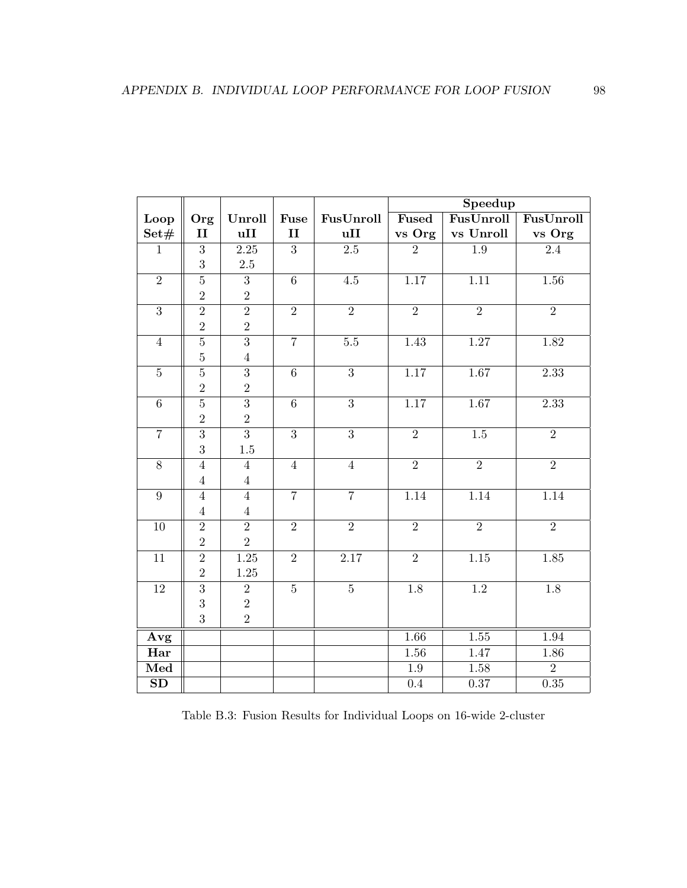|                        |                |                   |                |                   | Speedup        |                   |                  |
|------------------------|----------------|-------------------|----------------|-------------------|----------------|-------------------|------------------|
| Loop                   | Org            | Unroll            | Fuse           | FusUnroll         | Fused          | FusUnroll         | FusUnroll        |
| Set#                   | II             | uII               | $\mathbf{I}$   | uII               | vs Org         | vs Unroll         | vs Org           |
| $\mathbf{1}$           | $\overline{3}$ | $\overline{2.25}$ | $\overline{3}$ | $\overline{2.5}$  | $\overline{2}$ | $\overline{1.9}$  | $\overline{2.4}$ |
|                        | 3              | $2.5\,$           |                |                   |                |                   |                  |
| $\overline{2}$         | $\overline{5}$ | $\overline{3}$    | $\overline{6}$ | 4.5               | 1.17           | $\overline{1.11}$ | 1.56             |
|                        | $\overline{2}$ | $\sqrt{2}$        |                |                   |                |                   |                  |
| $\overline{3}$         | $\overline{2}$ | $\overline{2}$    | $\overline{2}$ | $\overline{2}$    | $\overline{2}$ | $\overline{2}$    | $\overline{2}$   |
|                        | $\overline{2}$ | $\sqrt{2}$        |                |                   |                |                   |                  |
| $\sqrt{4}$             | $\overline{5}$ | $\overline{3}$    | $\overline{7}$ | $\overline{5.5}$  | 1.43           | 1.27              | 1.82             |
|                        | $\bf 5$        | $\,4\,$           |                |                   |                |                   |                  |
| $\bf 5$                | $\overline{5}$ | $\overline{3}$    | $\sqrt{6}$     | $\overline{3}$    | 1.17           | 1.67              | 2.33             |
|                        | $\overline{2}$ | $\overline{2}$    |                |                   |                |                   |                  |
| $\,6\,$                | $\overline{5}$ | $\overline{3}$    | $\,6\,$        | $\overline{3}$    | 1.17           | 1.67              | 2.33             |
|                        | $\overline{2}$ | $\sqrt{2}$        |                |                   |                |                   |                  |
| $\overline{7}$         | $\overline{3}$ | $\overline{3}$    | $\overline{3}$ | $\overline{3}$    | $\overline{2}$ | $\overline{1.5}$  | $\overline{2}$   |
|                        | 3              | $1.5\,$           |                |                   |                |                   |                  |
| $8\,$                  | $\overline{4}$ | $\overline{4}$    | $\overline{4}$ | $\overline{4}$    | $\overline{2}$ | $\overline{2}$    | $\overline{2}$   |
|                        | $\overline{4}$ | $\,4\,$           |                |                   |                |                   |                  |
| $\boldsymbol{9}$       | $\overline{4}$ | $\overline{4}$    | $\overline{7}$ | $\overline{7}$    | 1.14           | 1.14              | 1.14             |
|                        | $\overline{4}$ | $\,4\,$           |                |                   |                |                   |                  |
| $10\,$                 | $\overline{2}$ | $\overline{2}$    | $\overline{2}$ | $\overline{2}$    | $\overline{2}$ | $\overline{2}$    | $\overline{2}$   |
|                        | $\overline{2}$ | $\overline{2}$    |                |                   |                |                   |                  |
| 11                     | $\overline{2}$ | $\overline{1.25}$ | $\overline{2}$ | $\overline{2.17}$ | $\overline{2}$ | $\overline{1.15}$ | 1.85             |
|                        | $\overline{2}$ | 1.25              |                |                   |                |                   |                  |
| $12\,$                 | $\overline{3}$ | $\sqrt{2}$        | $\overline{5}$ | $\bf 5$           | 1.8            | 1.2               | $1.8\,$          |
|                        | 3              | $\sqrt{2}$        |                |                   |                |                   |                  |
|                        | 3              | $\sqrt{2}$        |                |                   |                |                   |                  |
| Avg                    |                |                   |                |                   | 1.66           | $\overline{1.55}$ | 1.94             |
| Har                    |                |                   |                |                   | 1.56           | 1.47              | 1.86             |
| Med                    |                |                   |                |                   | 1.9            | 1.58              | $\overline{2}$   |
| $\overline{\text{SD}}$ |                |                   |                |                   | 0.4            | 0.37              | 0.35             |

Table B.3: Fusion Results for Individual Loops on 16-wide 2-cluster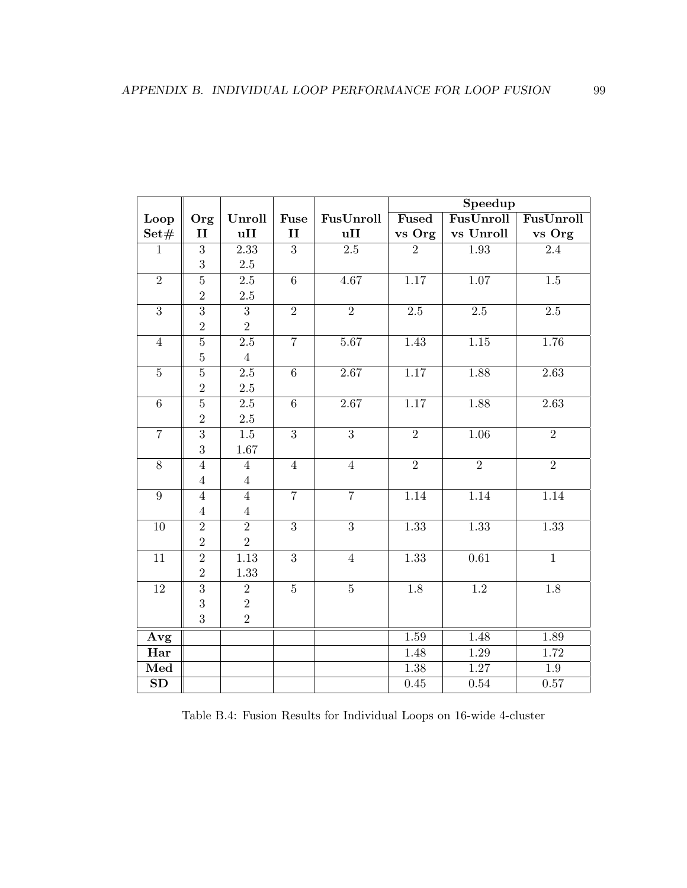|                        |                |                   |                |                  | Speedup        |                   |                  |
|------------------------|----------------|-------------------|----------------|------------------|----------------|-------------------|------------------|
| Loop                   | Org            | Unroll            | Fuse           | FusUnroll        | Fused          | FusUnroll         | FusUnroll        |
| Set#                   | $\mathbf{II}$  | uII               | $\mathbf{I}$   | uII              | vs Org         | vs Unroll         | vs Org           |
| $\mathbf{1}$           | $\overline{3}$ | $\overline{2.33}$ | $\overline{3}$ | $\overline{2.5}$ | $\overline{2}$ | $\overline{1.93}$ | $\overline{2.4}$ |
|                        | 3              | $2.5\,$           |                |                  |                |                   |                  |
| $\overline{2}$         | $\overline{5}$ | 2.5               | $\overline{6}$ | 4.67             | 1.17           | 1.07              | $1.5\,$          |
|                        | $\overline{2}$ | $2.5\,$           |                |                  |                |                   |                  |
| $\overline{3}$         | $\overline{3}$ | $\overline{3}$    | $\overline{2}$ | $\overline{2}$   | $2.5\,$        | $2.5\,$           | $2.5\,$          |
|                        | $\overline{2}$ | $\overline{2}$    |                |                  |                |                   |                  |
| $\overline{4}$         | $\overline{5}$ | $2.5\,$           | $\overline{7}$ | 5.67             | 1.43           | $\overline{1.15}$ | 1.76             |
|                        | $\overline{5}$ | $\overline{4}$    |                |                  |                |                   |                  |
| $\bf 5$                | $\overline{5}$ | 2.5               | $\overline{6}$ | 2.67             | 1.17           | 1.88              | 2.63             |
|                        | $\overline{2}$ | $2.5\,$           |                |                  |                |                   |                  |
| $\,6\,$                | $\overline{5}$ | 2.5               | $\sqrt{6}$     | 2.67             | 1.17           | 1.88              | 2.63             |
|                        | $\overline{2}$ | $2.5\,$           |                |                  |                |                   |                  |
| $\overline{7}$         | $\overline{3}$ | $\overline{1.5}$  | $\overline{3}$ | $\overline{3}$   | $\overline{2}$ | $\overline{1.06}$ | $\overline{2}$   |
|                        | 3              | 1.67              |                |                  |                |                   |                  |
| $8\,$                  | $\overline{4}$ | $\overline{4}$    | $\overline{4}$ | $\overline{4}$   | $\overline{2}$ | $\overline{2}$    | $\overline{2}$   |
|                        | $\overline{4}$ | $\,4\,$           |                |                  |                |                   |                  |
| $\boldsymbol{9}$       | $\overline{4}$ | $\overline{4}$    | $\overline{7}$ | $\overline{7}$   | 1.14           | 1.14              | 1.14             |
|                        | $\overline{4}$ | $\overline{4}$    |                |                  |                |                   |                  |
| $10\,$                 | $\overline{2}$ | $\overline{2}$    | $\overline{3}$ | $\overline{3}$   | 1.33           | 1.33              | 1.33             |
|                        | $\overline{2}$ | $\overline{2}$    |                |                  |                |                   |                  |
| 11                     | $\overline{2}$ | 1.13              | $\overline{3}$ | $\overline{4}$   | 1.33           | 0.61              | $\mathbf{1}$     |
|                        | $\overline{2}$ | 1.33              |                |                  |                |                   |                  |
| 12                     | $\overline{3}$ | $\overline{2}$    | $\overline{5}$ | $\bf 5$          | 1.8            | 1.2               | 1.8              |
|                        | 3              | $\sqrt{2}$        |                |                  |                |                   |                  |
|                        | 3              | $\sqrt{2}$        |                |                  |                |                   |                  |
| Avg                    |                |                   |                |                  | 1.59           | 1.48              | 1.89             |
| Har                    |                |                   |                |                  | 1.48           | 1.29              | 1.72             |
| Med                    |                |                   |                |                  | 1.38           | 1.27              | 1.9              |
| $\overline{\text{SD}}$ |                |                   |                |                  | 0.45           | 0.54              | 0.57             |

Table B.4: Fusion Results for Individual Loops on 16-wide 4-cluster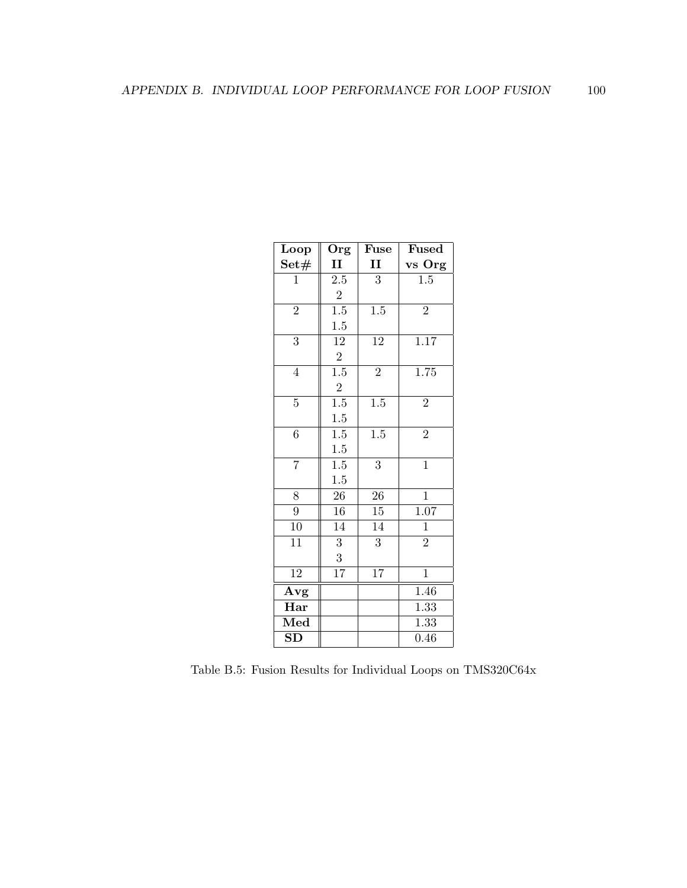| Loop           | Org              | Fuse             | <b>Fused</b>      |
|----------------|------------------|------------------|-------------------|
| Set#           | $\mathbf{I}$     | $\mathbf{I}$     | vs Org            |
| $\mathbf 1$    | 2.5              | 3                | 1.5               |
|                | $\sqrt{2}$       |                  |                   |
| $\overline{2}$ | $\overline{1.5}$ | $\overline{1.5}$ | $\overline{2}$    |
|                | $1.5\,$          |                  |                   |
| 3              | $12\,$           | 12               | 1.17              |
|                | $\sqrt{2}$       |                  |                   |
| $\overline{4}$ | $\overline{1.5}$ | $\overline{2}$   | 1.75              |
|                | $\overline{2}$   |                  |                   |
| $\overline{5}$ | $\overline{1.5}$ | $\overline{1.5}$ | $\overline{2}$    |
|                | 1.5              |                  |                   |
| $\overline{6}$ | $1.5\,$          | 1.5              | $\overline{2}$    |
|                | 1.5              |                  |                   |
| 7              | 1.5              | $\boldsymbol{3}$ | $\mathbf{1}$      |
|                | 1.5              |                  |                   |
| 8              | $26\,$           | 26               | $\mathbf{1}$      |
| $\overline{9}$ | 16               | $\overline{15}$  | $\overline{1.07}$ |
| 10             | 14               | 14               | $\mathbf{1}$      |
| 11             | $\sqrt{3}$       | $\sqrt{3}$       | $\overline{2}$    |
|                | 3                |                  |                   |
| 12             | 17               | 17               | $\mathbf{1}$      |
| Avg            |                  |                  | 1.46              |
| Har            |                  |                  | 1.33              |
| Med            |                  |                  | 1.33              |
| SD             |                  |                  | 0.46              |

Table B.5: Fusion Results for Individual Loops on TMS320C64x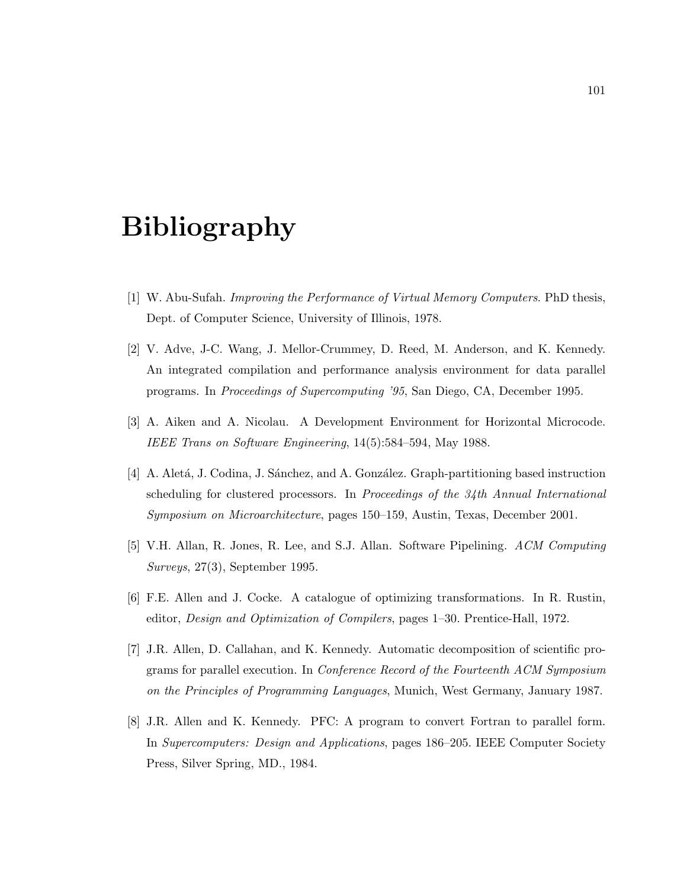## Bibliography

- [1] W. Abu-Sufah. Improving the Performance of Virtual Memory Computers. PhD thesis, Dept. of Computer Science, University of Illinois, 1978.
- [2] V. Adve, J-C. Wang, J. Mellor-Crummey, D. Reed, M. Anderson, and K. Kennedy. An integrated compilation and performance analysis environment for data parallel programs. In Proceedings of Supercomputing '95, San Diego, CA, December 1995.
- [3] A. Aiken and A. Nicolau. A Development Environment for Horizontal Microcode. IEEE Trans on Software Engineering, 14(5):584–594, May 1988.
- [4] A. Aletá, J. Codina, J. Sánchez, and A. González. Graph-partitioning based instruction scheduling for clustered processors. In Proceedings of the 34th Annual International Symposium on Microarchitecture, pages 150–159, Austin, Texas, December 2001.
- [5] V.H. Allan, R. Jones, R. Lee, and S.J. Allan. Software Pipelining. ACM Computing Surveys, 27(3), September 1995.
- [6] F.E. Allen and J. Cocke. A catalogue of optimizing transformations. In R. Rustin, editor, Design and Optimization of Compilers, pages 1–30. Prentice-Hall, 1972.
- [7] J.R. Allen, D. Callahan, and K. Kennedy. Automatic decomposition of scientific programs for parallel execution. In Conference Record of the Fourteenth ACM Symposium on the Principles of Programming Languages, Munich, West Germany, January 1987.
- [8] J.R. Allen and K. Kennedy. PFC: A program to convert Fortran to parallel form. In Supercomputers: Design and Applications, pages 186–205. IEEE Computer Society Press, Silver Spring, MD., 1984.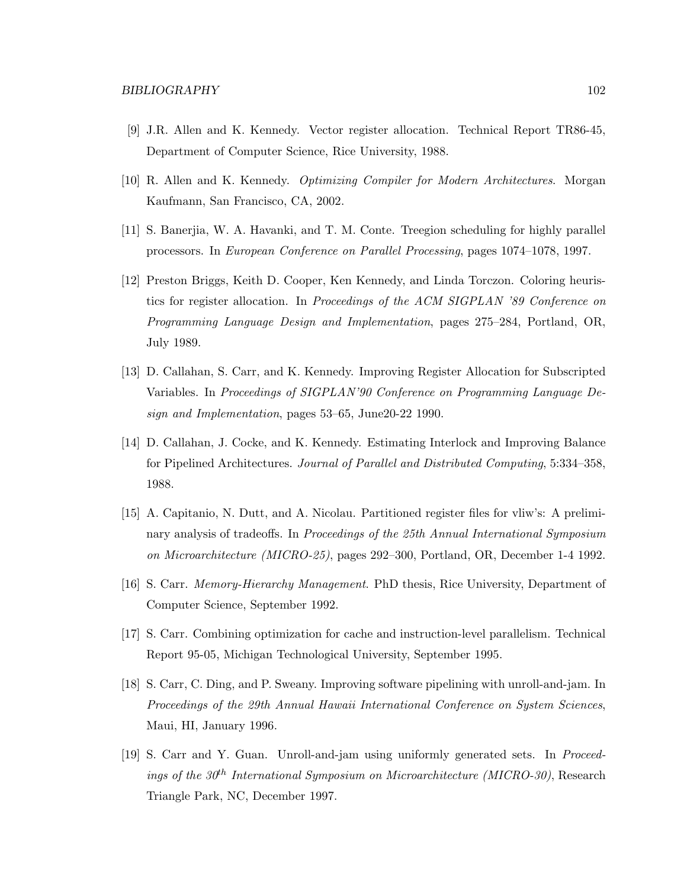- [9] J.R. Allen and K. Kennedy. Vector register allocation. Technical Report TR86-45, Department of Computer Science, Rice University, 1988.
- [10] R. Allen and K. Kennedy. Optimizing Compiler for Modern Architectures. Morgan Kaufmann, San Francisco, CA, 2002.
- [11] S. Banerjia, W. A. Havanki, and T. M. Conte. Treegion scheduling for highly parallel processors. In European Conference on Parallel Processing, pages 1074–1078, 1997.
- [12] Preston Briggs, Keith D. Cooper, Ken Kennedy, and Linda Torczon. Coloring heuristics for register allocation. In Proceedings of the ACM SIGPLAN '89 Conference on Programming Language Design and Implementation, pages 275–284, Portland, OR, July 1989.
- [13] D. Callahan, S. Carr, and K. Kennedy. Improving Register Allocation for Subscripted Variables. In Proceedings of SIGPLAN'90 Conference on Programming Language Design and Implementation, pages 53–65, June20-22 1990.
- [14] D. Callahan, J. Cocke, and K. Kennedy. Estimating Interlock and Improving Balance for Pipelined Architectures. Journal of Parallel and Distributed Computing, 5:334–358, 1988.
- [15] A. Capitanio, N. Dutt, and A. Nicolau. Partitioned register files for vliw's: A preliminary analysis of tradeoffs. In Proceedings of the 25th Annual International Symposium on Microarchitecture (MICRO-25), pages 292–300, Portland, OR, December 1-4 1992.
- [16] S. Carr. Memory-Hierarchy Management. PhD thesis, Rice University, Department of Computer Science, September 1992.
- [17] S. Carr. Combining optimization for cache and instruction-level parallelism. Technical Report 95-05, Michigan Technological University, September 1995.
- [18] S. Carr, C. Ding, and P. Sweany. Improving software pipelining with unroll-and-jam. In Proceedings of the 29th Annual Hawaii International Conference on System Sciences, Maui, HI, January 1996.
- [19] S. Carr and Y. Guan. Unroll-and-jam using uniformly generated sets. In Proceedings of the 30<sup>th</sup> International Symposium on Microarchitecture (MICRO-30), Research Triangle Park, NC, December 1997.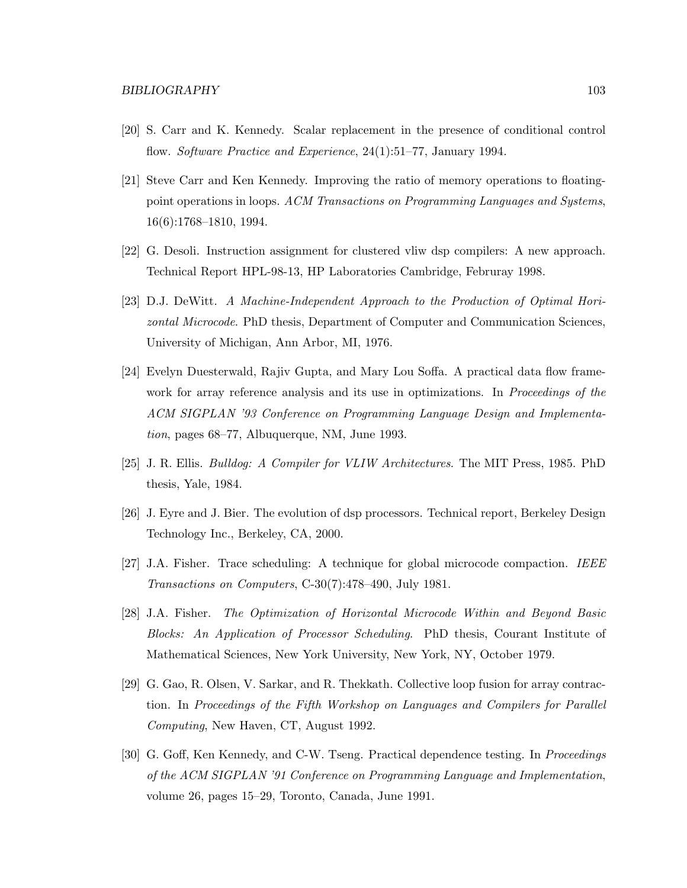- [20] S. Carr and K. Kennedy. Scalar replacement in the presence of conditional control flow. Software Practice and Experience, 24(1):51–77, January 1994.
- [21] Steve Carr and Ken Kennedy. Improving the ratio of memory operations to floatingpoint operations in loops. ACM Transactions on Programming Languages and Systems, 16(6):1768–1810, 1994.
- [22] G. Desoli. Instruction assignment for clustered vliw dsp compilers: A new approach. Technical Report HPL-98-13, HP Laboratories Cambridge, Februray 1998.
- [23] D.J. DeWitt. A Machine-Independent Approach to the Production of Optimal Horizontal Microcode. PhD thesis, Department of Computer and Communication Sciences, University of Michigan, Ann Arbor, MI, 1976.
- [24] Evelyn Duesterwald, Rajiv Gupta, and Mary Lou Soffa. A practical data flow framework for array reference analysis and its use in optimizations. In *Proceedings of the* ACM SIGPLAN '93 Conference on Programming Language Design and Implementation, pages 68–77, Albuquerque, NM, June 1993.
- [25] J. R. Ellis. Bulldog: A Compiler for VLIW Architectures. The MIT Press, 1985. PhD thesis, Yale, 1984.
- [26] J. Eyre and J. Bier. The evolution of dsp processors. Technical report, Berkeley Design Technology Inc., Berkeley, CA, 2000.
- [27] J.A. Fisher. Trace scheduling: A technique for global microcode compaction. IEEE Transactions on Computers, C-30(7):478–490, July 1981.
- [28] J.A. Fisher. The Optimization of Horizontal Microcode Within and Beyond Basic Blocks: An Application of Processor Scheduling. PhD thesis, Courant Institute of Mathematical Sciences, New York University, New York, NY, October 1979.
- [29] G. Gao, R. Olsen, V. Sarkar, and R. Thekkath. Collective loop fusion for array contraction. In Proceedings of the Fifth Workshop on Languages and Compilers for Parallel Computing, New Haven, CT, August 1992.
- [30] G. Goff, Ken Kennedy, and C-W. Tseng. Practical dependence testing. In *Proceedings* of the ACM SIGPLAN '91 Conference on Programming Language and Implementation, volume 26, pages 15–29, Toronto, Canada, June 1991.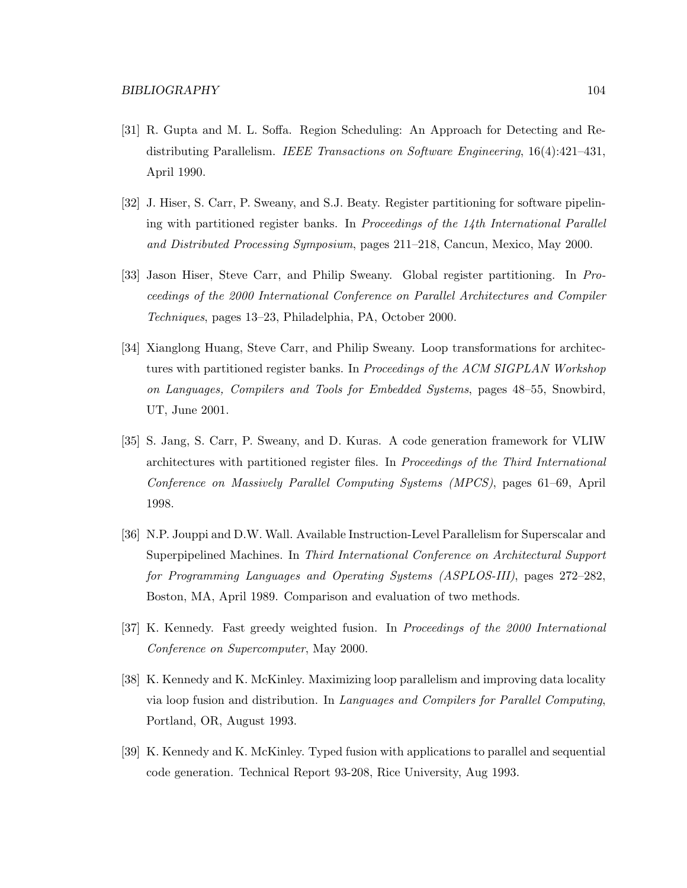- [31] R. Gupta and M. L. Soffa. Region Scheduling: An Approach for Detecting and Redistributing Parallelism. IEEE Transactions on Software Engineering, 16(4):421–431, April 1990.
- [32] J. Hiser, S. Carr, P. Sweany, and S.J. Beaty. Register partitioning for software pipelining with partitioned register banks. In Proceedings of the 14th International Parallel and Distributed Processing Symposium, pages 211–218, Cancun, Mexico, May 2000.
- [33] Jason Hiser, Steve Carr, and Philip Sweany. Global register partitioning. In Proceedings of the 2000 International Conference on Parallel Architectures and Compiler Techniques, pages 13–23, Philadelphia, PA, October 2000.
- [34] Xianglong Huang, Steve Carr, and Philip Sweany. Loop transformations for architectures with partitioned register banks. In *Proceedings of the ACM SIGPLAN Workshop* on Languages, Compilers and Tools for Embedded Systems, pages 48–55, Snowbird, UT, June 2001.
- [35] S. Jang, S. Carr, P. Sweany, and D. Kuras. A code generation framework for VLIW architectures with partitioned register files. In Proceedings of the Third International Conference on Massively Parallel Computing Systems (MPCS), pages 61–69, April 1998.
- [36] N.P. Jouppi and D.W. Wall. Available Instruction-Level Parallelism for Superscalar and Superpipelined Machines. In Third International Conference on Architectural Support for Programming Languages and Operating Systems (ASPLOS-III), pages 272–282, Boston, MA, April 1989. Comparison and evaluation of two methods.
- [37] K. Kennedy. Fast greedy weighted fusion. In Proceedings of the 2000 International Conference on Supercomputer, May 2000.
- [38] K. Kennedy and K. McKinley. Maximizing loop parallelism and improving data locality via loop fusion and distribution. In Languages and Compilers for Parallel Computing, Portland, OR, August 1993.
- [39] K. Kennedy and K. McKinley. Typed fusion with applications to parallel and sequential code generation. Technical Report 93-208, Rice University, Aug 1993.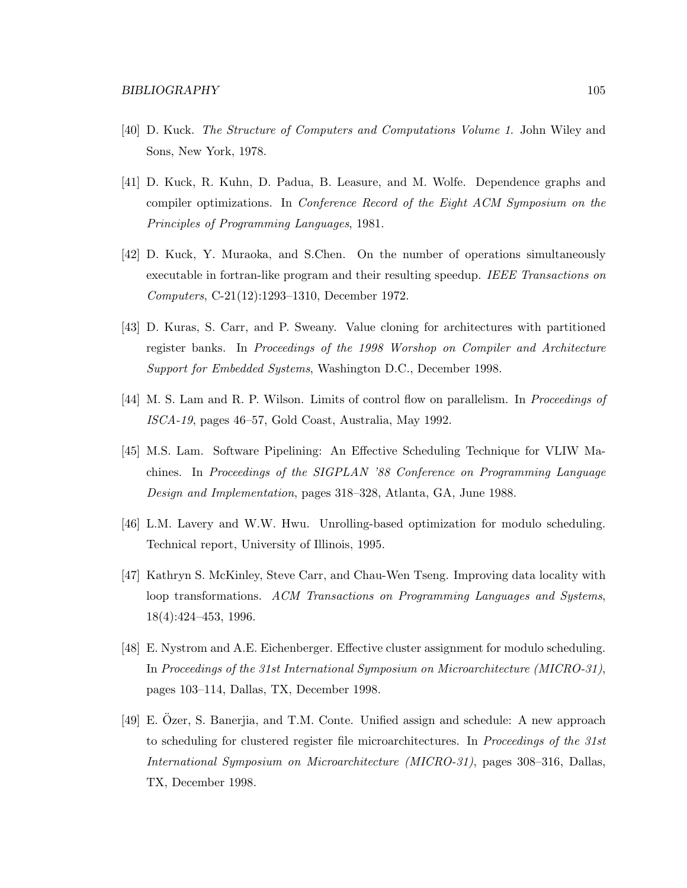- [40] D. Kuck. The Structure of Computers and Computations Volume 1. John Wiley and Sons, New York, 1978.
- [41] D. Kuck, R. Kuhn, D. Padua, B. Leasure, and M. Wolfe. Dependence graphs and compiler optimizations. In Conference Record of the Eight ACM Symposium on the Principles of Programming Languages, 1981.
- [42] D. Kuck, Y. Muraoka, and S.Chen. On the number of operations simultaneously executable in fortran-like program and their resulting speedup. IEEE Transactions on Computers, C-21(12):1293–1310, December 1972.
- [43] D. Kuras, S. Carr, and P. Sweany. Value cloning for architectures with partitioned register banks. In Proceedings of the 1998 Worshop on Compiler and Architecture Support for Embedded Systems, Washington D.C., December 1998.
- [44] M. S. Lam and R. P. Wilson. Limits of control flow on parallelism. In Proceedings of ISCA-19, pages 46–57, Gold Coast, Australia, May 1992.
- [45] M.S. Lam. Software Pipelining: An Effective Scheduling Technique for VLIW Machines. In Proceedings of the SIGPLAN '88 Conference on Programming Language Design and Implementation, pages 318–328, Atlanta, GA, June 1988.
- [46] L.M. Lavery and W.W. Hwu. Unrolling-based optimization for modulo scheduling. Technical report, University of Illinois, 1995.
- [47] Kathryn S. McKinley, Steve Carr, and Chau-Wen Tseng. Improving data locality with loop transformations. ACM Transactions on Programming Languages and Systems, 18(4):424–453, 1996.
- [48] E. Nystrom and A.E. Eichenberger. Effective cluster assignment for modulo scheduling. In Proceedings of the 31st International Symposium on Microarchitecture (MICRO-31), pages 103–114, Dallas, TX, December 1998.
- [49] E. Ozer, S. Banerjia, and T.M. Conte. Unified assign and schedule: A new approach ¨ to scheduling for clustered register file microarchitectures. In *Proceedings of the 31st* International Symposium on Microarchitecture (MICRO-31), pages 308–316, Dallas, TX, December 1998.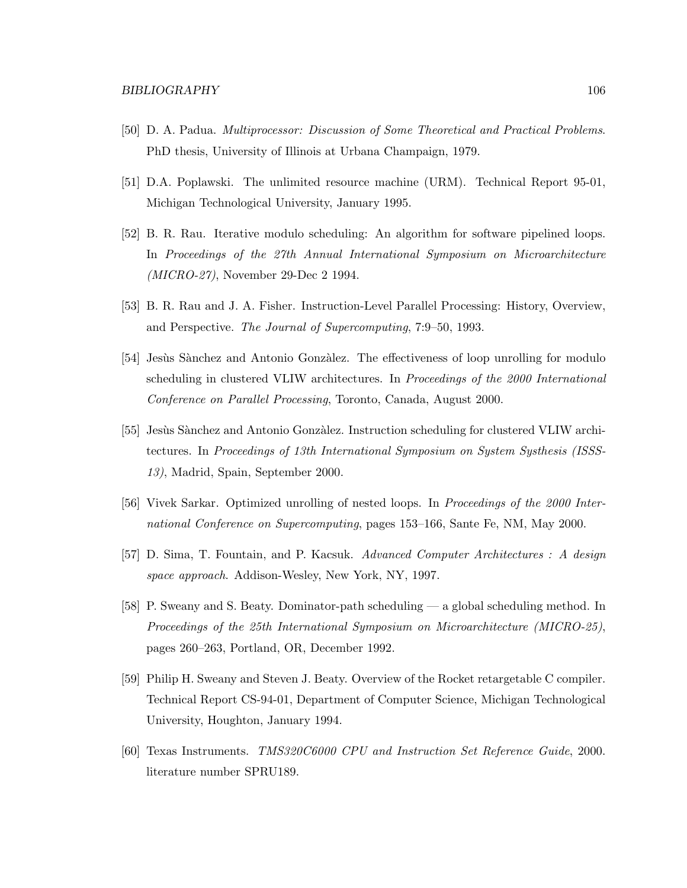- [50] D. A. Padua. Multiprocessor: Discussion of Some Theoretical and Practical Problems. PhD thesis, University of Illinois at Urbana Champaign, 1979.
- [51] D.A. Poplawski. The unlimited resource machine (URM). Technical Report 95-01, Michigan Technological University, January 1995.
- [52] B. R. Rau. Iterative modulo scheduling: An algorithm for software pipelined loops. In Proceedings of the 27th Annual International Symposium on Microarchitecture (MICRO-27), November 29-Dec 2 1994.
- [53] B. R. Rau and J. A. Fisher. Instruction-Level Parallel Processing: History, Overview, and Perspective. The Journal of Supercomputing, 7:9–50, 1993.
- [54] Jesùs Sànchez and Antonio Gonzàlez. The effectiveness of loop unrolling for modulo scheduling in clustered VLIW architectures. In Proceedings of the 2000 International Conference on Parallel Processing, Toronto, Canada, August 2000.
- [55] Jesùs Sànchez and Antonio Gonzàlez. Instruction scheduling for clustered VLIW architectures. In Proceedings of 13th International Symposium on System Systhesis (ISSS-13), Madrid, Spain, September 2000.
- [56] Vivek Sarkar. Optimized unrolling of nested loops. In Proceedings of the 2000 International Conference on Supercomputing, pages 153–166, Sante Fe, NM, May 2000.
- [57] D. Sima, T. Fountain, and P. Kacsuk. Advanced Computer Architectures : A design space approach. Addison-Wesley, New York, NY, 1997.
- [58] P. Sweany and S. Beaty. Dominator-path scheduling a global scheduling method. In Proceedings of the 25th International Symposium on Microarchitecture (MICRO-25), pages 260–263, Portland, OR, December 1992.
- [59] Philip H. Sweany and Steven J. Beaty. Overview of the Rocket retargetable C compiler. Technical Report CS-94-01, Department of Computer Science, Michigan Technological University, Houghton, January 1994.
- [60] Texas Instruments. TMS320C6000 CPU and Instruction Set Reference Guide, 2000. literature number SPRU189.